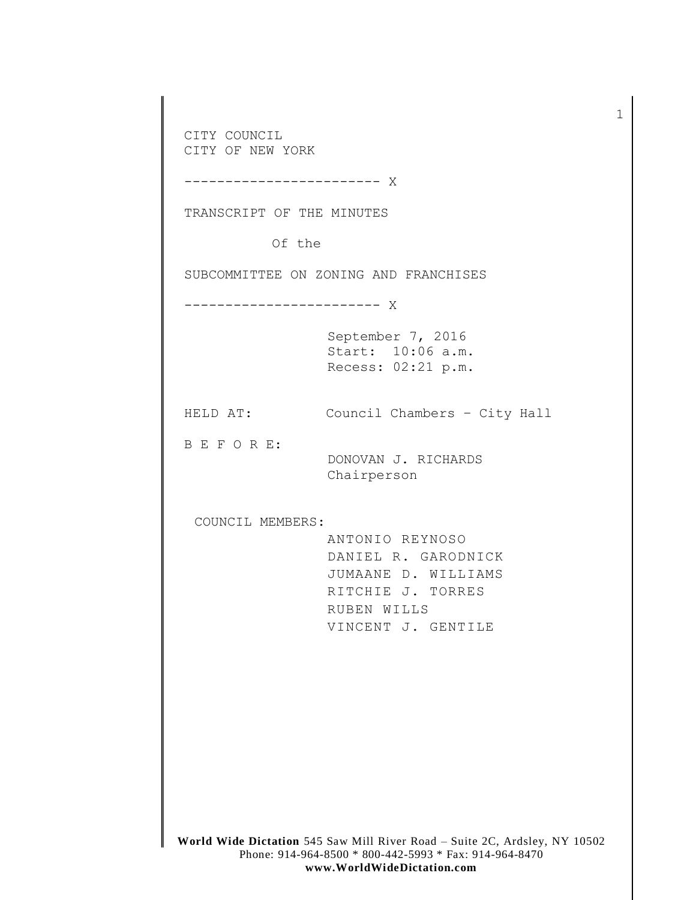**World Wide Dictation** 545 Saw Mill River Road – Suite 2C, Ardsley, NY 10502 CITY COUNCIL CITY OF NEW YORK ------------------------ X TRANSCRIPT OF THE MINUTES Of the SUBCOMMITTEE ON ZONING AND FRANCHISES ------------------------ X September 7, 2016 Start: 10:06 a.m. Recess: 02:21 p.m. HELD AT: Council Chambers – City Hall B E F O R E: DONOVAN J. RICHARDS Chairperson COUNCIL MEMBERS: ANTONIO REYNOSO DANIEL R. GARODNICK JUMAANE D. WILLIAMS RITCHIE J. TORRES RUBEN WILLS VINCENT J. GENTILE

1

Phone: 914-964-8500 \* 800-442-5993 \* Fax: 914-964-8470 **www.WorldWideDictation.com**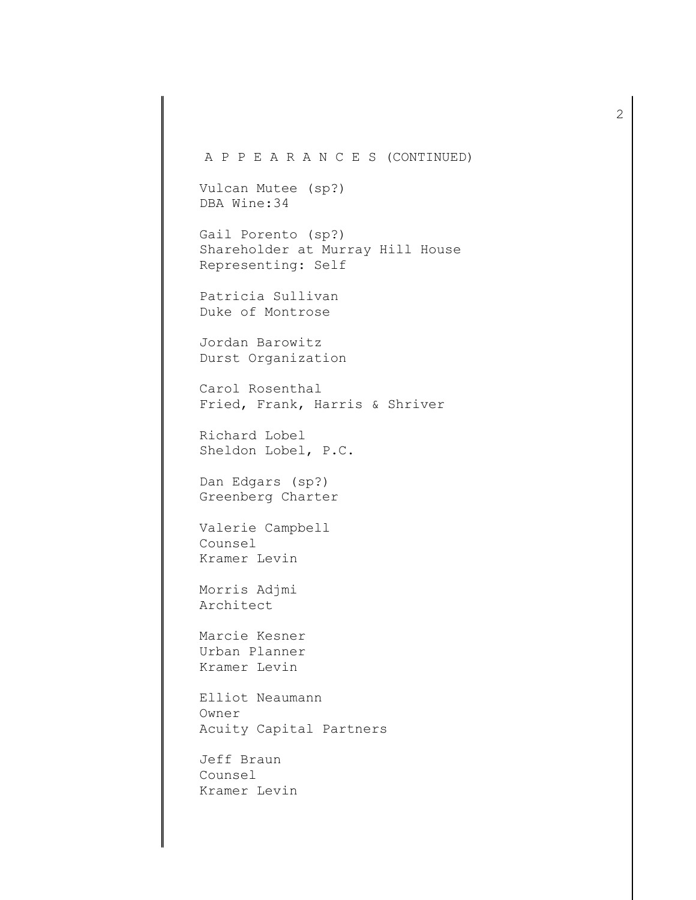## A P P E A R A N C E S (CONTINUED)

Vulcan Mutee (sp?) DBA Wine:34

Gail Porento (sp?) Shareholder at Murray Hill House Representing: Self

Patricia Sullivan Duke of Montrose

Jordan Barowitz Durst Organization

Carol Rosenthal Fried, Frank, Harris & Shriver

Richard Lobel Sheldon Lobel, P.C.

Dan Edgars (sp?) Greenberg Charter

Valerie Campbell Counsel Kramer Levin

Morris Adjmi Architect

Marcie Kesner Urban Planner Kramer Levin

Elliot Neaumann Owner Acuity Capital Partners

Jeff Braun Counsel Kramer Levin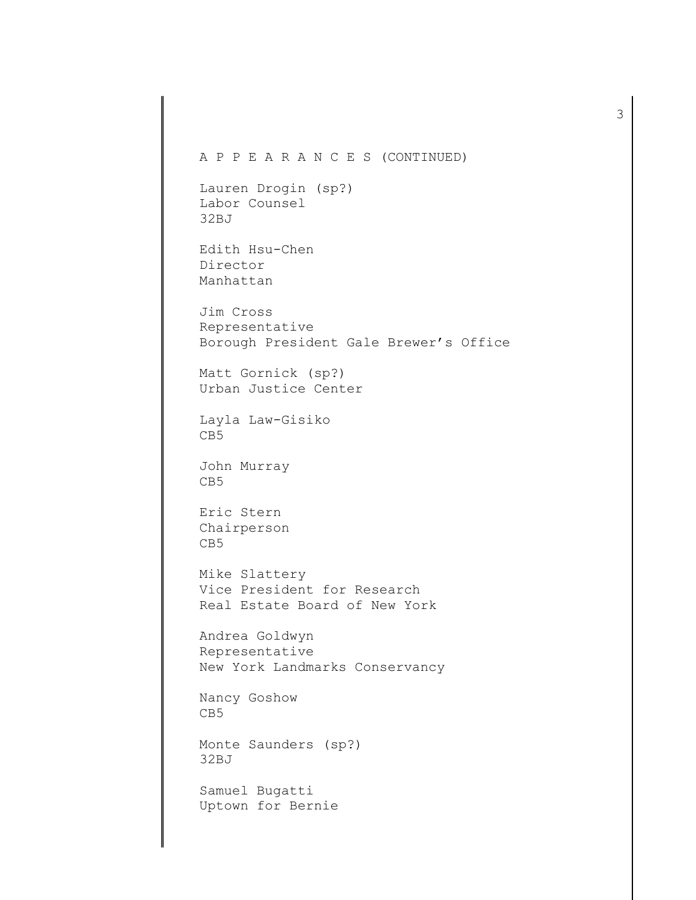## A P P E A R A N C E S (CONTINUED)

Lauren Drogin (sp?) Labor Counsel 32BJ

Edith Hsu-Chen Director Manhattan

Jim Cross Representative Borough President Gale Brewer's Office

Matt Gornick (sp?) Urban Justice Center

Layla Law-Gisiko CB5

John Murray CB5

Eric Stern Chairperson CB5

Mike Slattery Vice President for Research Real Estate Board of New York

Andrea Goldwyn Representative New York Landmarks Conservancy

Nancy Goshow CB5

Monte Saunders (sp?) 32BJ

Samuel Bugatti Uptown for Bernie 3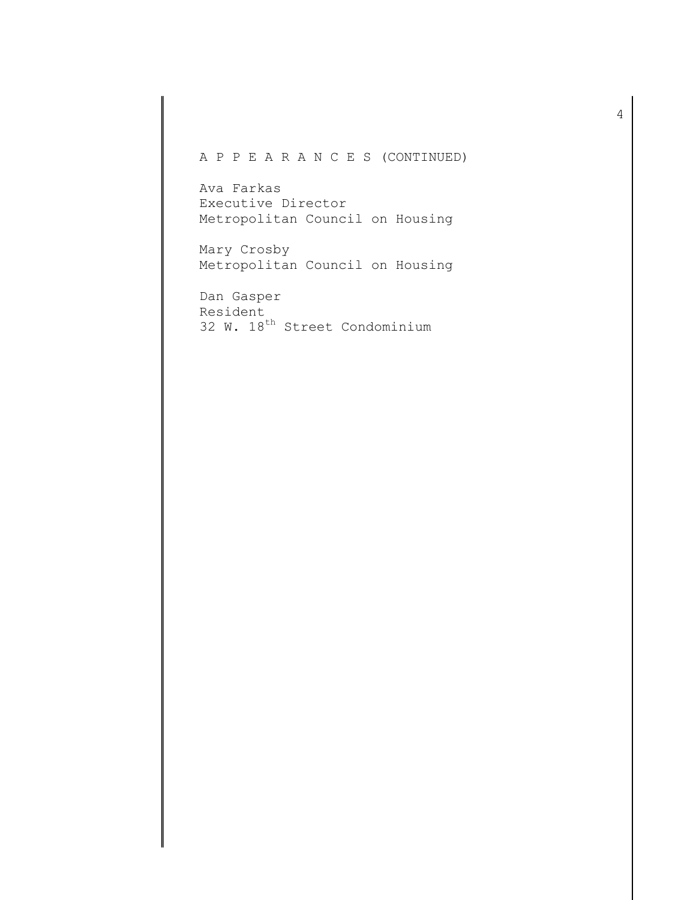# A P P E A R A N C E S (CONTINUED)

Ava Farkas Executive Director Metropolitan Council on Housing

Mary Crosby Metropolitan Council on Housing

Dan Gasper Resident 32 W. 18<sup>th</sup> Street Condominium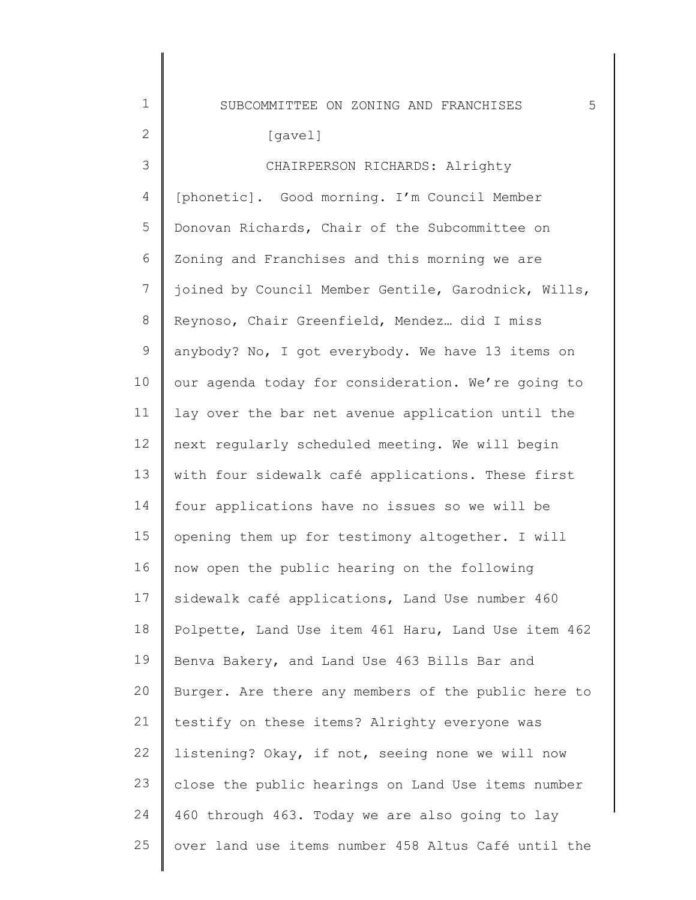SUBCOMMITTEE ON ZONING AND FRANCHISES 5

### [gavel]

1

2

3 4 5 6 7 8 9 10 11 12 13 14 15 16 17 18 19  $20$ 21 22 23 24 25 CHAIRPERSON RICHARDS: Alrighty [phonetic]. Good morning. I'm Council Member Donovan Richards, Chair of the Subcommittee on Zoning and Franchises and this morning we are joined by Council Member Gentile, Garodnick, Wills, Reynoso, Chair Greenfield, Mendez… did I miss anybody? No, I got everybody. We have 13 items on our agenda today for consideration. We're going to lay over the bar net avenue application until the next regularly scheduled meeting. We will begin with four sidewalk café applications. These first four applications have no issues so we will be opening them up for testimony altogether. I will now open the public hearing on the following sidewalk café applications, Land Use number 460 Polpette, Land Use item 461 Haru, Land Use item 462 Benva Bakery, and Land Use 463 Bills Bar and Burger. Are there any members of the public here to testify on these items? Alrighty everyone was listening? Okay, if not, seeing none we will now close the public hearings on Land Use items number 460 through 463. Today we are also going to lay over land use items number 458 Altus Café until the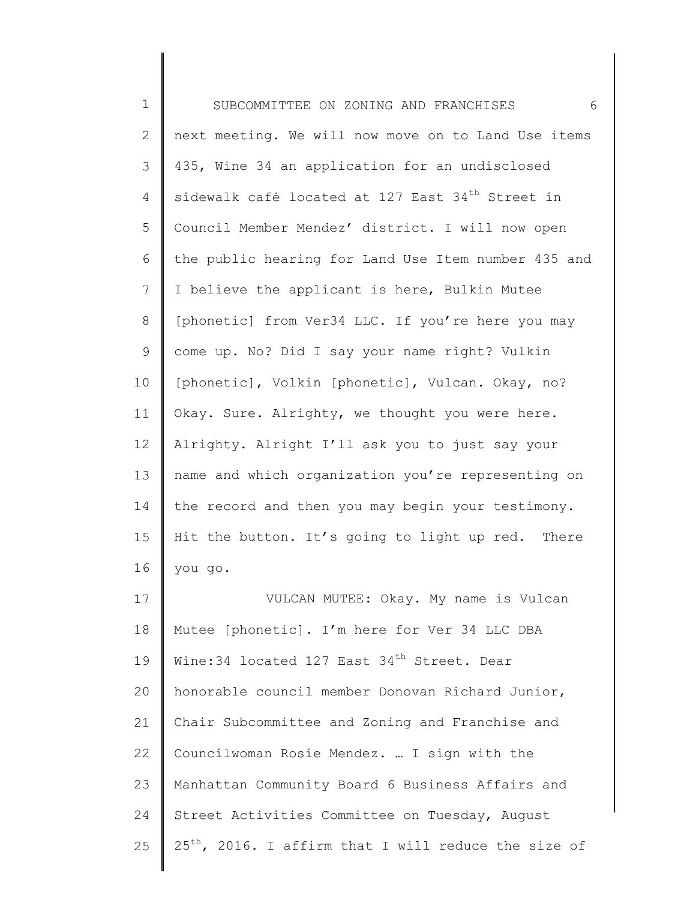| $1\,$          | 6<br>SUBCOMMITTEE ON ZONING AND FRANCHISES                       |
|----------------|------------------------------------------------------------------|
| $\mathbf{2}$   | next meeting. We will now move on to Land Use items              |
| 3              | 435, Wine 34 an application for an undisclosed                   |
| 4              | sidewalk café located at 127 East 34 <sup>th</sup> Street in     |
| 5              | Council Member Mendez' district. I will now open                 |
| 6              | the public hearing for Land Use Item number 435 and              |
| $\overline{7}$ | I believe the applicant is here, Bulkin Mutee                    |
| 8              | [phonetic] from Ver34 LLC. If you're here you may                |
| $\mathsf 9$    | come up. No? Did I say your name right? Vulkin                   |
| 10             | [phonetic], Volkin [phonetic], Vulcan. Okay, no?                 |
| 11             | Okay. Sure. Alrighty, we thought you were here.                  |
| 12             | Alrighty. Alright I'll ask you to just say your                  |
| 13             | name and which organization you're representing on               |
| 14             | the record and then you may begin your testimony.                |
| 15             | Hit the button. It's going to light up red. There                |
| 16             | you go.                                                          |
| $17$           | VULCAN MUTEE: Okay. My name is Vulcan                            |
| 18             | Mutee [phonetic]. I'm here for Ver 34 LLC DBA                    |
| 19             | Wine: 34 located 127 East 34 <sup>th</sup> Street. Dear          |
| 20             | honorable council member Donovan Richard Junior,                 |
| 21             | Chair Subcommittee and Zoning and Franchise and                  |
| 22             | Councilwoman Rosie Mendez.  I sign with the                      |
| 23             | Manhattan Community Board 6 Business Affairs and                 |
| 24             | Street Activities Committee on Tuesday, August                   |
| 25             | 25 <sup>th</sup> , 2016. I affirm that I will reduce the size of |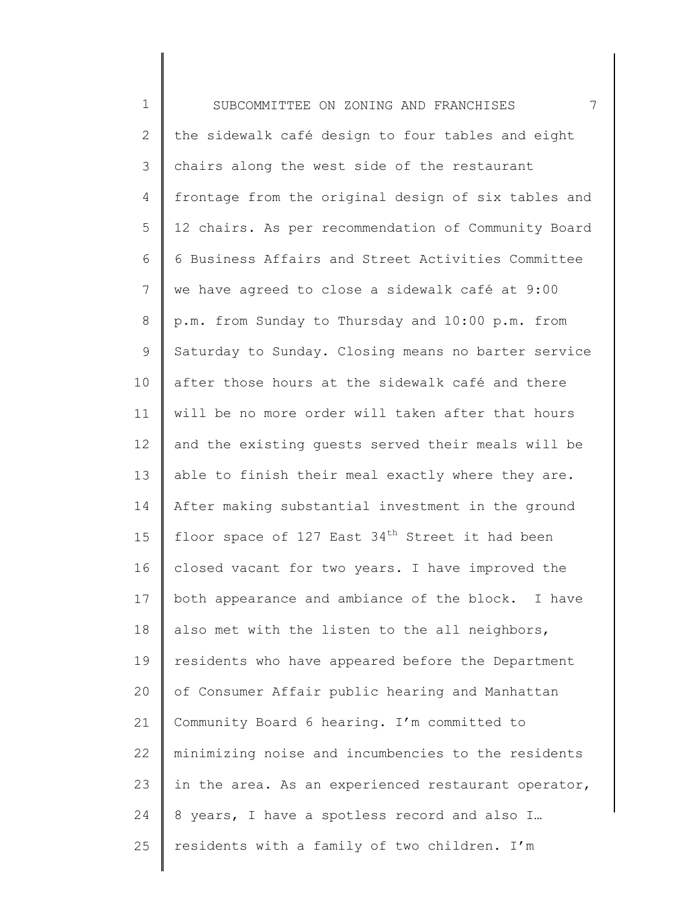1 2 3 4 5 6 7 8 9 10 11 12 13 14 15 16 17 18 19 20 21 22 23 24 25 SUBCOMMITTEE ON ZONING AND FRANCHISES 7 the sidewalk café design to four tables and eight chairs along the west side of the restaurant frontage from the original design of six tables and 12 chairs. As per recommendation of Community Board 6 Business Affairs and Street Activities Committee we have agreed to close a sidewalk café at 9:00 p.m. from Sunday to Thursday and 10:00 p.m. from Saturday to Sunday. Closing means no barter service after those hours at the sidewalk café and there will be no more order will taken after that hours and the existing guests served their meals will be able to finish their meal exactly where they are. After making substantial investment in the ground floor space of  $127$  East  $34<sup>th</sup>$  Street it had been closed vacant for two years. I have improved the both appearance and ambiance of the block. I have also met with the listen to the all neighbors, residents who have appeared before the Department of Consumer Affair public hearing and Manhattan Community Board 6 hearing. I'm committed to minimizing noise and incumbencies to the residents in the area. As an experienced restaurant operator, 8 years, I have a spotless record and also I… residents with a family of two children. I'm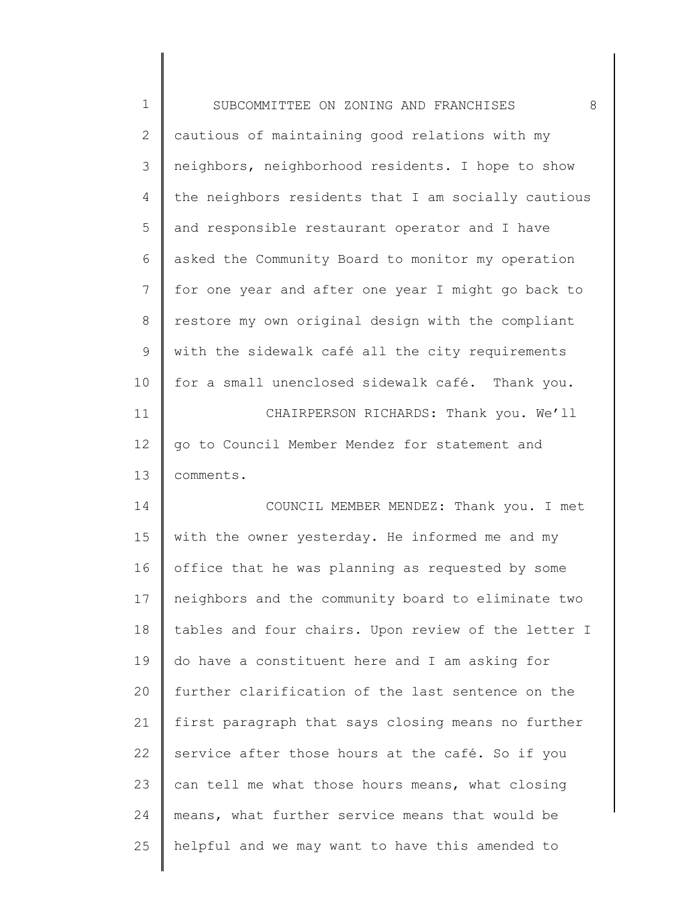| $\mathbf 1$  | 8<br>SUBCOMMITTEE ON ZONING AND FRANCHISES          |
|--------------|-----------------------------------------------------|
| $\mathbf{2}$ | cautious of maintaining good relations with my      |
| 3            | neighbors, neighborhood residents. I hope to show   |
| 4            | the neighbors residents that I am socially cautious |
| 5            | and responsible restaurant operator and I have      |
| 6            | asked the Community Board to monitor my operation   |
| 7            | for one year and after one year I might go back to  |
| $8\,$        | restore my own original design with the compliant   |
| 9            | with the sidewalk café all the city requirements    |
| 10           | for a small unenclosed sidewalk café. Thank you.    |
| 11           | CHAIRPERSON RICHARDS: Thank you. We'll              |
| 12           | go to Council Member Mendez for statement and       |
| 13           | comments.                                           |
| 14           | COUNCIL MEMBER MENDEZ: Thank you. I met             |
| 15           | with the owner yesterday. He informed me and my     |
| 16           | office that he was planning as requested by some    |
| 17           | neighbors and the community board to eliminate two  |
| 18           | tables and four chairs. Upon review of the letter I |
| 19           | do have a constituent here and I am asking for      |
| 20           | further clarification of the last sentence on the   |
| 21           | first paragraph that says closing means no further  |
| 22           | service after those hours at the café. So if you    |
| 23           | can tell me what those hours means, what closing    |
| 24           | means, what further service means that would be     |
| 25           | helpful and we may want to have this amended to     |
|              |                                                     |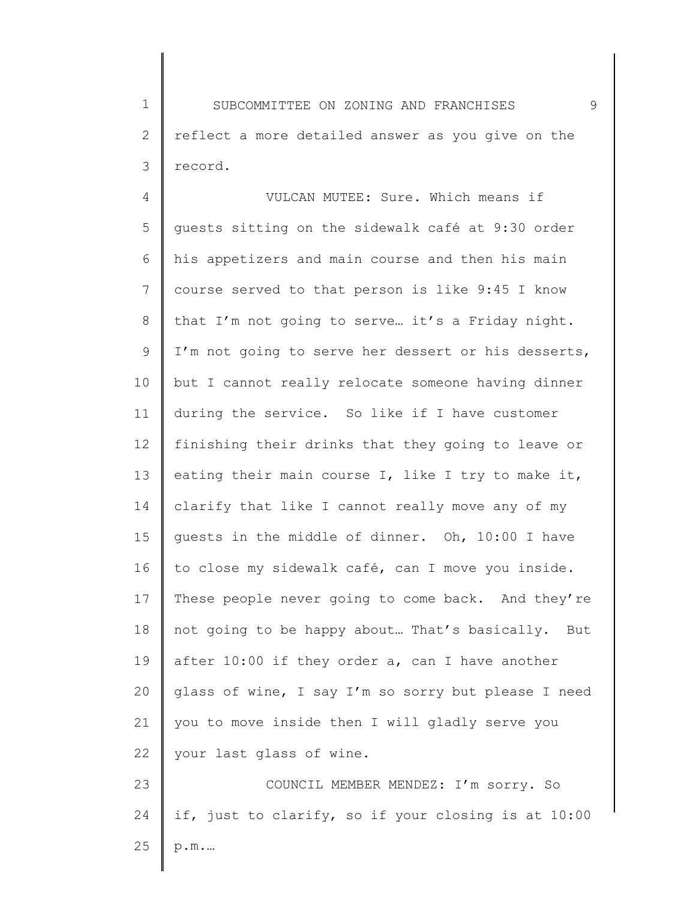1 2 3 SUBCOMMITTEE ON ZONING AND FRANCHISES 9 reflect a more detailed answer as you give on the record.

4 5 6 7 8 9 10 11 12 13 14 15 16 17 18 19 20 21 22 23 VULCAN MUTEE: Sure. Which means if guests sitting on the sidewalk café at 9:30 order his appetizers and main course and then his main course served to that person is like 9:45 I know that I'm not going to serve… it's a Friday night. I'm not going to serve her dessert or his desserts, but I cannot really relocate someone having dinner during the service. So like if I have customer finishing their drinks that they going to leave or eating their main course I, like I try to make it, clarify that like I cannot really move any of my guests in the middle of dinner. Oh, 10:00 I have to close my sidewalk café, can I move you inside. These people never going to come back. And they're not going to be happy about… That's basically. But after 10:00 if they order a, can I have another glass of wine, I say I'm so sorry but please I need you to move inside then I will gladly serve you your last glass of wine. COUNCIL MEMBER MENDEZ: I'm sorry. So

if, just to clarify, so if your closing is at 10:00

24

25

p.m.…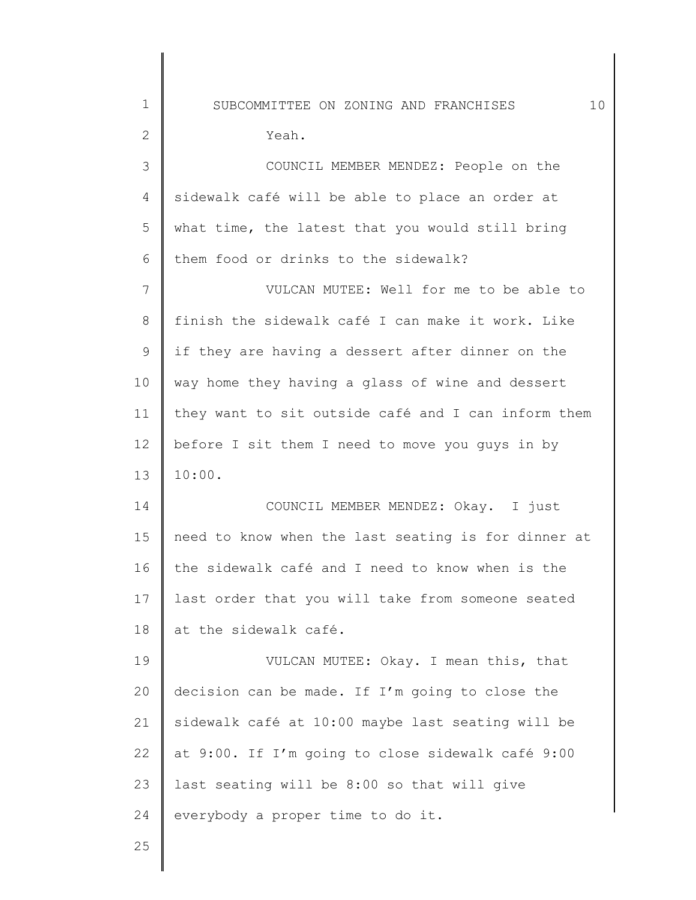1 2 3 4 5 6 7 8 9 10 11 12 13 14 15 16 17 18 19 20 21 22 23 24 25 SUBCOMMITTEE ON ZONING AND FRANCHISES  $10$ Yeah. COUNCIL MEMBER MENDEZ: People on the sidewalk café will be able to place an order at what time, the latest that you would still bring them food or drinks to the sidewalk? VULCAN MUTEE: Well for me to be able to finish the sidewalk café I can make it work. Like if they are having a dessert after dinner on the way home they having a glass of wine and dessert they want to sit outside café and I can inform them before I sit them I need to move you guys in by 10:00. COUNCIL MEMBER MENDEZ: Okay. I just need to know when the last seating is for dinner at the sidewalk café and I need to know when is the last order that you will take from someone seated at the sidewalk café. VULCAN MUTEE: Okay. I mean this, that decision can be made. If I'm going to close the sidewalk café at 10:00 maybe last seating will be at 9:00. If I'm going to close sidewalk café 9:00 last seating will be 8:00 so that will give everybody a proper time to do it.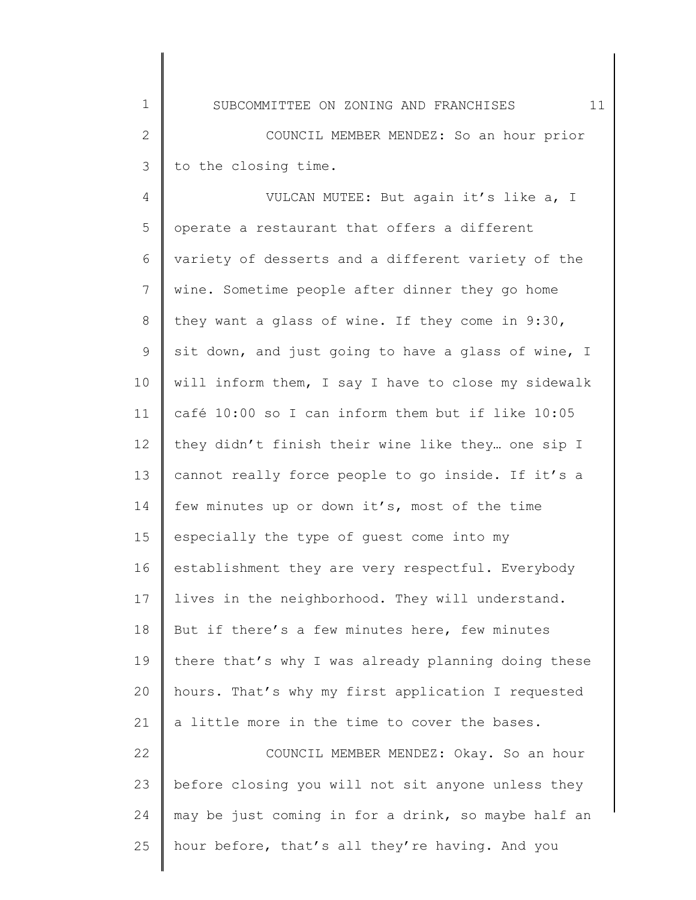SUBCOMMITTEE ON ZONING AND FRANCHISES 11

1

25

2 3 COUNCIL MEMBER MENDEZ: So an hour prior to the closing time.

4 5 6 7 8 9 10 11 12 13 14 15 16 17 18 19 20 21 22 23 24 VULCAN MUTEE: But again it's like a, I operate a restaurant that offers a different variety of desserts and a different variety of the wine. Sometime people after dinner they go home they want a glass of wine. If they come in 9:30, sit down, and just going to have a glass of wine, I will inform them, I say I have to close my sidewalk café 10:00 so I can inform them but if like 10:05 they didn't finish their wine like they… one sip I cannot really force people to go inside. If it's a few minutes up or down it's, most of the time especially the type of guest come into my establishment they are very respectful. Everybody lives in the neighborhood. They will understand. But if there's a few minutes here, few minutes there that's why I was already planning doing these hours. That's why my first application I requested a little more in the time to cover the bases. COUNCIL MEMBER MENDEZ: Okay. So an hour before closing you will not sit anyone unless they may be just coming in for a drink, so maybe half an hour before, that's all they're having. And you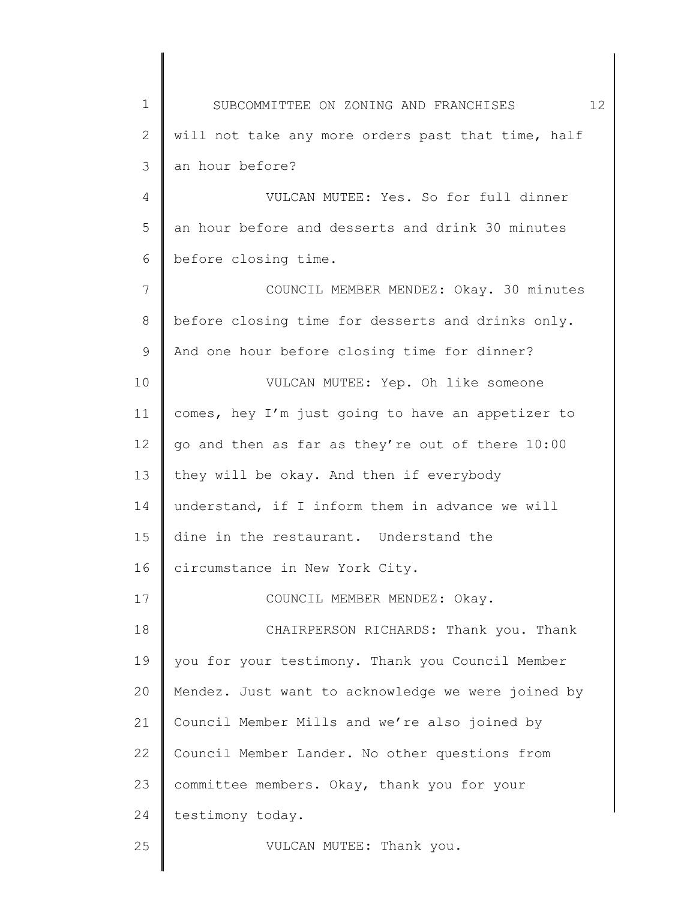1 2 3 4 5 6 7 8 9 10 11 12 13 14 15 16 17 18 19 20 21 22 23 24 25 SUBCOMMITTEE ON ZONING AND FRANCHISES 12 will not take any more orders past that time, half an hour before? VULCAN MUTEE: Yes. So for full dinner an hour before and desserts and drink 30 minutes before closing time. COUNCIL MEMBER MENDEZ: Okay. 30 minutes before closing time for desserts and drinks only. And one hour before closing time for dinner? VULCAN MUTEE: Yep. Oh like someone comes, hey I'm just going to have an appetizer to go and then as far as they're out of there 10:00 they will be okay. And then if everybody understand, if I inform them in advance we will dine in the restaurant. Understand the circumstance in New York City. COUNCIL MEMBER MENDEZ: Okay. CHAIRPERSON RICHARDS: Thank you. Thank you for your testimony. Thank you Council Member Mendez. Just want to acknowledge we were joined by Council Member Mills and we're also joined by Council Member Lander. No other questions from committee members. Okay, thank you for your testimony today. VULCAN MUTEE: Thank you.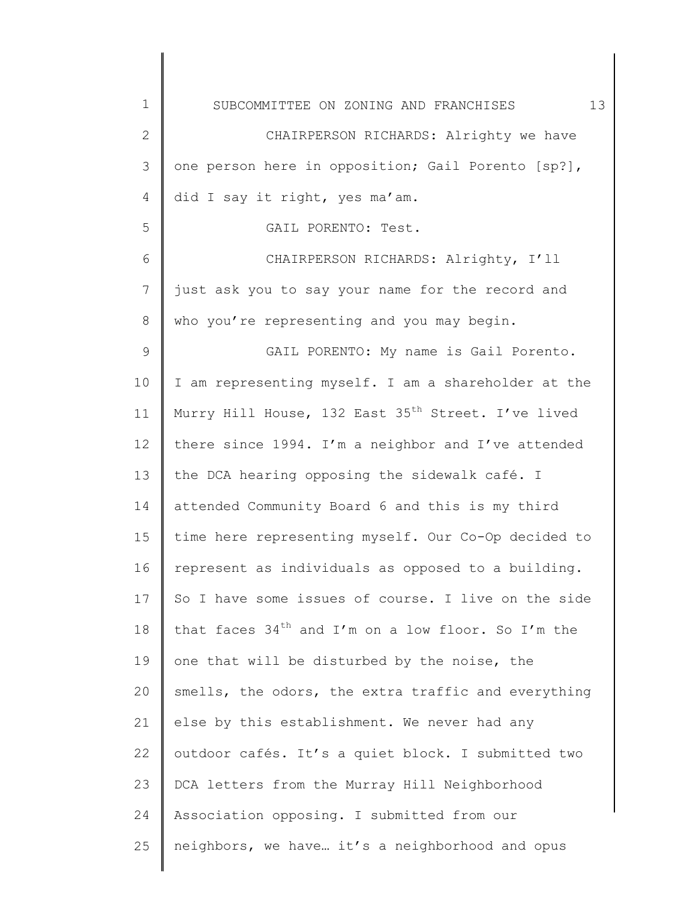| $\mathbf 1$   | 13<br>SUBCOMMITTEE ON ZONING AND FRANCHISES                    |
|---------------|----------------------------------------------------------------|
| $\mathbf{2}$  | CHAIRPERSON RICHARDS: Alrighty we have                         |
| $\mathcal{S}$ | one person here in opposition; Gail Porento [sp?],             |
| 4             | did I say it right, yes ma'am.                                 |
| 5             | GAIL PORENTO: Test.                                            |
| 6             | CHAIRPERSON RICHARDS: Alrighty, I'll                           |
| 7             | just ask you to say your name for the record and               |
| 8             | who you're representing and you may begin.                     |
| $\mathsf 9$   | GAIL PORENTO: My name is Gail Porento.                         |
| 10            | I am representing myself. I am a shareholder at the            |
| 11            | Murry Hill House, 132 East 35 <sup>th</sup> Street. I've lived |
| 12            | there since 1994. I'm a neighbor and I've attended             |
| 13            | the DCA hearing opposing the sidewalk café. I                  |
| 14            | attended Community Board 6 and this is my third                |
| 15            | time here representing myself. Our Co-Op decided to            |
| 16            | represent as individuals as opposed to a building.             |
| 17            | So I have some issues of course. I live on the side            |
| 18            | that faces $34th$ and I'm on a low floor. So I'm the           |
| 19            | one that will be disturbed by the noise, the                   |
| 20            | smells, the odors, the extra traffic and everything            |
| 21            | else by this establishment. We never had any                   |
| 22            | outdoor cafés. It's a quiet block. I submitted two             |
| 23            | DCA letters from the Murray Hill Neighborhood                  |
| 24            | Association opposing. I submitted from our                     |
| 25            | neighbors, we have it's a neighborhood and opus                |
|               |                                                                |

 $\begin{array}{c} \hline \end{array}$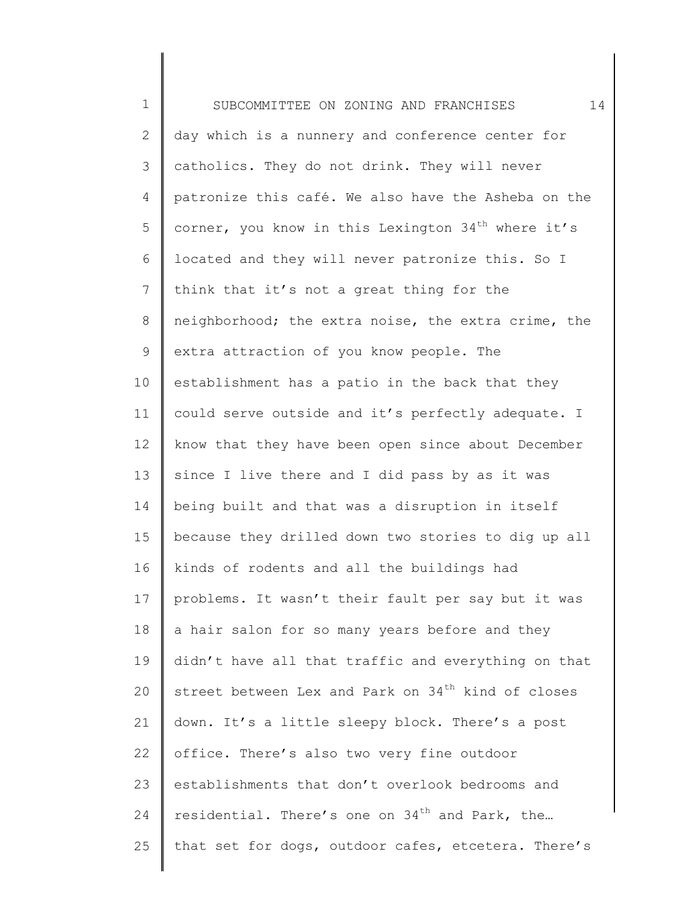1 2 3 4 5 6 7 8 9 10 11 12 13 14 15 16 17 18 19 20 21 22 23 24 25 SUBCOMMITTEE ON ZONING AND FRANCHISES 14 day which is a nunnery and conference center for catholics. They do not drink. They will never patronize this café. We also have the Asheba on the corner, you know in this Lexington  $34<sup>th</sup>$  where it's located and they will never patronize this. So I think that it's not a great thing for the neighborhood; the extra noise, the extra crime, the extra attraction of you know people. The establishment has a patio in the back that they could serve outside and it's perfectly adequate. I know that they have been open since about December since I live there and I did pass by as it was being built and that was a disruption in itself because they drilled down two stories to dig up all kinds of rodents and all the buildings had problems. It wasn't their fault per say but it was a hair salon for so many years before and they didn't have all that traffic and everything on that street between Lex and Park on 34<sup>th</sup> kind of closes down. It's a little sleepy block. There's a post office. There's also two very fine outdoor establishments that don't overlook bedrooms and residential. There's one on  $34<sup>th</sup>$  and Park, the... that set for dogs, outdoor cafes, etcetera. There's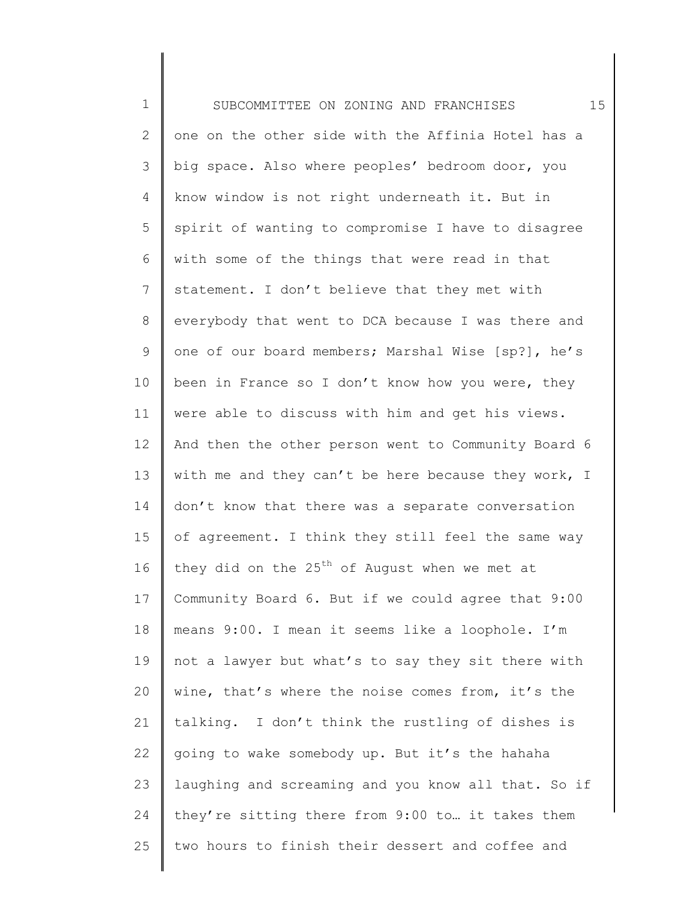1 2 3 4 5 6 7 8 9 10 11 12 13 14 15 16 17 18 19 20 21 22 23 24 25 SUBCOMMITTEE ON ZONING AND FRANCHISES 15 one on the other side with the Affinia Hotel has a big space. Also where peoples' bedroom door, you know window is not right underneath it. But in spirit of wanting to compromise I have to disagree with some of the things that were read in that statement. I don't believe that they met with everybody that went to DCA because I was there and one of our board members; Marshal Wise [sp?], he's been in France so I don't know how you were, they were able to discuss with him and get his views. And then the other person went to Community Board 6 with me and they can't be here because they work, I don't know that there was a separate conversation of agreement. I think they still feel the same way they did on the  $25<sup>th</sup>$  of August when we met at Community Board 6. But if we could agree that 9:00 means 9:00. I mean it seems like a loophole. I'm not a lawyer but what's to say they sit there with wine, that's where the noise comes from, it's the talking. I don't think the rustling of dishes is going to wake somebody up. But it's the hahaha laughing and screaming and you know all that. So if they're sitting there from 9:00 to… it takes them two hours to finish their dessert and coffee and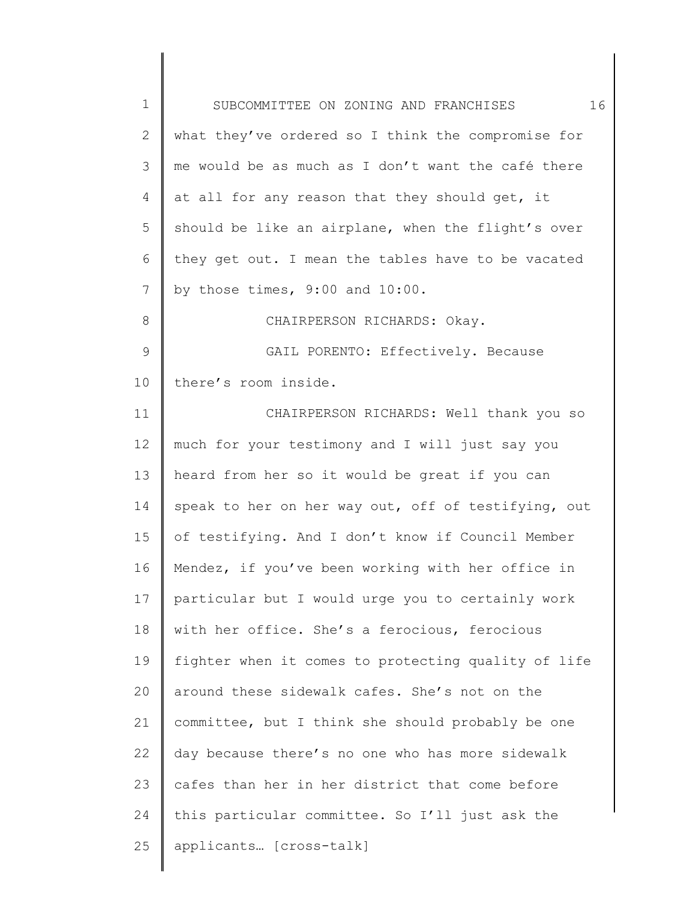| $\mathbf 1$    | 16<br>SUBCOMMITTEE ON ZONING AND FRANCHISES         |
|----------------|-----------------------------------------------------|
| $\mathbf{2}$   | what they've ordered so I think the compromise for  |
| 3              | me would be as much as I don't want the café there  |
| 4              | at all for any reason that they should get, it      |
| 5              | should be like an airplane, when the flight's over  |
| 6              | they get out. I mean the tables have to be vacated  |
| $\overline{7}$ | by those times, $9:00$ and $10:00$ .                |
| 8              | CHAIRPERSON RICHARDS: Okay.                         |
| $\mathsf 9$    | GAIL PORENTO: Effectively. Because                  |
| 10             | there's room inside.                                |
| 11             | CHAIRPERSON RICHARDS: Well thank you so             |
| 12             | much for your testimony and I will just say you     |
| 13             | heard from her so it would be great if you can      |
| 14             | speak to her on her way out, off of testifying, out |
| 15             | of testifying. And I don't know if Council Member   |
| 16             | Mendez, if you've been working with her office in   |
| 17             | particular but I would urge you to certainly work   |
| 18             | with her office. She's a ferocious, ferocious       |
| 19             | fighter when it comes to protecting quality of life |
| 20             | around these sidewalk cafes. She's not on the       |
| 21             | committee, but I think she should probably be one   |
| 22             | day because there's no one who has more sidewalk    |
| 23             | cafes than her in her district that come before     |
| 24             | this particular committee. So I'll just ask the     |
| 25             | applicants [cross-talk]                             |
|                |                                                     |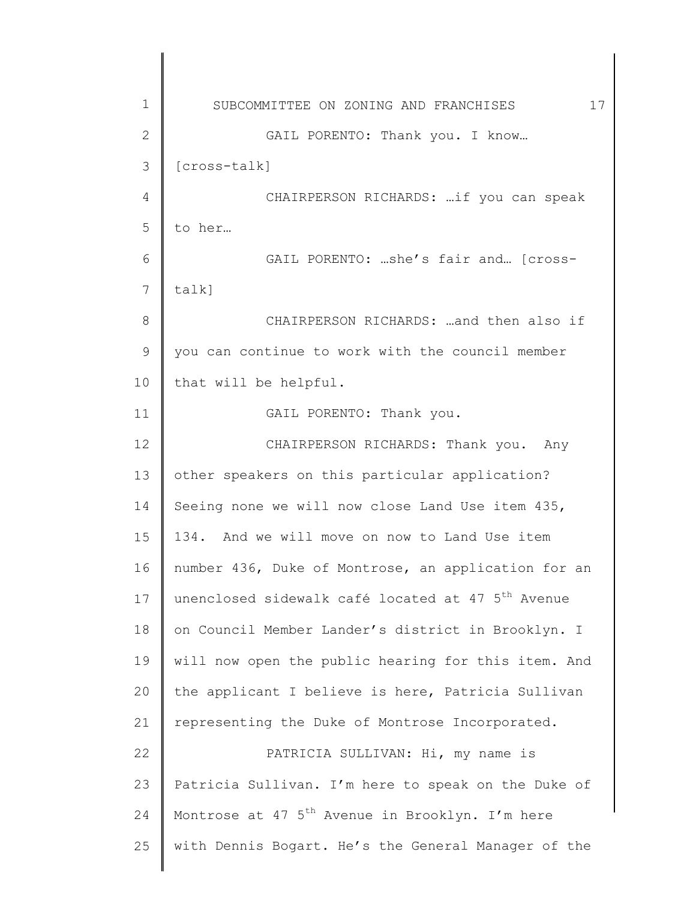| 1             | 17<br>SUBCOMMITTEE ON ZONING AND FRANCHISES                   |
|---------------|---------------------------------------------------------------|
| $\mathbf{2}$  | GAIL PORENTO: Thank you. I know                               |
| 3             | [cross-talk]                                                  |
| 4             | CHAIRPERSON RICHARDS:  if you can speak                       |
| 5             | to her                                                        |
| 6             | GAIL PORENTO: she's fair and [cross-                          |
| 7             | $talk$ ]                                                      |
| 8             | CHAIRPERSON RICHARDS:  and then also if                       |
| $\mathcal{G}$ | you can continue to work with the council member              |
| 10            | that will be helpful.                                         |
| 11            | GAIL PORENTO: Thank you.                                      |
| 12            | CHAIRPERSON RICHARDS: Thank you. Any                          |
| 13            | other speakers on this particular application?                |
| 14            | Seeing none we will now close Land Use item 435,              |
| 15            | 134. And we will move on now to Land Use item                 |
| 16            | number 436, Duke of Montrose, an application for an           |
| 17            | unenclosed sidewalk café located at 47 5 <sup>th</sup> Avenue |
| 18            | on Council Member Lander's district in Brooklyn. I            |
| 19            | will now open the public hearing for this item. And           |
| 20            | the applicant I believe is here, Patricia Sullivan            |
| 21            | representing the Duke of Montrose Incorporated.               |
| 22            | PATRICIA SULLIVAN: Hi, my name is                             |
| 23            | Patricia Sullivan. I'm here to speak on the Duke of           |
| 24            | Montrose at 47 5 <sup>th</sup> Avenue in Brooklyn. I'm here   |
| 25            | with Dennis Bogart. He's the General Manager of the           |
|               |                                                               |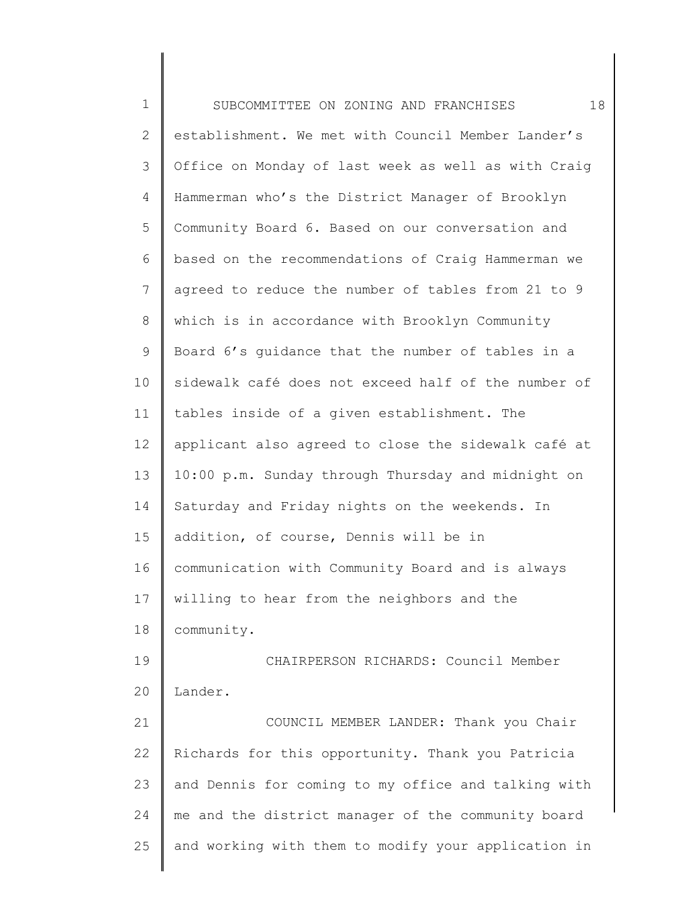1 2 3 4 5 6 7 8 9 10 11 12 13 14 15 16 17 18 19 20 21 22 23 24 25 SUBCOMMITTEE ON ZONING AND FRANCHISES 18 establishment. We met with Council Member Lander's Office on Monday of last week as well as with Craig Hammerman who's the District Manager of Brooklyn Community Board 6. Based on our conversation and based on the recommendations of Craig Hammerman we agreed to reduce the number of tables from 21 to 9 which is in accordance with Brooklyn Community Board 6's guidance that the number of tables in a sidewalk café does not exceed half of the number of tables inside of a given establishment. The applicant also agreed to close the sidewalk café at 10:00 p.m. Sunday through Thursday and midnight on Saturday and Friday nights on the weekends. In addition, of course, Dennis will be in communication with Community Board and is always willing to hear from the neighbors and the community. CHAIRPERSON RICHARDS: Council Member Lander. COUNCIL MEMBER LANDER: Thank you Chair Richards for this opportunity. Thank you Patricia and Dennis for coming to my office and talking with me and the district manager of the community board and working with them to modify your application in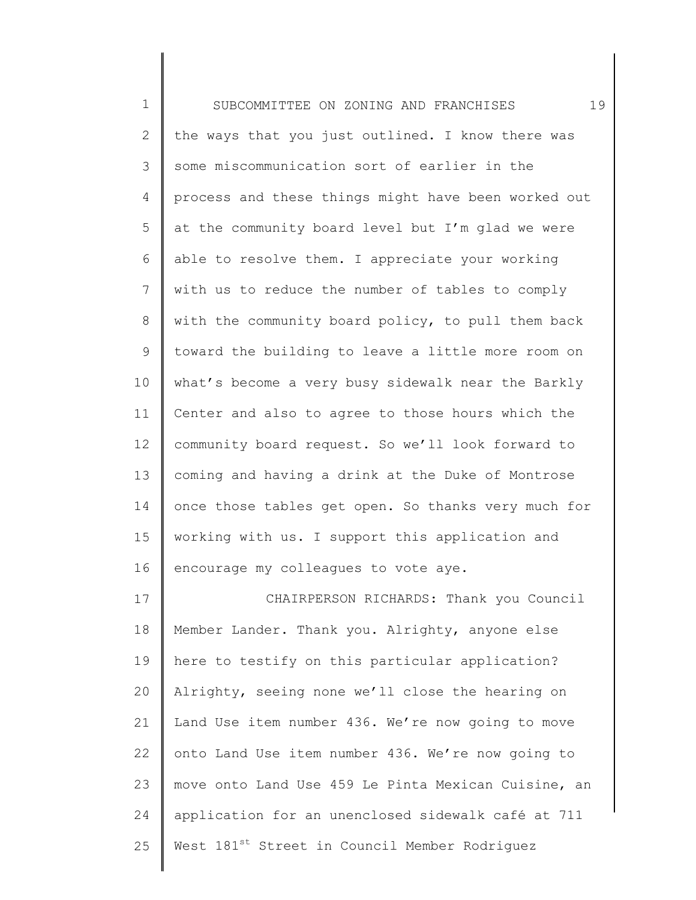| $\mathbf 1$    | 19<br>SUBCOMMITTEE ON ZONING AND FRANCHISES         |
|----------------|-----------------------------------------------------|
| $\mathbf{2}$   | the ways that you just outlined. I know there was   |
| 3              | some miscommunication sort of earlier in the        |
| 4              | process and these things might have been worked out |
| 5              | at the community board level but I'm glad we were   |
| 6              | able to resolve them. I appreciate your working     |
| $\overline{7}$ | with us to reduce the number of tables to comply    |
| 8              | with the community board policy, to pull them back  |
| $\mathsf 9$    | toward the building to leave a little more room on  |
| 10             | what's become a very busy sidewalk near the Barkly  |
| 11             | Center and also to agree to those hours which the   |
| 12             | community board request. So we'll look forward to   |
| 13             | coming and having a drink at the Duke of Montrose   |
| 14             | once those tables get open. So thanks very much for |
| 15             | working with us. I support this application and     |
| 16             | encourage my colleagues to vote aye.                |
| 17             | CHAIRPERSON RICHARDS: Thank you Council             |
| $18\,$         | Member Lander. Thank you. Alrighty, anyone else     |
| 19             | here to testify on this particular application?     |
| 20             | Alrighty, seeing none we'll close the hearing on    |
| 21             | Land Use item number 436. We're now going to move   |
| 22             | onto Land Use item number 436. We're now going to   |
| 23             | move onto Land Use 459 Le Pinta Mexican Cuisine, an |

25 West  $181^\text{st}$  Street in Council Member Rodriguez

application for an unenclosed sidewalk café at 711

24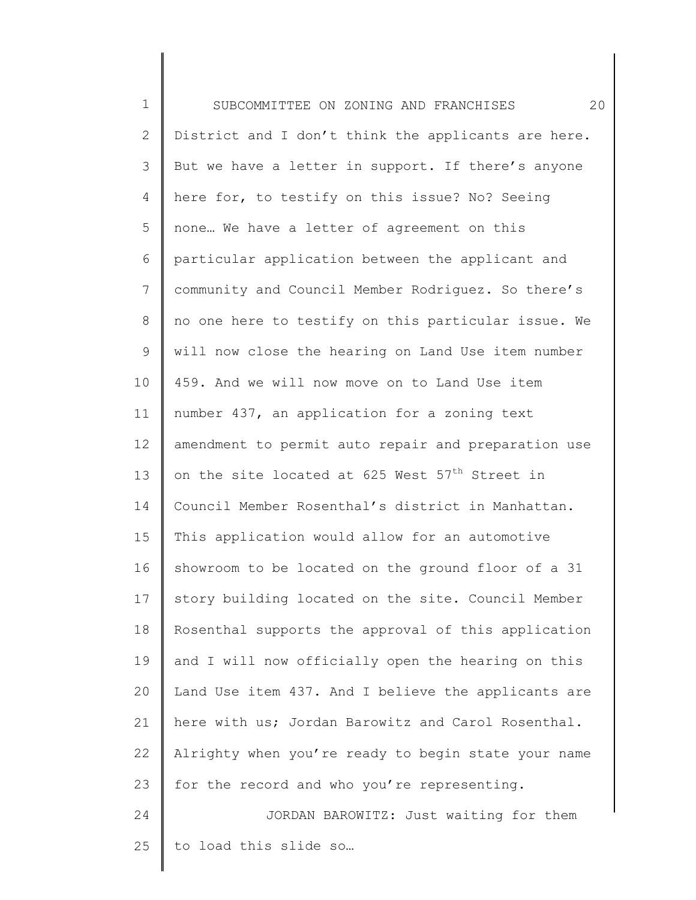1 2 3 4 5 6 7 8 9 10 11 12 13 14 15 16 17 18 19 20 21 22 23 24 25 SUBCOMMITTEE ON ZONING AND FRANCHISES 20 District and I don't think the applicants are here. But we have a letter in support. If there's anyone here for, to testify on this issue? No? Seeing none… We have a letter of agreement on this particular application between the applicant and community and Council Member Rodriguez. So there's no one here to testify on this particular issue. We will now close the hearing on Land Use item number 459. And we will now move on to Land Use item number 437, an application for a zoning text amendment to permit auto repair and preparation use on the site located at 625 West  $57<sup>th</sup>$  Street in Council Member Rosenthal's district in Manhattan. This application would allow for an automotive showroom to be located on the ground floor of a 31 story building located on the site. Council Member Rosenthal supports the approval of this application and I will now officially open the hearing on this Land Use item 437. And I believe the applicants are here with us; Jordan Barowitz and Carol Rosenthal. Alrighty when you're ready to begin state your name for the record and who you're representing. JORDAN BAROWITZ: Just waiting for them to load this slide so…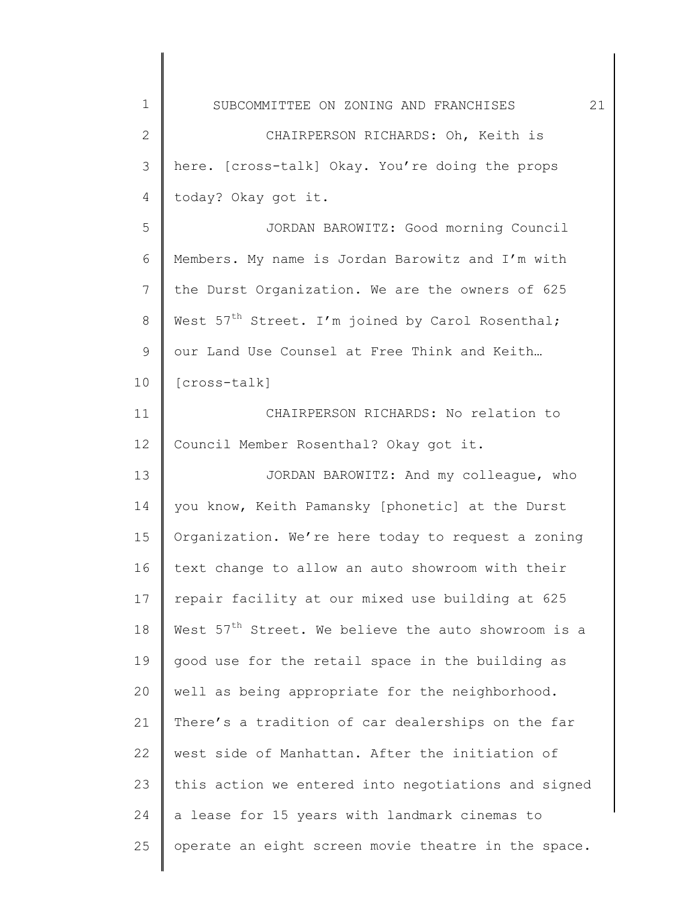1 2 3 4 5 6 7 8 9 10 11 12 13 14 15 16 17 18 19 20 21 22 23 SUBCOMMITTEE ON ZONING AND FRANCHISES 21 CHAIRPERSON RICHARDS: Oh, Keith is here. [cross-talk] Okay. You're doing the props today? Okay got it. JORDAN BAROWITZ: Good morning Council Members. My name is Jordan Barowitz and I'm with the Durst Organization. We are the owners of 625 West  $57<sup>th</sup>$  Street. I'm joined by Carol Rosenthal; our Land Use Counsel at Free Think and Keith… [cross-talk] CHAIRPERSON RICHARDS: No relation to Council Member Rosenthal? Okay got it. JORDAN BAROWITZ: And my colleague, who you know, Keith Pamansky [phonetic] at the Durst Organization. We're here today to request a zoning text change to allow an auto showroom with their repair facility at our mixed use building at 625 West 57<sup>th</sup> Street. We believe the auto showroom is a good use for the retail space in the building as well as being appropriate for the neighborhood. There's a tradition of car dealerships on the far west side of Manhattan. After the initiation of this action we entered into negotiations and signed

a lease for 15 years with landmark cinemas to

operate an eight screen movie theatre in the space.

24

25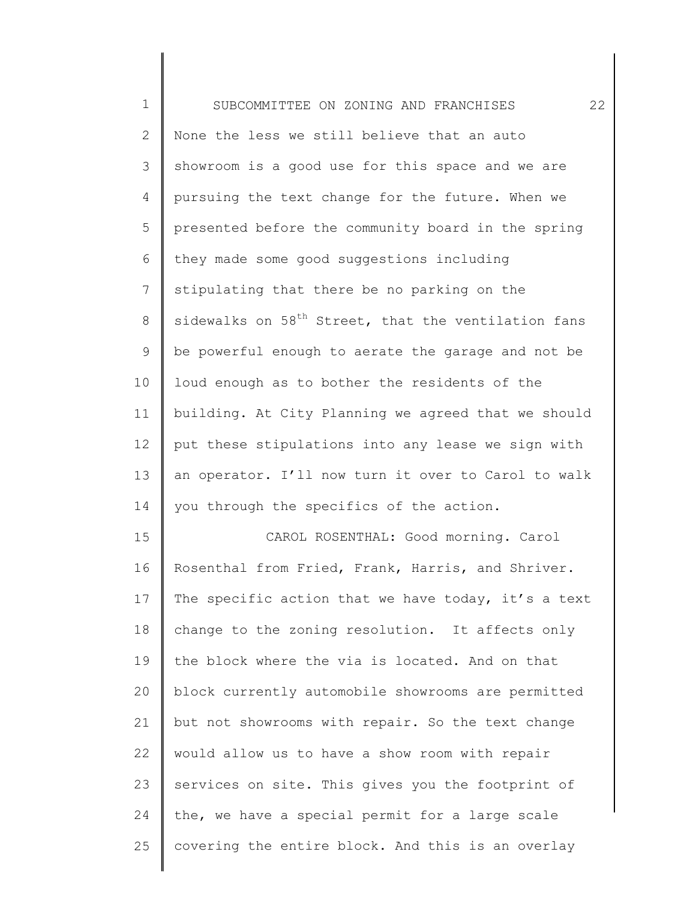| $\mathbf 1$    | 22<br>SUBCOMMITTEE ON ZONING AND FRANCHISES                     |
|----------------|-----------------------------------------------------------------|
| 2              | None the less we still believe that an auto                     |
| 3              | showroom is a good use for this space and we are                |
| 4              | pursuing the text change for the future. When we                |
| 5              | presented before the community board in the spring              |
| 6              | they made some good suggestions including                       |
| $\overline{7}$ | stipulating that there be no parking on the                     |
| 8              | sidewalks on 58 <sup>th</sup> Street, that the ventilation fans |
| $\mathsf 9$    | be powerful enough to aerate the garage and not be              |
| 10             | loud enough as to bother the residents of the                   |
| 11             | building. At City Planning we agreed that we should             |
| 12             | put these stipulations into any lease we sign with              |
| 13             | an operator. I'll now turn it over to Carol to walk             |
| 14             | you through the specifics of the action.                        |
| 15             | CAROL ROSENTHAL: Good morning. Carol                            |
| 16             | Rosenthal from Fried, Frank, Harris, and Shriver.               |
| 17             | The specific action that we have today, it's a text             |
| 18             | change to the zoning resolution. It affects only                |
| 19             | the block where the via is located. And on that                 |
| 20             | block currently automobile showrooms are permitted              |
| 21             | but not showrooms with repair. So the text change               |
| 22             | would allow us to have a show room with repair                  |
| 23             | services on site. This gives you the footprint of               |
| 24             | the, we have a special permit for a large scale                 |
| 25             | covering the entire block. And this is an overlay               |
|                |                                                                 |

║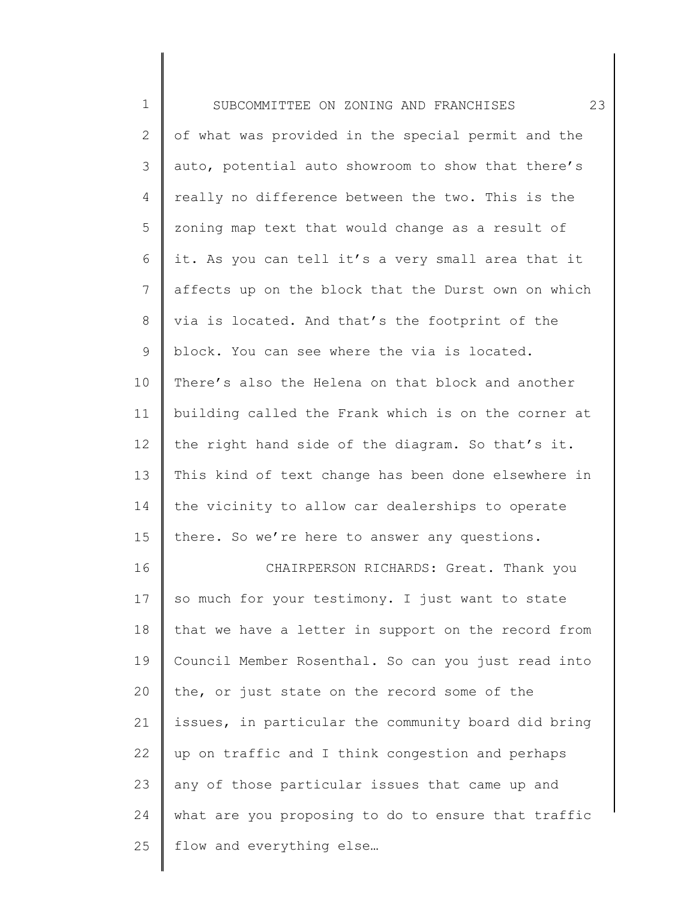| $\mathbf 1$  | 23<br>SUBCOMMITTEE ON ZONING AND FRANCHISES         |
|--------------|-----------------------------------------------------|
| $\mathbf{2}$ | of what was provided in the special permit and the  |
| 3            | auto, potential auto showroom to show that there's  |
| 4            | really no difference between the two. This is the   |
| 5            | zoning map text that would change as a result of    |
| 6            | it. As you can tell it's a very small area that it  |
| 7            | affects up on the block that the Durst own on which |
| 8            | via is located. And that's the footprint of the     |
| 9            | block. You can see where the via is located.        |
| 10           | There's also the Helena on that block and another   |
| 11           | building called the Frank which is on the corner at |
| 12           | the right hand side of the diagram. So that's it.   |
| 13           | This kind of text change has been done elsewhere in |
| 14           | the vicinity to allow car dealerships to operate    |
| 15           | there. So we're here to answer any questions.       |
| 16           | CHAIRPERSON RICHARDS: Great. Thank you              |
| 17           | so much for your testimony. I just want to state    |
| 18           | that we have a letter in support on the record from |
| 19           | Council Member Rosenthal. So can you just read into |
| 20           | the, or just state on the record some of the        |
| 21           | issues, in particular the community board did bring |
| 22           | up on traffic and I think congestion and perhaps    |
| 23           | any of those particular issues that came up and     |
| 24           | what are you proposing to do to ensure that traffic |
| 25           | flow and everything else                            |
|              |                                                     |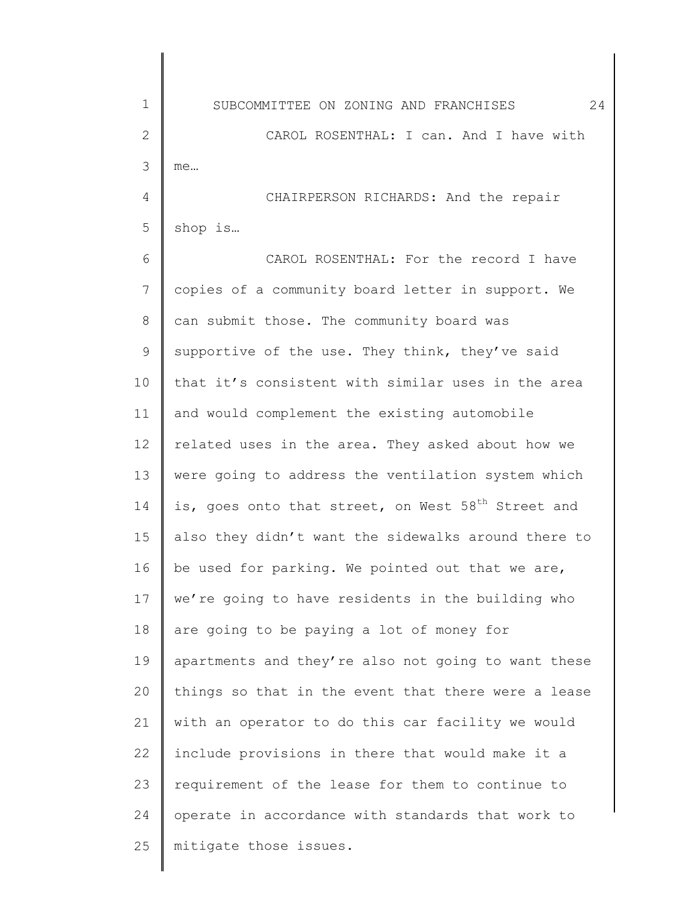2 3 CAROL ROSENTHAL: I can. And I have with me…

4 5 CHAIRPERSON RICHARDS: And the repair shop is…

1

6 7 8 9 10 11 12 13 14 15 16 17 18 19 20 21 22 23 24 25 CAROL ROSENTHAL: For the record I have copies of a community board letter in support. We can submit those. The community board was supportive of the use. They think, they've said that it's consistent with similar uses in the area and would complement the existing automobile related uses in the area. They asked about how we were going to address the ventilation system which is, goes onto that street, on West  $58<sup>th</sup>$  Street and also they didn't want the sidewalks around there to be used for parking. We pointed out that we are, we're going to have residents in the building who are going to be paying a lot of money for apartments and they're also not going to want these things so that in the event that there were a lease with an operator to do this car facility we would include provisions in there that would make it a requirement of the lease for them to continue to operate in accordance with standards that work to mitigate those issues.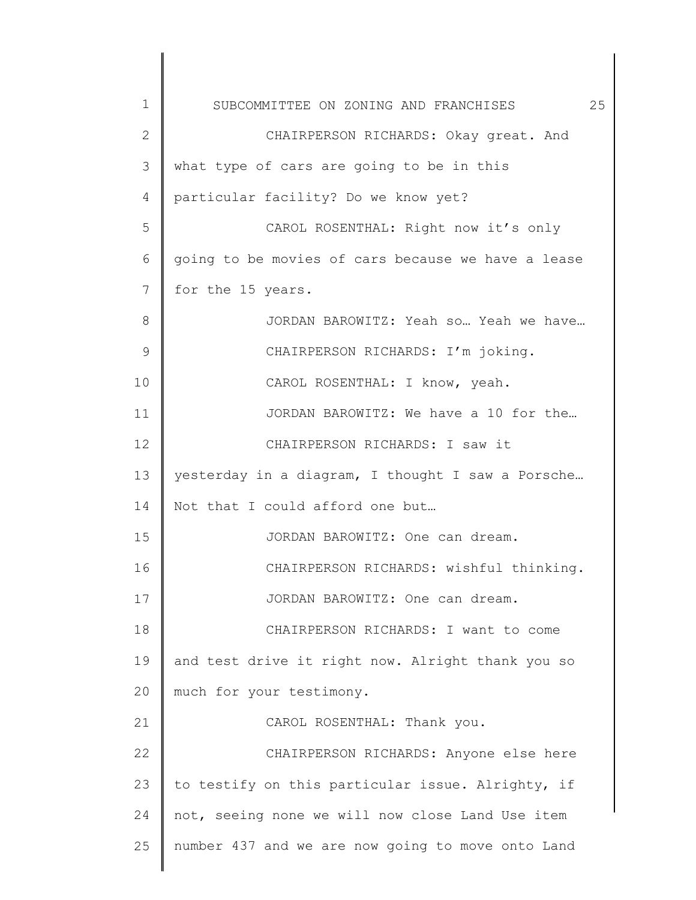1 2 3 4 5 6 7 8 9 10 11 12 13 14 15 16 17 18 19 20 21 22 23 24 25 SUBCOMMITTEE ON ZONING AND FRANCHISES 25 CHAIRPERSON RICHARDS: Okay great. And what type of cars are going to be in this particular facility? Do we know yet? CAROL ROSENTHAL: Right now it's only going to be movies of cars because we have a lease for the 15 years. JORDAN BAROWITZ: Yeah so… Yeah we have… CHAIRPERSON RICHARDS: I'm joking. CAROL ROSENTHAL: I know, yeah. JORDAN BAROWITZ: We have a 10 for the… CHAIRPERSON RICHARDS: I saw it yesterday in a diagram, I thought I saw a Porsche… Not that I could afford one but… JORDAN BAROWITZ: One can dream. CHAIRPERSON RICHARDS: wishful thinking. JORDAN BAROWITZ: One can dream. CHAIRPERSON RICHARDS: I want to come and test drive it right now. Alright thank you so much for your testimony. CAROL ROSENTHAL: Thank you. CHAIRPERSON RICHARDS: Anyone else here to testify on this particular issue. Alrighty, if not, seeing none we will now close Land Use item number 437 and we are now going to move onto Land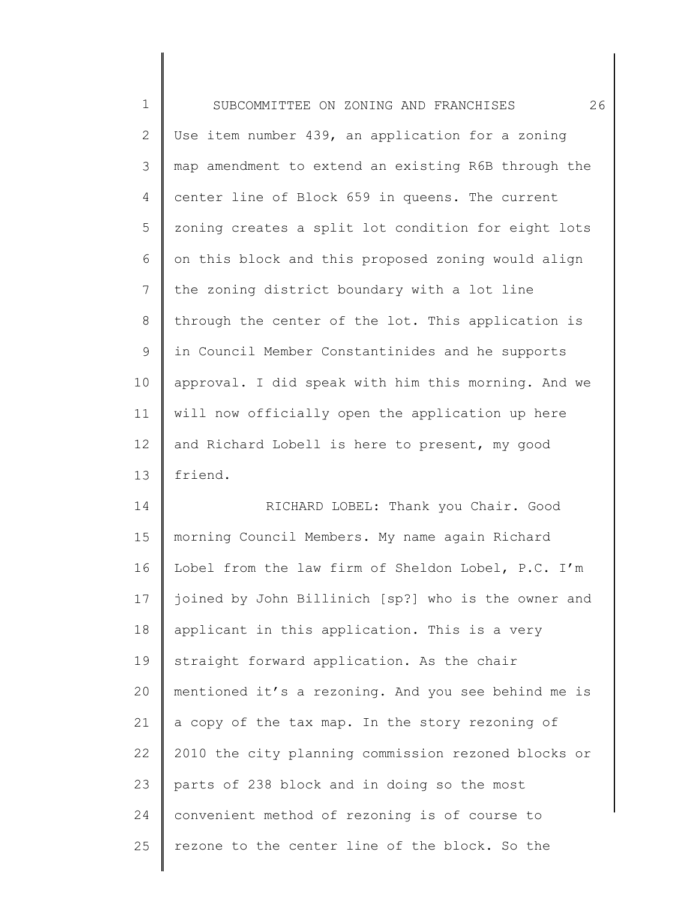| $\mathbf 1$    | 26<br>SUBCOMMITTEE ON ZONING AND FRANCHISES         |
|----------------|-----------------------------------------------------|
| $\mathbf{2}$   | Use item number 439, an application for a zoning    |
| 3              | map amendment to extend an existing R6B through the |
| 4              | center line of Block 659 in queens. The current     |
| 5              | zoning creates a split lot condition for eight lots |
| 6              | on this block and this proposed zoning would align  |
| $\overline{7}$ | the zoning district boundary with a lot line        |
| 8              | through the center of the lot. This application is  |
| 9              | in Council Member Constantinides and he supports    |
| 10             | approval. I did speak with him this morning. And we |
| 11             | will now officially open the application up here    |
| 12             | and Richard Lobell is here to present, my good      |
| 13             | friend.                                             |
| 14             | RICHARD LOBEL: Thank you Chair. Good                |
| 15             | morning Council Members. My name again Richard      |
| 16             | Lobel from the law firm of Sheldon Lobel, P.C. I'm  |
| 17             | ioined by John Billinich [sp?] who is the owner and |

15 16 17 18 19 20 21 22 23 24 25 joined by John Billinich [sp?] who is the owner and applicant in this application. This is a very straight forward application. As the chair mentioned it's a rezoning. And you see behind me is a copy of the tax map. In the story rezoning of 2010 the city planning commission rezoned blocks or parts of 238 block and in doing so the most convenient method of rezoning is of course to rezone to the center line of the block. So the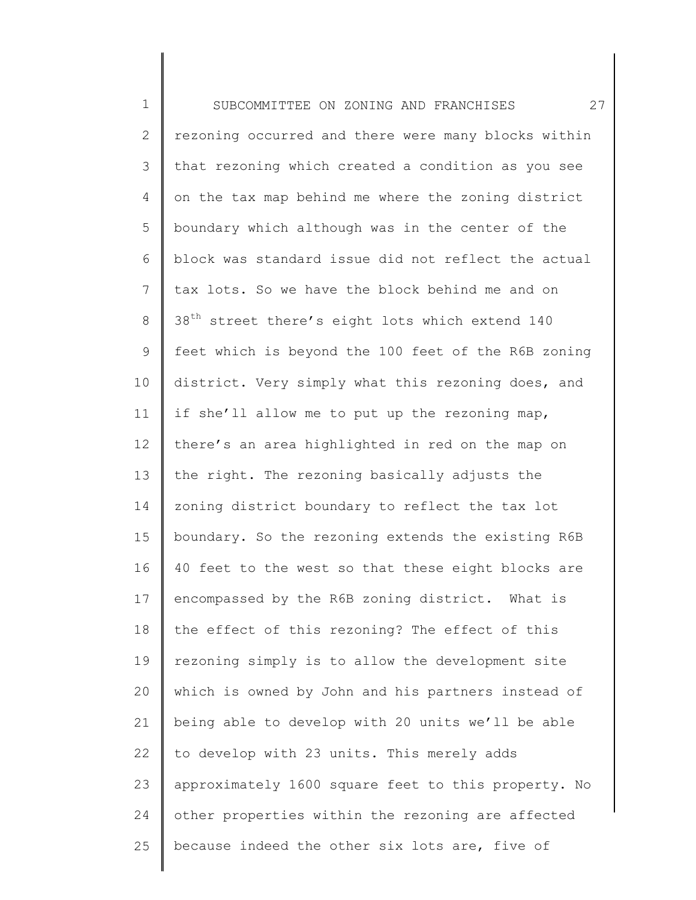1 2 3 4 5 6 7 8 9 10 11 12 13 14 15 16 17 18 19 20 21 22 23 24 25 SUBCOMMITTEE ON ZONING AND FRANCHISES 27 rezoning occurred and there were many blocks within that rezoning which created a condition as you see on the tax map behind me where the zoning district boundary which although was in the center of the block was standard issue did not reflect the actual tax lots. So we have the block behind me and on 38<sup>th</sup> street there's eight lots which extend 140 feet which is beyond the 100 feet of the R6B zoning district. Very simply what this rezoning does, and if she'll allow me to put up the rezoning map, there's an area highlighted in red on the map on the right. The rezoning basically adjusts the zoning district boundary to reflect the tax lot boundary. So the rezoning extends the existing R6B 40 feet to the west so that these eight blocks are encompassed by the R6B zoning district. What is the effect of this rezoning? The effect of this rezoning simply is to allow the development site which is owned by John and his partners instead of being able to develop with 20 units we'll be able to develop with 23 units. This merely adds approximately 1600 square feet to this property. No other properties within the rezoning are affected because indeed the other six lots are, five of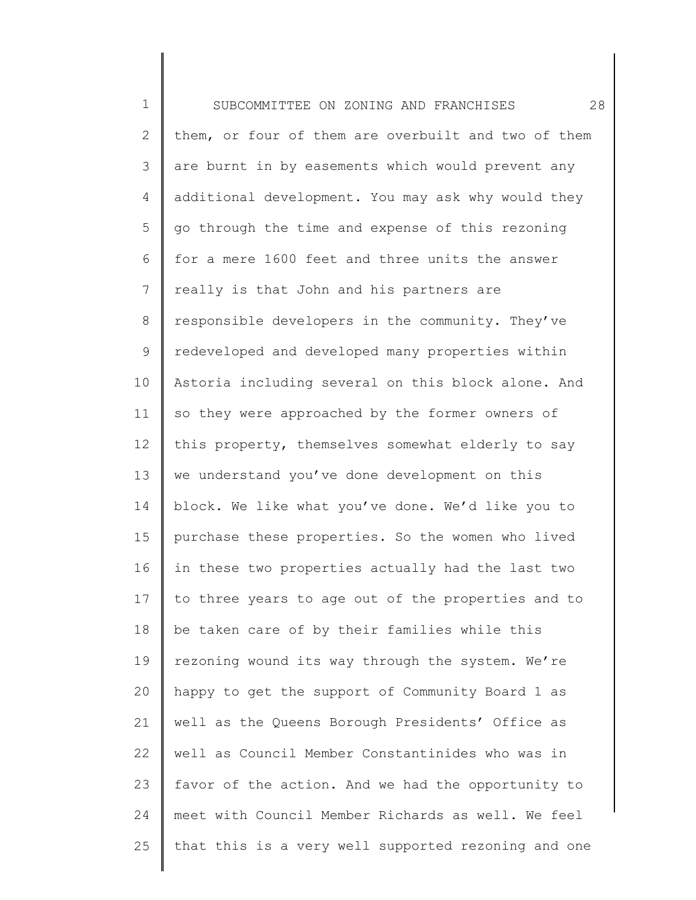1 2 3 4 5 6 7 8 9 10 11 12 13 14 15 16 17 18 19 20 21 22 23 24 25 SUBCOMMITTEE ON ZONING AND FRANCHISES 28 them, or four of them are overbuilt and two of them are burnt in by easements which would prevent any additional development. You may ask why would they go through the time and expense of this rezoning for a mere 1600 feet and three units the answer really is that John and his partners are responsible developers in the community. They've redeveloped and developed many properties within Astoria including several on this block alone. And so they were approached by the former owners of this property, themselves somewhat elderly to say we understand you've done development on this block. We like what you've done. We'd like you to purchase these properties. So the women who lived in these two properties actually had the last two to three years to age out of the properties and to be taken care of by their families while this rezoning wound its way through the system. We're happy to get the support of Community Board 1 as well as the Queens Borough Presidents' Office as well as Council Member Constantinides who was in favor of the action. And we had the opportunity to meet with Council Member Richards as well. We feel that this is a very well supported rezoning and one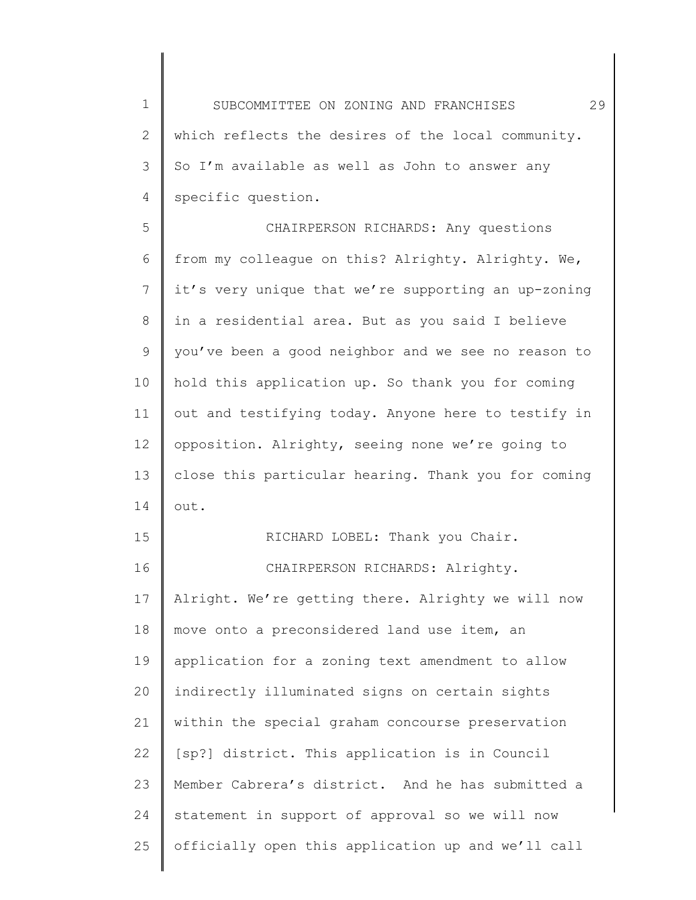1 2 3 4 SUBCOMMITTEE ON ZONING AND FRANCHISES 29 which reflects the desires of the local community. So I'm available as well as John to answer any specific question.

5 6 7 8 9 10 11 12 13 14 CHAIRPERSON RICHARDS: Any questions from my colleague on this? Alrighty. Alrighty. We, it's very unique that we're supporting an up-zoning in a residential area. But as you said I believe you've been a good neighbor and we see no reason to hold this application up. So thank you for coming out and testifying today. Anyone here to testify in opposition. Alrighty, seeing none we're going to close this particular hearing. Thank you for coming out.

15 16 17 18 19 20 21 22 23 24 25 RICHARD LOBEL: Thank you Chair. CHAIRPERSON RICHARDS: Alrighty. Alright. We're getting there. Alrighty we will now move onto a preconsidered land use item, an application for a zoning text amendment to allow indirectly illuminated signs on certain sights within the special graham concourse preservation [sp?] district. This application is in Council Member Cabrera's district. And he has submitted a statement in support of approval so we will now officially open this application up and we'll call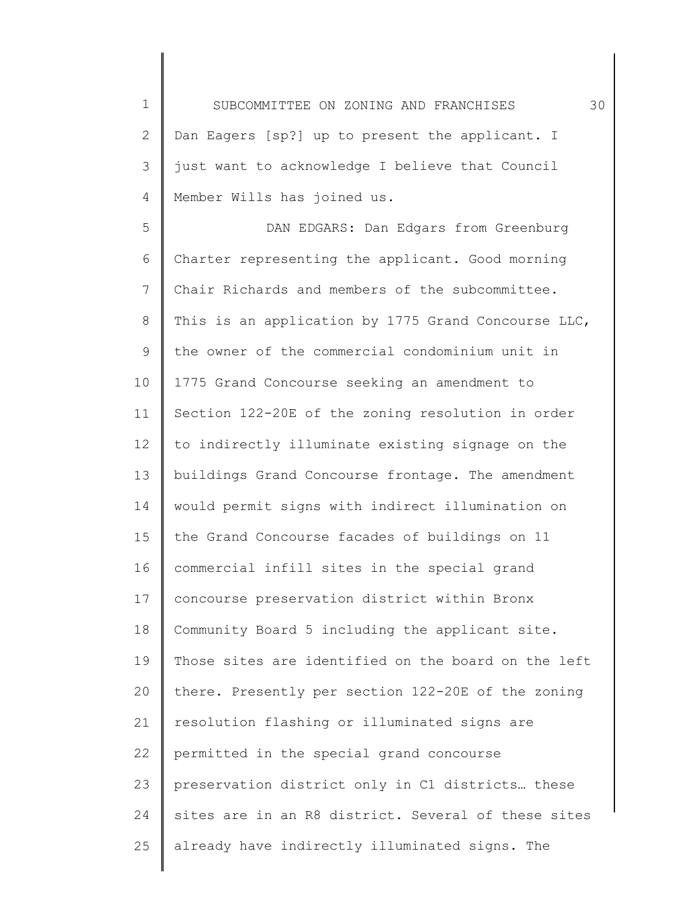1 2 3 4 SUBCOMMITTEE ON ZONING AND FRANCHISES 30 Dan Eagers [sp?] up to present the applicant. I just want to acknowledge I believe that Council Member Wills has joined us.

5 6 7 8 9 10 11 12 13 14 15 16 17 18 19 20 21 22 23 24 25 DAN EDGARS: Dan Edgars from Greenburg Charter representing the applicant. Good morning Chair Richards and members of the subcommittee. This is an application by 1775 Grand Concourse LLC, the owner of the commercial condominium unit in 1775 Grand Concourse seeking an amendment to Section 122-20E of the zoning resolution in order to indirectly illuminate existing signage on the buildings Grand Concourse frontage. The amendment would permit signs with indirect illumination on the Grand Concourse facades of buildings on 11 commercial infill sites in the special grand concourse preservation district within Bronx Community Board 5 including the applicant site. Those sites are identified on the board on the left there. Presently per section 122-20E of the zoning resolution flashing or illuminated signs are permitted in the special grand concourse preservation district only in C1 districts… these sites are in an R8 district. Several of these sites already have indirectly illuminated signs. The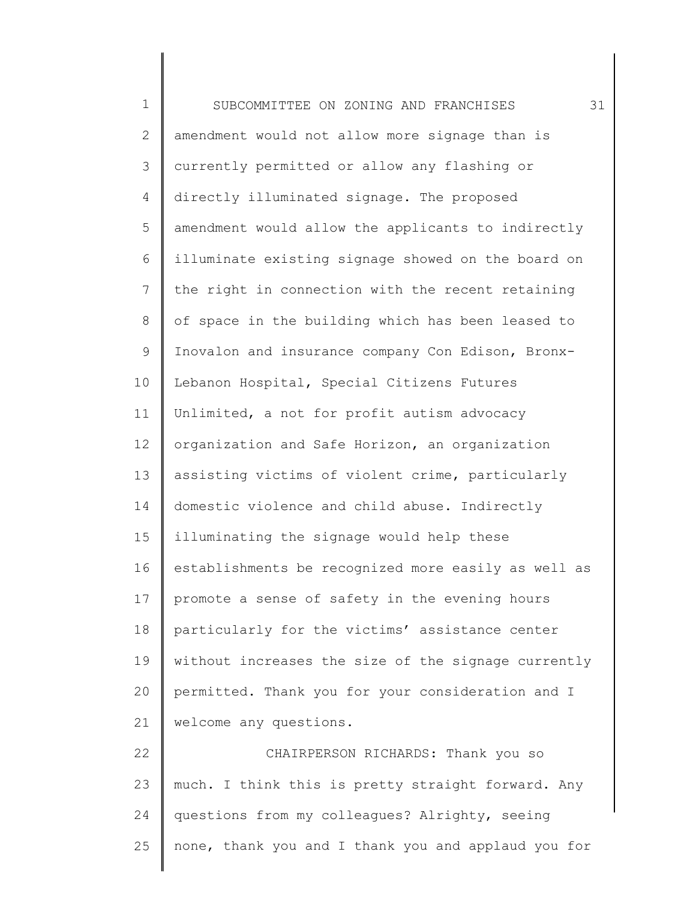1 2 3 4 5 6 7 8 9 10 11 12 13 14 15 16 17 18 19 20 21 22 23 24 25 SUBCOMMITTEE ON ZONING AND FRANCHISES 31 amendment would not allow more signage than is currently permitted or allow any flashing or directly illuminated signage. The proposed amendment would allow the applicants to indirectly illuminate existing signage showed on the board on the right in connection with the recent retaining of space in the building which has been leased to Inovalon and insurance company Con Edison, Bronx-Lebanon Hospital, Special Citizens Futures Unlimited, a not for profit autism advocacy organization and Safe Horizon, an organization assisting victims of violent crime, particularly domestic violence and child abuse. Indirectly illuminating the signage would help these establishments be recognized more easily as well as promote a sense of safety in the evening hours particularly for the victims' assistance center without increases the size of the signage currently permitted. Thank you for your consideration and I welcome any questions. CHAIRPERSON RICHARDS: Thank you so much. I think this is pretty straight forward. Any questions from my colleagues? Alrighty, seeing none, thank you and I thank you and applaud you for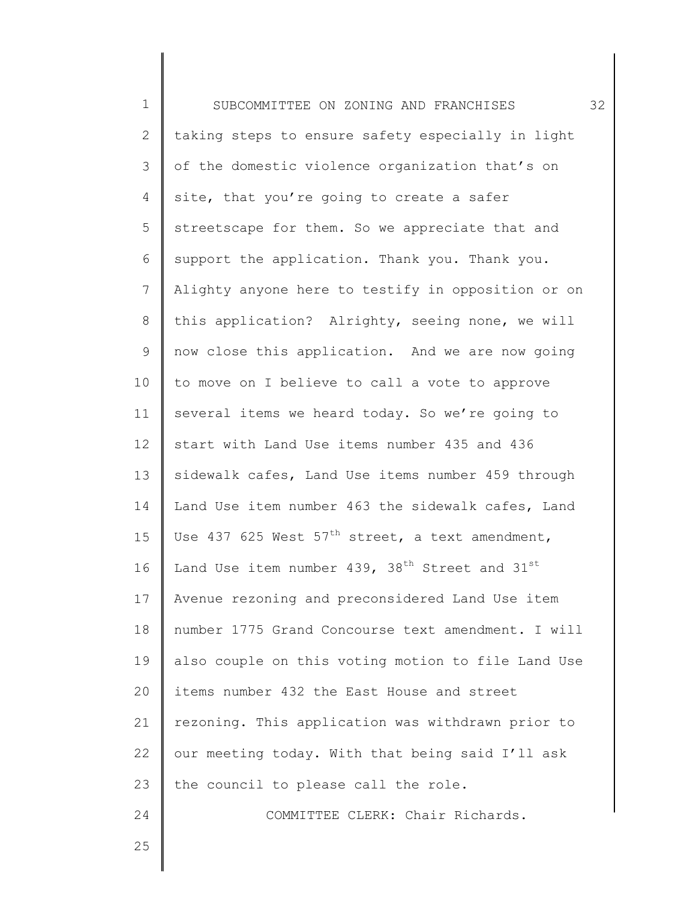| $\mathbf 1$    | 32<br>SUBCOMMITTEE ON ZONING AND FRANCHISES                |  |
|----------------|------------------------------------------------------------|--|
| $\overline{2}$ | taking steps to ensure safety especially in light          |  |
| 3              | of the domestic violence organization that's on            |  |
| 4              | site, that you're going to create a safer                  |  |
| 5              | streetscape for them. So we appreciate that and            |  |
| 6              | support the application. Thank you. Thank you.             |  |
| 7              | Alighty anyone here to testify in opposition or on         |  |
| $\,8\,$        | this application? Alrighty, seeing none, we will           |  |
| 9              | now close this application. And we are now going           |  |
| 10             | to move on I believe to call a vote to approve             |  |
| 11             | several items we heard today. So we're going to            |  |
| 12             | start with Land Use items number 435 and 436               |  |
| 13             | sidewalk cafes, Land Use items number 459 through          |  |
| 14             | Land Use item number 463 the sidewalk cafes, Land          |  |
| 15             | Use 437 625 West $57th$ street, a text amendment,          |  |
| 16             | Land Use item number 439, 38 <sup>th</sup> Street and 31st |  |
| 17             | Avenue rezoning and preconsidered Land Use item            |  |
| 18             | number 1775 Grand Concourse text amendment. I will         |  |
| 19             | also couple on this voting motion to file Land Use         |  |
| 20             | items number 432 the East House and street                 |  |
| 21             | rezoning. This application was withdrawn prior to          |  |
| 22             | our meeting today. With that being said I'll ask           |  |
| 23             | the council to please call the role.                       |  |
| 24             | COMMITTEE CLERK: Chair Richards.                           |  |
| 25             |                                                            |  |
|                |                                                            |  |

 $\mathbf I$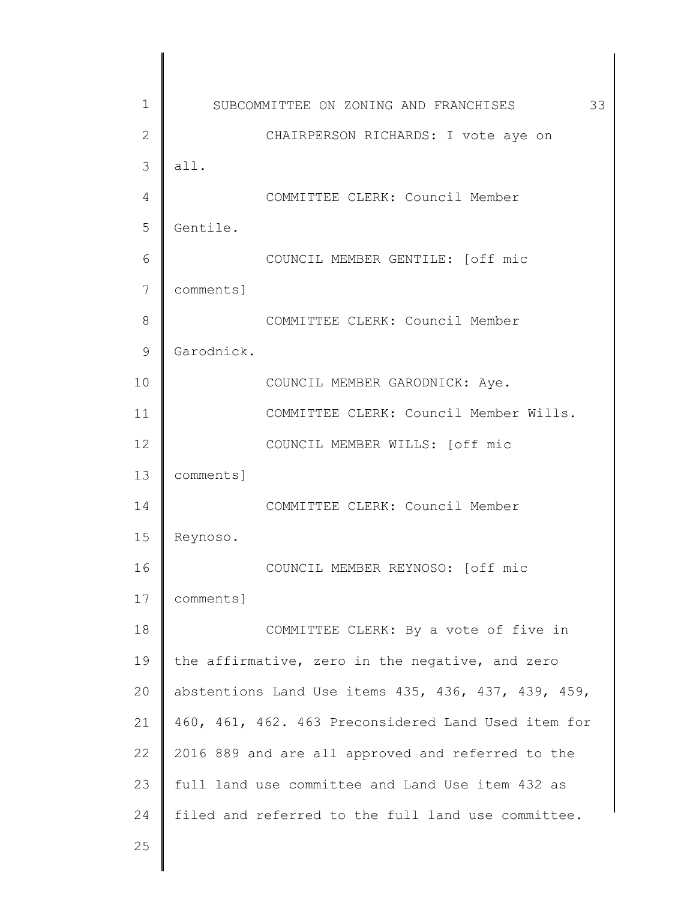| 1             | SUBCOMMITTEE ON ZONING AND FRANCHISES<br>33         |
|---------------|-----------------------------------------------------|
| $\mathbf{2}$  | CHAIRPERSON RICHARDS: I vote aye on                 |
| 3             | all.                                                |
| 4             | COMMITTEE CLERK: Council Member                     |
| 5             | Gentile.                                            |
| 6             | COUNCIL MEMBER GENTILE: [off mic                    |
| 7             | comments]                                           |
| 8             | COMMITTEE CLERK: Council Member                     |
| $\mathcal{G}$ | Garodnick.                                          |
| 10            | COUNCIL MEMBER GARODNICK: Aye.                      |
| 11            | COMMITTEE CLERK: Council Member Wills.              |
| 12            | COUNCIL MEMBER WILLS: [off mic                      |
| 13            | comments]                                           |
| 14            | COMMITTEE CLERK: Council Member                     |
| 15            | Reynoso.                                            |
| 16            | COUNCIL MEMBER REYNOSO: [off mic                    |
| 17            | comments]                                           |
| 18            | COMMITTEE CLERK: By a vote of five in               |
| 19            | the affirmative, zero in the negative, and zero     |
| 20            | abstentions Land Use items 435, 436, 437, 439, 459, |
| 21            | 460, 461, 462. 463 Preconsidered Land Used item for |
| 22            | 2016 889 and are all approved and referred to the   |
| 23            | full land use committee and Land Use item 432 as    |
| 24            | filed and referred to the full land use committee.  |
| 25            |                                                     |
|               |                                                     |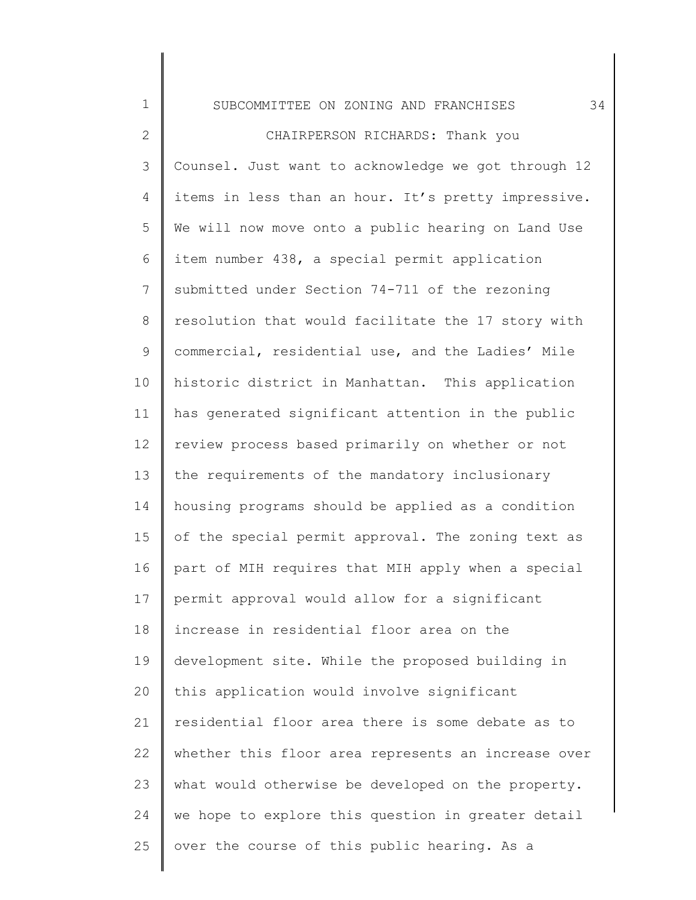### SUBCOMMITTEE ON ZONING AND FRANCHISES 34

1

2 3 4 5 6 7 8 9 10 11 12 13 14 15 16 17 18 19 20 21 22 23 24 25 CHAIRPERSON RICHARDS: Thank you Counsel. Just want to acknowledge we got through 12 items in less than an hour. It's pretty impressive. We will now move onto a public hearing on Land Use item number 438, a special permit application submitted under Section 74-711 of the rezoning resolution that would facilitate the 17 story with commercial, residential use, and the Ladies' Mile historic district in Manhattan. This application has generated significant attention in the public review process based primarily on whether or not the requirements of the mandatory inclusionary housing programs should be applied as a condition of the special permit approval. The zoning text as part of MIH requires that MIH apply when a special permit approval would allow for a significant increase in residential floor area on the development site. While the proposed building in this application would involve significant residential floor area there is some debate as to whether this floor area represents an increase over what would otherwise be developed on the property. we hope to explore this question in greater detail over the course of this public hearing. As a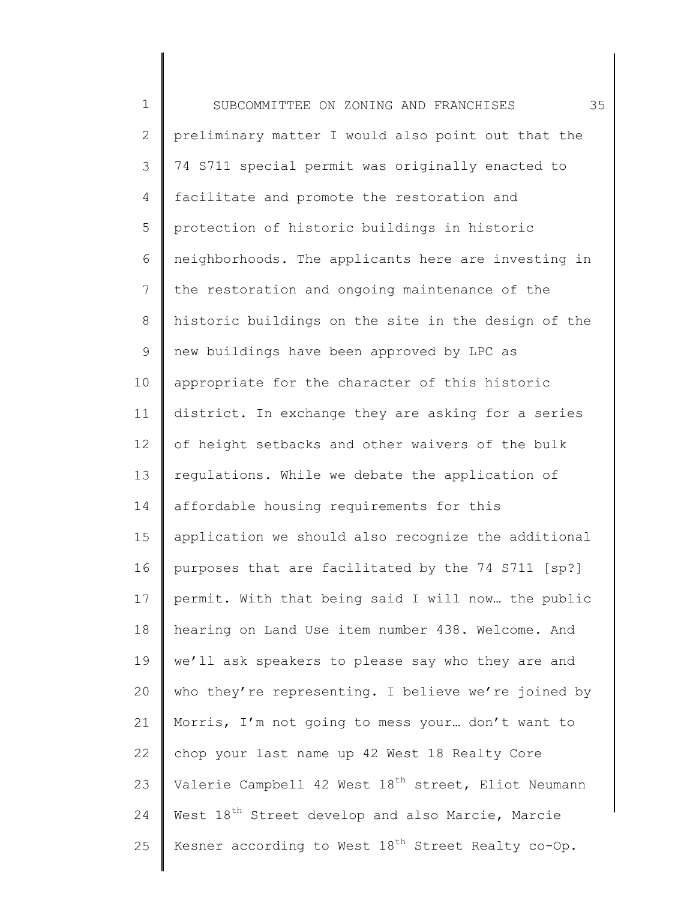1 2 3 4 5 6 7 8 9 10 11 12 13 14 15 16 17 18 19 20 21 22 23 24 25 SUBCOMMITTEE ON ZONING AND FRANCHISES 35 preliminary matter I would also point out that the 74 S711 special permit was originally enacted to facilitate and promote the restoration and protection of historic buildings in historic neighborhoods. The applicants here are investing in the restoration and ongoing maintenance of the historic buildings on the site in the design of the new buildings have been approved by LPC as appropriate for the character of this historic district. In exchange they are asking for a series of height setbacks and other waivers of the bulk regulations. While we debate the application of affordable housing requirements for this application we should also recognize the additional purposes that are facilitated by the 74 S711 [sp?] permit. With that being said I will now… the public hearing on Land Use item number 438. Welcome. And we'll ask speakers to please say who they are and who they're representing. I believe we're joined by Morris, I'm not going to mess your… don't want to chop your last name up 42 West 18 Realty Core Valerie Campbell 42 West 18<sup>th</sup> street, Eliot Neumann West 18<sup>th</sup> Street develop and also Marcie, Marcie Kesner according to West  $18<sup>th</sup>$  Street Realty co-Op.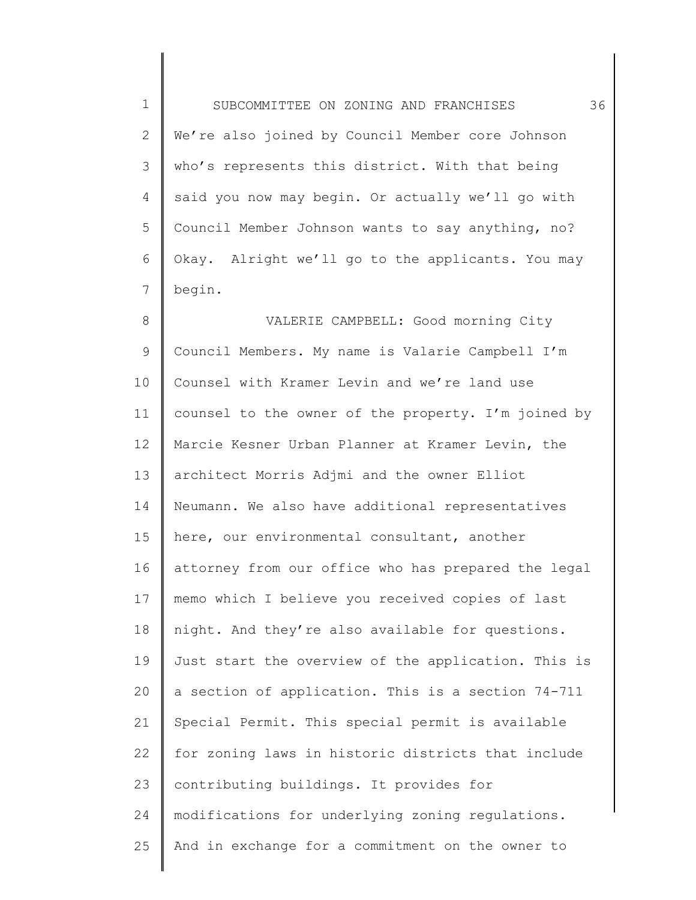1 2 3 4 5 6 7 8 9 10 11 12 13 14 15 16 17 18 19 20 21 22 23 24 25 SUBCOMMITTEE ON ZONING AND FRANCHISES 36 We're also joined by Council Member core Johnson who's represents this district. With that being said you now may begin. Or actually we'll go with Council Member Johnson wants to say anything, no? Okay. Alright we'll go to the applicants. You may begin. VALERIE CAMPBELL: Good morning City Council Members. My name is Valarie Campbell I'm Counsel with Kramer Levin and we're land use counsel to the owner of the property. I'm joined by Marcie Kesner Urban Planner at Kramer Levin, the architect Morris Adjmi and the owner Elliot Neumann. We also have additional representatives here, our environmental consultant, another attorney from our office who has prepared the legal memo which I believe you received copies of last night. And they're also available for questions. Just start the overview of the application. This is a section of application. This is a section 74-711 Special Permit. This special permit is available for zoning laws in historic districts that include contributing buildings. It provides for modifications for underlying zoning regulations. And in exchange for a commitment on the owner to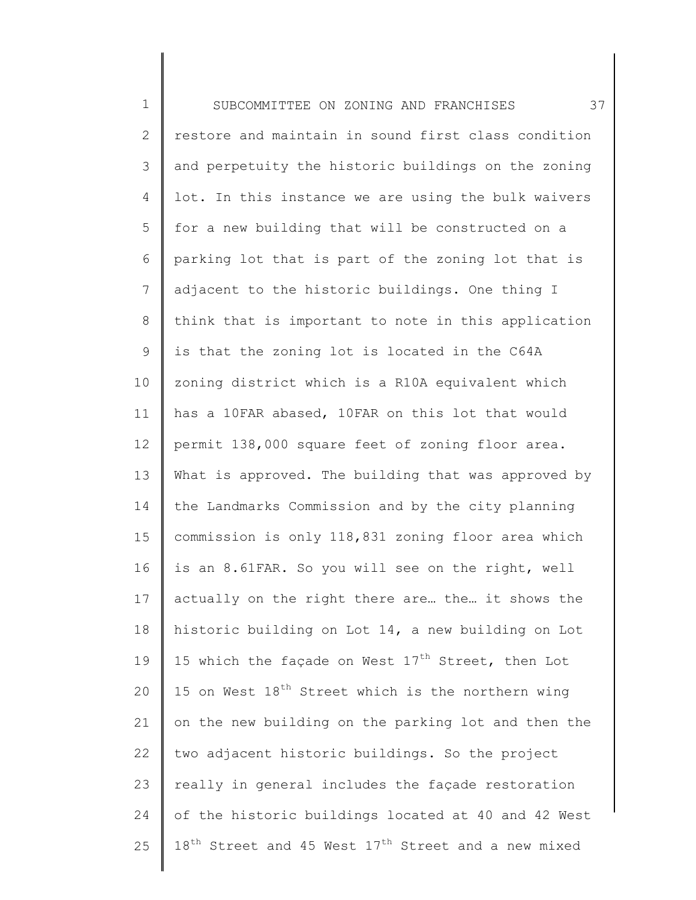1 2 3 4 5 6 7 8 9 10 11 12 13 14 15 16 17 18 19 20 21 22 23 24 25 SUBCOMMITTEE ON ZONING AND FRANCHISES 37 restore and maintain in sound first class condition and perpetuity the historic buildings on the zoning lot. In this instance we are using the bulk waivers for a new building that will be constructed on a parking lot that is part of the zoning lot that is adjacent to the historic buildings. One thing I think that is important to note in this application is that the zoning lot is located in the C64A zoning district which is a R10A equivalent which has a 10FAR abased, 10FAR on this lot that would permit 138,000 square feet of zoning floor area. What is approved. The building that was approved by the Landmarks Commission and by the city planning commission is only 118,831 zoning floor area which is an 8.61FAR. So you will see on the right, well actually on the right there are… the… it shows the historic building on Lot 14, a new building on Lot 15 which the façade on West  $17<sup>th</sup>$  Street, then Lot 15 on West  $18<sup>th</sup>$  Street which is the northern wing on the new building on the parking lot and then the two adjacent historic buildings. So the project really in general includes the façade restoration of the historic buildings located at 40 and 42 West  $18^{th}$  Street and 45 West  $17^{th}$  Street and a new mixed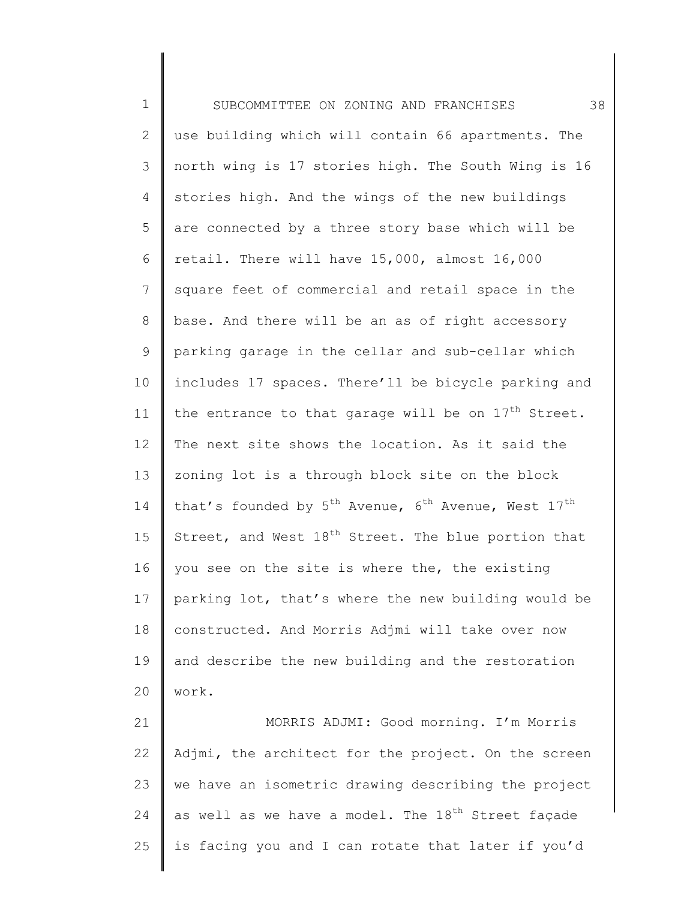1 2 3 4 5 6 7 8 9 10 11 12 13 14 15 16 17 18 19 20 21 SUBCOMMITTEE ON ZONING AND FRANCHISES 38 use building which will contain 66 apartments. The north wing is 17 stories high. The South Wing is 16 stories high. And the wings of the new buildings are connected by a three story base which will be retail. There will have 15,000, almost 16,000 square feet of commercial and retail space in the base. And there will be an as of right accessory parking garage in the cellar and sub-cellar which includes 17 spaces. There'll be bicycle parking and the entrance to that garage will be on  $17<sup>th</sup>$  Street. The next site shows the location. As it said the zoning lot is a through block site on the block that's founded by  $5^{th}$  Avenue,  $6^{th}$  Avenue, West  $17^{th}$ Street, and West  $18<sup>th</sup>$  Street. The blue portion that you see on the site is where the, the existing parking lot, that's where the new building would be constructed. And Morris Adjmi will take over now and describe the new building and the restoration work. MORRIS ADJMI: Good morning. I'm Morris

22 23 24 25 Adjmi, the architect for the project. On the screen we have an isometric drawing describing the project as well as we have a model. The 18<sup>th</sup> Street façade is facing you and I can rotate that later if you'd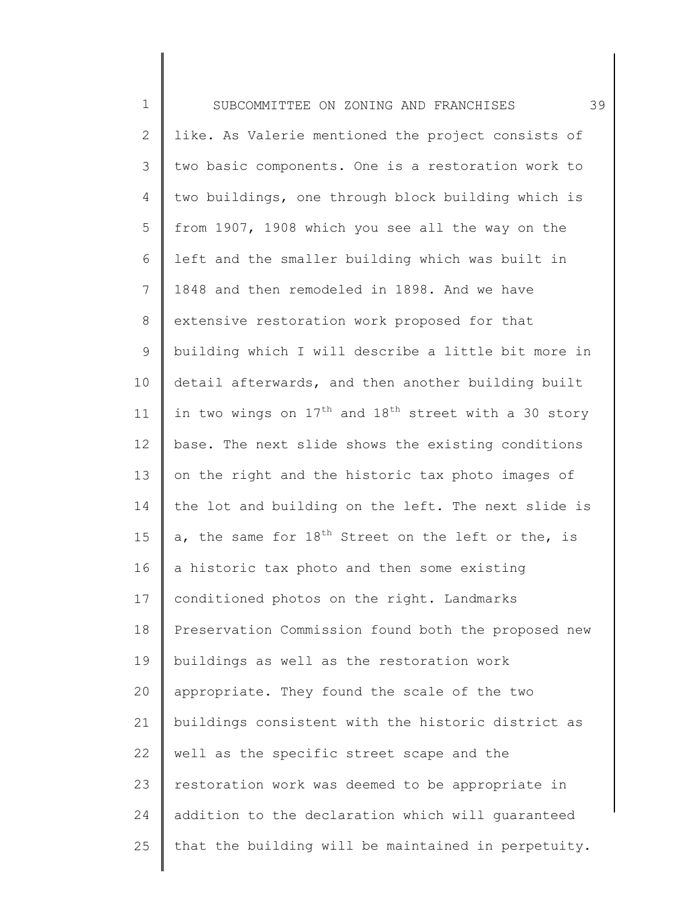| $1\,$        | 39<br>SUBCOMMITTEE ON ZONING AND FRANCHISES                                  |
|--------------|------------------------------------------------------------------------------|
| $\mathbf{2}$ | like. As Valerie mentioned the project consists of                           |
| 3            | two basic components. One is a restoration work to                           |
| 4            | two buildings, one through block building which is                           |
| 5            | from 1907, 1908 which you see all the way on the                             |
| 6            | left and the smaller building which was built in                             |
| 7            | 1848 and then remodeled in 1898. And we have                                 |
| 8            | extensive restoration work proposed for that                                 |
| 9            | building which I will describe a little bit more in                          |
| 10           | detail afterwards, and then another building built                           |
| 11           | in two wings on 17 <sup>th</sup> and 18 <sup>th</sup> street with a 30 story |
| 12           | base. The next slide shows the existing conditions                           |
| 13           | on the right and the historic tax photo images of                            |
| 14           | the lot and building on the left. The next slide is                          |
| 15           | a, the same for $18^{th}$ Street on the left or the, is                      |
| 16           | a historic tax photo and then some existing                                  |
| 17           | conditioned photos on the right. Landmarks                                   |
| 18           | Preservation Commission found both the proposed new                          |
| 19           | buildings as well as the restoration work                                    |
| 20           | appropriate. They found the scale of the two                                 |
| 21           | buildings consistent with the historic district as                           |
| 22           | well as the specific street scape and the                                    |
| 23           | restoration work was deemed to be appropriate in                             |
| 24           | addition to the declaration which will guaranteed                            |
| 25           | that the building will be maintained in perpetuity.                          |
|              |                                                                              |

║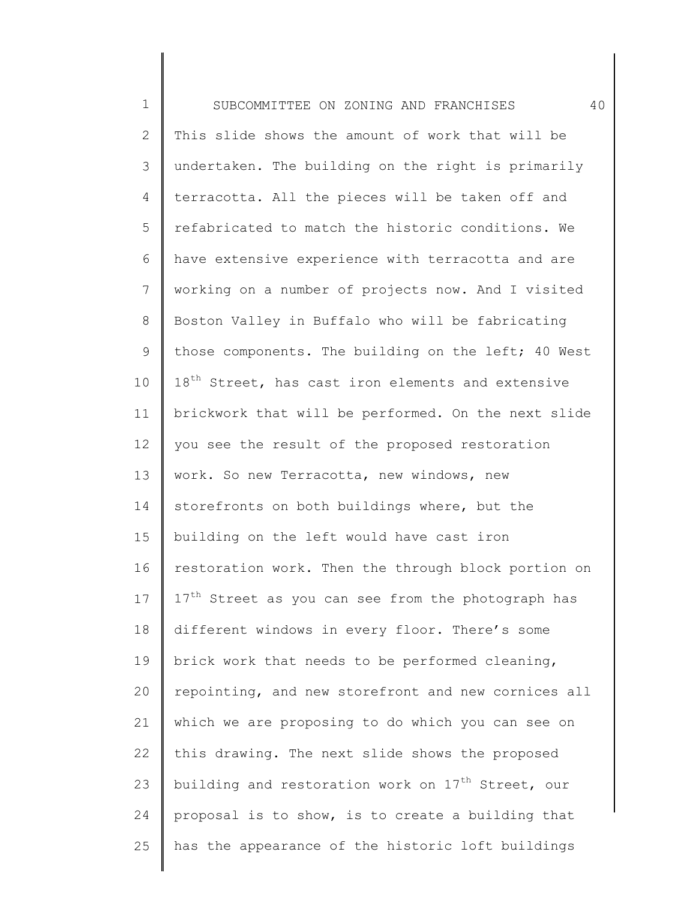1 2 3 4 5 6 7 8 9 10 11 12 13 14 15 16 17 18 19 20 21 22 23 24 25 SUBCOMMITTEE ON ZONING AND FRANCHISES 40 This slide shows the amount of work that will be undertaken. The building on the right is primarily terracotta. All the pieces will be taken off and refabricated to match the historic conditions. We have extensive experience with terracotta and are working on a number of projects now. And I visited Boston Valley in Buffalo who will be fabricating those components. The building on the left; 40 West 18<sup>th</sup> Street, has cast iron elements and extensive brickwork that will be performed. On the next slide you see the result of the proposed restoration work. So new Terracotta, new windows, new storefronts on both buildings where, but the building on the left would have cast iron restoration work. Then the through block portion on  $17<sup>th</sup>$  Street as you can see from the photograph has different windows in every floor. There's some brick work that needs to be performed cleaning, repointing, and new storefront and new cornices all which we are proposing to do which you can see on this drawing. The next slide shows the proposed building and restoration work on  $17<sup>th</sup>$  Street, our proposal is to show, is to create a building that has the appearance of the historic loft buildings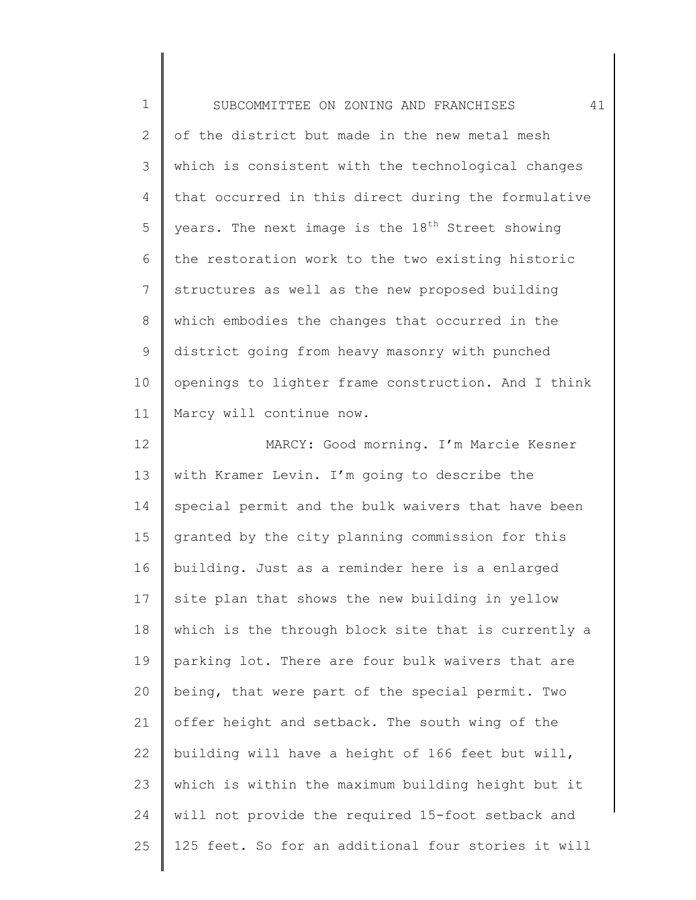| $1\,$          | 41<br>SUBCOMMITTEE ON ZONING AND FRANCHISES                  |
|----------------|--------------------------------------------------------------|
|                |                                                              |
| $\mathbf{2}$   | of the district but made in the new metal mesh               |
| 3              | which is consistent with the technological changes           |
| 4              | that occurred in this direct during the formulative          |
| 5              | years. The next image is the 18 <sup>th</sup> Street showing |
| 6              | the restoration work to the two existing historic            |
| $7\phantom{.}$ | structures as well as the new proposed building              |
| 8              | which embodies the changes that occurred in the              |
| $\mathsf 9$    | district going from heavy masonry with punched               |
| 10             | openings to lighter frame construction. And I think          |
| 11             | Marcy will continue now.                                     |
| 12             | MARCY: Good morning. I'm Marcie Kesner                       |
| 13             | with Kramer Levin. I'm going to describe the                 |
| 14             | special permit and the bulk waivers that have been           |
| 15             | granted by the city planning commission for this             |
| 16             | building. Just as a reminder here is a enlarged              |
| 17             | site plan that shows the new building in yellow              |
| 18             | which is the through block site that is currently a          |
| 19             | parking lot. There are four bulk waivers that are            |
| 20             | being, that were part of the special permit. Two             |
| 21             | offer height and setback. The south wing of the              |
| 22             | building will have a height of 166 feet but will,            |
| 23             | which is within the maximum building height but it           |
| 24             | will not provide the required 15-foot setback and            |
| 25             | 125 feet. So for an additional four stories it will          |
|                |                                                              |

I ║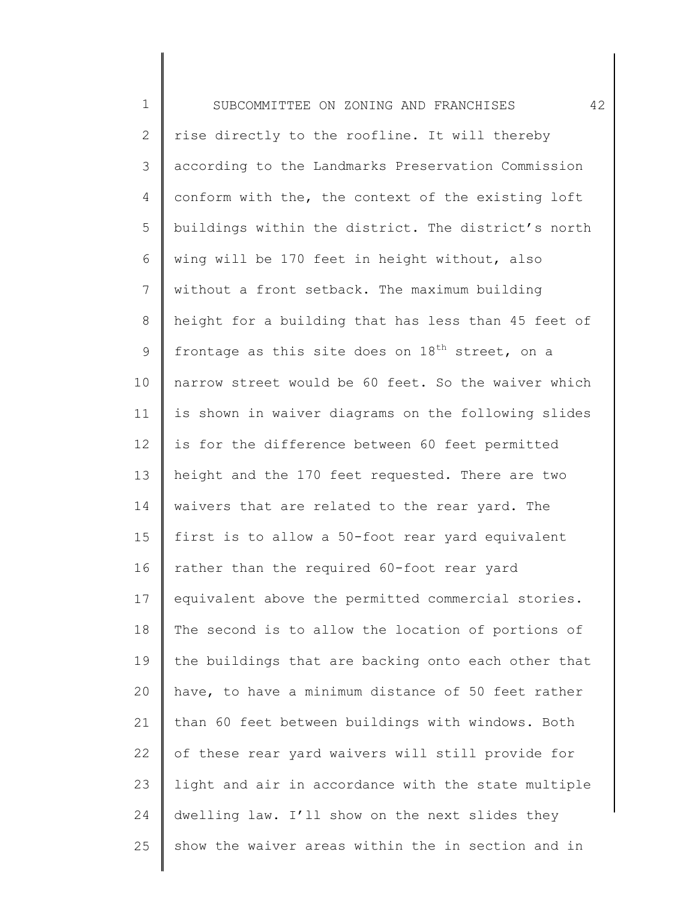1 2 3 4 5 6 7 8 9 10 11 12 13 14 15 16 17 18 19 20 21 22 23 24 25 SUBCOMMITTEE ON ZONING AND FRANCHISES 42 rise directly to the roofline. It will thereby according to the Landmarks Preservation Commission conform with the, the context of the existing loft buildings within the district. The district's north wing will be 170 feet in height without, also without a front setback. The maximum building height for a building that has less than 45 feet of frontage as this site does on  $18^{th}$  street, on a narrow street would be 60 feet. So the waiver which is shown in waiver diagrams on the following slides is for the difference between 60 feet permitted height and the 170 feet requested. There are two waivers that are related to the rear yard. The first is to allow a 50-foot rear yard equivalent rather than the required 60-foot rear yard equivalent above the permitted commercial stories. The second is to allow the location of portions of the buildings that are backing onto each other that have, to have a minimum distance of 50 feet rather than 60 feet between buildings with windows. Both of these rear yard waivers will still provide for light and air in accordance with the state multiple dwelling law. I'll show on the next slides they show the waiver areas within the in section and in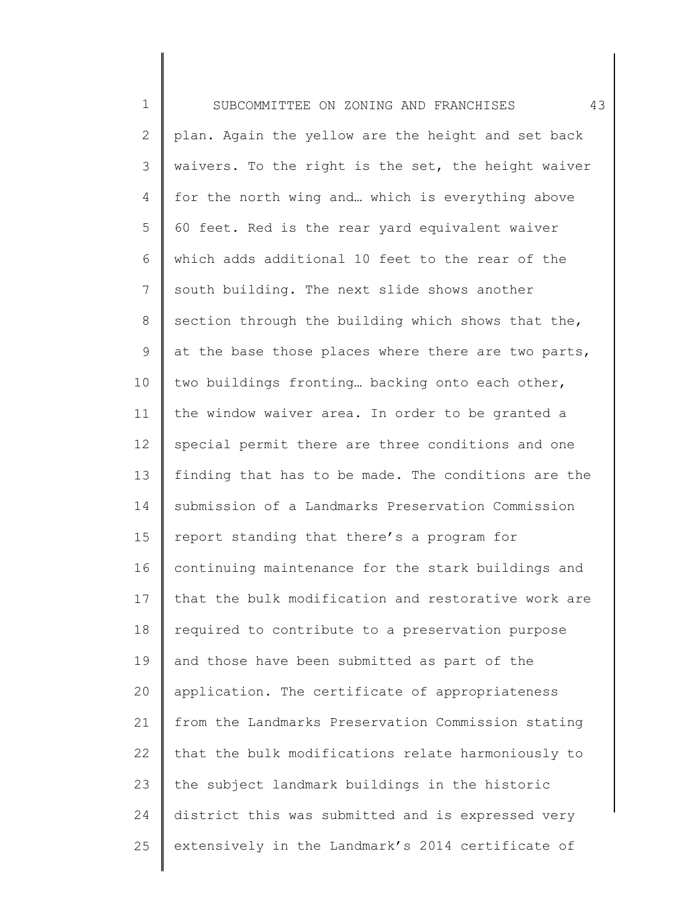1 2 3 4 5 6 7 8 9 10 11 12 13 14 15 16 17 18 19 20 21 22 23 24 25 SUBCOMMITTEE ON ZONING AND FRANCHISES 43 plan. Again the yellow are the height and set back waivers. To the right is the set, the height waiver for the north wing and… which is everything above 60 feet. Red is the rear yard equivalent waiver which adds additional 10 feet to the rear of the south building. The next slide shows another section through the building which shows that the, at the base those places where there are two parts, two buildings fronting… backing onto each other, the window waiver area. In order to be granted a special permit there are three conditions and one finding that has to be made. The conditions are the submission of a Landmarks Preservation Commission report standing that there's a program for continuing maintenance for the stark buildings and that the bulk modification and restorative work are required to contribute to a preservation purpose and those have been submitted as part of the application. The certificate of appropriateness from the Landmarks Preservation Commission stating that the bulk modifications relate harmoniously to the subject landmark buildings in the historic district this was submitted and is expressed very extensively in the Landmark's 2014 certificate of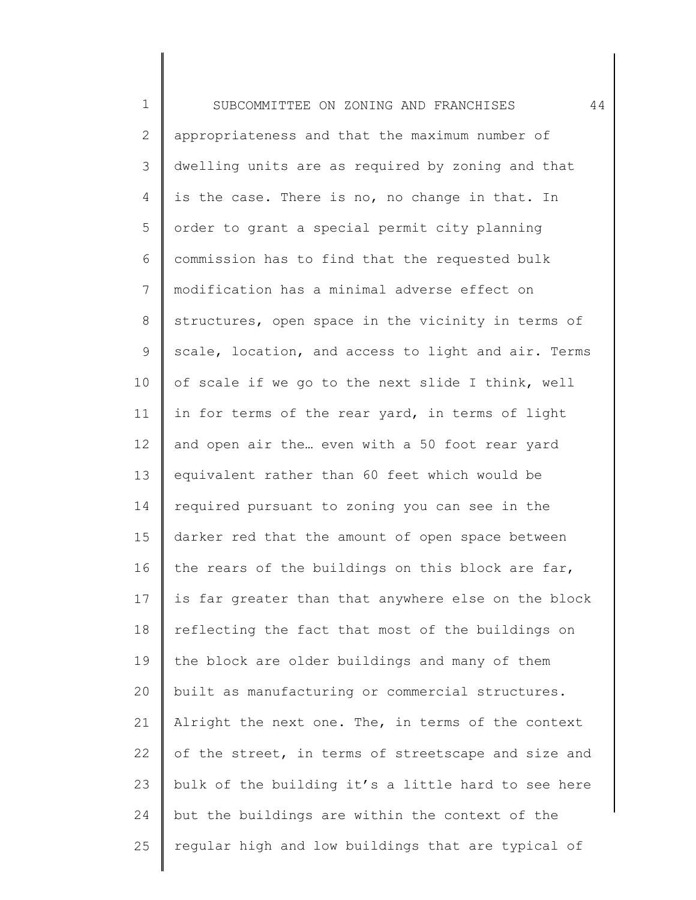1 2 3 4 5 6 7 8 9 10 11 12 13 14 15 16 17 18 19 20 21 22 23 24 25 SUBCOMMITTEE ON ZONING AND FRANCHISES 44 appropriateness and that the maximum number of dwelling units are as required by zoning and that is the case. There is no, no change in that. In order to grant a special permit city planning commission has to find that the requested bulk modification has a minimal adverse effect on structures, open space in the vicinity in terms of scale, location, and access to light and air. Terms of scale if we go to the next slide I think, well in for terms of the rear yard, in terms of light and open air the… even with a 50 foot rear yard equivalent rather than 60 feet which would be required pursuant to zoning you can see in the darker red that the amount of open space between the rears of the buildings on this block are far, is far greater than that anywhere else on the block reflecting the fact that most of the buildings on the block are older buildings and many of them built as manufacturing or commercial structures. Alright the next one. The, in terms of the context of the street, in terms of streetscape and size and bulk of the building it's a little hard to see here but the buildings are within the context of the regular high and low buildings that are typical of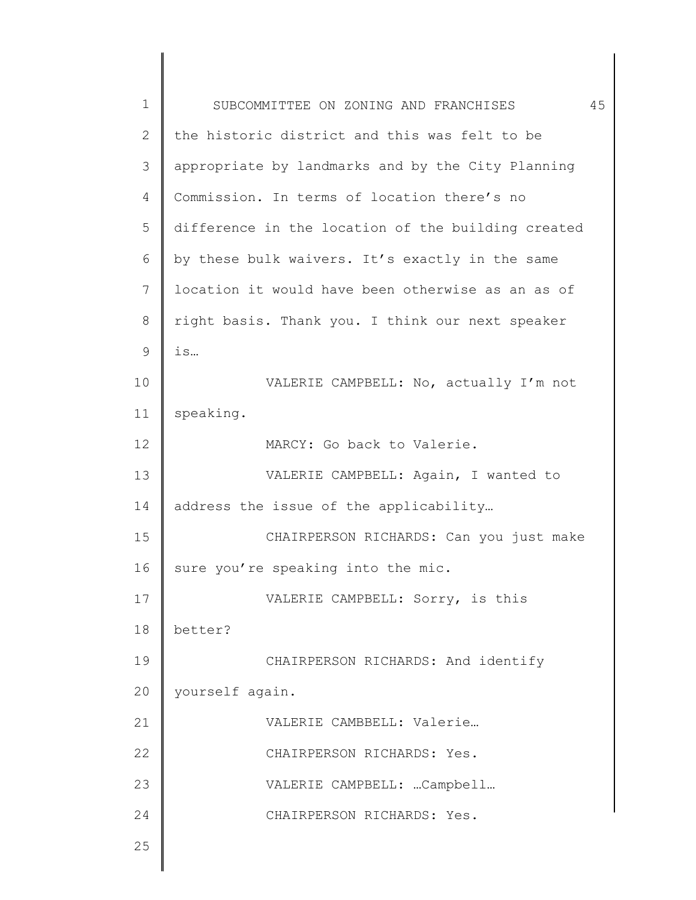| $\mathbf 1$ | 45<br>SUBCOMMITTEE ON ZONING AND FRANCHISES        |
|-------------|----------------------------------------------------|
| 2           | the historic district and this was felt to be      |
| 3           | appropriate by landmarks and by the City Planning  |
| 4           | Commission. In terms of location there's no        |
| 5           | difference in the location of the building created |
| 6           | by these bulk waivers. It's exactly in the same    |
| 7           | location it would have been otherwise as an as of  |
| 8           | right basis. Thank you. I think our next speaker   |
| 9           | is                                                 |
| 10          | VALERIE CAMPBELL: No, actually I'm not             |
| 11          | speaking.                                          |
| 12          | MARCY: Go back to Valerie.                         |
| 13          | VALERIE CAMPBELL: Again, I wanted to               |
| 14          | address the issue of the applicability             |
| 15          | CHAIRPERSON RICHARDS: Can you just make            |
| 16          | sure you're speaking into the mic.                 |
| 17          | VALERIE CAMPBELL: Sorry, is this                   |
| 18          | better?                                            |
| 19          | CHAIRPERSON RICHARDS: And identify                 |
| 20          | yourself again.                                    |
| 21          | VALERIE CAMBBELL: Valerie                          |
| 22          | CHAIRPERSON RICHARDS: Yes.                         |
| 23          | VALERIE CAMPBELL: Campbell                         |
| 24          | CHAIRPERSON RICHARDS: Yes.                         |
| 25          |                                                    |
|             |                                                    |

 $\begin{array}{c} \hline \end{array}$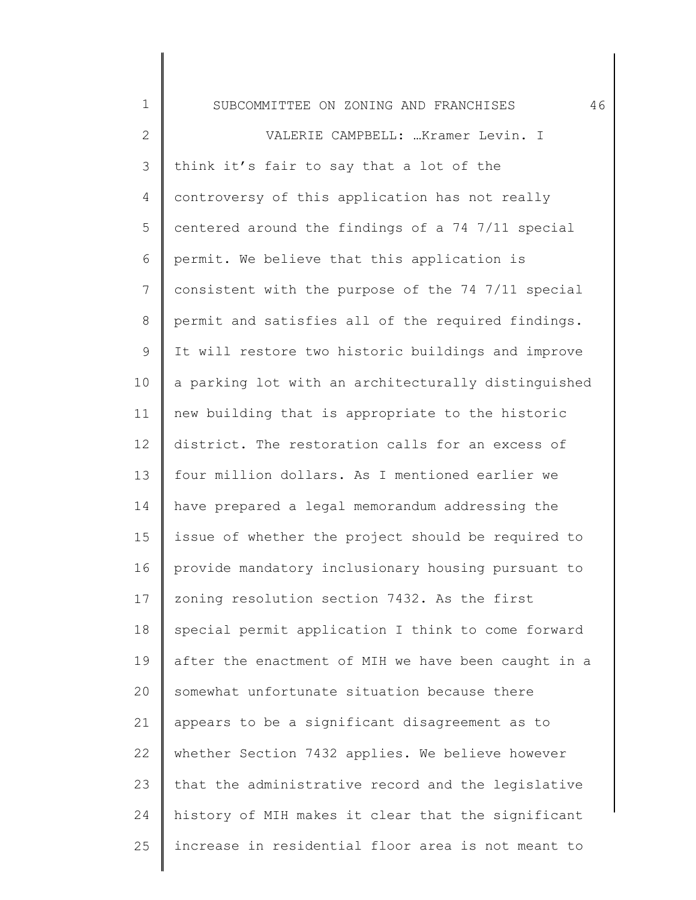1 2 3 4 5 6 7 8 9 10 11 12 13 14 15 16 17 18 19 20 21 22 SUBCOMMITTEE ON ZONING AND FRANCHISES 46 VALERIE CAMPBELL: …Kramer Levin. I think it's fair to say that a lot of the controversy of this application has not really centered around the findings of a 74 7/11 special permit. We believe that this application is consistent with the purpose of the 74 7/11 special permit and satisfies all of the required findings. It will restore two historic buildings and improve a parking lot with an architecturally distinguished new building that is appropriate to the historic district. The restoration calls for an excess of four million dollars. As I mentioned earlier we have prepared a legal memorandum addressing the issue of whether the project should be required to provide mandatory inclusionary housing pursuant to zoning resolution section 7432. As the first special permit application I think to come forward after the enactment of MIH we have been caught in a somewhat unfortunate situation because there appears to be a significant disagreement as to whether Section 7432 applies. We believe however

23 24 25 that the administrative record and the legislative history of MIH makes it clear that the significant increase in residential floor area is not meant to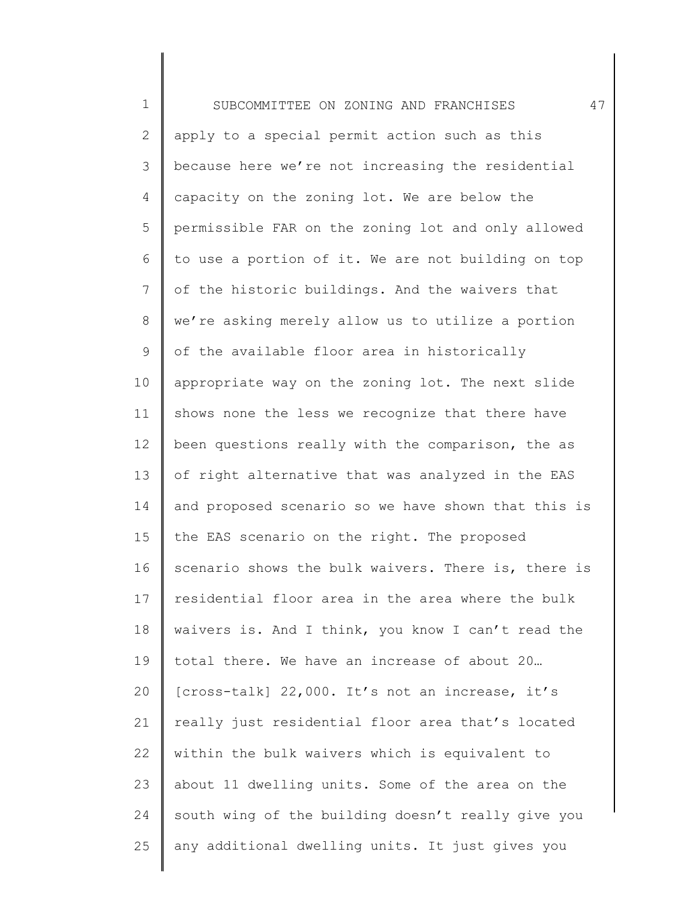| $\mathbf 1$  | 47<br>SUBCOMMITTEE ON ZONING AND FRANCHISES         |
|--------------|-----------------------------------------------------|
| $\mathbf{2}$ | apply to a special permit action such as this       |
| 3            | because here we're not increasing the residential   |
| 4            | capacity on the zoning lot. We are below the        |
| 5            | permissible FAR on the zoning lot and only allowed  |
| 6            | to use a portion of it. We are not building on top  |
| 7            | of the historic buildings. And the waivers that     |
| 8            | we're asking merely allow us to utilize a portion   |
| 9            | of the available floor area in historically         |
| 10           | appropriate way on the zoning lot. The next slide   |
| 11           | shows none the less we recognize that there have    |
| 12           | been questions really with the comparison, the as   |
| 13           | of right alternative that was analyzed in the EAS   |
| 14           | and proposed scenario so we have shown that this is |
| 15           | the EAS scenario on the right. The proposed         |
| 16           | scenario shows the bulk waivers. There is, there is |
| 17           | residential floor area in the area where the bulk   |
| 18           | waivers is. And I think, you know I can't read the  |
| 19           | total there. We have an increase of about 20        |
| 20           | [cross-talk] 22,000. It's not an increase, it's     |
| 21           | really just residential floor area that's located   |
| 22           | within the bulk waivers which is equivalent to      |
| 23           | about 11 dwelling units. Some of the area on the    |
| 24           | south wing of the building doesn't really give you  |
| 25           | any additional dwelling units. It just gives you    |
|              |                                                     |

II ║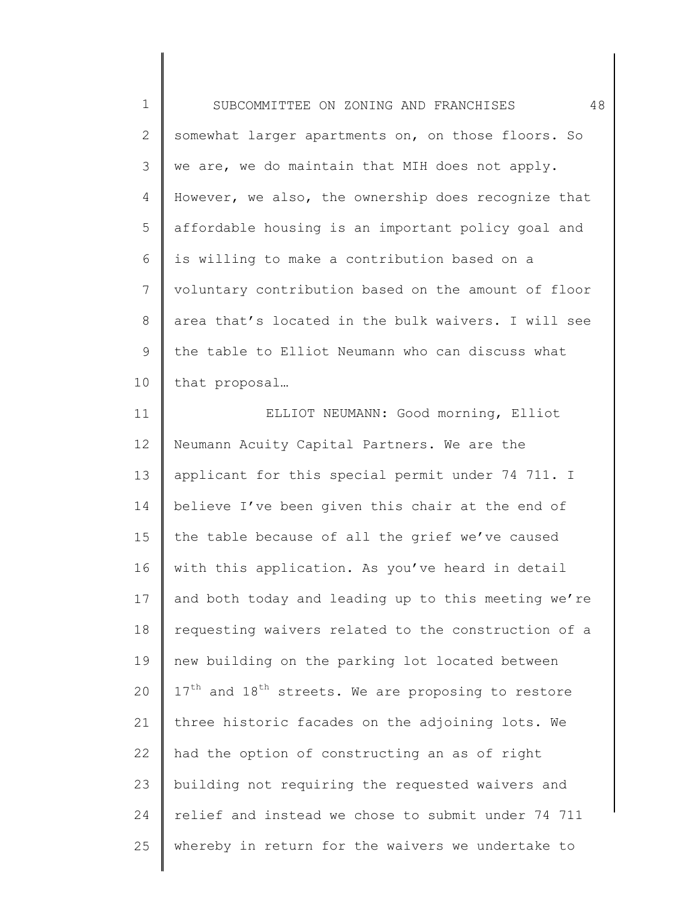1 2 3 4 5 6 7 8 9 10 SUBCOMMITTEE ON ZONING AND FRANCHISES 48 somewhat larger apartments on, on those floors. So we are, we do maintain that MIH does not apply. However, we also, the ownership does recognize that affordable housing is an important policy goal and is willing to make a contribution based on a voluntary contribution based on the amount of floor area that's located in the bulk waivers. I will see the table to Elliot Neumann who can discuss what that proposal…

11 12 13 14 15 16 17 18 19 20 21 22 23 24 25 ELLIOT NEUMANN: Good morning, Elliot Neumann Acuity Capital Partners. We are the applicant for this special permit under 74 711. I believe I've been given this chair at the end of the table because of all the grief we've caused with this application. As you've heard in detail and both today and leading up to this meeting we're requesting waivers related to the construction of a new building on the parking lot located between  $17<sup>th</sup>$  and  $18<sup>th</sup>$  streets. We are proposing to restore three historic facades on the adjoining lots. We had the option of constructing an as of right building not requiring the requested waivers and relief and instead we chose to submit under 74 711 whereby in return for the waivers we undertake to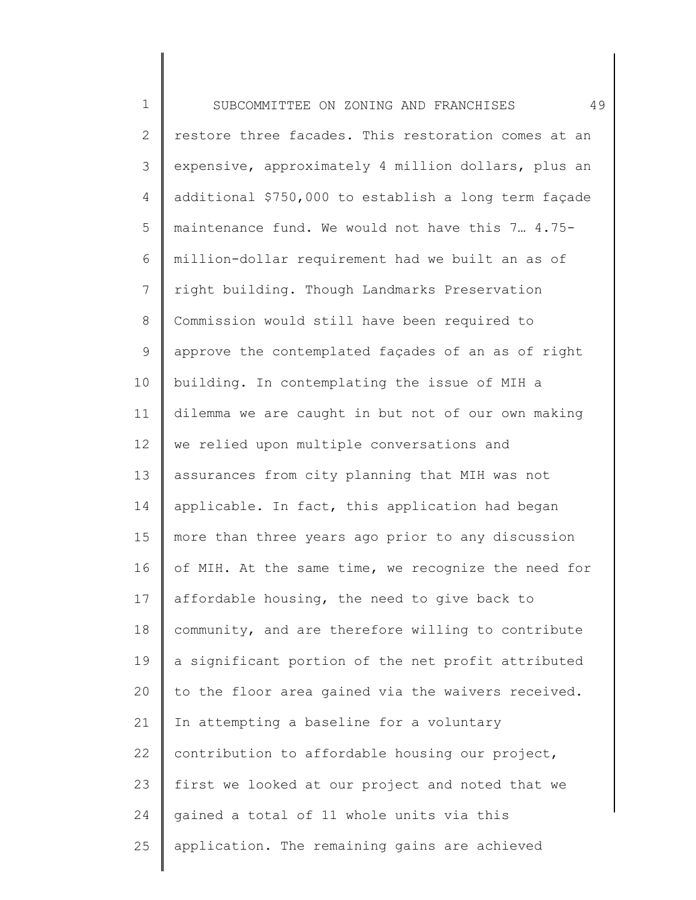1 2 3 4 5 6 7 8 9 10 11 12 13 14 15 16 17 18 19 20 21 22 23 24 25 SUBCOMMITTEE ON ZONING AND FRANCHISES 49 restore three facades. This restoration comes at an expensive, approximately 4 million dollars, plus an additional \$750,000 to establish a long term façade maintenance fund. We would not have this 7… 4.75 million-dollar requirement had we built an as of right building. Though Landmarks Preservation Commission would still have been required to approve the contemplated façades of an as of right building. In contemplating the issue of MIH a dilemma we are caught in but not of our own making we relied upon multiple conversations and assurances from city planning that MIH was not applicable. In fact, this application had began more than three years ago prior to any discussion of MIH. At the same time, we recognize the need for affordable housing, the need to give back to community, and are therefore willing to contribute a significant portion of the net profit attributed to the floor area gained via the waivers received. In attempting a baseline for a voluntary contribution to affordable housing our project, first we looked at our project and noted that we gained a total of 11 whole units via this application. The remaining gains are achieved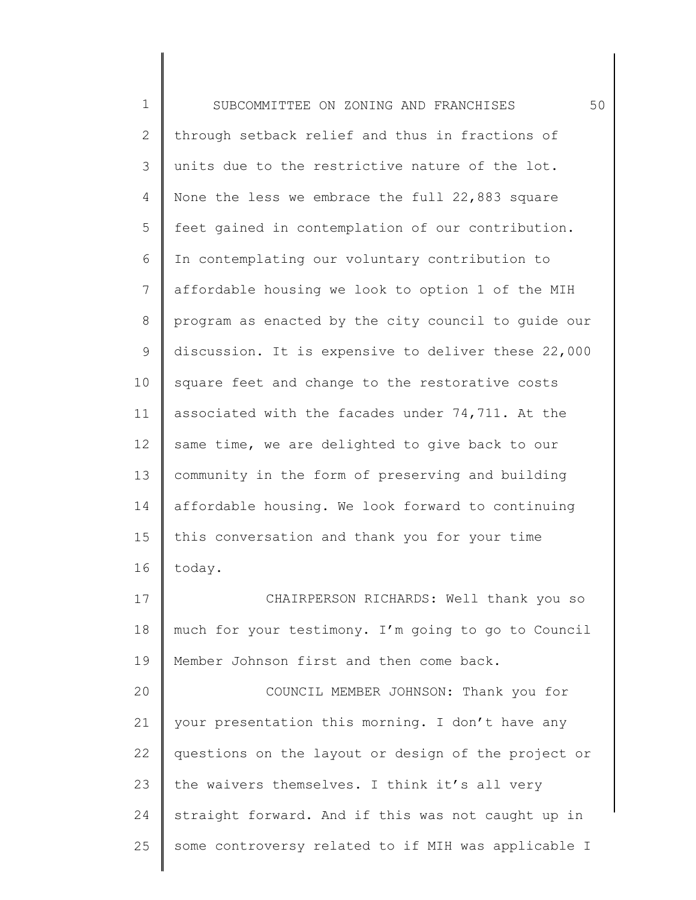1 2 3 4 5 6 7 8 9 10 11 12 13 14 15 16 17 18 19 20 21 22 23 24 25 SUBCOMMITTEE ON ZONING AND FRANCHISES 50 through setback relief and thus in fractions of units due to the restrictive nature of the lot. None the less we embrace the full 22,883 square feet gained in contemplation of our contribution. In contemplating our voluntary contribution to affordable housing we look to option 1 of the MIH program as enacted by the city council to guide our discussion. It is expensive to deliver these 22,000 square feet and change to the restorative costs associated with the facades under 74,711. At the same time, we are delighted to give back to our community in the form of preserving and building affordable housing. We look forward to continuing this conversation and thank you for your time today. CHAIRPERSON RICHARDS: Well thank you so much for your testimony. I'm going to go to Council Member Johnson first and then come back. COUNCIL MEMBER JOHNSON: Thank you for your presentation this morning. I don't have any questions on the layout or design of the project or the waivers themselves. I think it's all very straight forward. And if this was not caught up in some controversy related to if MIH was applicable I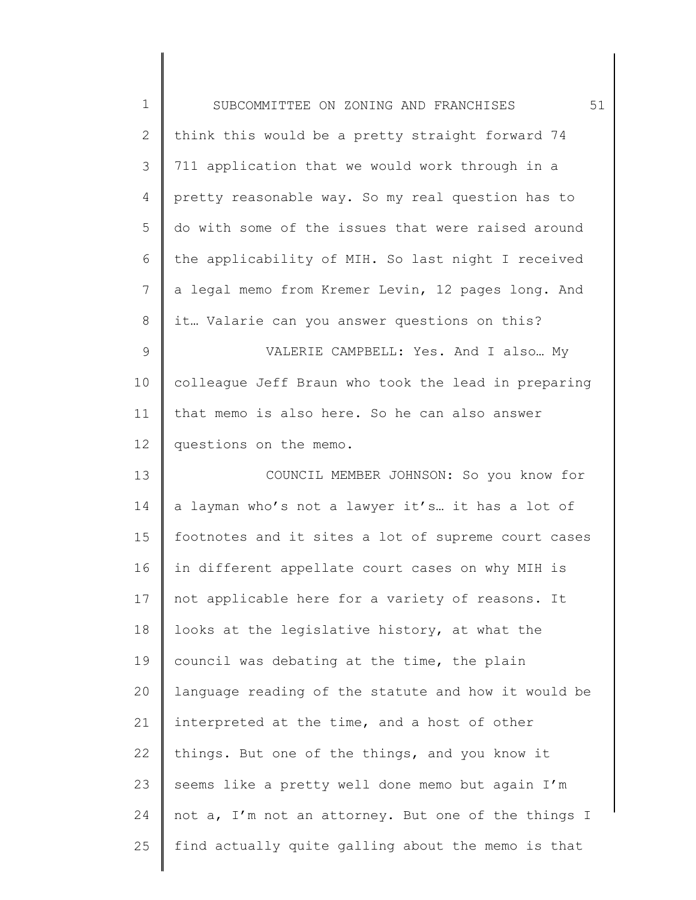| $\mathbf 1$    | 51<br>SUBCOMMITTEE ON ZONING AND FRANCHISES         |
|----------------|-----------------------------------------------------|
| $\overline{2}$ | think this would be a pretty straight forward 74    |
| 3              | 711 application that we would work through in a     |
| 4              | pretty reasonable way. So my real question has to   |
| 5              | do with some of the issues that were raised around  |
| 6              | the applicability of MIH. So last night I received  |
| 7              | a legal memo from Kremer Levin, 12 pages long. And  |
| 8              | it Valarie can you answer questions on this?        |
| 9              | VALERIE CAMPBELL: Yes. And I also  My               |
| 10             | colleague Jeff Braun who took the lead in preparing |
| 11             | that memo is also here. So he can also answer       |
| 12             | questions on the memo.                              |
| 13             | COUNCIL MEMBER JOHNSON: So you know for             |
| 14             | a layman who's not a lawyer it's it has a lot of    |
| 15             | footnotes and it sites a lot of supreme court cases |
| 16             | in different appellate court cases on why MIH is    |
| 17             | not applicable here for a variety of reasons. It    |
| 18             | looks at the legislative history, at what the       |
| 19             | council was debating at the time, the plain         |
| 20             | language reading of the statute and how it would be |
| 21             | interpreted at the time, and a host of other        |
| 22             | things. But one of the things, and you know it      |
| 23             | seems like a pretty well done memo but again I'm    |
| 24             | not a, I'm not an attorney. But one of the things I |
| 25             | find actually quite galling about the memo is that  |
|                |                                                     |

 $\begin{array}{c} \hline \end{array}$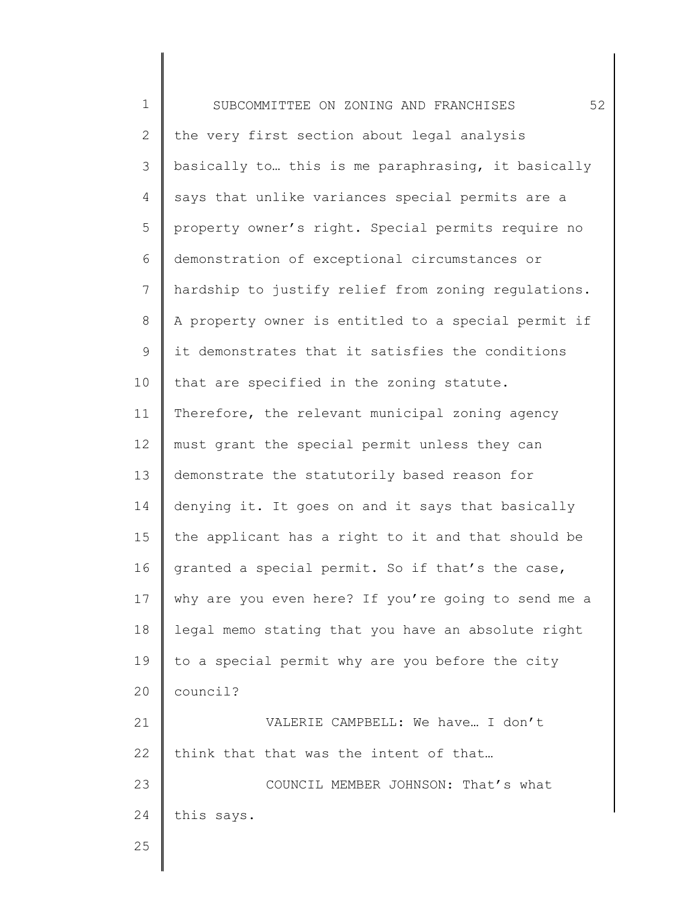| $\mathbf 1$  | 52<br>SUBCOMMITTEE ON ZONING AND FRANCHISES         |
|--------------|-----------------------------------------------------|
| $\mathbf{2}$ | the very first section about legal analysis         |
| 3            | basically to this is me paraphrasing, it basically  |
| 4            | says that unlike variances special permits are a    |
| 5            | property owner's right. Special permits require no  |
| 6            | demonstration of exceptional circumstances or       |
| 7            | hardship to justify relief from zoning regulations. |
| 8            | A property owner is entitled to a special permit if |
| 9            | it demonstrates that it satisfies the conditions    |
| 10           | that are specified in the zoning statute.           |
| 11           | Therefore, the relevant municipal zoning agency     |
| 12           | must grant the special permit unless they can       |
| 13           | demonstrate the statutorily based reason for        |
| 14           | denying it. It goes on and it says that basically   |
| 15           | the applicant has a right to it and that should be  |
| 16           | granted a special permit. So if that's the case,    |
| 17           | why are you even here? If you're going to send me a |
| 18           | legal memo stating that you have an absolute right  |
| 19           | to a special permit why are you before the city     |
| 20           | council?                                            |
| 21           | VALERIE CAMPBELL: We have I don't                   |
| 22           | think that that was the intent of that              |
| 23           | COUNCIL MEMBER JOHNSON: That's what                 |
| 24           | this says.                                          |
| 25           |                                                     |
|              |                                                     |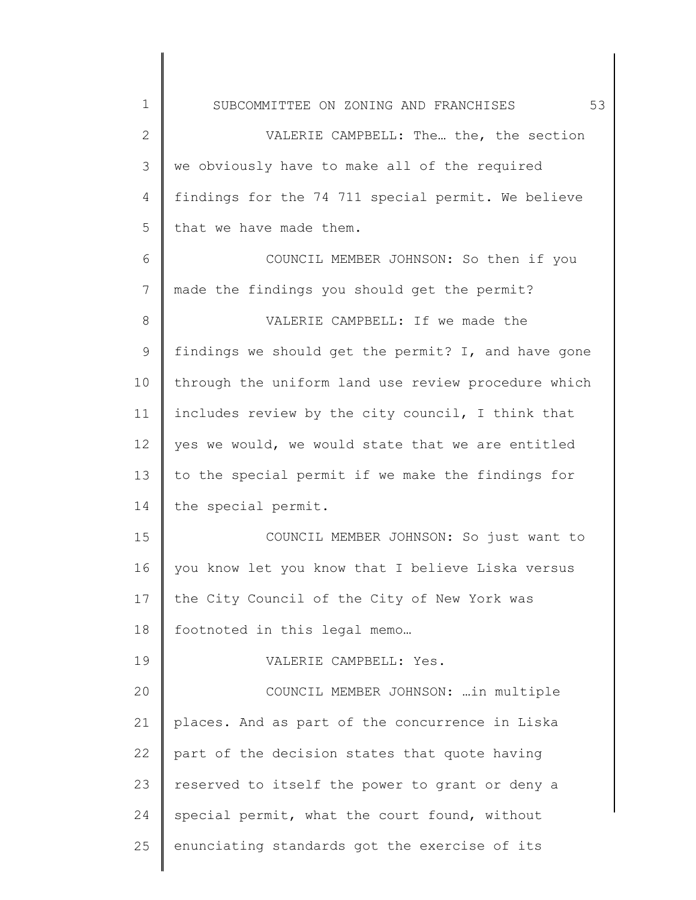1 2 3 4 5 6 7 8 9 10 11 12 13 14 15 16 17 18 19 20 21 22 23 24 25 SUBCOMMITTEE ON ZONING AND FRANCHISES 53 VALERIE CAMPBELL: The… the, the section we obviously have to make all of the required findings for the 74 711 special permit. We believe that we have made them. COUNCIL MEMBER JOHNSON: So then if you made the findings you should get the permit? VALERIE CAMPBELL: If we made the findings we should get the permit? I, and have gone through the uniform land use review procedure which includes review by the city council, I think that yes we would, we would state that we are entitled to the special permit if we make the findings for the special permit. COUNCIL MEMBER JOHNSON: So just want to you know let you know that I believe Liska versus the City Council of the City of New York was footnoted in this legal memo… VALERIE CAMPBELL: Yes. COUNCIL MEMBER JOHNSON: …in multiple places. And as part of the concurrence in Liska part of the decision states that quote having reserved to itself the power to grant or deny a special permit, what the court found, without enunciating standards got the exercise of its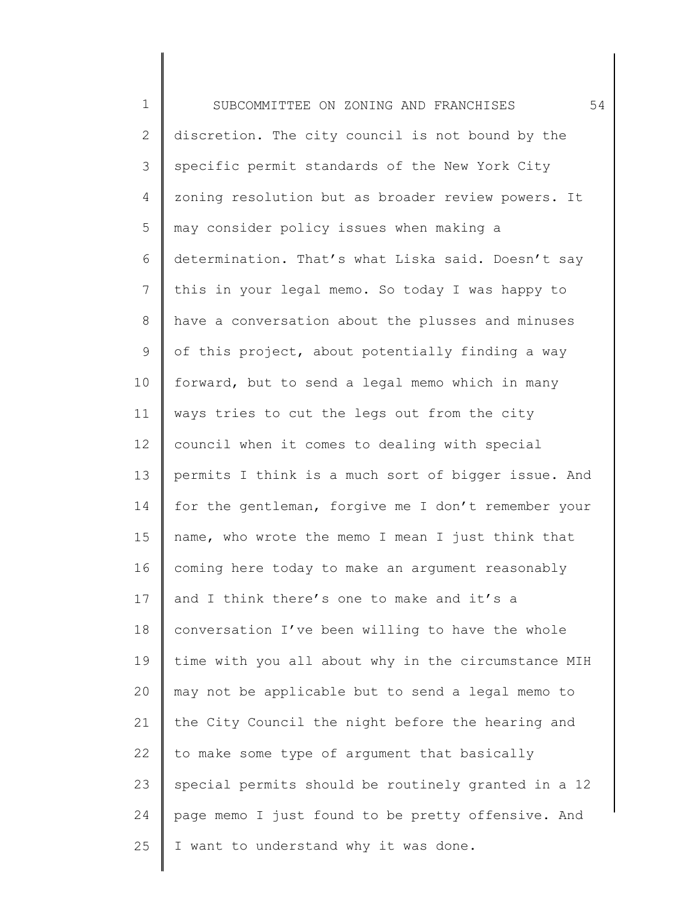1 2 3 4 5 6 7 8 9 10 11 12 13 14 15 16 17 18 19 20 21 22 23 24 25 SUBCOMMITTEE ON ZONING AND FRANCHISES 54 discretion. The city council is not bound by the specific permit standards of the New York City zoning resolution but as broader review powers. It may consider policy issues when making a determination. That's what Liska said. Doesn't say this in your legal memo. So today I was happy to have a conversation about the plusses and minuses of this project, about potentially finding a way forward, but to send a legal memo which in many ways tries to cut the legs out from the city council when it comes to dealing with special permits I think is a much sort of bigger issue. And for the gentleman, forgive me I don't remember your name, who wrote the memo I mean I just think that coming here today to make an argument reasonably and I think there's one to make and it's a conversation I've been willing to have the whole time with you all about why in the circumstance MIH may not be applicable but to send a legal memo to the City Council the night before the hearing and to make some type of argument that basically special permits should be routinely granted in a 12 page memo I just found to be pretty offensive. And I want to understand why it was done.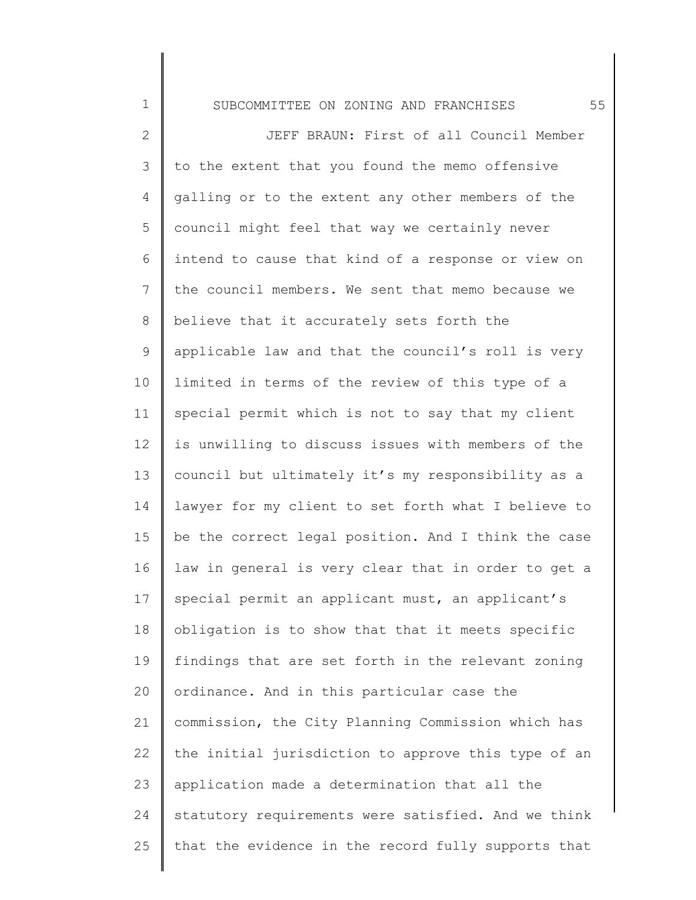SUBCOMMITTEE ON ZONING AND FRANCHISES 55

1

2 3 4 5 6 7 8 9 10 11 12 13 14 15 16 17 18 19 20 21 22 23 24 25 JEFF BRAUN: First of all Council Member to the extent that you found the memo offensive galling or to the extent any other members of the council might feel that way we certainly never intend to cause that kind of a response or view on the council members. We sent that memo because we believe that it accurately sets forth the applicable law and that the council's roll is very limited in terms of the review of this type of a special permit which is not to say that my client is unwilling to discuss issues with members of the council but ultimately it's my responsibility as a lawyer for my client to set forth what I believe to be the correct legal position. And I think the case law in general is very clear that in order to get a special permit an applicant must, an applicant's obligation is to show that that it meets specific findings that are set forth in the relevant zoning ordinance. And in this particular case the commission, the City Planning Commission which has the initial jurisdiction to approve this type of an application made a determination that all the statutory requirements were satisfied. And we think that the evidence in the record fully supports that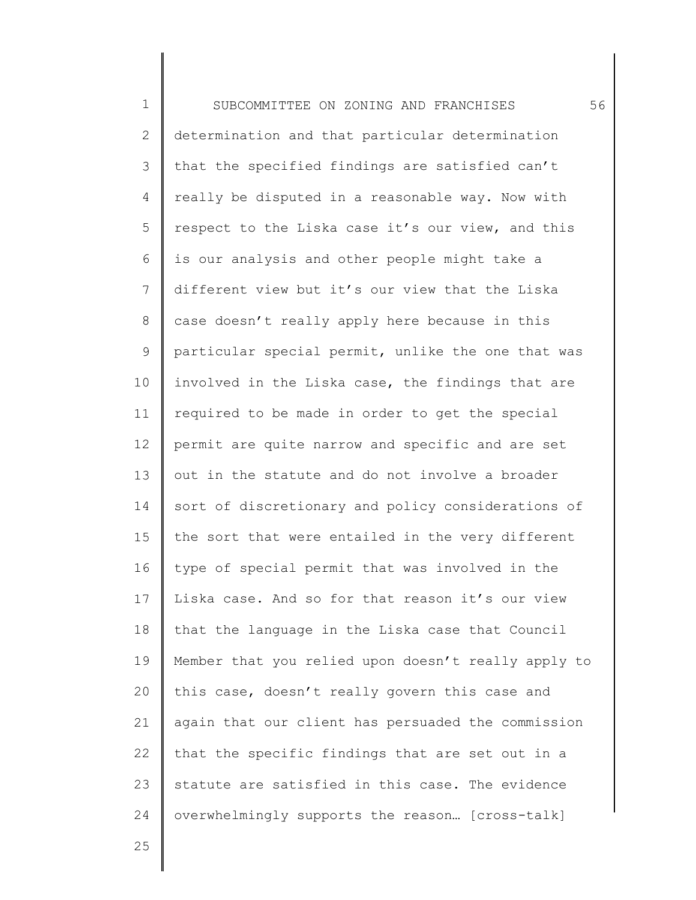1 2 3 4 5 6 7 8 9 10 11 12 13 14 15 16 17 18 19 20 21 22 23 24 SUBCOMMITTEE ON ZONING AND FRANCHISES 56 determination and that particular determination that the specified findings are satisfied can't really be disputed in a reasonable way. Now with respect to the Liska case it's our view, and this is our analysis and other people might take a different view but it's our view that the Liska case doesn't really apply here because in this particular special permit, unlike the one that was involved in the Liska case, the findings that are required to be made in order to get the special permit are quite narrow and specific and are set out in the statute and do not involve a broader sort of discretionary and policy considerations of the sort that were entailed in the very different type of special permit that was involved in the Liska case. And so for that reason it's our view that the language in the Liska case that Council Member that you relied upon doesn't really apply to this case, doesn't really govern this case and again that our client has persuaded the commission that the specific findings that are set out in a statute are satisfied in this case. The evidence overwhelmingly supports the reason… [cross-talk]

25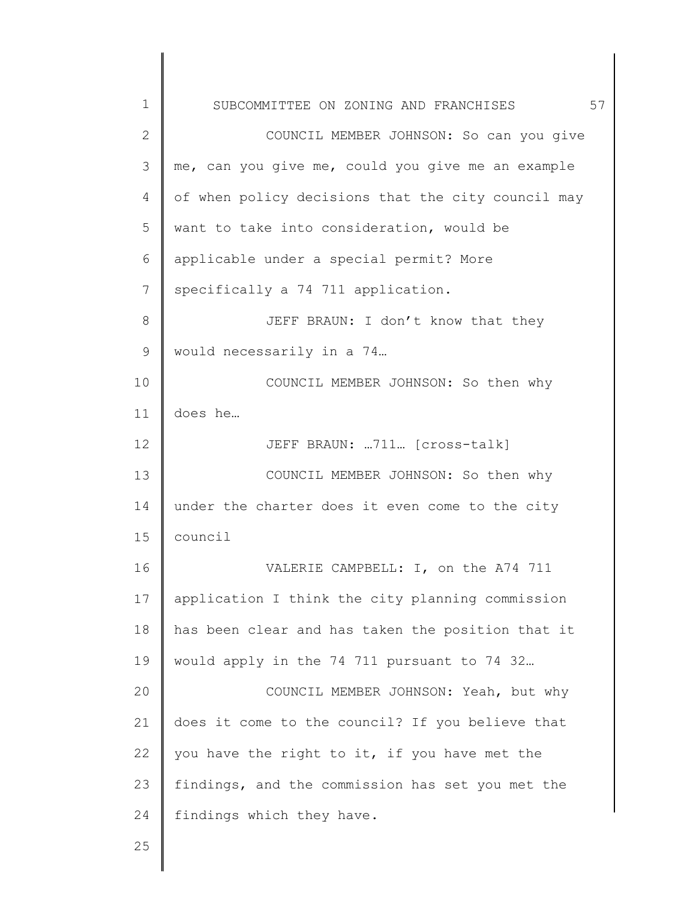1 2 3 4 5 6 7 8 9 10 11 12 13 14 15 16 17 18 19 20 21 22 23 24 SUBCOMMITTEE ON ZONING AND FRANCHISES 57 COUNCIL MEMBER JOHNSON: So can you give me, can you give me, could you give me an example of when policy decisions that the city council may want to take into consideration, would be applicable under a special permit? More specifically a 74 711 application. JEFF BRAUN: I don't know that they would necessarily in a 74… COUNCIL MEMBER JOHNSON: So then why does he… JEFF BRAUN: …711… [cross-talk] COUNCIL MEMBER JOHNSON: So then why under the charter does it even come to the city council VALERIE CAMPBELL: I, on the A74 711 application I think the city planning commission has been clear and has taken the position that it would apply in the 74 711 pursuant to 74 32… COUNCIL MEMBER JOHNSON: Yeah, but why does it come to the council? If you believe that you have the right to it, if you have met the findings, and the commission has set you met the findings which they have.

25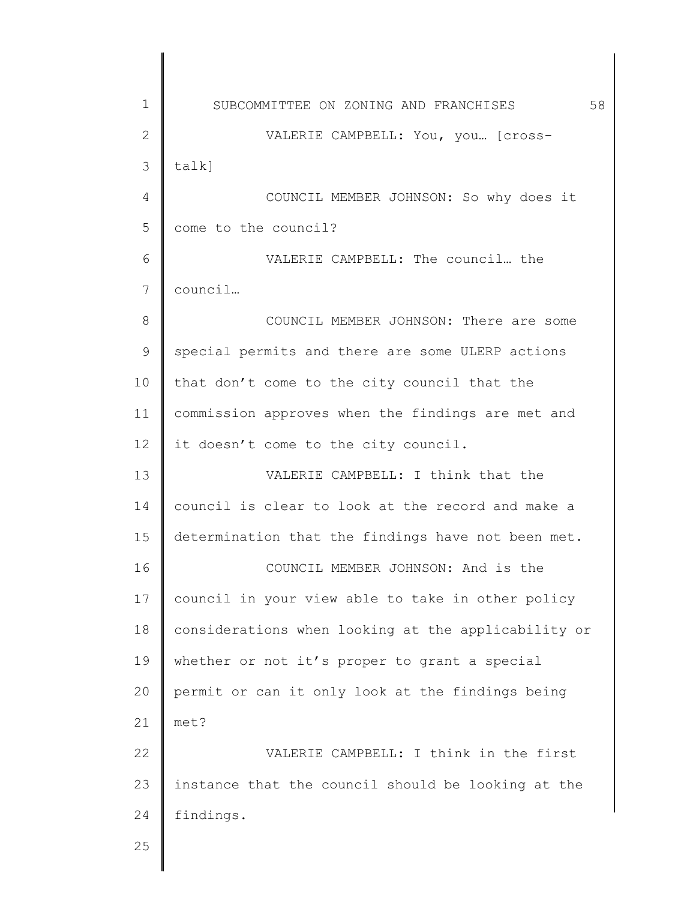1 2 3 4 5 6 7 8 9 10 11 12 13 14 15 16 17 18 19 20 21 22 23 24 25 SUBCOMMITTEE ON ZONING AND FRANCHISES 58 VALERIE CAMPBELL: You, you… [crosstalk] COUNCIL MEMBER JOHNSON: So why does it come to the council? VALERIE CAMPBELL: The council… the council… COUNCIL MEMBER JOHNSON: There are some special permits and there are some ULERP actions that don't come to the city council that the commission approves when the findings are met and it doesn't come to the city council. VALERIE CAMPBELL: I think that the council is clear to look at the record and make a determination that the findings have not been met. COUNCIL MEMBER JOHNSON: And is the council in your view able to take in other policy considerations when looking at the applicability or whether or not it's proper to grant a special permit or can it only look at the findings being met? VALERIE CAMPBELL: I think in the first instance that the council should be looking at the findings.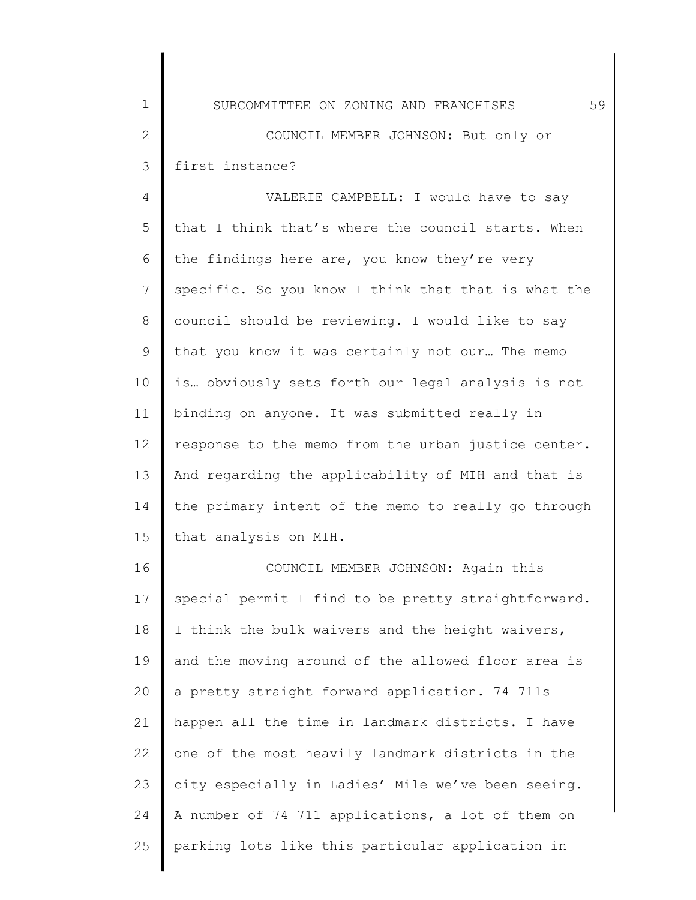2 3 COUNCIL MEMBER JOHNSON: But only or first instance?

1

4 5 6 7 8 9 10 11 12 13 14 15 VALERIE CAMPBELL: I would have to say that I think that's where the council starts. When the findings here are, you know they're very specific. So you know I think that that is what the council should be reviewing. I would like to say that you know it was certainly not our… The memo is… obviously sets forth our legal analysis is not binding on anyone. It was submitted really in response to the memo from the urban justice center. And regarding the applicability of MIH and that is the primary intent of the memo to really go through that analysis on MIH.

16 17 18 19 20 21 22 23 24 25 COUNCIL MEMBER JOHNSON: Again this special permit I find to be pretty straightforward. I think the bulk waivers and the height waivers, and the moving around of the allowed floor area is a pretty straight forward application. 74 711s happen all the time in landmark districts. I have one of the most heavily landmark districts in the city especially in Ladies' Mile we've been seeing. A number of 74 711 applications, a lot of them on parking lots like this particular application in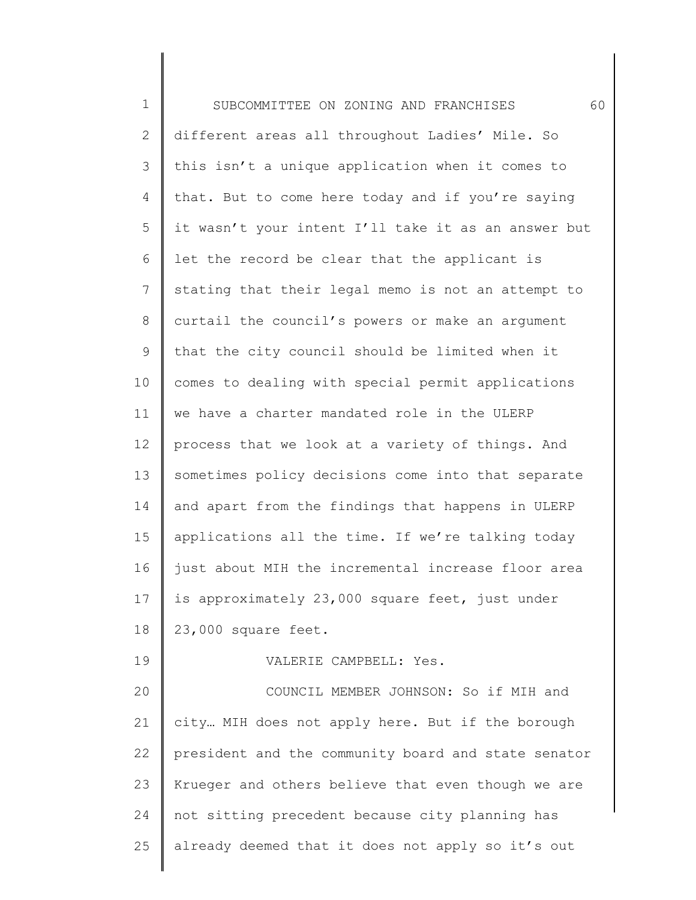| $\mathbf 1$  | 60<br>SUBCOMMITTEE ON ZONING AND FRANCHISES         |
|--------------|-----------------------------------------------------|
| $\mathbf{2}$ | different areas all throughout Ladies' Mile. So     |
| 3            | this isn't a unique application when it comes to    |
| 4            | that. But to come here today and if you're saying   |
| 5            | it wasn't your intent I'll take it as an answer but |
| 6            | let the record be clear that the applicant is       |
| 7            | stating that their legal memo is not an attempt to  |
| 8            | curtail the council's powers or make an argument    |
| 9            | that the city council should be limited when it     |
| 10           | comes to dealing with special permit applications   |
| 11           | we have a charter mandated role in the ULERP        |
| 12           | process that we look at a variety of things. And    |
| 13           | sometimes policy decisions come into that separate  |
| 14           | and apart from the findings that happens in ULERP   |
| 15           | applications all the time. If we're talking today   |
| 16           | just about MIH the incremental increase floor area  |
| 17           | is approximately 23,000 square feet, just under     |
| 18           | 23,000 square feet.                                 |
| 19           | VALERIE CAMPBELL: Yes.                              |
| 20           | COUNCIL MEMBER JOHNSON: So if MIH and               |
| 21           | city MIH does not apply here. But if the borough    |
| 22           | president and the community board and state senator |
| 23           | Krueger and others believe that even though we are  |
| 24           | not sitting precedent because city planning has     |
| 25           | already deemed that it does not apply so it's out   |
|              |                                                     |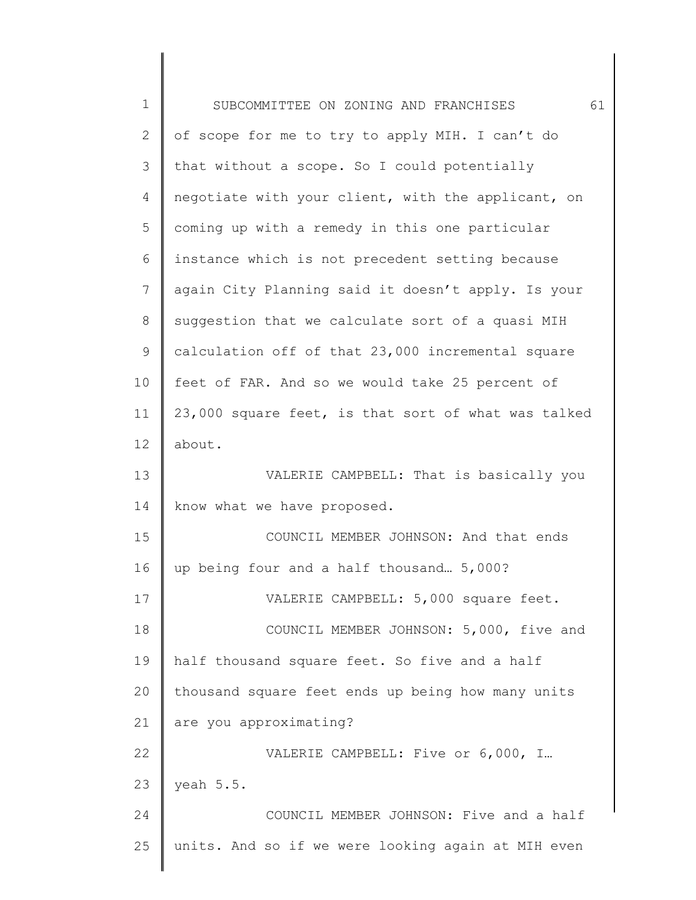| 1            | 61<br>SUBCOMMITTEE ON ZONING AND FRANCHISES         |
|--------------|-----------------------------------------------------|
| $\mathbf{2}$ | of scope for me to try to apply MIH. I can't do     |
| 3            | that without a scope. So I could potentially        |
| 4            | negotiate with your client, with the applicant, on  |
| 5            | coming up with a remedy in this one particular      |
| 6            | instance which is not precedent setting because     |
| 7            | again City Planning said it doesn't apply. Is your  |
| 8            | suggestion that we calculate sort of a quasi MIH    |
| 9            | calculation off of that 23,000 incremental square   |
| 10           | feet of FAR. And so we would take 25 percent of     |
| 11           | 23,000 square feet, is that sort of what was talked |
| 12           | about.                                              |
| 13           | VALERIE CAMPBELL: That is basically you             |
| 14           | know what we have proposed.                         |
| 15           | COUNCIL MEMBER JOHNSON: And that ends               |
| 16           | up being four and a half thousand 5,000?            |
| 17           | VALERIE CAMPBELL: 5,000 square feet.                |
| 18           | COUNCIL MEMBER JOHNSON: 5,000, five and             |
| 19           | half thousand square feet. So five and a half       |
| 20           | thousand square feet ends up being how many units   |
| 21           | are you approximating?                              |
| 22           | VALERIE CAMPBELL: Five or 6,000, I                  |
| 23           | yeah 5.5.                                           |
| 24           | COUNCIL MEMBER JOHNSON: Five and a half             |
| 25           | units. And so if we were looking again at MIH even  |
|              |                                                     |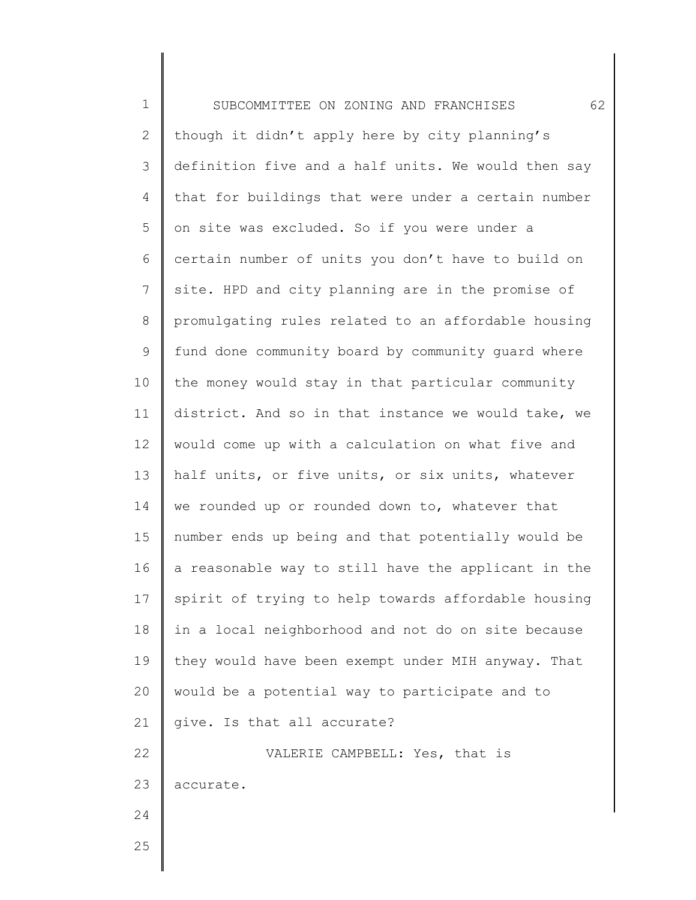| $\mathbf 1$  | 62<br>SUBCOMMITTEE ON ZONING AND FRANCHISES         |
|--------------|-----------------------------------------------------|
| $\mathbf{2}$ | though it didn't apply here by city planning's      |
| 3            | definition five and a half units. We would then say |
| 4            | that for buildings that were under a certain number |
| 5            | on site was excluded. So if you were under a        |
| 6            | certain number of units you don't have to build on  |
| 7            | site. HPD and city planning are in the promise of   |
| $8\,$        | promulgating rules related to an affordable housing |
| 9            | fund done community board by community quard where  |
| 10           | the money would stay in that particular community   |
| 11           | district. And so in that instance we would take, we |
| 12           | would come up with a calculation on what five and   |
| 13           | half units, or five units, or six units, whatever   |
| 14           | we rounded up or rounded down to, whatever that     |
| 15           | number ends up being and that potentially would be  |
| 16           | a reasonable way to still have the applicant in the |
| 17           | spirit of trying to help towards affordable housing |
| 18           | in a local neighborhood and not do on site because  |
| 19           | they would have been exempt under MIH anyway. That  |
| 20           | would be a potential way to participate and to      |
| 21           | give. Is that all accurate?                         |
| 22           | VALERIE CAMPBELL: Yes, that is                      |
| 23           | accurate.                                           |
| 24           |                                                     |
| 25           |                                                     |
|              |                                                     |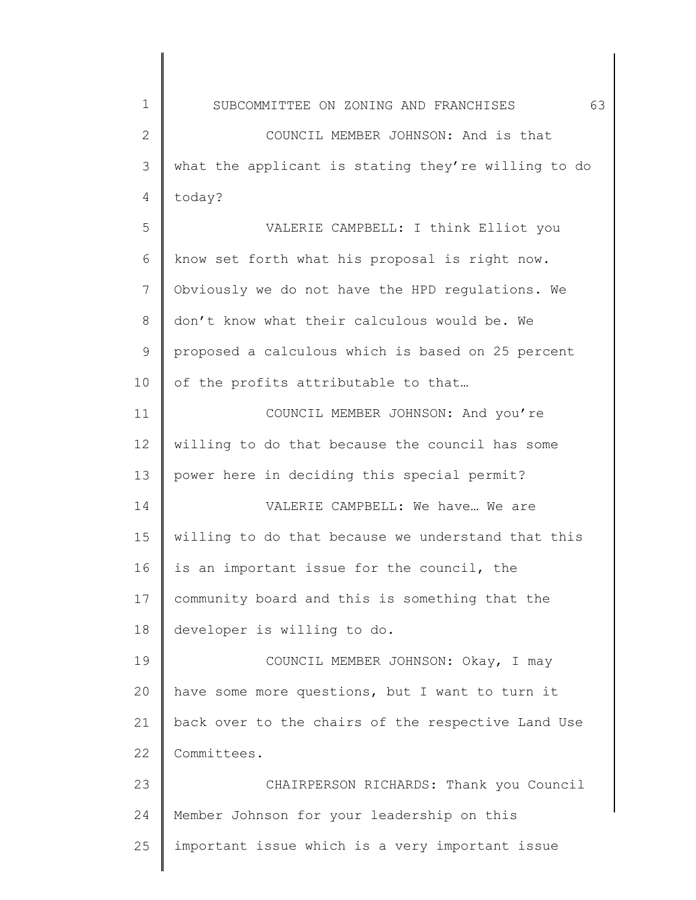1 2 3 4 5 6 7 8 9 10 11 12 13 14 15 16 17 18 19 20 21 22 23 24 25 SUBCOMMITTEE ON ZONING AND FRANCHISES 63 COUNCIL MEMBER JOHNSON: And is that what the applicant is stating they're willing to do today? VALERIE CAMPBELL: I think Elliot you know set forth what his proposal is right now. Obviously we do not have the HPD regulations. We don't know what their calculous would be. We proposed a calculous which is based on 25 percent of the profits attributable to that… COUNCIL MEMBER JOHNSON: And you're willing to do that because the council has some power here in deciding this special permit? VALERIE CAMPBELL: We have… We are willing to do that because we understand that this is an important issue for the council, the community board and this is something that the developer is willing to do. COUNCIL MEMBER JOHNSON: Okay, I may have some more questions, but I want to turn it back over to the chairs of the respective Land Use Committees. CHAIRPERSON RICHARDS: Thank you Council Member Johnson for your leadership on this important issue which is a very important issue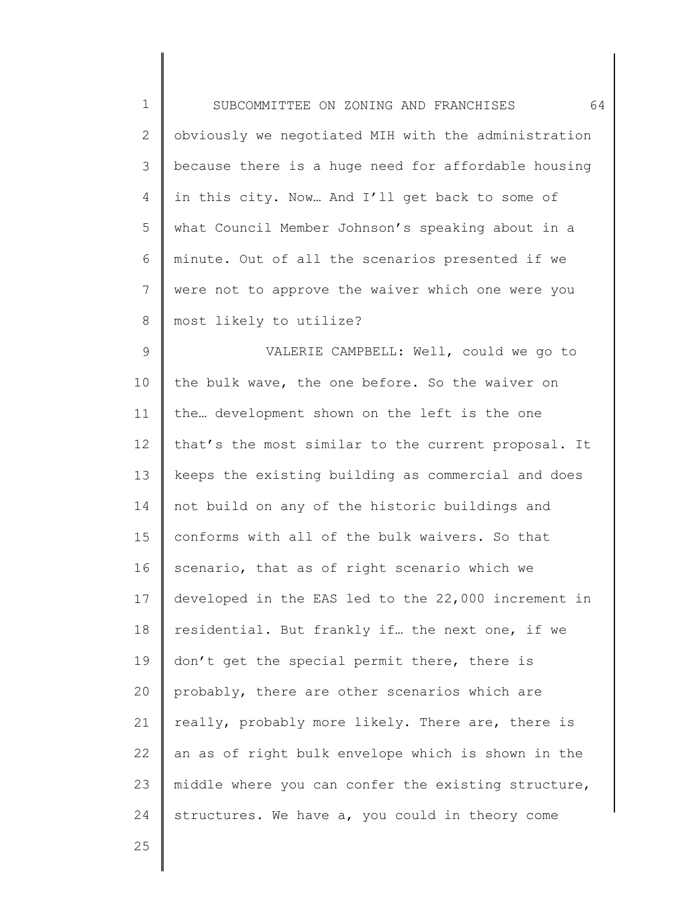1 2 3 4 5 6 7 8 9 10 11 12 13 14 15 16 17 18 19 20 21 22 23 24 SUBCOMMITTEE ON ZONING AND FRANCHISES 64 obviously we negotiated MIH with the administration because there is a huge need for affordable housing in this city. Now… And I'll get back to some of what Council Member Johnson's speaking about in a minute. Out of all the scenarios presented if we were not to approve the waiver which one were you most likely to utilize? VALERIE CAMPBELL: Well, could we go to the bulk wave, the one before. So the waiver on the… development shown on the left is the one that's the most similar to the current proposal. It keeps the existing building as commercial and does not build on any of the historic buildings and conforms with all of the bulk waivers. So that scenario, that as of right scenario which we developed in the EAS led to the 22,000 increment in residential. But frankly if… the next one, if we don't get the special permit there, there is probably, there are other scenarios which are really, probably more likely. There are, there is an as of right bulk envelope which is shown in the middle where you can confer the existing structure, structures. We have a, you could in theory come

25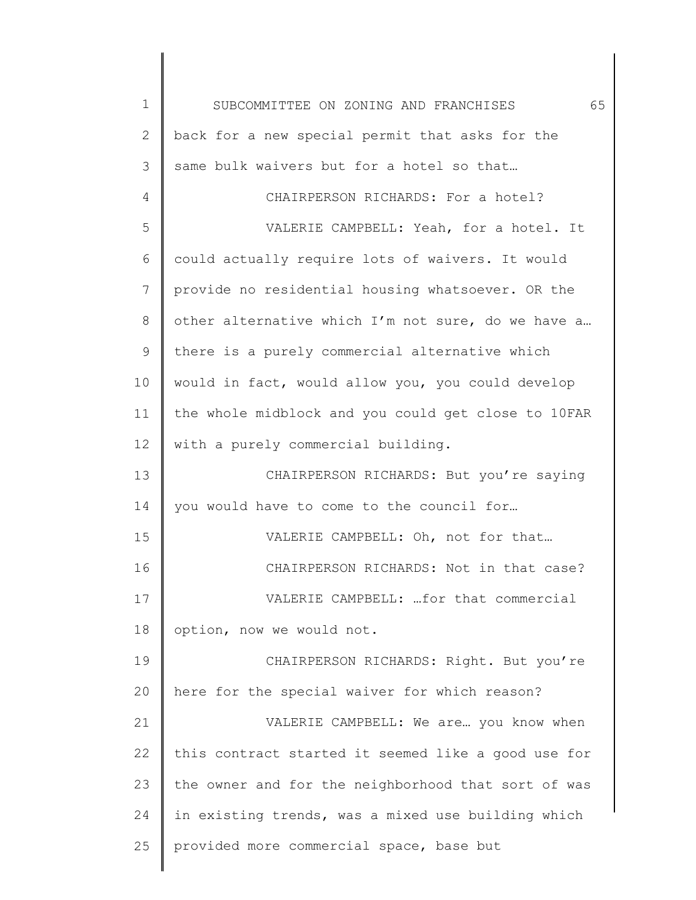| $\mathbf 1$  | 65<br>SUBCOMMITTEE ON ZONING AND FRANCHISES         |
|--------------|-----------------------------------------------------|
| $\mathbf{2}$ | back for a new special permit that asks for the     |
| 3            | same bulk waivers but for a hotel so that           |
| 4            | CHAIRPERSON RICHARDS: For a hotel?                  |
| 5            | VALERIE CAMPBELL: Yeah, for a hotel. It             |
| 6            | could actually require lots of waivers. It would    |
| 7            | provide no residential housing whatsoever. OR the   |
| $8\,$        | other alternative which I'm not sure, do we have a  |
| $\mathsf 9$  | there is a purely commercial alternative which      |
| 10           | would in fact, would allow you, you could develop   |
| 11           | the whole midblock and you could get close to 10FAR |
| 12           | with a purely commercial building.                  |
| 13           | CHAIRPERSON RICHARDS: But you're saying             |
| 14           | you would have to come to the council for           |
| 15           | VALERIE CAMPBELL: Oh, not for that                  |
| 16           | CHAIRPERSON RICHARDS: Not in that case?             |
| 17           | VALERIE CAMPBELL:  for that commercial              |
| 18           | option, now we would not.                           |
| 19           | CHAIRPERSON RICHARDS: Right. But you're             |
| 20           | here for the special waiver for which reason?       |
| 21           | VALERIE CAMPBELL: We are you know when              |
| 22           | this contract started it seemed like a good use for |
| 23           | the owner and for the neighborhood that sort of was |
| 24           | in existing trends, was a mixed use building which  |
| 25           | provided more commercial space, base but            |
|              |                                                     |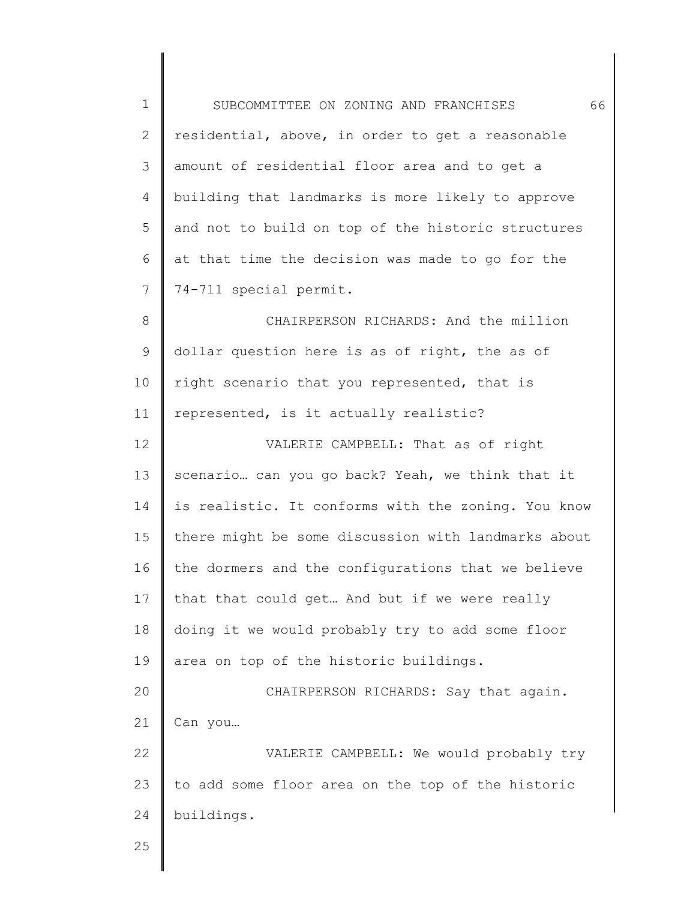| $\mathbf 1$  | 66<br>SUBCOMMITTEE ON ZONING AND FRANCHISES         |
|--------------|-----------------------------------------------------|
| $\mathbf{2}$ | residential, above, in order to get a reasonable    |
| 3            | amount of residential floor area and to get a       |
| 4            | building that landmarks is more likely to approve   |
| 5            | and not to build on top of the historic structures  |
| 6            | at that time the decision was made to go for the    |
| 7            | 74-711 special permit.                              |
| $8\,$        | CHAIRPERSON RICHARDS: And the million               |
| $\mathsf 9$  | dollar question here is as of right, the as of      |
| 10           | right scenario that you represented, that is        |
| 11           | represented, is it actually realistic?              |
| 12           | VALERIE CAMPBELL: That as of right                  |
| 13           | scenario can you go back? Yeah, we think that it    |
| 14           | is realistic. It conforms with the zoning. You know |
| 15           | there might be some discussion with landmarks about |
| 16           | the dormers and the configurations that we believe  |
| 17           | that that could get And but if we were really       |
| 18           | doing it we would probably try to add some floor    |
| 19           | area on top of the historic buildings.              |
| 20           | CHAIRPERSON RICHARDS: Say that again.               |
| 21           | Can you                                             |
| 22           | VALERIE CAMPBELL: We would probably try             |
| 23           | to add some floor area on the top of the historic   |
| 24           | buildings.                                          |
| 25           |                                                     |
|              |                                                     |

 $\begin{array}{c} \hline \end{array}$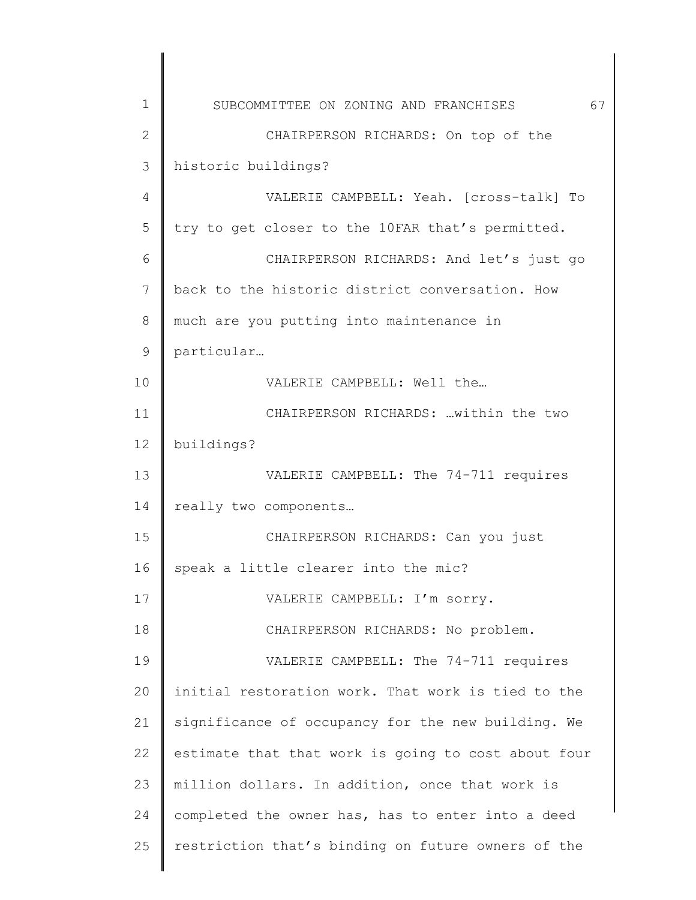| $\mathbf 1$ | 67<br>SUBCOMMITTEE ON ZONING AND FRANCHISES         |
|-------------|-----------------------------------------------------|
| 2           | CHAIRPERSON RICHARDS: On top of the                 |
| 3           | historic buildings?                                 |
| 4           | VALERIE CAMPBELL: Yeah. [cross-talk] To             |
| 5           | try to get closer to the 10FAR that's permitted.    |
| 6           | CHAIRPERSON RICHARDS: And let's just go             |
| 7           | back to the historic district conversation. How     |
| 8           | much are you putting into maintenance in            |
| 9           | particular                                          |
| 10          | VALERIE CAMPBELL: Well the                          |
| 11          | CHAIRPERSON RICHARDS: within the two                |
| 12          | buildings?                                          |
| 13          | VALERIE CAMPBELL: The 74-711 requires               |
| 14          | really two components                               |
| 15          | CHAIRPERSON RICHARDS: Can you just                  |
| 16          | speak a little clearer into the mic?                |
| 17          | VALERIE CAMPBELL: I'm sorry.                        |
| 18          | CHAIRPERSON RICHARDS: No problem.                   |
| 19          | VALERIE CAMPBELL: The 74-711 requires               |
| 20          | initial restoration work. That work is tied to the  |
| 21          | significance of occupancy for the new building. We  |
| 22          | estimate that that work is going to cost about four |
| 23          | million dollars. In addition, once that work is     |
| 24          | completed the owner has, has to enter into a deed   |
| 25          | restriction that's binding on future owners of the  |
|             |                                                     |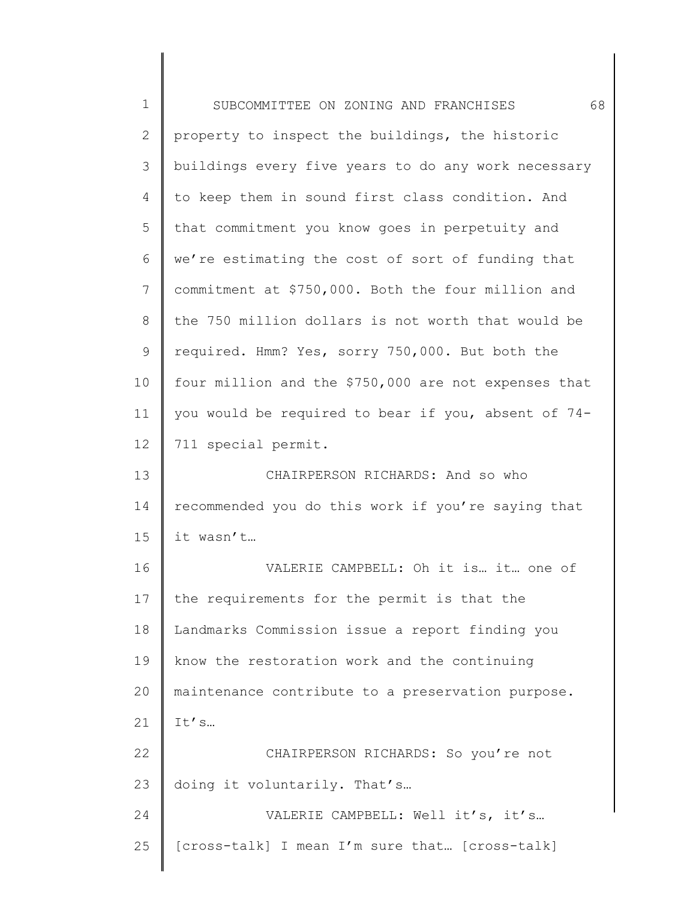| $\mathbf 1$  | 68<br>SUBCOMMITTEE ON ZONING AND FRANCHISES          |
|--------------|------------------------------------------------------|
| $\mathbf{2}$ | property to inspect the buildings, the historic      |
| 3            | buildings every five years to do any work necessary  |
| 4            | to keep them in sound first class condition. And     |
| 5            | that commitment you know goes in perpetuity and      |
| 6            | we're estimating the cost of sort of funding that    |
| 7            | commitment at \$750,000. Both the four million and   |
| 8            | the 750 million dollars is not worth that would be   |
| 9            | required. Hmm? Yes, sorry 750,000. But both the      |
| 10           | four million and the \$750,000 are not expenses that |
| 11           | you would be required to bear if you, absent of 74-  |
| 12           | 711 special permit.                                  |
| 13           | CHAIRPERSON RICHARDS: And so who                     |
| 14           | recommended you do this work if you're saying that   |
| 15           | it wasn't                                            |
| 16           | VALERIE CAMPBELL: Oh it is it one of                 |
| 17           | the requirements for the permit is that the          |
| 18           | Landmarks Commission issue a report finding you      |
| 19           | know the restoration work and the continuing         |
| 20           | maintenance contribute to a preservation purpose.    |
| 21           | It's                                                 |
| 22           | CHAIRPERSON RICHARDS: So you're not                  |
| 23           | doing it voluntarily. That's                         |
| 24           | VALERIE CAMPBELL: Well it's, it's                    |
| 25           | [cross-talk] I mean I'm sure that [cross-talk]       |
|              |                                                      |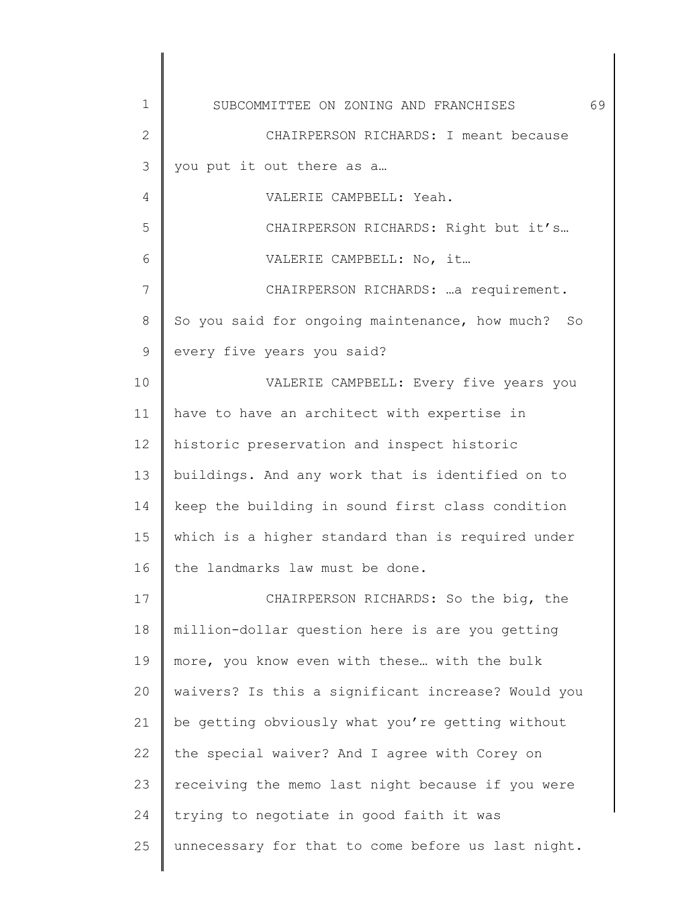| $\mathbf 1$  | 69<br>SUBCOMMITTEE ON ZONING AND FRANCHISES        |
|--------------|----------------------------------------------------|
| $\mathbf{2}$ | CHAIRPERSON RICHARDS: I meant because              |
| 3            | you put it out there as a                          |
| 4            | VALERIE CAMPBELL: Yeah.                            |
| 5            | CHAIRPERSON RICHARDS: Right but it's               |
| 6            | VALERIE CAMPBELL: No, it                           |
| 7            | CHAIRPERSON RICHARDS:  a requirement.              |
| 8            | So you said for ongoing maintenance, how much? So  |
| 9            | every five years you said?                         |
| 10           | VALERIE CAMPBELL: Every five years you             |
| 11           | have to have an architect with expertise in        |
| 12           | historic preservation and inspect historic         |
| 13           | buildings. And any work that is identified on to   |
| 14           | keep the building in sound first class condition   |
| 15           | which is a higher standard than is required under  |
| 16           | the landmarks law must be done.                    |
| 17           | CHAIRPERSON RICHARDS: So the big, the              |
| 18           | million-dollar question here is are you getting    |
| 19           | more, you know even with these with the bulk       |
| 20           | waivers? Is this a significant increase? Would you |
| 21           | be getting obviously what you're getting without   |
| 22           | the special waiver? And I agree with Corey on      |
| 23           | receiving the memo last night because if you were  |
| 24           | trying to negotiate in good faith it was           |
| 25           | unnecessary for that to come before us last night. |
|              |                                                    |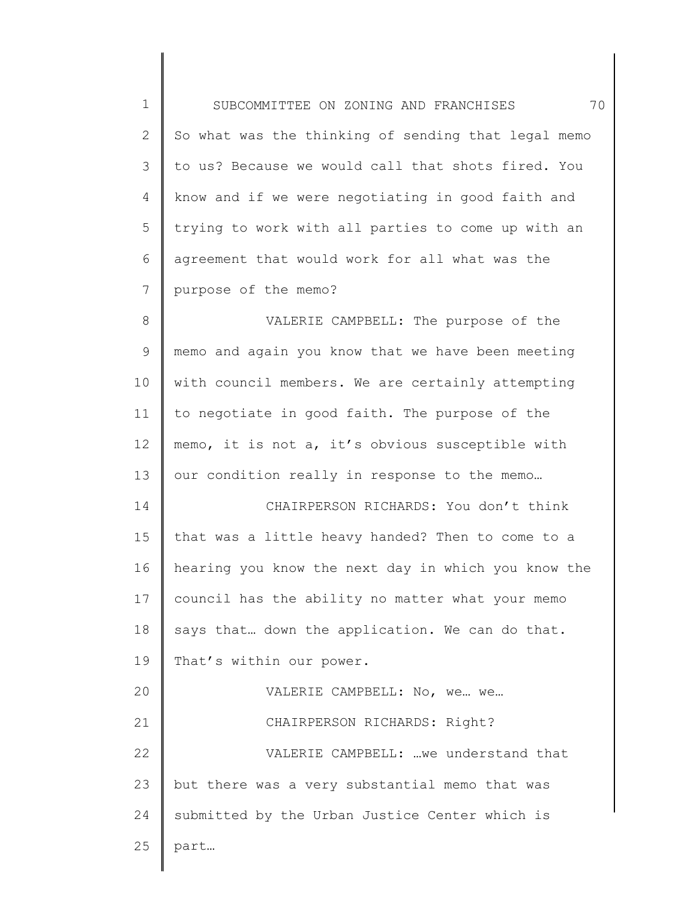1 2 3 4 5 6 7 8 9 10 11 12 13 14 15 16 17 18 19 20 21 22 23 24 25 SUBCOMMITTEE ON ZONING AND FRANCHISES 70 So what was the thinking of sending that legal memo to us? Because we would call that shots fired. You know and if we were negotiating in good faith and trying to work with all parties to come up with an agreement that would work for all what was the purpose of the memo? VALERIE CAMPBELL: The purpose of the memo and again you know that we have been meeting with council members. We are certainly attempting to negotiate in good faith. The purpose of the memo, it is not a, it's obvious susceptible with our condition really in response to the memo… CHAIRPERSON RICHARDS: You don't think that was a little heavy handed? Then to come to a hearing you know the next day in which you know the council has the ability no matter what your memo says that… down the application. We can do that. That's within our power. VALERIE CAMPBELL: No, we… we… CHAIRPERSON RICHARDS: Right? VALERIE CAMPBELL: …we understand that but there was a very substantial memo that was submitted by the Urban Justice Center which is part…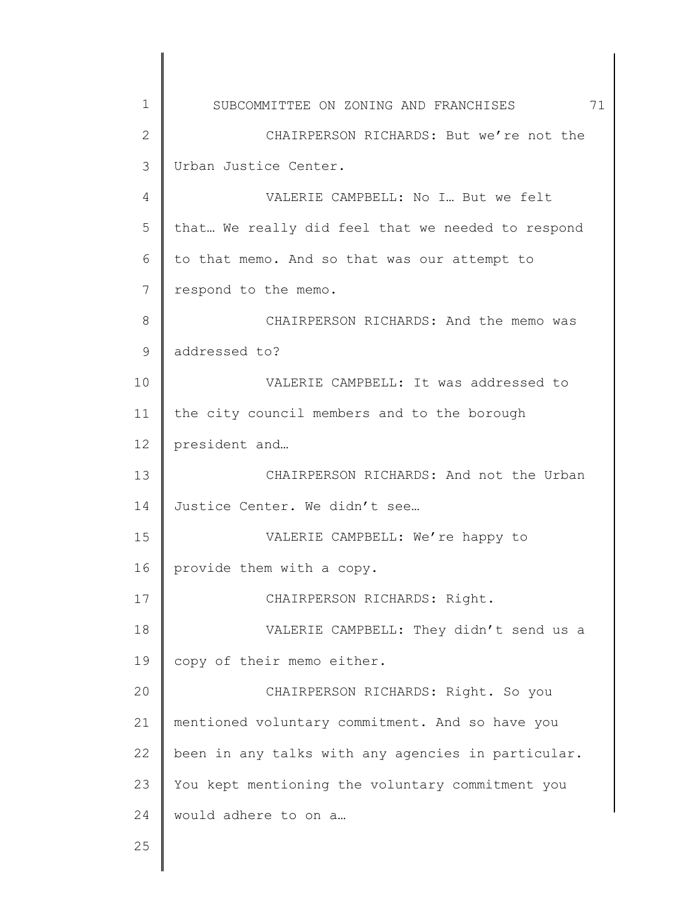| $\mathbf 1$       | 71<br>SUBCOMMITTEE ON ZONING AND FRANCHISES        |
|-------------------|----------------------------------------------------|
| $\overline{2}$    | CHAIRPERSON RICHARDS: But we're not the            |
| 3                 | Urban Justice Center.                              |
| 4                 | VALERIE CAMPBELL: No I But we felt                 |
| 5                 | that We really did feel that we needed to respond  |
| 6                 | to that memo. And so that was our attempt to       |
| 7                 | respond to the memo.                               |
| 8                 | CHAIRPERSON RICHARDS: And the memo was             |
| 9                 | addressed to?                                      |
| 10                | VALERIE CAMPBELL: It was addressed to              |
| 11                | the city council members and to the borough        |
| $12 \overline{ }$ | president and                                      |
| 13                | CHAIRPERSON RICHARDS: And not the Urban            |
| 14                | Justice Center. We didn't see                      |
| 15                | VALERIE CAMPBELL: We're happy to                   |
| 16                | provide them with a copy.                          |
| 17                | CHAIRPERSON RICHARDS: Right.                       |
| 18                | VALERIE CAMPBELL: They didn't send us a            |
| 19                | copy of their memo either.                         |
| 20                | CHAIRPERSON RICHARDS: Right. So you                |
| 21                | mentioned voluntary commitment. And so have you    |
| 22                | been in any talks with any agencies in particular. |
| 23                | You kept mentioning the voluntary commitment you   |
| 24                | would adhere to on a                               |
| 25                |                                                    |
|                   |                                                    |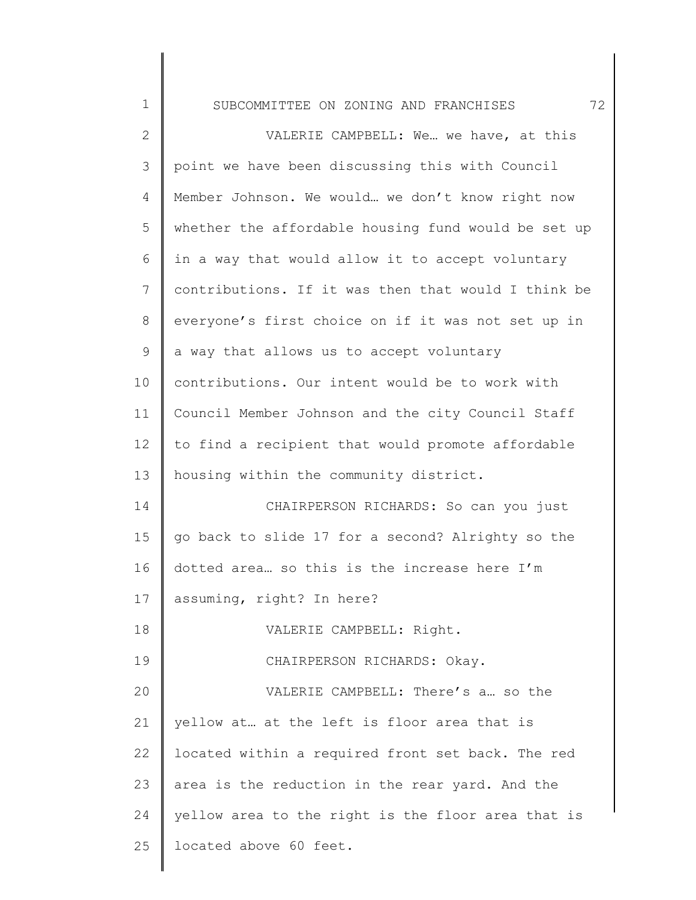## SUBCOMMITTEE ON ZONING AND FRANCHISES 72

1

2 3 4 5 6 7 8 9 10 11 12 13 14 15 16 17 18 19 20 21 22 23 24 25 VALERIE CAMPBELL: We… we have, at this point we have been discussing this with Council Member Johnson. We would… we don't know right now whether the affordable housing fund would be set up in a way that would allow it to accept voluntary contributions. If it was then that would I think be everyone's first choice on if it was not set up in a way that allows us to accept voluntary contributions. Our intent would be to work with Council Member Johnson and the city Council Staff to find a recipient that would promote affordable housing within the community district. CHAIRPERSON RICHARDS: So can you just go back to slide 17 for a second? Alrighty so the dotted area… so this is the increase here I'm assuming, right? In here? VALERIE CAMPBELL: Right. CHAIRPERSON RICHARDS: Okay. VALERIE CAMPBELL: There's a… so the yellow at… at the left is floor area that is located within a required front set back. The red area is the reduction in the rear yard. And the yellow area to the right is the floor area that is located above 60 feet.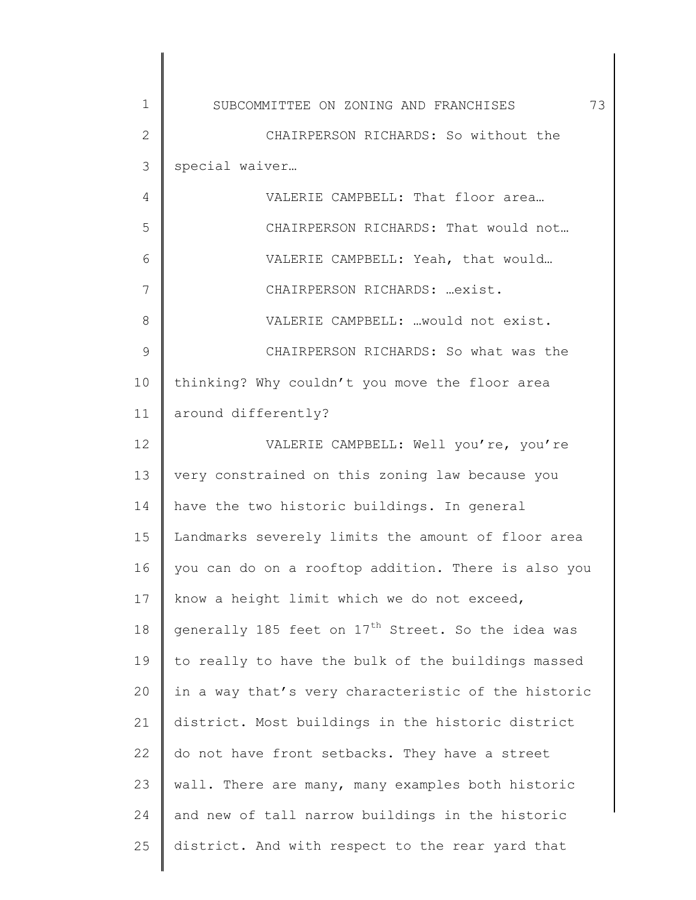| $\mathbf 1$   | 73<br>SUBCOMMITTEE ON ZONING AND FRANCHISES                    |
|---------------|----------------------------------------------------------------|
| $\mathbf{2}$  | CHAIRPERSON RICHARDS: So without the                           |
| 3             | special waiver                                                 |
| 4             | VALERIE CAMPBELL: That floor area                              |
| 5             | CHAIRPERSON RICHARDS: That would not                           |
| 6             | VALERIE CAMPBELL: Yeah, that would                             |
| 7             | CHAIRPERSON RICHARDS:  exist.                                  |
| 8             | VALERIE CAMPBELL:  would not exist.                            |
| $\mathcal{G}$ | CHAIRPERSON RICHARDS: So what was the                          |
| 10            | thinking? Why couldn't you move the floor area                 |
| 11            | around differently?                                            |
| 12            | VALERIE CAMPBELL: Well you're, you're                          |
| 13            | very constrained on this zoning law because you                |
| 14            | have the two historic buildings. In general                    |
| 15            | Landmarks severely limits the amount of floor area             |
| 16            | you can do on a rooftop addition. There is also you            |
| 17            | know a height limit which we do not exceed,                    |
| 18            | generally 185 feet on 17 <sup>th</sup> Street. So the idea was |
| 19            | to really to have the bulk of the buildings massed             |
| 20            | in a way that's very characteristic of the historic            |
| 21            | district. Most buildings in the historic district              |
| 22            | do not have front setbacks. They have a street                 |
| 23            | wall. There are many, many examples both historic              |
| 24            | and new of tall narrow buildings in the historic               |
| 25            | district. And with respect to the rear yard that               |
|               |                                                                |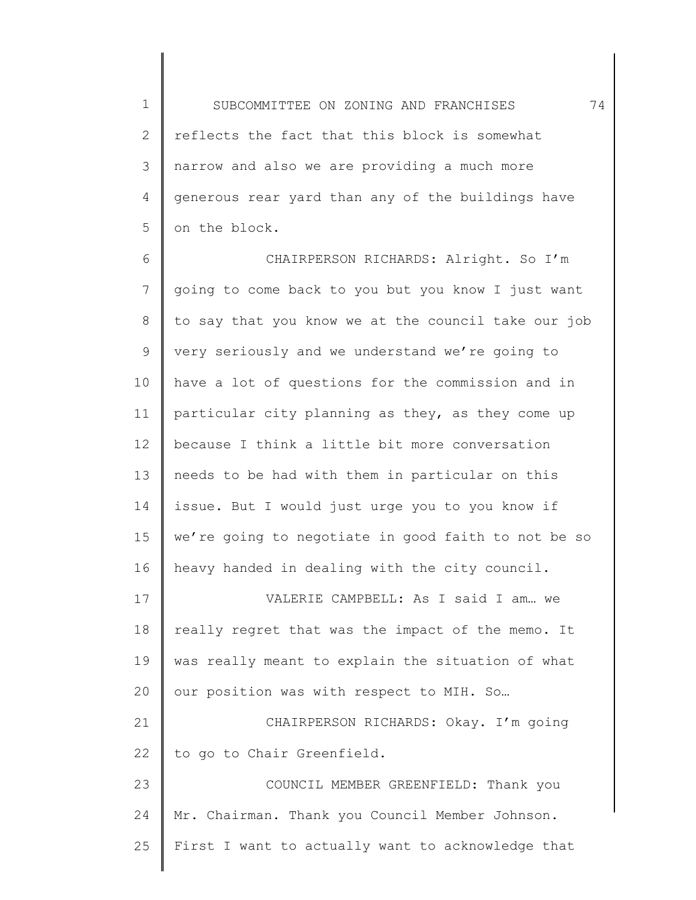1 2 3 4 5 SUBCOMMITTEE ON ZONING AND FRANCHISES 74 reflects the fact that this block is somewhat narrow and also we are providing a much more generous rear yard than any of the buildings have on the block.

6 7 8 9 10 11 12 13 14 15 16 17 CHAIRPERSON RICHARDS: Alright. So I'm going to come back to you but you know I just want to say that you know we at the council take our job very seriously and we understand we're going to have a lot of questions for the commission and in particular city planning as they, as they come up because I think a little bit more conversation needs to be had with them in particular on this issue. But I would just urge you to you know if we're going to negotiate in good faith to not be so heavy handed in dealing with the city council. VALERIE CAMPBELL: As I said I am… we

18 19 20 really regret that was the impact of the memo. It was really meant to explain the situation of what our position was with respect to MIH. So…

21 22 CHAIRPERSON RICHARDS: Okay. I'm going to go to Chair Greenfield.

23 24 25 COUNCIL MEMBER GREENFIELD: Thank you Mr. Chairman. Thank you Council Member Johnson. First I want to actually want to acknowledge that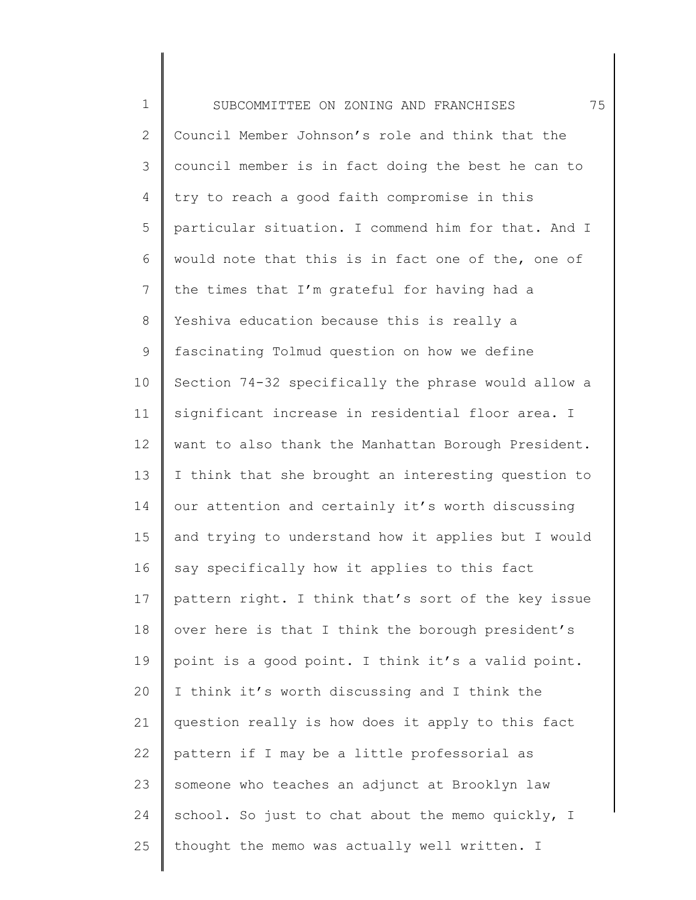| $\mathbf 1$    | 75<br>SUBCOMMITTEE ON ZONING AND FRANCHISES         |
|----------------|-----------------------------------------------------|
| $\overline{2}$ | Council Member Johnson's role and think that the    |
| 3              | council member is in fact doing the best he can to  |
| 4              | try to reach a good faith compromise in this        |
| 5              | particular situation. I commend him for that. And I |
| 6              | would note that this is in fact one of the, one of  |
| 7              | the times that I'm grateful for having had a        |
| 8              | Yeshiva education because this is really a          |
| $\mathsf 9$    | fascinating Tolmud question on how we define        |
| 10             | Section 74-32 specifically the phrase would allow a |
| 11             | significant increase in residential floor area. I   |
| 12             | want to also thank the Manhattan Borough President. |
| 13             | I think that she brought an interesting question to |
| 14             | our attention and certainly it's worth discussing   |
| 15             | and trying to understand how it applies but I would |
| 16             | say specifically how it applies to this fact        |
| 17             | pattern right. I think that's sort of the key issue |
| 18             | over here is that I think the borough president's   |
| 19             | point is a good point. I think it's a valid point.  |
| 20             | I think it's worth discussing and I think the       |
| 21             | question really is how does it apply to this fact   |
| 22             | pattern if I may be a little professorial as        |
| 23             | someone who teaches an adjunct at Brooklyn law      |
| 24             | school. So just to chat about the memo quickly, I   |
| 25             | thought the memo was actually well written. I       |
|                |                                                     |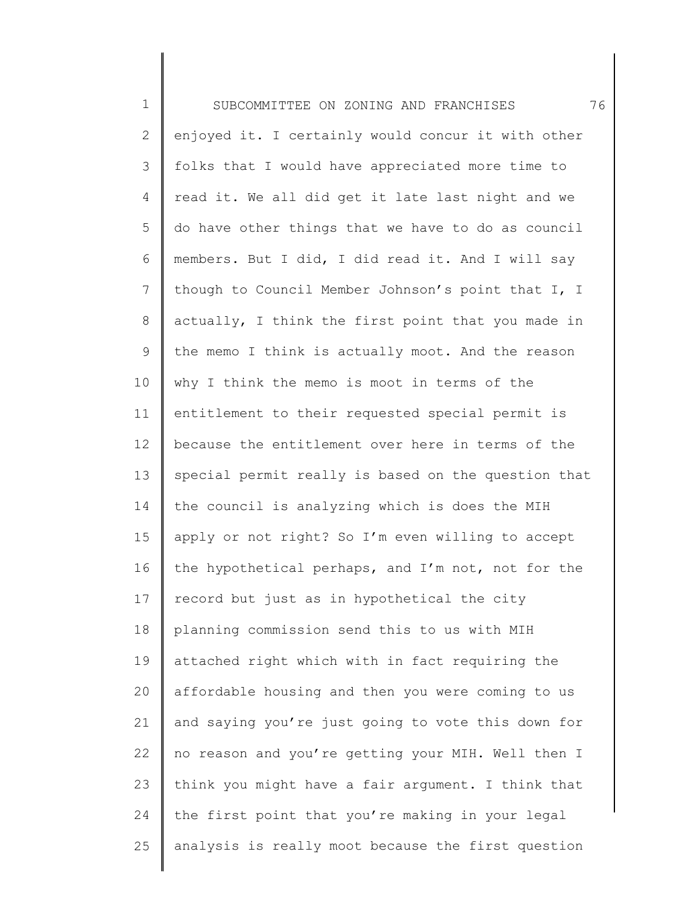1 2 3 4 5 6 7 8 9 10 11 12 13 14 15 16 17 18 19 20 21 22 23 24 25 SUBCOMMITTEE ON ZONING AND FRANCHISES 76 enjoyed it. I certainly would concur it with other folks that I would have appreciated more time to read it. We all did get it late last night and we do have other things that we have to do as council members. But I did, I did read it. And I will say though to Council Member Johnson's point that I, I actually, I think the first point that you made in the memo I think is actually moot. And the reason why I think the memo is moot in terms of the entitlement to their requested special permit is because the entitlement over here in terms of the special permit really is based on the question that the council is analyzing which is does the MIH apply or not right? So I'm even willing to accept the hypothetical perhaps, and I'm not, not for the record but just as in hypothetical the city planning commission send this to us with MIH attached right which with in fact requiring the affordable housing and then you were coming to us and saying you're just going to vote this down for no reason and you're getting your MIH. Well then I think you might have a fair argument. I think that the first point that you're making in your legal analysis is really moot because the first question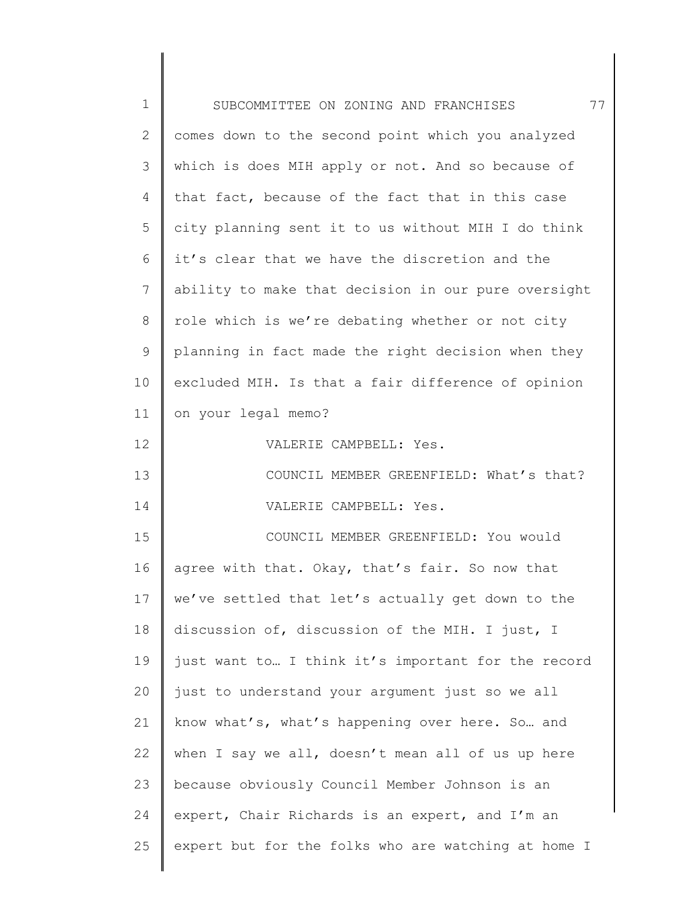| $\mathbf 1$ | 77<br>SUBCOMMITTEE ON ZONING AND FRANCHISES         |
|-------------|-----------------------------------------------------|
| 2           | comes down to the second point which you analyzed   |
| 3           | which is does MIH apply or not. And so because of   |
| 4           | that fact, because of the fact that in this case    |
| 5           | city planning sent it to us without MIH I do think  |
| 6           | it's clear that we have the discretion and the      |
| 7           | ability to make that decision in our pure oversight |
| 8           | role which is we're debating whether or not city    |
| $\mathsf 9$ | planning in fact made the right decision when they  |
| 10          | excluded MIH. Is that a fair difference of opinion  |
| 11          | on your legal memo?                                 |
| 12          | VALERIE CAMPBELL: Yes.                              |
| 13          | COUNCIL MEMBER GREENFIELD: What's that?             |
| 14          | VALERIE CAMPBELL: Yes.                              |
| 15          | COUNCIL MEMBER GREENFIELD: You would                |
| 16          | agree with that. Okay, that's fair. So now that     |
| 17          | we've settled that let's actually get down to the   |
| 18          | discussion of, discussion of the MIH. I just, I     |
| 19          | just want to I think it's important for the record  |
| 20          | just to understand your argument just so we all     |
| 21          | know what's, what's happening over here. So and     |
| 22          | when I say we all, doesn't mean all of us up here   |
| 23          | because obviously Council Member Johnson is an      |
| 24          | expert, Chair Richards is an expert, and I'm an     |
| 25          | expert but for the folks who are watching at home I |
|             |                                                     |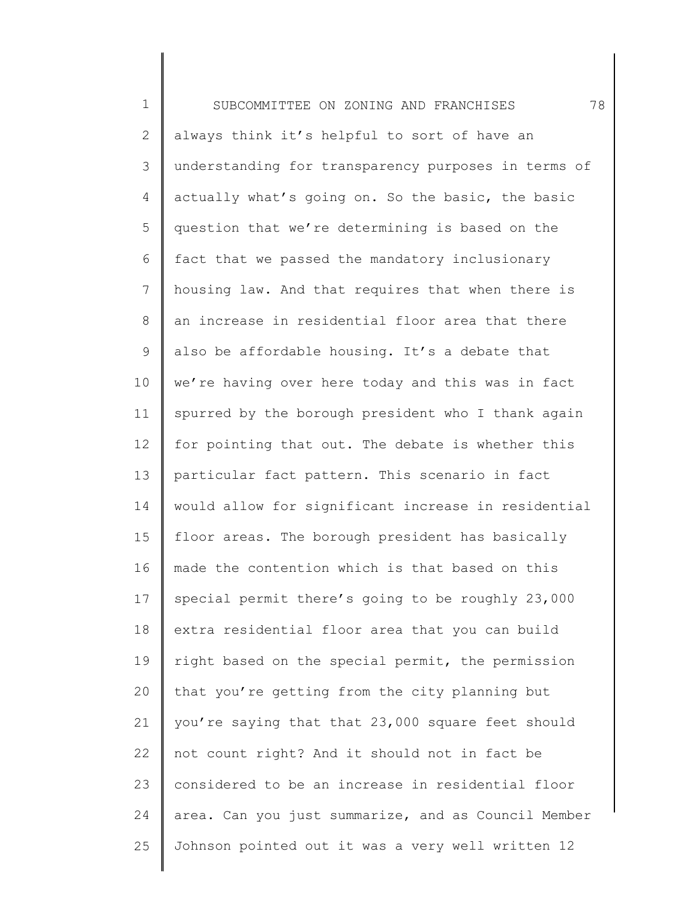1 2 3 4 5 6 7 8 9 10 11 12 13 14 15 16 17 18 19 20 21 22 23 24 25 SUBCOMMITTEE ON ZONING AND FRANCHISES 78 always think it's helpful to sort of have an understanding for transparency purposes in terms of actually what's going on. So the basic, the basic question that we're determining is based on the fact that we passed the mandatory inclusionary housing law. And that requires that when there is an increase in residential floor area that there also be affordable housing. It's a debate that we're having over here today and this was in fact spurred by the borough president who I thank again for pointing that out. The debate is whether this particular fact pattern. This scenario in fact would allow for significant increase in residential floor areas. The borough president has basically made the contention which is that based on this special permit there's going to be roughly 23,000 extra residential floor area that you can build right based on the special permit, the permission that you're getting from the city planning but you're saying that that 23,000 square feet should not count right? And it should not in fact be considered to be an increase in residential floor area. Can you just summarize, and as Council Member Johnson pointed out it was a very well written 12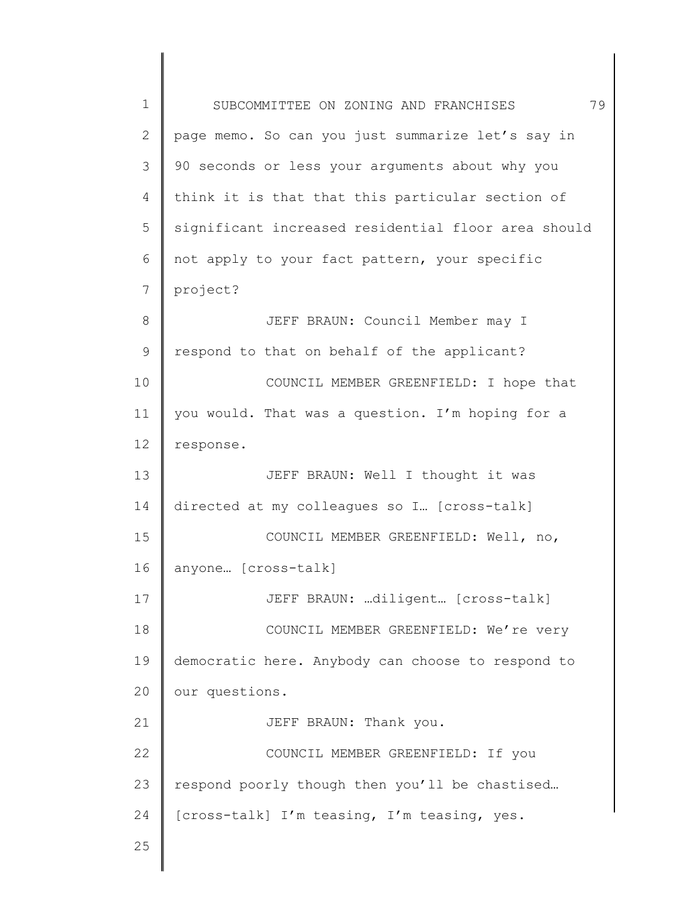1 2 3 4 5 6 7 8 9 10 11 12 13 14 15 16 17 18 19 20 21 22 23 24 25 SUBCOMMITTEE ON ZONING AND FRANCHISES 79 page memo. So can you just summarize let's say in 90 seconds or less your arguments about why you think it is that that this particular section of significant increased residential floor area should not apply to your fact pattern, your specific project? JEFF BRAUN: Council Member may I respond to that on behalf of the applicant? COUNCIL MEMBER GREENFIELD: I hope that you would. That was a question. I'm hoping for a response. JEFF BRAUN: Well I thought it was directed at my colleagues so I… [cross-talk] COUNCIL MEMBER GREENFIELD: Well, no, anyone… [cross-talk] JEFF BRAUN: …diligent… [cross-talk] COUNCIL MEMBER GREENFIELD: We're very democratic here. Anybody can choose to respond to our questions. JEFF BRAUN: Thank you. COUNCIL MEMBER GREENFIELD: If you respond poorly though then you'll be chastised… [cross-talk] I'm teasing, I'm teasing, yes.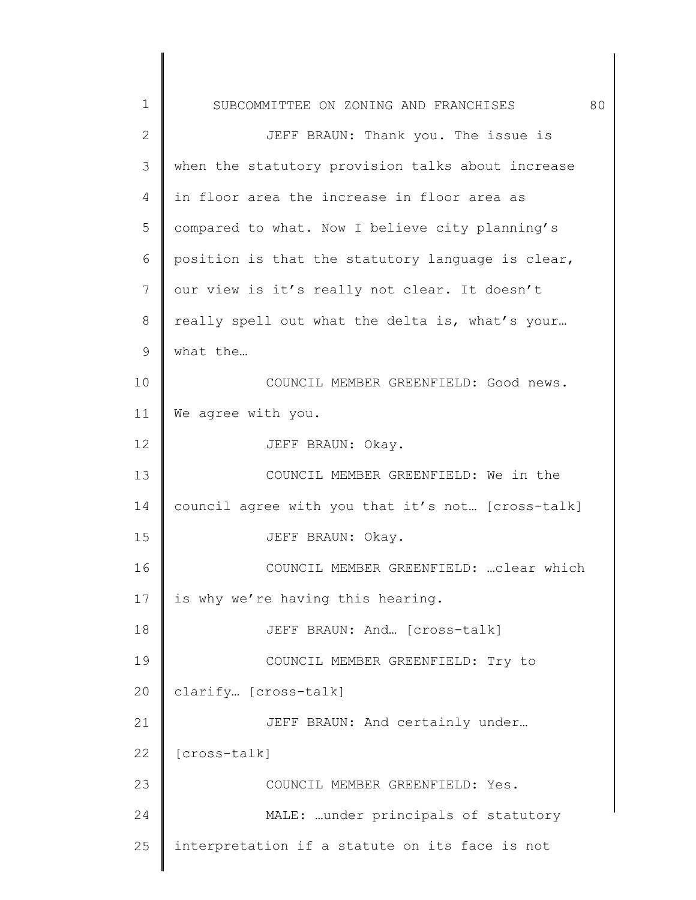| 1           | SUBCOMMITTEE ON ZONING AND FRANCHISES             | 80 |
|-------------|---------------------------------------------------|----|
| 2           | JEFF BRAUN: Thank you. The issue is               |    |
| 3           | when the statutory provision talks about increase |    |
| 4           | in floor area the increase in floor area as       |    |
| 5           | compared to what. Now I believe city planning's   |    |
| 6           | position is that the statutory language is clear, |    |
| 7           | our view is it's really not clear. It doesn't     |    |
| 8           | really spell out what the delta is, what's your   |    |
| $\mathsf 9$ | what the                                          |    |
| 10          | COUNCIL MEMBER GREENFIELD: Good news.             |    |
| 11          | We agree with you.                                |    |
| 12          | JEFF BRAUN: Okay.                                 |    |
| 13          | COUNCIL MEMBER GREENFIELD: We in the              |    |
| 14          | council agree with you that it's not [cross-talk] |    |
| 15          | JEFF BRAUN: Okay.                                 |    |
| 16          | COUNCIL MEMBER GREENFIELD:  clear which           |    |
| 17          | is why we're having this hearing.                 |    |
| 18          | JEFF BRAUN: And [Cross-talk]                      |    |
| 19          | COUNCIL MEMBER GREENFIELD: Try to                 |    |
| 20          | clarify [cross-talk]                              |    |
| 21          | JEFF BRAUN: And certainly under                   |    |
| 22          | [cross-talk]                                      |    |
| 23          | COUNCIL MEMBER GREENFIELD: Yes.                   |    |
| 24          | MALE: under principals of statutory               |    |
| 25          | interpretation if a statute on its face is not    |    |
|             |                                                   |    |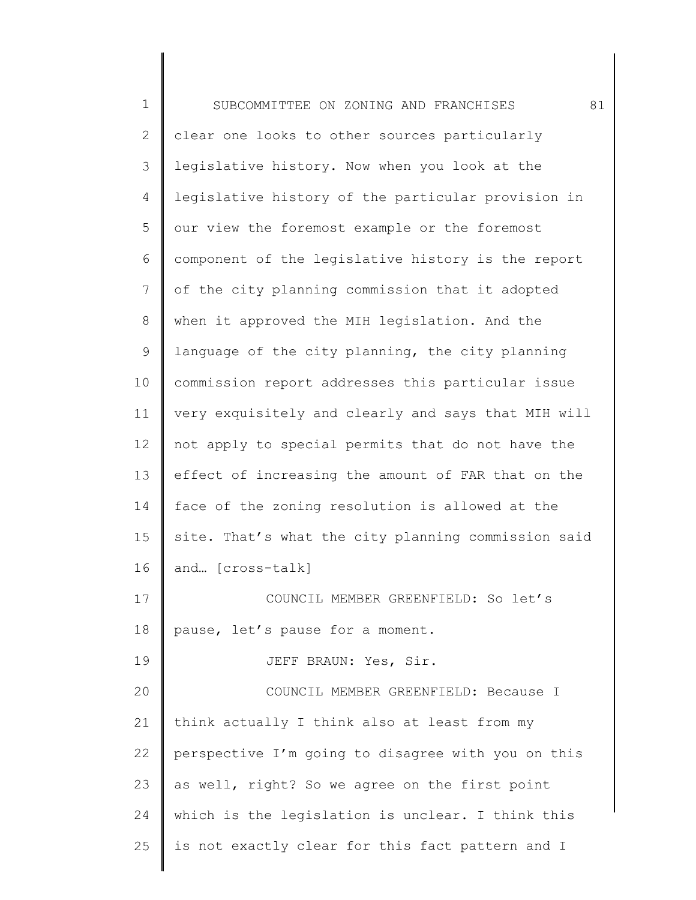1 2 3 4 5 6 7 8 9 10 11 12 13 14 15 16 17 18 19 20 21 22 23 24 25 SUBCOMMITTEE ON ZONING AND FRANCHISES 81 clear one looks to other sources particularly legislative history. Now when you look at the legislative history of the particular provision in our view the foremost example or the foremost component of the legislative history is the report of the city planning commission that it adopted when it approved the MIH legislation. And the language of the city planning, the city planning commission report addresses this particular issue very exquisitely and clearly and says that MIH will not apply to special permits that do not have the effect of increasing the amount of FAR that on the face of the zoning resolution is allowed at the site. That's what the city planning commission said and… [cross-talk] COUNCIL MEMBER GREENFIELD: So let's pause, let's pause for a moment. JEFF BRAUN: Yes, Sir. COUNCIL MEMBER GREENFIELD: Because I think actually I think also at least from my perspective I'm going to disagree with you on this as well, right? So we agree on the first point which is the legislation is unclear. I think this is not exactly clear for this fact pattern and I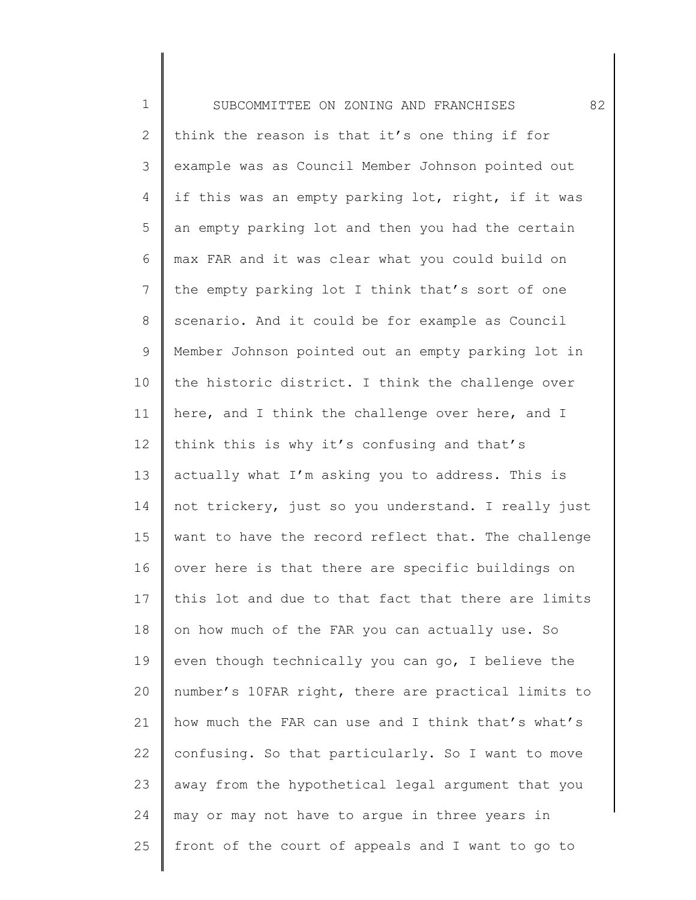1 2 3 4 5 6 7 8 9 10 11 12 13 14 15 16 17 18 19 20 21 22 23 24 25 SUBCOMMITTEE ON ZONING AND FRANCHISES 82 think the reason is that it's one thing if for example was as Council Member Johnson pointed out if this was an empty parking lot, right, if it was an empty parking lot and then you had the certain max FAR and it was clear what you could build on the empty parking lot I think that's sort of one scenario. And it could be for example as Council Member Johnson pointed out an empty parking lot in the historic district. I think the challenge over here, and I think the challenge over here, and I think this is why it's confusing and that's actually what I'm asking you to address. This is not trickery, just so you understand. I really just want to have the record reflect that. The challenge over here is that there are specific buildings on this lot and due to that fact that there are limits on how much of the FAR you can actually use. So even though technically you can go, I believe the number's 10FAR right, there are practical limits to how much the FAR can use and I think that's what's confusing. So that particularly. So I want to move away from the hypothetical legal argument that you may or may not have to argue in three years in front of the court of appeals and I want to go to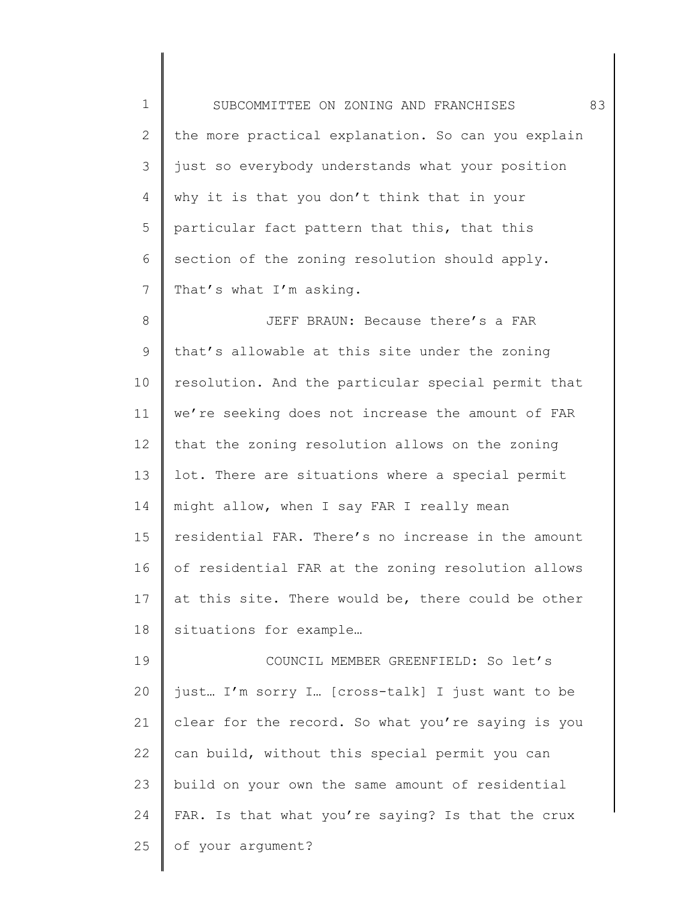| $\mathbf 1$ | 83<br>SUBCOMMITTEE ON ZONING AND FRANCHISES        |
|-------------|----------------------------------------------------|
| 2           | the more practical explanation. So can you explain |
| 3           | just so everybody understands what your position   |
| 4           | why it is that you don't think that in your        |
| 5           | particular fact pattern that this, that this       |
| 6           | section of the zoning resolution should apply.     |
| 7           | That's what I'm asking.                            |
| 8           | JEFF BRAUN: Because there's a FAR                  |
| 9           | that's allowable at this site under the zoning     |
| 10          | resolution. And the particular special permit that |
| 11          | we're seeking does not increase the amount of FAR  |
| 12          | that the zoning resolution allows on the zoning    |
| 13          | lot. There are situations where a special permit   |
| 14          | might allow, when I say FAR I really mean          |
| 15          | residential FAR. There's no increase in the amount |
| 16          | of residential FAR at the zoning resolution allows |
| 17          | at this site. There would be, there could be other |
| 18          | situations for example                             |
| 19          | COUNCIL MEMBER GREENFIELD: So let's                |
| 20          | just I'm sorry I [cross-talk] I just want to be    |
| 21          | clear for the record. So what you're saying is you |
| 22          | can build, without this special permit you can     |
| 23          | build on your own the same amount of residential   |
| 24          | FAR. Is that what you're saying? Is that the crux  |
| 25          | of your argument?                                  |
|             |                                                    |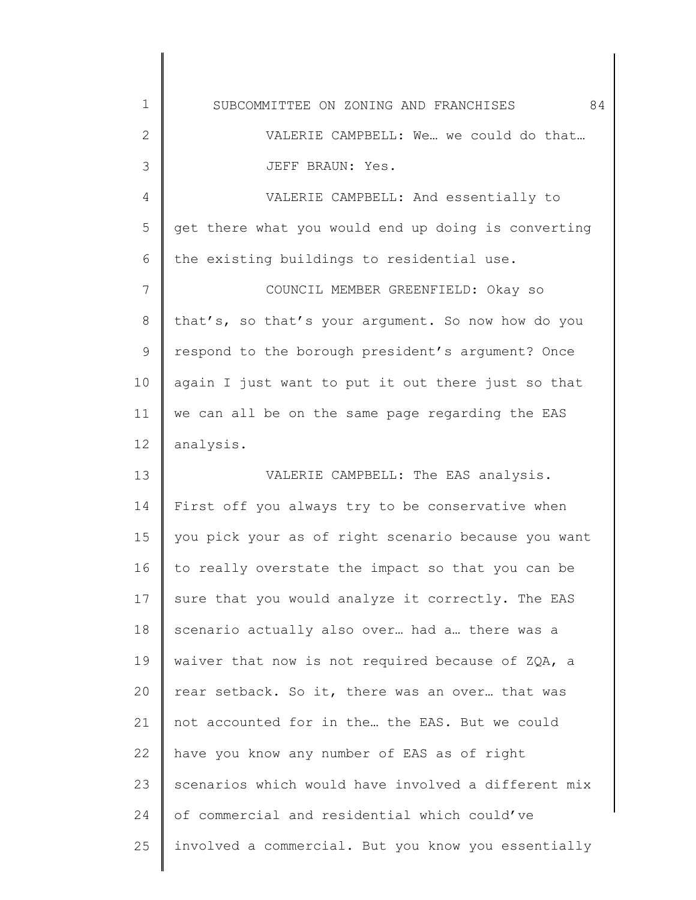| $\mathbf 1$  | 84<br>SUBCOMMITTEE ON ZONING AND FRANCHISES         |
|--------------|-----------------------------------------------------|
| $\mathbf{2}$ | VALERIE CAMPBELL: We we could do that               |
| 3            | JEFF BRAUN: Yes.                                    |
| 4            | VALERIE CAMPBELL: And essentially to                |
| 5            | get there what you would end up doing is converting |
| 6            | the existing buildings to residential use.          |
| 7            | COUNCIL MEMBER GREENFIELD: Okay so                  |
| 8            | that's, so that's your argument. So now how do you  |
| $\mathsf 9$  | respond to the borough president's argument? Once   |
| 10           | again I just want to put it out there just so that  |
| 11           | we can all be on the same page regarding the EAS    |
| 12           | analysis.                                           |
| 13           | VALERIE CAMPBELL: The EAS analysis.                 |
| 14           | First off you always try to be conservative when    |
| 15           | you pick your as of right scenario because you want |
| 16           | to really overstate the impact so that you can be   |
| 17           | sure that you would analyze it correctly. The EAS   |
| 18           | scenario actually also over had a there was a       |
| 19           | waiver that now is not required because of ZQA, a   |
| 20           | rear setback. So it, there was an over that was     |
| 21           | not accounted for in the the EAS. But we could      |
| 22           | have you know any number of EAS as of right         |
| 23           | scenarios which would have involved a different mix |
| 24           | of commercial and residential which could've        |
| 25           | involved a commercial. But you know you essentially |
|              |                                                     |

∥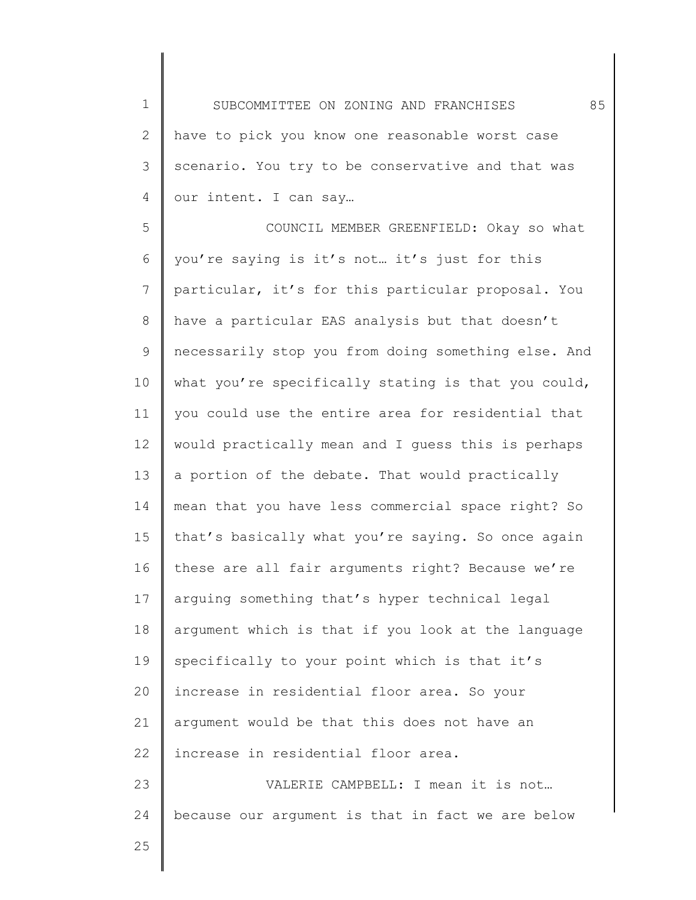1 2 3 4 SUBCOMMITTEE ON ZONING AND FRANCHISES 85 have to pick you know one reasonable worst case scenario. You try to be conservative and that was our intent. I can say…

5 6 7 8 9 10 11 12 13 14 15 16 17 18 19 20 21 22 23 COUNCIL MEMBER GREENFIELD: Okay so what you're saying is it's not… it's just for this particular, it's for this particular proposal. You have a particular EAS analysis but that doesn't necessarily stop you from doing something else. And what you're specifically stating is that you could, you could use the entire area for residential that would practically mean and I guess this is perhaps a portion of the debate. That would practically mean that you have less commercial space right? So that's basically what you're saying. So once again these are all fair arguments right? Because we're arguing something that's hyper technical legal argument which is that if you look at the language specifically to your point which is that it's increase in residential floor area. So your argument would be that this does not have an increase in residential floor area. VALERIE CAMPBELL: I mean it is not…

because our argument is that in fact we are below

25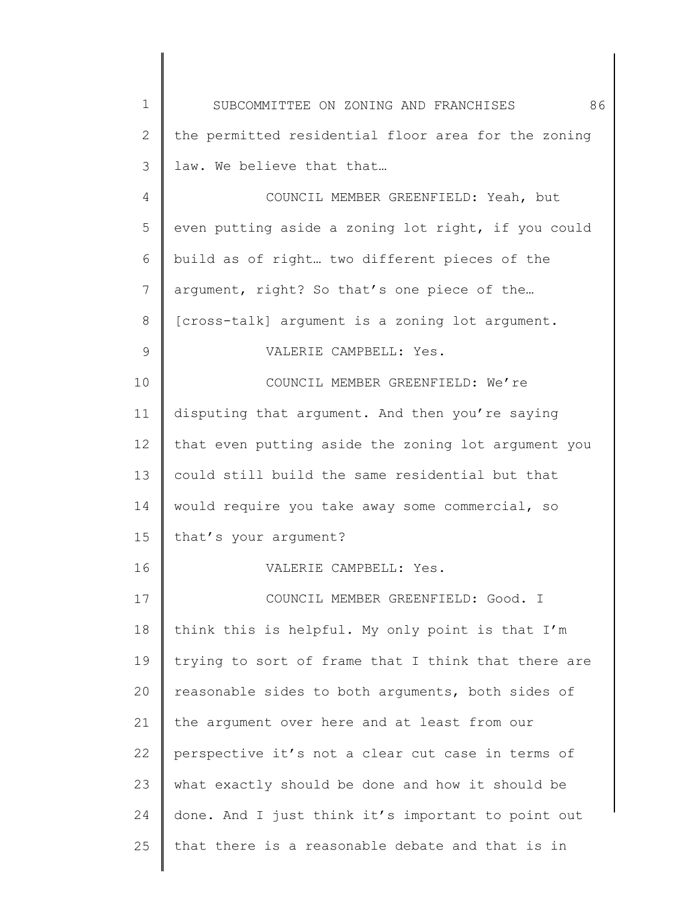| $\mathbf 1$ | 86<br>SUBCOMMITTEE ON ZONING AND FRANCHISES         |
|-------------|-----------------------------------------------------|
| 2           | the permitted residential floor area for the zoning |
| 3           | law. We believe that that                           |
| 4           | COUNCIL MEMBER GREENFIELD: Yeah, but                |
| 5           | even putting aside a zoning lot right, if you could |
| 6           | build as of right two different pieces of the       |
| 7           | argument, right? So that's one piece of the         |
| 8           | [cross-talk] argument is a zoning lot argument.     |
| 9           | VALERIE CAMPBELL: Yes.                              |
| 10          | COUNCIL MEMBER GREENFIELD: We're                    |
| 11          | disputing that argument. And then you're saying     |
| 12          | that even putting aside the zoning lot argument you |
| 13          | could still build the same residential but that     |
| 14          | would require you take away some commercial, so     |
| 15          | that's your argument?                               |
| 16          | VALERIE CAMPBELL: Yes.                              |
| 17          | COUNCIL MEMBER GREENFIELD: Good. I                  |
| 18          | think this is helpful. My only point is that I'm    |
| 19          | trying to sort of frame that I think that there are |
| 20          | reasonable sides to both arguments, both sides of   |
| 21          | the argument over here and at least from our        |
| 22          | perspective it's not a clear cut case in terms of   |
| 23          | what exactly should be done and how it should be    |
| 24          | done. And I just think it's important to point out  |
| 25          | that there is a reasonable debate and that is in    |
|             |                                                     |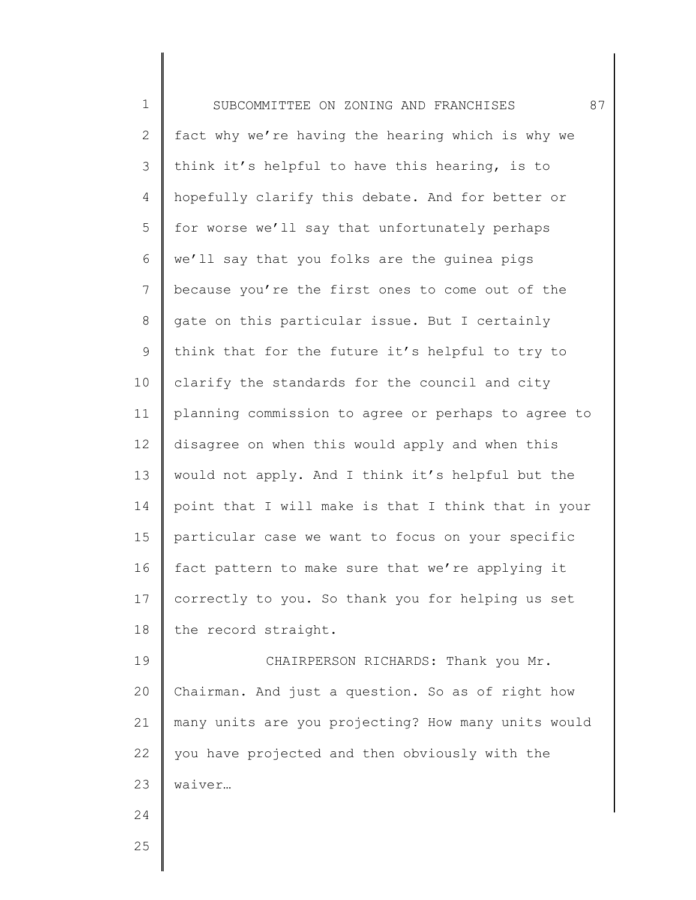| $\mathbf 1$    | 87<br>SUBCOMMITTEE ON ZONING AND FRANCHISES         |
|----------------|-----------------------------------------------------|
| $\mathbf{2}$   | fact why we're having the hearing which is why we   |
| 3              | think it's helpful to have this hearing, is to      |
| 4              | hopefully clarify this debate. And for better or    |
| 5              | for worse we'll say that unfortunately perhaps      |
| 6              | we'll say that you folks are the guinea pigs        |
| $\overline{7}$ | because you're the first ones to come out of the    |
| $\,8\,$        | gate on this particular issue. But I certainly      |
| $\mathsf 9$    | think that for the future it's helpful to try to    |
| 10             | clarify the standards for the council and city      |
| 11             | planning commission to agree or perhaps to agree to |
| 12             | disagree on when this would apply and when this     |
| 13             | would not apply. And I think it's helpful but the   |
| 14             | point that I will make is that I think that in your |
| 15             | particular case we want to focus on your specific   |
| 16             | fact pattern to make sure that we're applying it    |
| 17             | correctly to you. So thank you for helping us set   |
| 18             | the record straight.                                |
| 19             | CHAIRPERSON RICHARDS: Thank you Mr.                 |
| 20             | Chairman. And just a question. So as of right how   |
| 21             | many units are you projecting? How many units would |
| 22             | you have projected and then obviously with the      |
| 23             | waiver                                              |
| 24             |                                                     |
| 25             |                                                     |
|                |                                                     |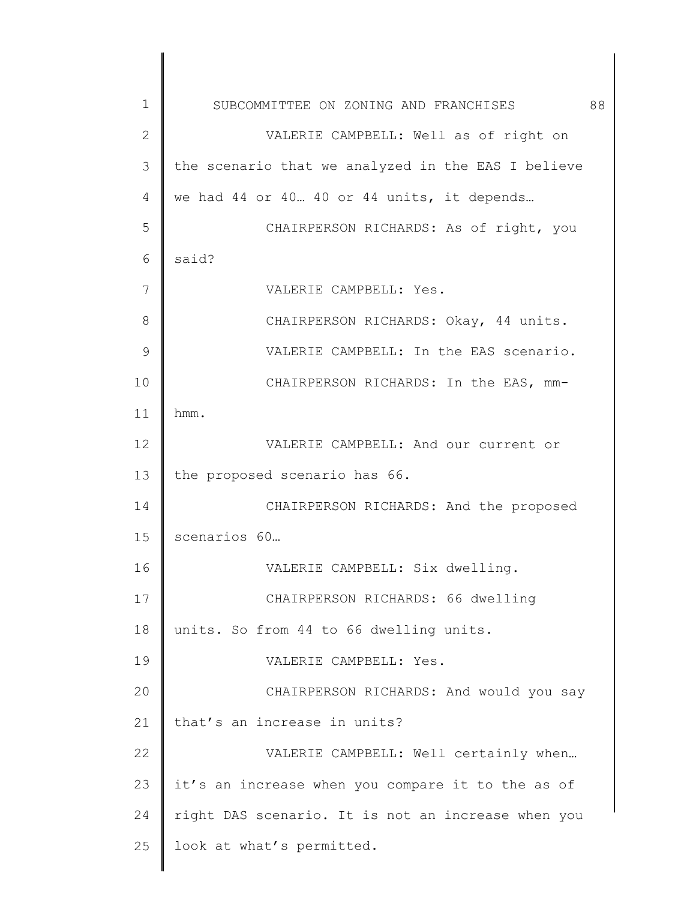1 2 3 4 5 6 7 8 9 10 11 12 13 14 15 16 17 18 19 20 21 22 23 24 25 SUBCOMMITTEE ON ZONING AND FRANCHISES 88 VALERIE CAMPBELL: Well as of right on the scenario that we analyzed in the EAS I believe we had 44 or 40… 40 or 44 units, it depends… CHAIRPERSON RICHARDS: As of right, you said? VALERIE CAMPBELL: Yes. CHAIRPERSON RICHARDS: Okay, 44 units. VALERIE CAMPBELL: In the EAS scenario. CHAIRPERSON RICHARDS: In the EAS, mmhmm. VALERIE CAMPBELL: And our current or the proposed scenario has 66. CHAIRPERSON RICHARDS: And the proposed scenarios 60… VALERIE CAMPBELL: Six dwelling. CHAIRPERSON RICHARDS: 66 dwelling units. So from 44 to 66 dwelling units. VALERIE CAMPBELL: Yes. CHAIRPERSON RICHARDS: And would you say that's an increase in units? VALERIE CAMPBELL: Well certainly when… it's an increase when you compare it to the as of right DAS scenario. It is not an increase when you look at what's permitted.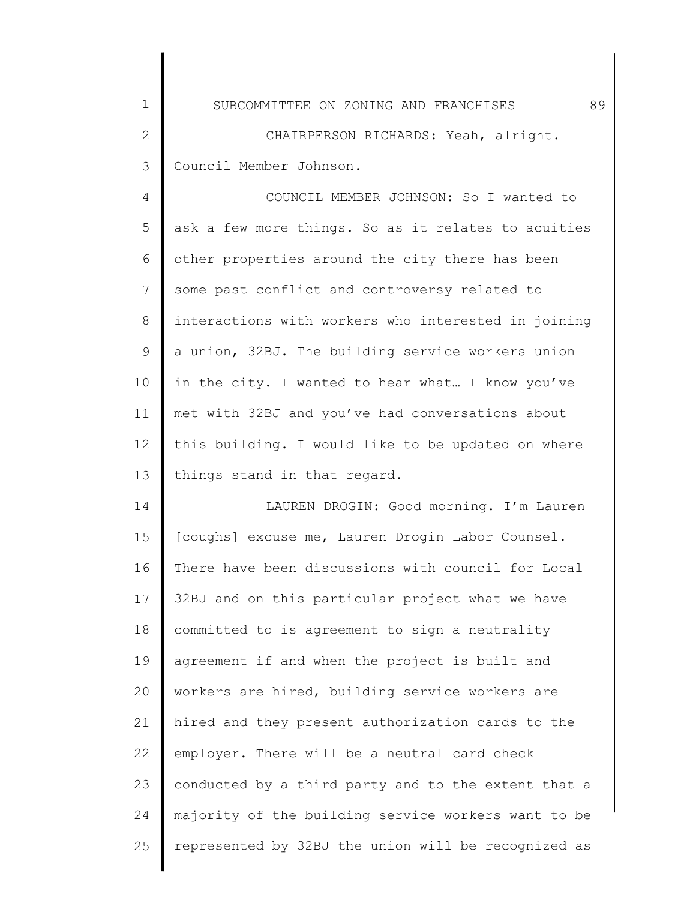2 3 CHAIRPERSON RICHARDS: Yeah, alright. Council Member Johnson.

1

4 5 6 7 8 9 10 11 12 13 COUNCIL MEMBER JOHNSON: So I wanted to ask a few more things. So as it relates to acuities other properties around the city there has been some past conflict and controversy related to interactions with workers who interested in joining a union, 32BJ. The building service workers union in the city. I wanted to hear what… I know you've met with 32BJ and you've had conversations about this building. I would like to be updated on where things stand in that regard.

14 15 16 17 18 19 20 21 22 23 24 25 LAUREN DROGIN: Good morning. I'm Lauren [coughs] excuse me, Lauren Drogin Labor Counsel. There have been discussions with council for Local 32BJ and on this particular project what we have committed to is agreement to sign a neutrality agreement if and when the project is built and workers are hired, building service workers are hired and they present authorization cards to the employer. There will be a neutral card check conducted by a third party and to the extent that a majority of the building service workers want to be represented by 32BJ the union will be recognized as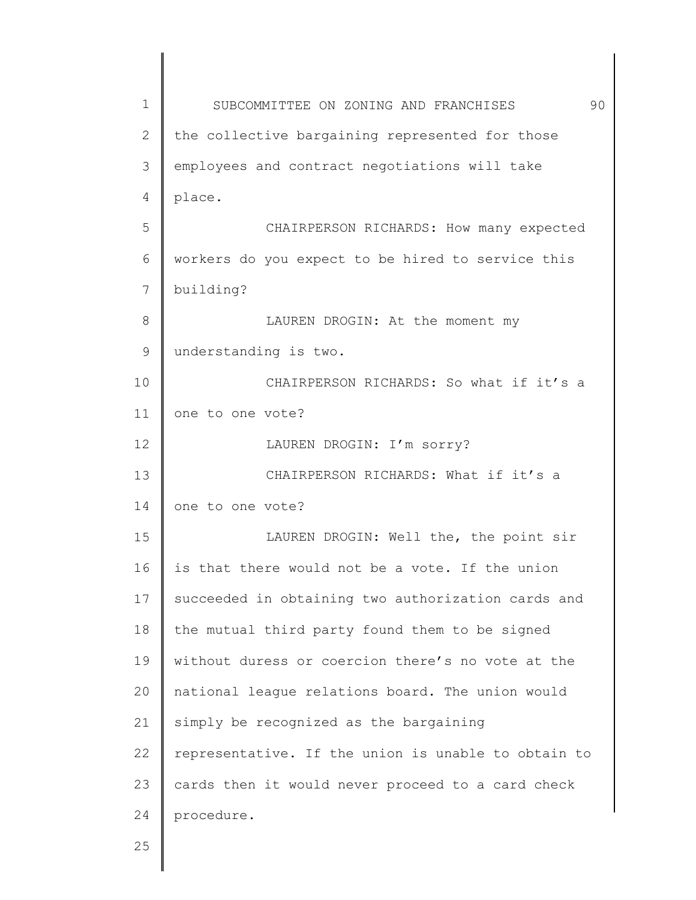| $\mathbf 1$    | 90<br>SUBCOMMITTEE ON ZONING AND FRANCHISES         |
|----------------|-----------------------------------------------------|
| $\overline{2}$ | the collective bargaining represented for those     |
| 3              | employees and contract negotiations will take       |
| 4              | place.                                              |
| 5              | CHAIRPERSON RICHARDS: How many expected             |
| 6              | workers do you expect to be hired to service this   |
| 7              | building?                                           |
| 8              | LAUREN DROGIN: At the moment my                     |
| 9              | understanding is two.                               |
| 10             | CHAIRPERSON RICHARDS: So what if it's a             |
| 11             | one to one vote?                                    |
| 12             | LAUREN DROGIN: I'm sorry?                           |
| 13             | CHAIRPERSON RICHARDS: What if it's a                |
| 14             | one to one vote?                                    |
| 15             | LAUREN DROGIN: Well the, the point sir              |
| 16             | is that there would not be a vote. If the union     |
| 17             | succeeded in obtaining two authorization cards and  |
| 18             | the mutual third party found them to be signed      |
| 19             | without duress or coercion there's no vote at the   |
| 20             | national league relations board. The union would    |
| 21             | simply be recognized as the bargaining              |
| 22             | representative. If the union is unable to obtain to |
| 23             | cards then it would never proceed to a card check   |
| 24             | procedure.                                          |
| 25             |                                                     |
|                |                                                     |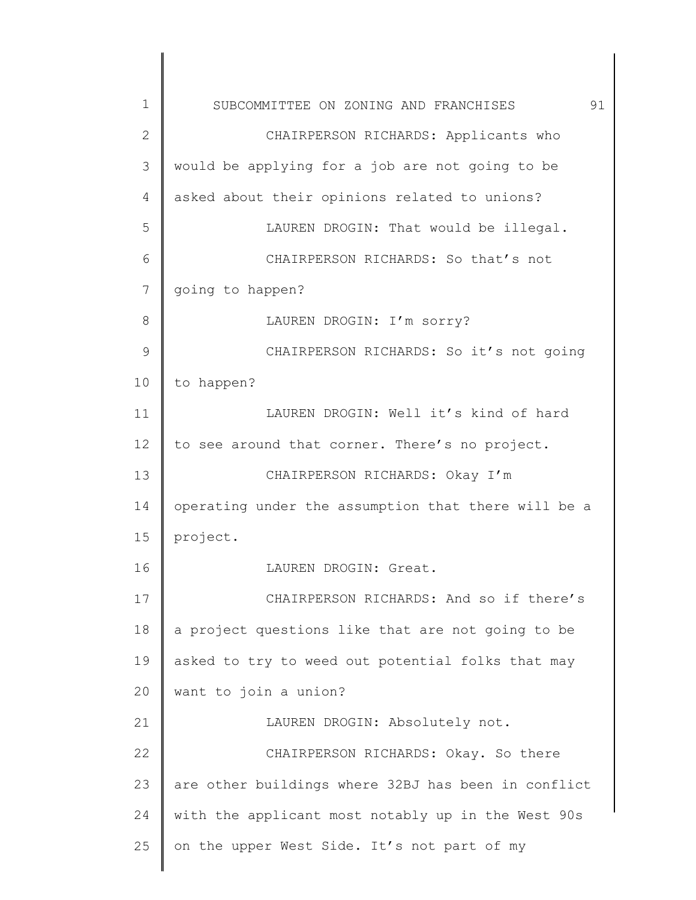1 2 3 4 5 6 7 8 9 10 11 12 13 14 15 16 17 18 19 20 21 22 23 24 25 SUBCOMMITTEE ON ZONING AND FRANCHISES 91 CHAIRPERSON RICHARDS: Applicants who would be applying for a job are not going to be asked about their opinions related to unions? LAUREN DROGIN: That would be illegal. CHAIRPERSON RICHARDS: So that's not going to happen? LAUREN DROGIN: I'm sorry? CHAIRPERSON RICHARDS: So it's not going to happen? LAUREN DROGIN: Well it's kind of hard to see around that corner. There's no project. CHAIRPERSON RICHARDS: Okay I'm operating under the assumption that there will be a project. LAUREN DROGIN: Great. CHAIRPERSON RICHARDS: And so if there's a project questions like that are not going to be asked to try to weed out potential folks that may want to join a union? LAUREN DROGIN: Absolutely not. CHAIRPERSON RICHARDS: Okay. So there are other buildings where 32BJ has been in conflict with the applicant most notably up in the West 90s on the upper West Side. It's not part of my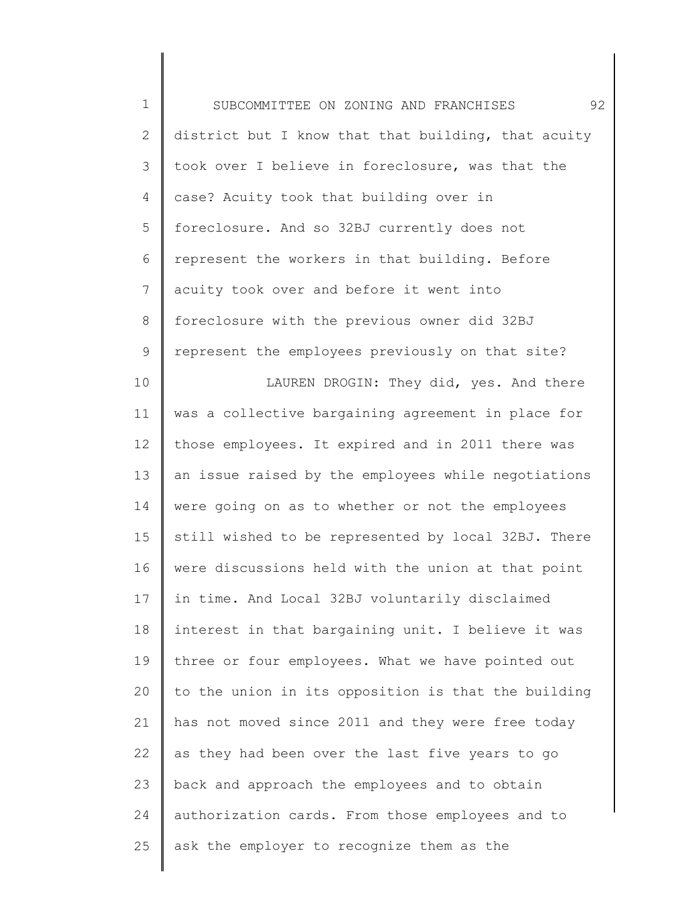| $\mathbf 1$    | 92<br>SUBCOMMITTEE ON ZONING AND FRANCHISES         |
|----------------|-----------------------------------------------------|
| $\overline{2}$ | district but I know that that building, that acuity |
| 3              | took over I believe in foreclosure, was that the    |
| 4              | case? Acuity took that building over in             |
| 5              | foreclosure. And so 32BJ currently does not         |
| 6              | represent the workers in that building. Before      |
| $\overline{7}$ | acuity took over and before it went into            |
| $\,8\,$        | foreclosure with the previous owner did 32BJ        |
| $\mathsf 9$    | represent the employees previously on that site?    |
| 10             | LAUREN DROGIN: They did, yes. And there             |
| 11             | was a collective bargaining agreement in place for  |
| 12             | those employees. It expired and in 2011 there was   |
| 13             | an issue raised by the employees while negotiations |
| 14             | were going on as to whether or not the employees    |
| 15             | still wished to be represented by local 32BJ. There |
| 16             | were discussions held with the union at that point  |
| 17             | in time. And Local 32BJ voluntarily disclaimed      |
| 18             | interest in that bargaining unit. I believe it was  |
| 19             | three or four employees. What we have pointed out   |
| 20             | to the union in its opposition is that the building |
| 21             | has not moved since 2011 and they were free today   |
| 22             | as they had been over the last five years to go     |
| 23             | back and approach the employees and to obtain       |
| 24             | authorization cards. From those employees and to    |
| 25             | ask the employer to recognize them as the           |
|                |                                                     |

∥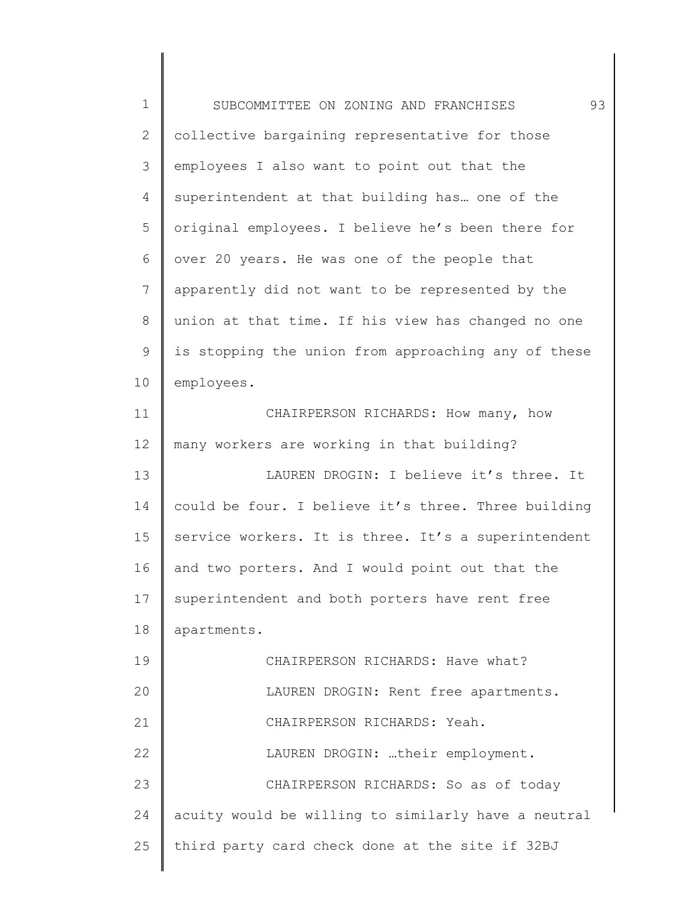1 2 3 4 5 6 7 8 9 10 11 12 13 14 15 16 17 18 19 20 21 22 23 24 25 SUBCOMMITTEE ON ZONING AND FRANCHISES 93 collective bargaining representative for those employees I also want to point out that the superintendent at that building has… one of the original employees. I believe he's been there for over 20 years. He was one of the people that apparently did not want to be represented by the union at that time. If his view has changed no one is stopping the union from approaching any of these employees. CHAIRPERSON RICHARDS: How many, how many workers are working in that building? LAUREN DROGIN: I believe it's three. It could be four. I believe it's three. Three building service workers. It is three. It's a superintendent and two porters. And I would point out that the superintendent and both porters have rent free apartments. CHAIRPERSON RICHARDS: Have what? LAUREN DROGIN: Rent free apartments. CHAIRPERSON RICHARDS: Yeah. LAUREN DROGIN: …their employment. CHAIRPERSON RICHARDS: So as of today acuity would be willing to similarly have a neutral third party card check done at the site if 32BJ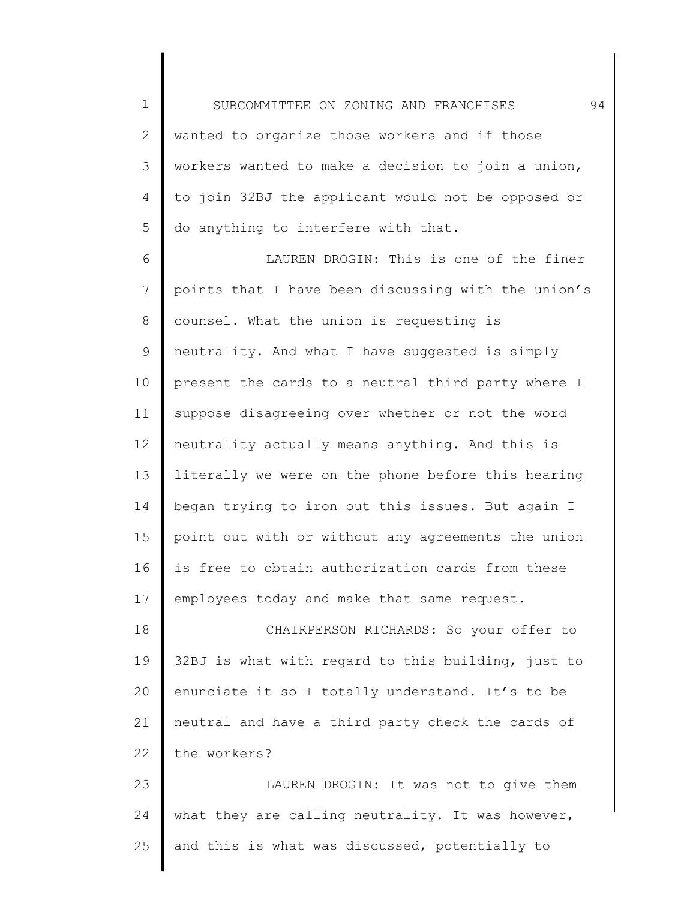1 2 3 4 5 SUBCOMMITTEE ON ZONING AND FRANCHISES 94 wanted to organize those workers and if those workers wanted to make a decision to join a union, to join 32BJ the applicant would not be opposed or do anything to interfere with that.

6 7 8 9 10 11 12 13 14 15 16 17 LAUREN DROGIN: This is one of the finer points that I have been discussing with the union's counsel. What the union is requesting is neutrality. And what I have suggested is simply present the cards to a neutral third party where I suppose disagreeing over whether or not the word neutrality actually means anything. And this is literally we were on the phone before this hearing began trying to iron out this issues. But again I point out with or without any agreements the union is free to obtain authorization cards from these employees today and make that same request.

18 19 20 21 22 CHAIRPERSON RICHARDS: So your offer to 32BJ is what with regard to this building, just to enunciate it so I totally understand. It's to be neutral and have a third party check the cards of the workers?

23 24 25 LAUREN DROGIN: It was not to give them what they are calling neutrality. It was however, and this is what was discussed, potentially to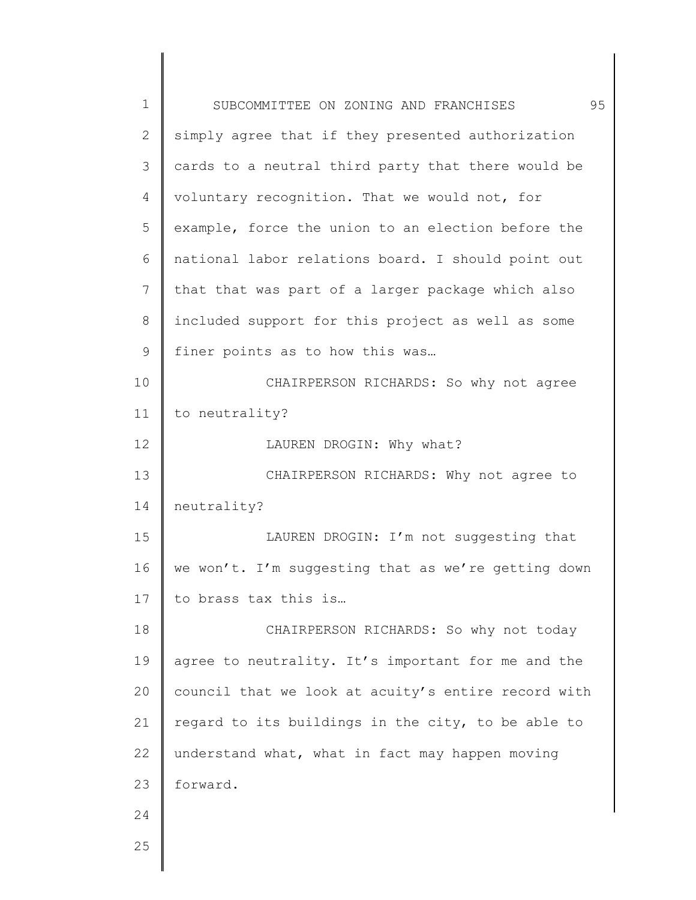| $\mathbf 1$    | 95<br>SUBCOMMITTEE ON ZONING AND FRANCHISES         |
|----------------|-----------------------------------------------------|
| 2              | simply agree that if they presented authorization   |
| 3              | cards to a neutral third party that there would be  |
| $\overline{4}$ | voluntary recognition. That we would not, for       |
| 5              | example, force the union to an election before the  |
| 6              | national labor relations board. I should point out  |
| 7              | that that was part of a larger package which also   |
| 8              | included support for this project as well as some   |
| $\mathsf 9$    | finer points as to how this was                     |
| 10             | CHAIRPERSON RICHARDS: So why not agree              |
| 11             | to neutrality?                                      |
| 12             | LAUREN DROGIN: Why what?                            |
| 13             | CHAIRPERSON RICHARDS: Why not agree to              |
| 14             | neutrality?                                         |
| 15             | LAUREN DROGIN: I'm not suggesting that              |
| 16             | we won't. I'm suggesting that as we're getting down |
| 17             | to brass tax this is                                |
| 18             | CHAIRPERSON RICHARDS: So why not today              |
| 19             | agree to neutrality. It's important for me and the  |
| 20             | council that we look at acuity's entire record with |
| 21             | regard to its buildings in the city, to be able to  |
| 22             | understand what, what in fact may happen moving     |
| 23             | forward.                                            |
| 24             |                                                     |
| 25             |                                                     |
|                |                                                     |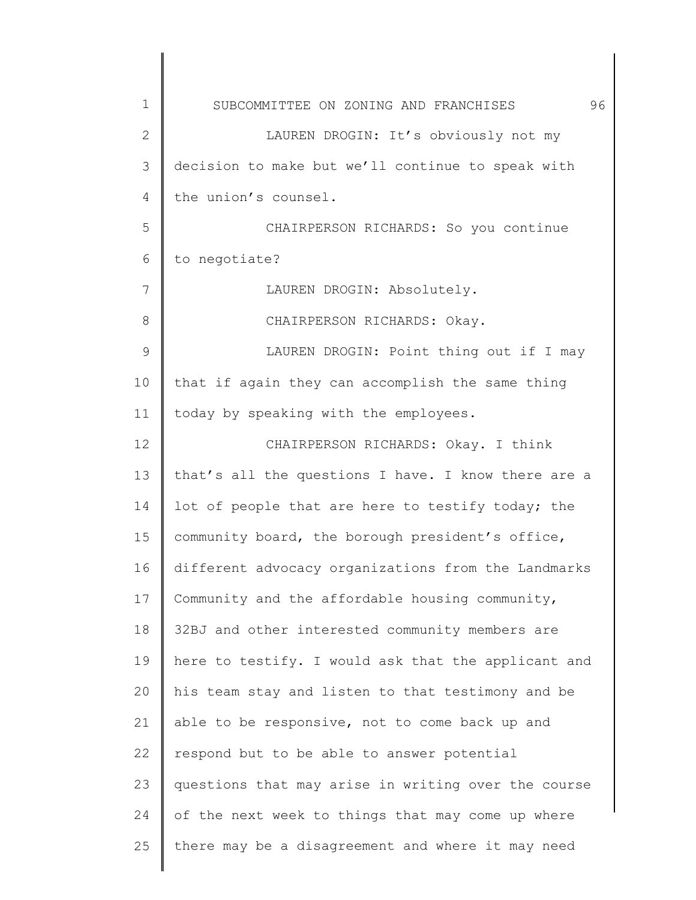| $\mathbf 1$  | 96<br>SUBCOMMITTEE ON ZONING AND FRANCHISES         |
|--------------|-----------------------------------------------------|
| $\mathbf{2}$ | LAUREN DROGIN: It's obviously not my                |
| 3            | decision to make but we'll continue to speak with   |
| 4            | the union's counsel.                                |
| 5            | CHAIRPERSON RICHARDS: So you continue               |
| 6            | to negotiate?                                       |
| 7            | LAUREN DROGIN: Absolutely.                          |
| 8            | CHAIRPERSON RICHARDS: Okay.                         |
| $\mathsf 9$  | LAUREN DROGIN: Point thing out if I may             |
| 10           | that if again they can accomplish the same thing    |
| 11           | today by speaking with the employees.               |
| 12           | CHAIRPERSON RICHARDS: Okay. I think                 |
| 13           | that's all the questions I have. I know there are a |
| 14           | lot of people that are here to testify today; the   |
| 15           | community board, the borough president's office,    |
| 16           | different advocacy organizations from the Landmarks |
| 17           | Community and the affordable housing community,     |
| 18           | 32BJ and other interested community members are     |
| 19           | here to testify. I would ask that the applicant and |
| 20           | his team stay and listen to that testimony and be   |
| 21           | able to be responsive, not to come back up and      |
| 22           | respond but to be able to answer potential          |
| 23           | questions that may arise in writing over the course |
| 24           | of the next week to things that may come up where   |
| 25           | there may be a disagreement and where it may need   |
|              |                                                     |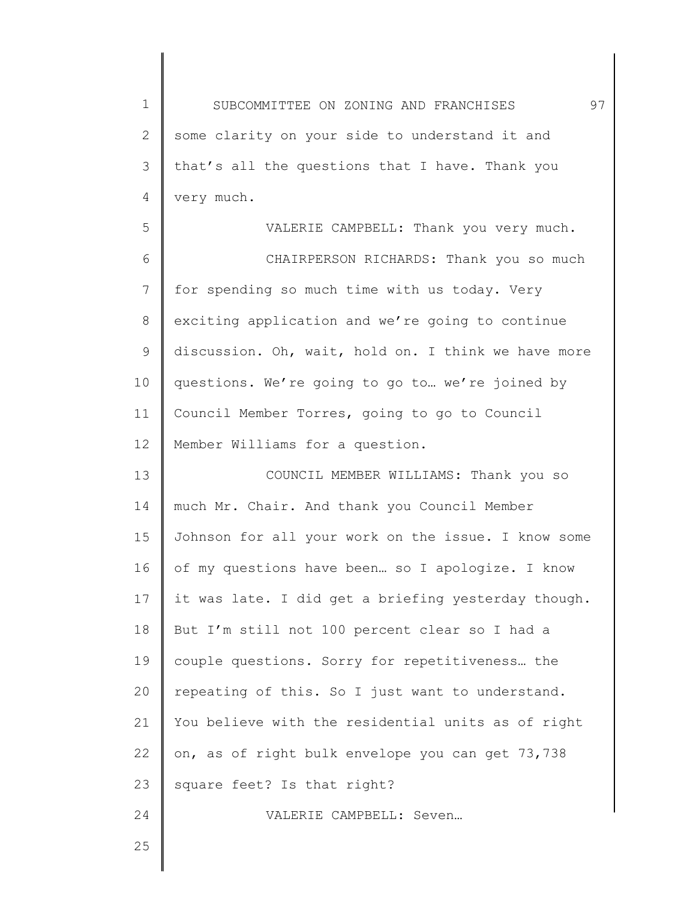1 2 3 4 SUBCOMMITTEE ON ZONING AND FRANCHISES 97 some clarity on your side to understand it and that's all the questions that I have. Thank you very much.

5 6 7 8 9 10 11 12 VALERIE CAMPBELL: Thank you very much. CHAIRPERSON RICHARDS: Thank you so much for spending so much time with us today. Very exciting application and we're going to continue discussion. Oh, wait, hold on. I think we have more questions. We're going to go to… we're joined by Council Member Torres, going to go to Council Member Williams for a question.

13 14 15 16 17 18 19 20 21 22 23 24 COUNCIL MEMBER WILLIAMS: Thank you so much Mr. Chair. And thank you Council Member Johnson for all your work on the issue. I know some of my questions have been… so I apologize. I know it was late. I did get a briefing yesterday though. But I'm still not 100 percent clear so I had a couple questions. Sorry for repetitiveness… the repeating of this. So I just want to understand. You believe with the residential units as of right on, as of right bulk envelope you can get 73,738 square feet? Is that right? VALERIE CAMPBELL: Seven…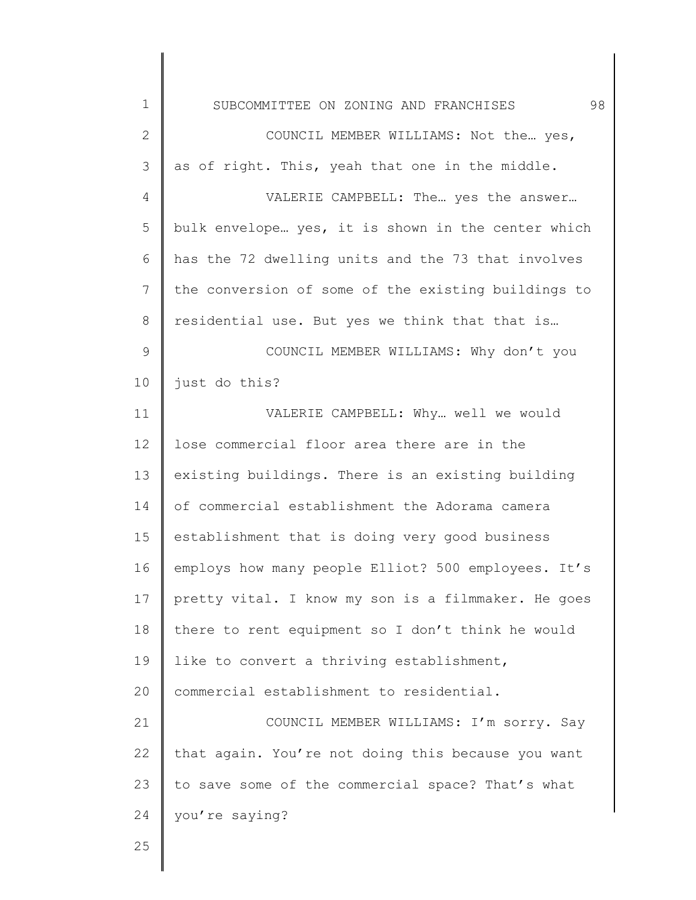| 1             | 98<br>SUBCOMMITTEE ON ZONING AND FRANCHISES         |
|---------------|-----------------------------------------------------|
| $\mathbf{2}$  | COUNCIL MEMBER WILLIAMS: Not the  yes,              |
| 3             | as of right. This, yeah that one in the middle.     |
| 4             | VALERIE CAMPBELL: The yes the answer                |
| 5             | bulk envelope yes, it is shown in the center which  |
| 6             | has the 72 dwelling units and the 73 that involves  |
| 7             | the conversion of some of the existing buildings to |
| 8             | residential use. But yes we think that that is      |
| $\mathcal{G}$ | COUNCIL MEMBER WILLIAMS: Why don't you              |
| 10            | just do this?                                       |
| 11            | VALERIE CAMPBELL: Why well we would                 |
| 12            | lose commercial floor area there are in the         |
| 13            | existing buildings. There is an existing building   |
| 14            | of commercial establishment the Adorama camera      |
| 15            | establishment that is doing very good business      |
| 16            | employs how many people Elliot? 500 employees. It's |
| 17            | pretty vital. I know my son is a filmmaker. He goes |
| 18            | there to rent equipment so I don't think he would   |
| 19            | like to convert a thriving establishment,           |
| 20            | commercial establishment to residential.            |
| 21            | COUNCIL MEMBER WILLIAMS: I'm sorry. Say             |
| 22            | that again. You're not doing this because you want  |
| 23            | to save some of the commercial space? That's what   |
| 24            | you're saying?                                      |
| 25            |                                                     |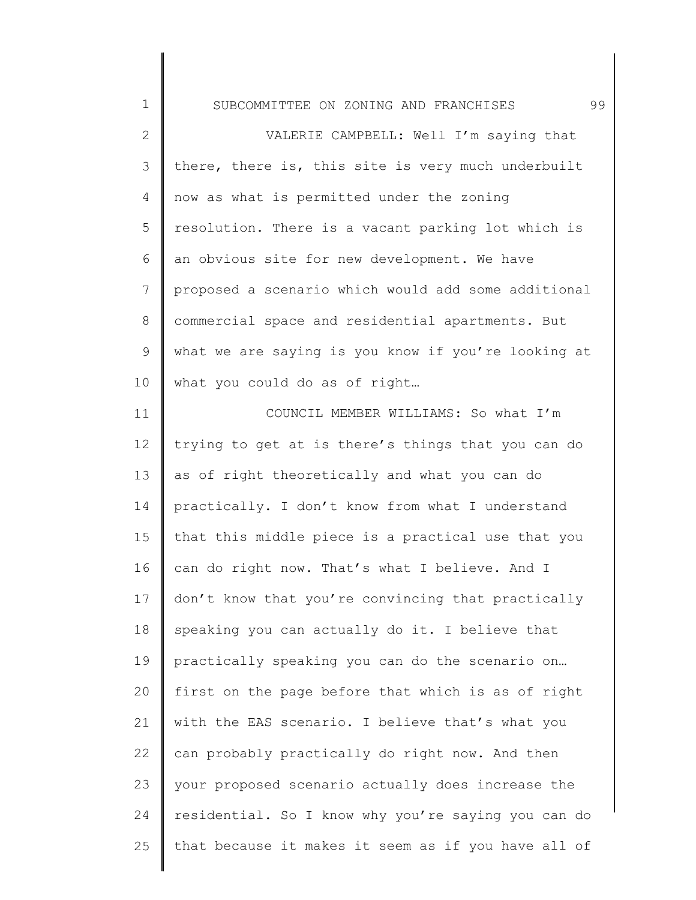SUBCOMMITTEE ON ZONING AND FRANCHISES 99

1

2 3 4 5 6 7 8 9 10 VALERIE CAMPBELL: Well I'm saying that there, there is, this site is very much underbuilt now as what is permitted under the zoning resolution. There is a vacant parking lot which is an obvious site for new development. We have proposed a scenario which would add some additional commercial space and residential apartments. But what we are saying is you know if you're looking at what you could do as of right…

11 12 13 14 15 16 17 18 19 20 21 22 23 24 25 COUNCIL MEMBER WILLIAMS: So what I'm trying to get at is there's things that you can do as of right theoretically and what you can do practically. I don't know from what I understand that this middle piece is a practical use that you can do right now. That's what I believe. And I don't know that you're convincing that practically speaking you can actually do it. I believe that practically speaking you can do the scenario on… first on the page before that which is as of right with the EAS scenario. I believe that's what you can probably practically do right now. And then your proposed scenario actually does increase the residential. So I know why you're saying you can do that because it makes it seem as if you have all of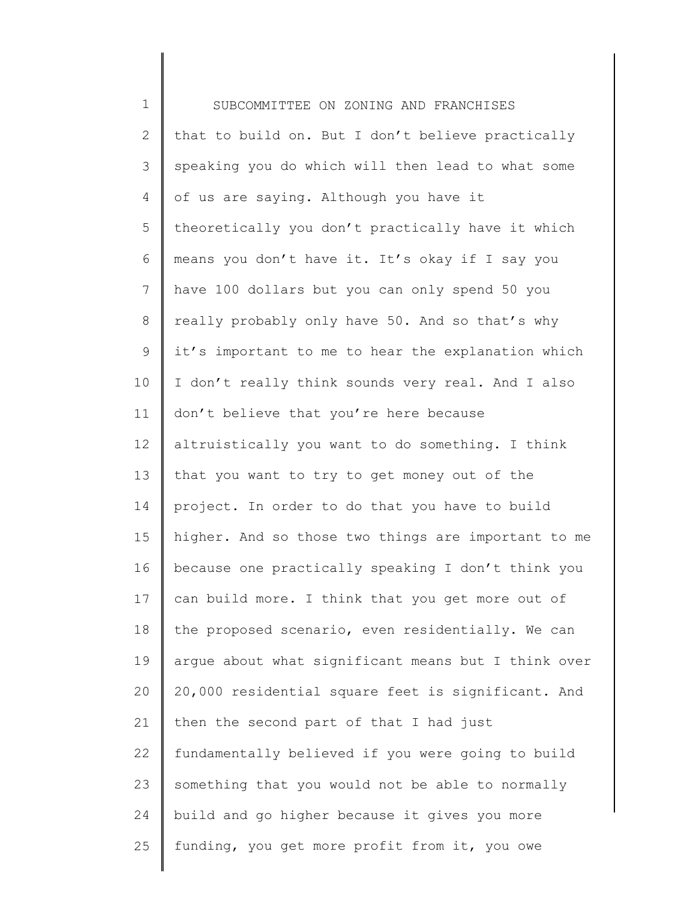1 2 3 4 5 6 7 8 9 10 11 12 13 14 15 16 17 18 19 20 21 22 23 24 25 SUBCOMMITTEE ON ZONING AND FRANCHISES that to build on. But I don't believe practically speaking you do which will then lead to what some of us are saying. Although you have it theoretically you don't practically have it which means you don't have it. It's okay if I say you have 100 dollars but you can only spend 50 you really probably only have 50. And so that's why it's important to me to hear the explanation which I don't really think sounds very real. And I also don't believe that you're here because altruistically you want to do something. I think that you want to try to get money out of the project. In order to do that you have to build higher. And so those two things are important to me because one practically speaking I don't think you can build more. I think that you get more out of the proposed scenario, even residentially. We can argue about what significant means but I think over 20,000 residential square feet is significant. And then the second part of that I had just fundamentally believed if you were going to build something that you would not be able to normally build and go higher because it gives you more funding, you get more profit from it, you owe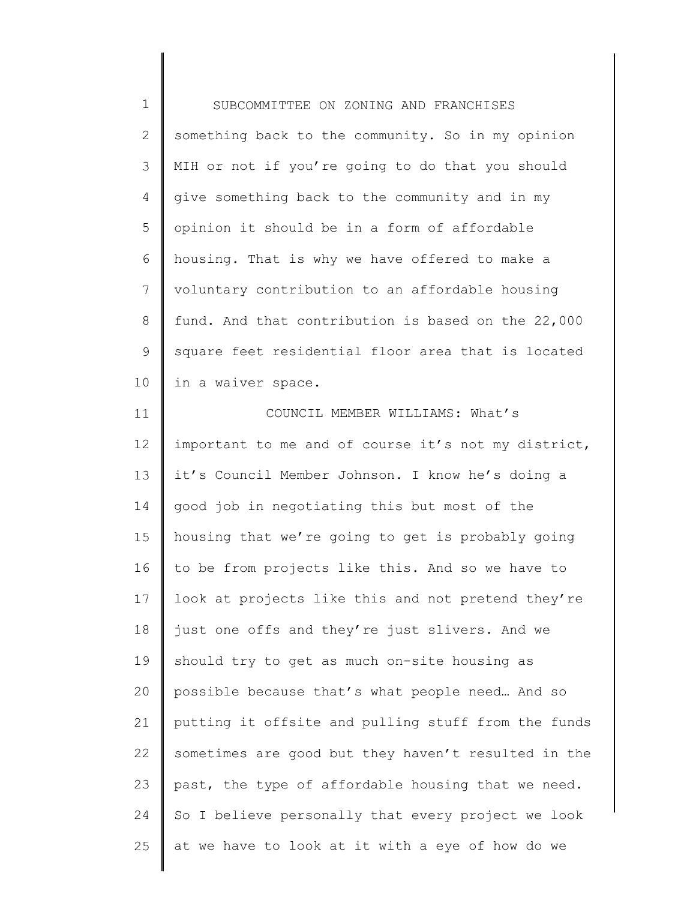1 2 3 4 5 6 7 8 9 10 11 12 13 14 15 SUBCOMMITTEE ON ZONING AND FRANCHISES something back to the community. So in my opinion MIH or not if you're going to do that you should give something back to the community and in my opinion it should be in a form of affordable housing. That is why we have offered to make a voluntary contribution to an affordable housing fund. And that contribution is based on the 22,000 square feet residential floor area that is located in a waiver space. COUNCIL MEMBER WILLIAMS: What's important to me and of course it's not my district, it's Council Member Johnson. I know he's doing a good job in negotiating this but most of the housing that we're going to get is probably going

16 17 18 19 20 21 22 23 24 25 to be from projects like this. And so we have to look at projects like this and not pretend they're just one offs and they're just slivers. And we should try to get as much on-site housing as possible because that's what people need… And so putting it offsite and pulling stuff from the funds sometimes are good but they haven't resulted in the past, the type of affordable housing that we need. So I believe personally that every project we look at we have to look at it with a eye of how do we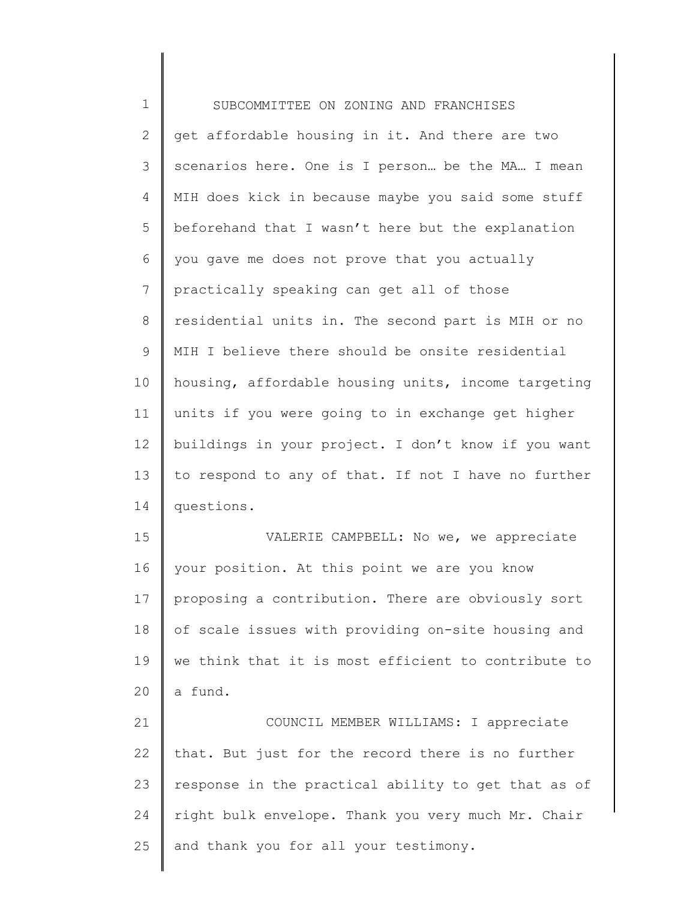1 2 3 4 5 6 7 8 9 10 11 12 13 14 15 16 17 18 19 20 21 22 23 SUBCOMMITTEE ON ZONING AND FRANCHISES get affordable housing in it. And there are two scenarios here. One is I person… be the MA… I mean MIH does kick in because maybe you said some stuff beforehand that I wasn't here but the explanation you gave me does not prove that you actually practically speaking can get all of those residential units in. The second part is MIH or no MIH I believe there should be onsite residential housing, affordable housing units, income targeting units if you were going to in exchange get higher buildings in your project. I don't know if you want to respond to any of that. If not I have no further questions. VALERIE CAMPBELL: No we, we appreciate your position. At this point we are you know proposing a contribution. There are obviously sort of scale issues with providing on-site housing and we think that it is most efficient to contribute to a fund. COUNCIL MEMBER WILLIAMS: I appreciate that. But just for the record there is no further

24 25 response in the practical ability to get that as of right bulk envelope. Thank you very much Mr. Chair and thank you for all your testimony.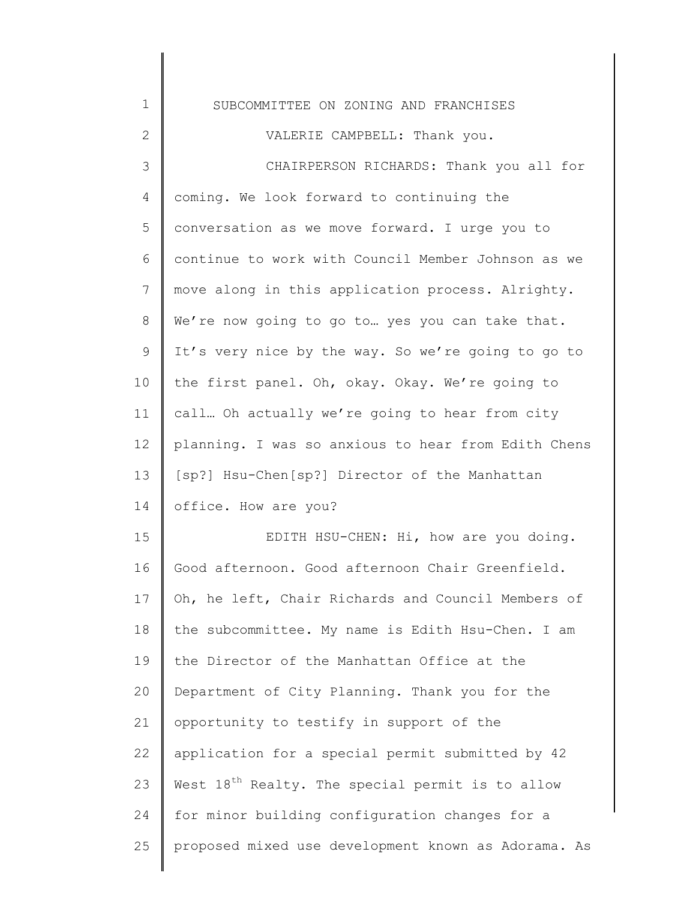| $\mathbf 1$  | SUBCOMMITTEE ON ZONING AND FRANCHISES                        |
|--------------|--------------------------------------------------------------|
| $\mathbf{2}$ | VALERIE CAMPBELL: Thank you.                                 |
| 3            | CHAIRPERSON RICHARDS: Thank you all for                      |
| 4            | coming. We look forward to continuing the                    |
| 5            | conversation as we move forward. I urge you to               |
| 6            | continue to work with Council Member Johnson as we           |
| 7            | move along in this application process. Alrighty.            |
| $8\,$        | We're now going to go to yes you can take that.              |
| $\mathsf 9$  | It's very nice by the way. So we're going to go to           |
| 10           | the first panel. Oh, okay. Okay. We're going to              |
| 11           | call Oh actually we're going to hear from city               |
| 12           | planning. I was so anxious to hear from Edith Chens          |
| 13           | [sp?] Hsu-Chen[sp?] Director of the Manhattan                |
| 14           | office. How are you?                                         |
| 15           | EDITH HSU-CHEN: Hi, how are you doing.                       |
| 16           | Good afternoon. Good afternoon Chair Greenfield.             |
| 17           | Oh, he left, Chair Richards and Council Members of           |
| 18           | the subcommittee. My name is Edith Hsu-Chen. I am            |
| 19           | the Director of the Manhattan Office at the                  |
| 20           | Department of City Planning. Thank you for the               |
| 21           | opportunity to testify in support of the                     |
| 22           | application for a special permit submitted by 42             |
| 23           | West 18 <sup>th</sup> Realty. The special permit is to allow |
| 24           | for minor building configuration changes for a               |
| 25           | proposed mixed use development known as Adorama. As          |
|              |                                                              |

║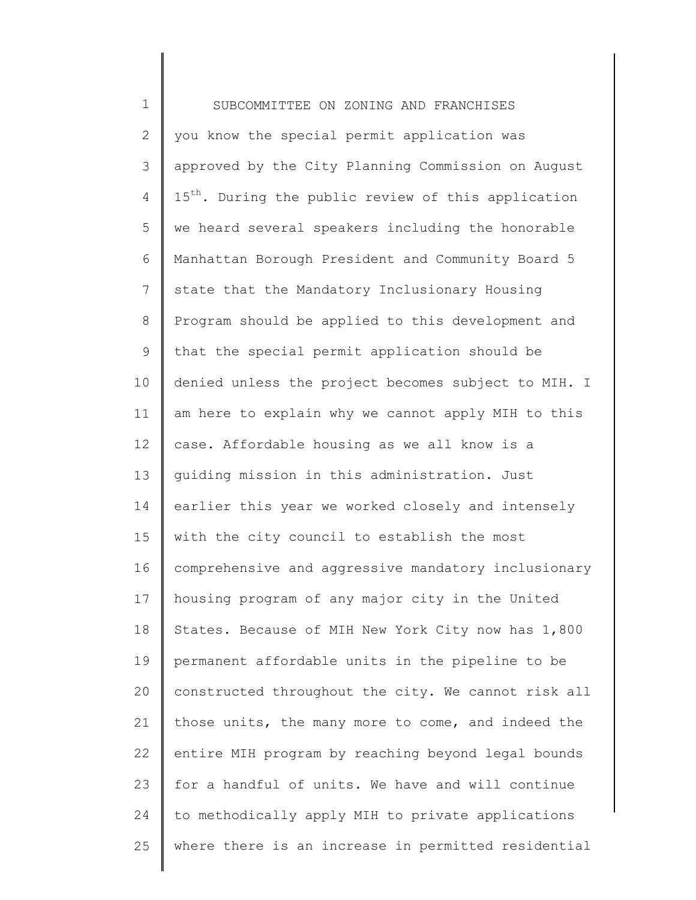1 2 3 4 5 6 7 8 9 10 11 12 13 14 15 16 17 18 19 20 21 22 23 24 25 SUBCOMMITTEE ON ZONING AND FRANCHISES you know the special permit application was approved by the City Planning Commission on August 15<sup>th</sup>. During the public review of this application we heard several speakers including the honorable Manhattan Borough President and Community Board 5 state that the Mandatory Inclusionary Housing Program should be applied to this development and that the special permit application should be denied unless the project becomes subject to MIH. I am here to explain why we cannot apply MIH to this case. Affordable housing as we all know is a guiding mission in this administration. Just earlier this year we worked closely and intensely with the city council to establish the most comprehensive and aggressive mandatory inclusionary housing program of any major city in the United States. Because of MIH New York City now has 1,800 permanent affordable units in the pipeline to be constructed throughout the city. We cannot risk all those units, the many more to come, and indeed the entire MIH program by reaching beyond legal bounds for a handful of units. We have and will continue to methodically apply MIH to private applications where there is an increase in permitted residential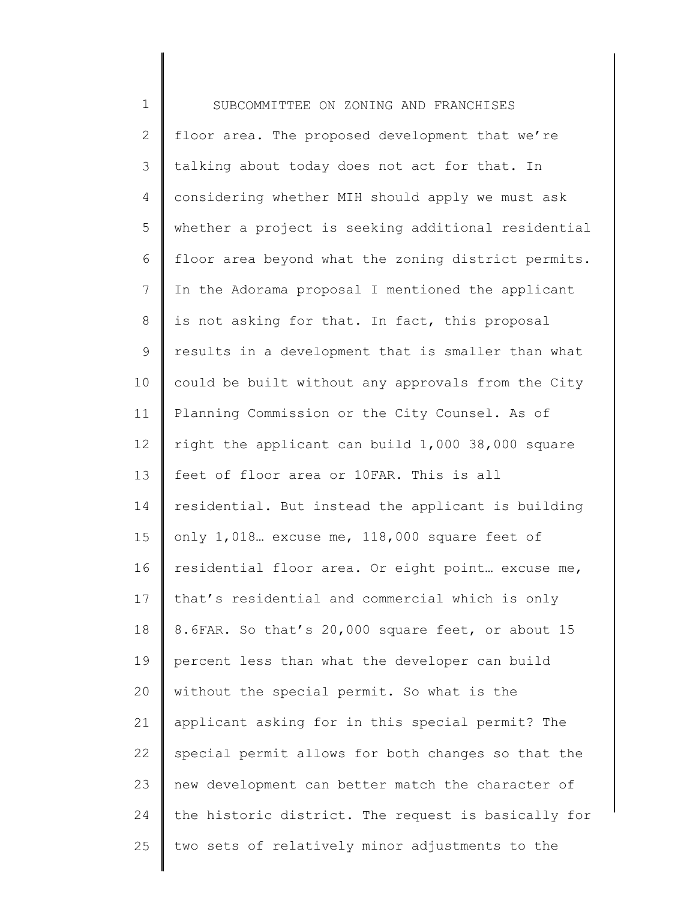1 2 3 4 5 6 7 8 9 10 11 12 13 14 15 16 17 18 19 20 21 22 23 24 25 SUBCOMMITTEE ON ZONING AND FRANCHISES floor area. The proposed development that we're talking about today does not act for that. In considering whether MIH should apply we must ask whether a project is seeking additional residential floor area beyond what the zoning district permits. In the Adorama proposal I mentioned the applicant is not asking for that. In fact, this proposal results in a development that is smaller than what could be built without any approvals from the City Planning Commission or the City Counsel. As of right the applicant can build 1,000 38,000 square feet of floor area or 10FAR. This is all residential. But instead the applicant is building only 1,018… excuse me, 118,000 square feet of residential floor area. Or eight point… excuse me, that's residential and commercial which is only 8.6FAR. So that's 20,000 square feet, or about 15 percent less than what the developer can build without the special permit. So what is the applicant asking for in this special permit? The special permit allows for both changes so that the new development can better match the character of the historic district. The request is basically for two sets of relatively minor adjustments to the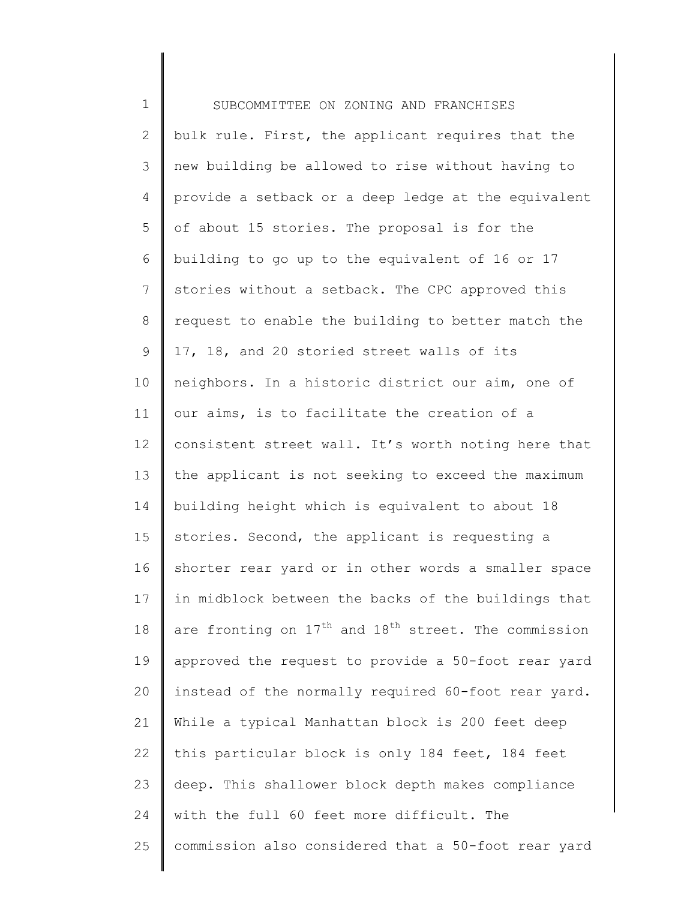1 2 3 4 5 6 7 8 9 10 11 12 13 14 15 16 17 18 19 20 21 22 23 24 25 SUBCOMMITTEE ON ZONING AND FRANCHISES bulk rule. First, the applicant requires that the new building be allowed to rise without having to provide a setback or a deep ledge at the equivalent of about 15 stories. The proposal is for the building to go up to the equivalent of 16 or 17 stories without a setback. The CPC approved this request to enable the building to better match the 17, 18, and 20 storied street walls of its neighbors. In a historic district our aim, one of our aims, is to facilitate the creation of a consistent street wall. It's worth noting here that the applicant is not seeking to exceed the maximum building height which is equivalent to about 18 stories. Second, the applicant is requesting a shorter rear yard or in other words a smaller space in midblock between the backs of the buildings that are fronting on  $17<sup>th</sup>$  and  $18<sup>th</sup>$  street. The commission approved the request to provide a 50-foot rear yard instead of the normally required 60-foot rear yard. While a typical Manhattan block is 200 feet deep this particular block is only 184 feet, 184 feet deep. This shallower block depth makes compliance with the full 60 feet more difficult. The commission also considered that a 50-foot rear yard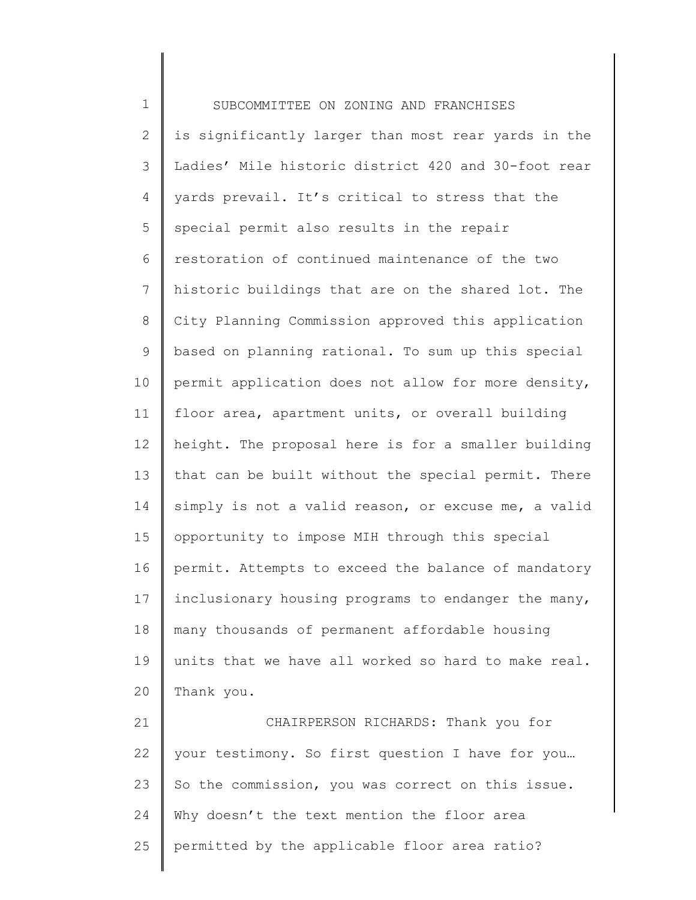1 2 3 4 5 6 7 8 9 10 11 12 13 14 15 16 17 18 19 20 21 22 23 SUBCOMMITTEE ON ZONING AND FRANCHISES is significantly larger than most rear yards in the Ladies' Mile historic district 420 and 30-foot rear yards prevail. It's critical to stress that the special permit also results in the repair restoration of continued maintenance of the two historic buildings that are on the shared lot. The City Planning Commission approved this application based on planning rational. To sum up this special permit application does not allow for more density, floor area, apartment units, or overall building height. The proposal here is for a smaller building that can be built without the special permit. There simply is not a valid reason, or excuse me, a valid opportunity to impose MIH through this special permit. Attempts to exceed the balance of mandatory inclusionary housing programs to endanger the many, many thousands of permanent affordable housing units that we have all worked so hard to make real. Thank you. CHAIRPERSON RICHARDS: Thank you for your testimony. So first question I have for you… So the commission, you was correct on this issue.

25 permitted by the applicable floor area ratio?

Why doesn't the text mention the floor area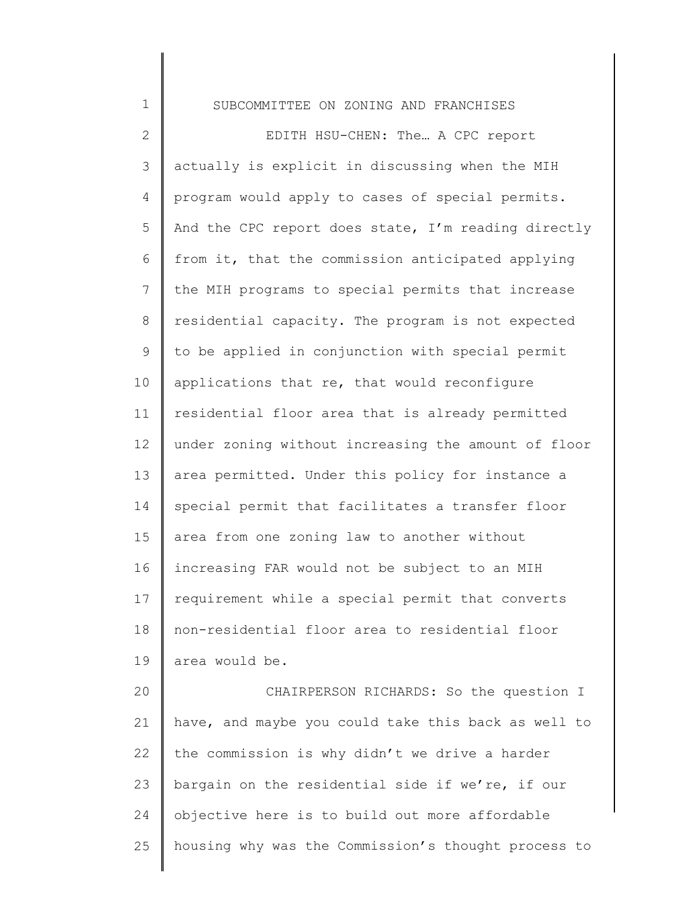1 2 3 4 5 6 7 8 9 10 11 12 13 14 15 16 17 18 19 20 21 22 23 24 SUBCOMMITTEE ON ZONING AND FRANCHISES EDITH HSU-CHEN: The... A CPC report actually is explicit in discussing when the MIH program would apply to cases of special permits. And the CPC report does state, I'm reading directly from it, that the commission anticipated applying the MIH programs to special permits that increase residential capacity. The program is not expected to be applied in conjunction with special permit applications that re, that would reconfigure residential floor area that is already permitted under zoning without increasing the amount of floor area permitted. Under this policy for instance a special permit that facilitates a transfer floor area from one zoning law to another without increasing FAR would not be subject to an MIH requirement while a special permit that converts non-residential floor area to residential floor area would be. CHAIRPERSON RICHARDS: So the question I have, and maybe you could take this back as well to the commission is why didn't we drive a harder bargain on the residential side if we're, if our objective here is to build out more affordable

housing why was the Commission's thought process to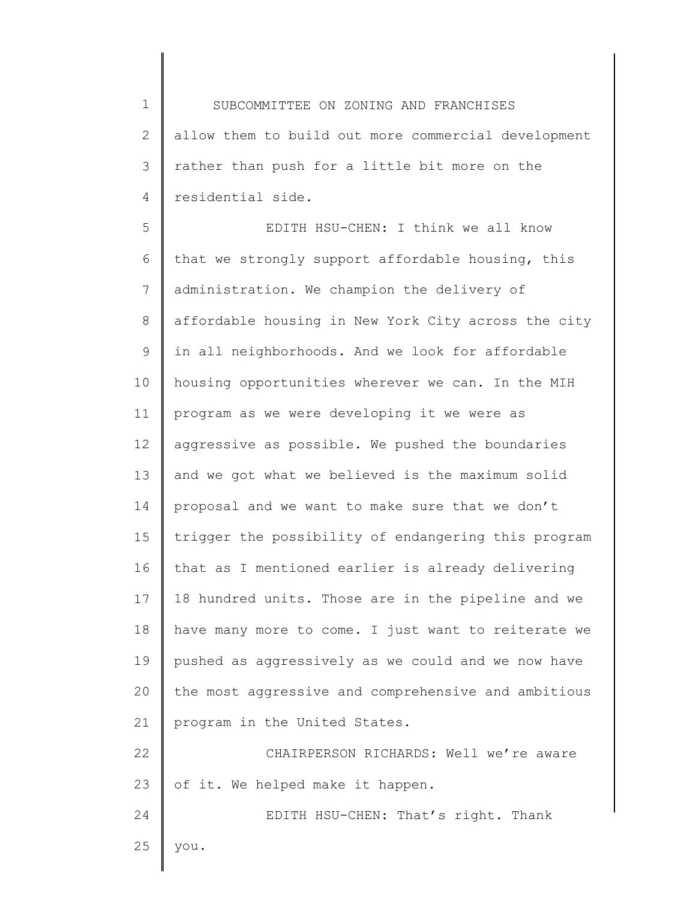1 2 3 4 SUBCOMMITTEE ON ZONING AND FRANCHISES allow them to build out more commercial development rather than push for a little bit more on the residential side.

5 6 7 8 9 10 11 12 13 14 15 16 17 18 19 20 21 22 EDITH HSU-CHEN: I think we all know that we strongly support affordable housing, this administration. We champion the delivery of affordable housing in New York City across the city in all neighborhoods. And we look for affordable housing opportunities wherever we can. In the MIH program as we were developing it we were as aggressive as possible. We pushed the boundaries and we got what we believed is the maximum solid proposal and we want to make sure that we don't trigger the possibility of endangering this program that as I mentioned earlier is already delivering 18 hundred units. Those are in the pipeline and we have many more to come. I just want to reiterate we pushed as aggressively as we could and we now have the most aggressive and comprehensive and ambitious program in the United States. CHAIRPERSON RICHARDS: Well we're aware

23 of it. We helped make it happen.

24 EDITH HSU-CHEN: That's right. Thank

25 you.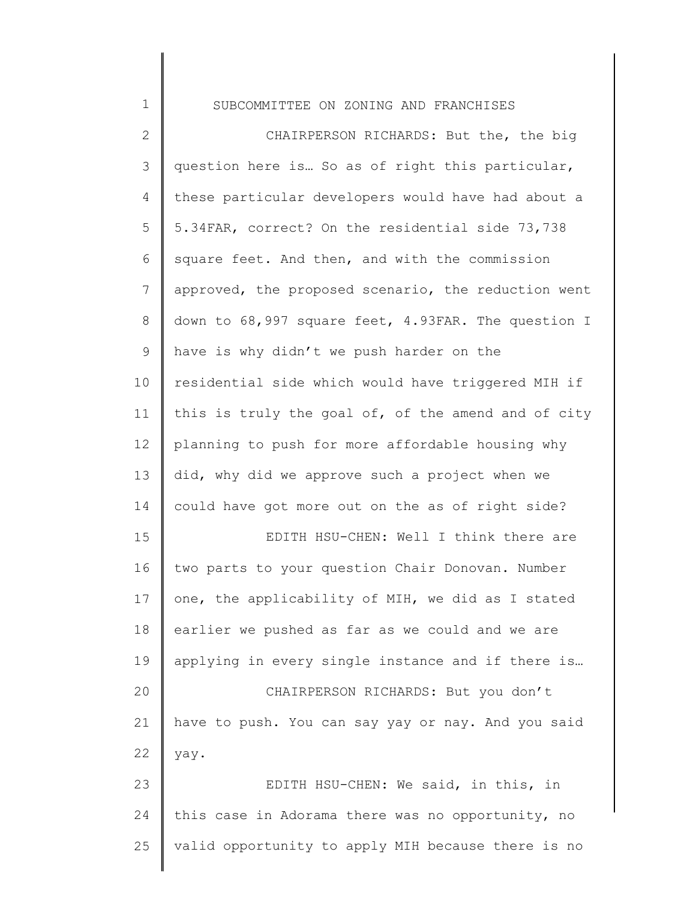| $\mathbf 1$  | SUBCOMMITTEE ON ZONING AND FRANCHISES               |
|--------------|-----------------------------------------------------|
| $\mathbf{2}$ | CHAIRPERSON RICHARDS: But the, the big              |
| 3            | question here is So as of right this particular,    |
| 4            | these particular developers would have had about a  |
| 5            | 5.34FAR, correct? On the residential side 73,738    |
| 6            | square feet. And then, and with the commission      |
| 7            | approved, the proposed scenario, the reduction went |
| $\,8\,$      | down to 68,997 square feet, 4.93FAR. The question I |
| $\mathsf 9$  | have is why didn't we push harder on the            |
| 10           | residential side which would have triggered MIH if  |
| 11           | this is truly the goal of, of the amend and of city |
| 12           | planning to push for more affordable housing why    |
| 13           | did, why did we approve such a project when we      |
| 14           | could have got more out on the as of right side?    |
| 15           | EDITH HSU-CHEN: Well I think there are              |
| 16           | two parts to your question Chair Donovan. Number    |
| 17           | one, the applicability of MIH, we did as I stated   |
| 18           | earlier we pushed as far as we could and we are     |
| 19           | applying in every single instance and if there is   |
| 20           | CHAIRPERSON RICHARDS: But you don't                 |
| 21           | have to push. You can say yay or nay. And you said  |
| 22           | yay.                                                |
| 23           | EDITH HSU-CHEN: We said, in this, in                |
| 24           | this case in Adorama there was no opportunity, no   |
| 25           | valid opportunity to apply MIH because there is no  |
|              |                                                     |

∥ ∥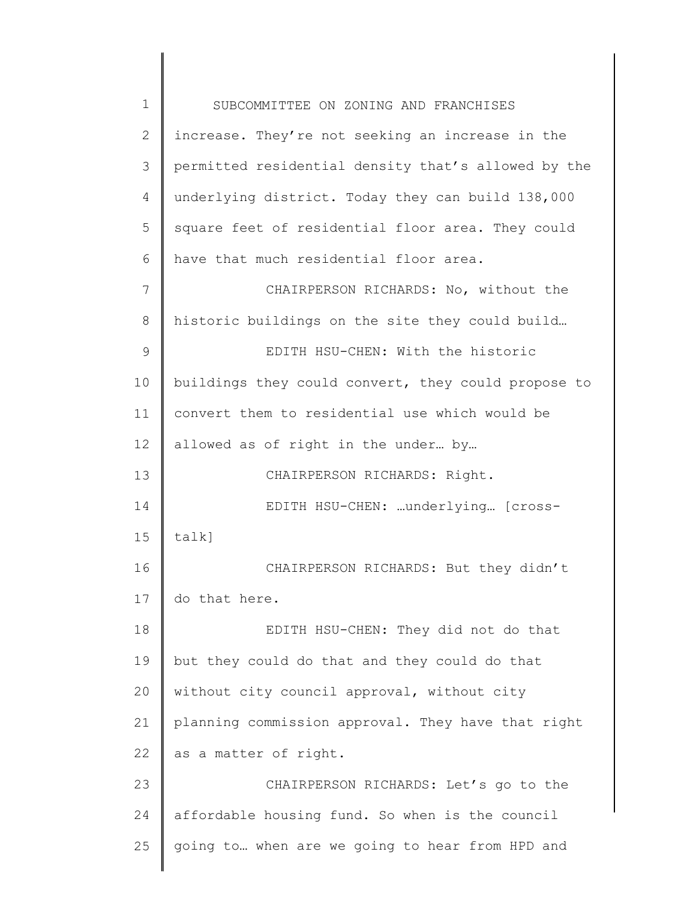1 2 3 4 5 6 7 8 9 10 11 12 13 14 15 16 17 18 19 20 21 22 23 24 25 SUBCOMMITTEE ON ZONING AND FRANCHISES increase. They're not seeking an increase in the permitted residential density that's allowed by the underlying district. Today they can build 138,000 square feet of residential floor area. They could have that much residential floor area. CHAIRPERSON RICHARDS: No, without the historic buildings on the site they could build… EDITH HSU-CHEN: With the historic buildings they could convert, they could propose to convert them to residential use which would be allowed as of right in the under… by… CHAIRPERSON RICHARDS: Right. EDITH HSU-CHEN: …underlying… [crosstalk] CHAIRPERSON RICHARDS: But they didn't do that here. EDITH HSU-CHEN: They did not do that but they could do that and they could do that without city council approval, without city planning commission approval. They have that right as a matter of right. CHAIRPERSON RICHARDS: Let's go to the affordable housing fund. So when is the council going to… when are we going to hear from HPD and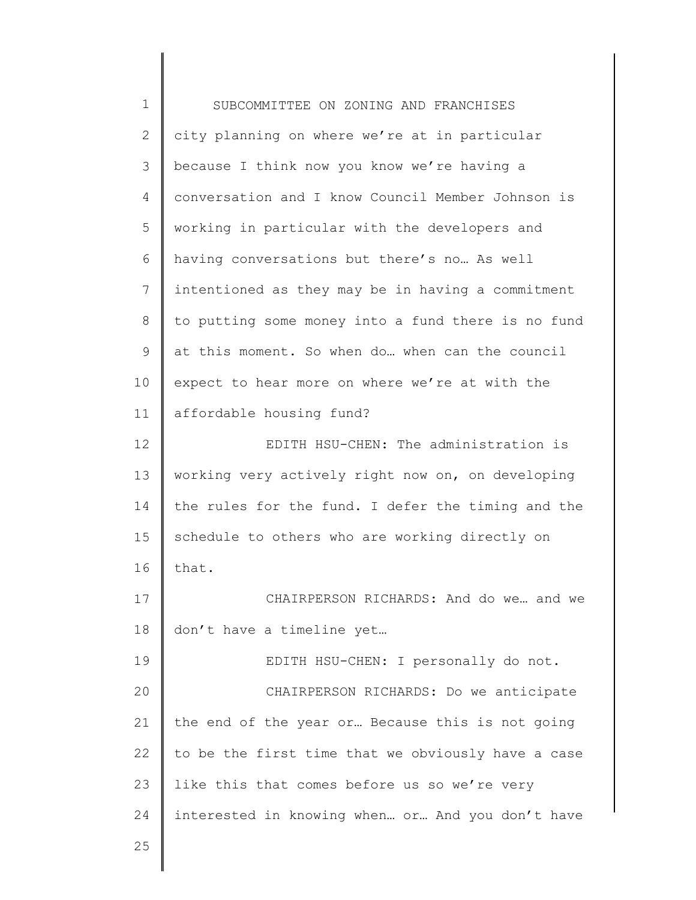1 2 3 4 5 6 7 8 9 10 11 12 13 14 15 16 17 18 19 20 21 22 23 24 25 SUBCOMMITTEE ON ZONING AND FRANCHISES city planning on where we're at in particular because I think now you know we're having a conversation and I know Council Member Johnson is working in particular with the developers and having conversations but there's no… As well intentioned as they may be in having a commitment to putting some money into a fund there is no fund at this moment. So when do… when can the council expect to hear more on where we're at with the affordable housing fund? EDITH HSU-CHEN: The administration is working very actively right now on, on developing the rules for the fund. I defer the timing and the schedule to others who are working directly on that. CHAIRPERSON RICHARDS: And do we… and we don't have a timeline yet… EDITH HSU-CHEN: I personally do not. CHAIRPERSON RICHARDS: Do we anticipate the end of the year or… Because this is not going to be the first time that we obviously have a case like this that comes before us so we're very interested in knowing when… or… And you don't have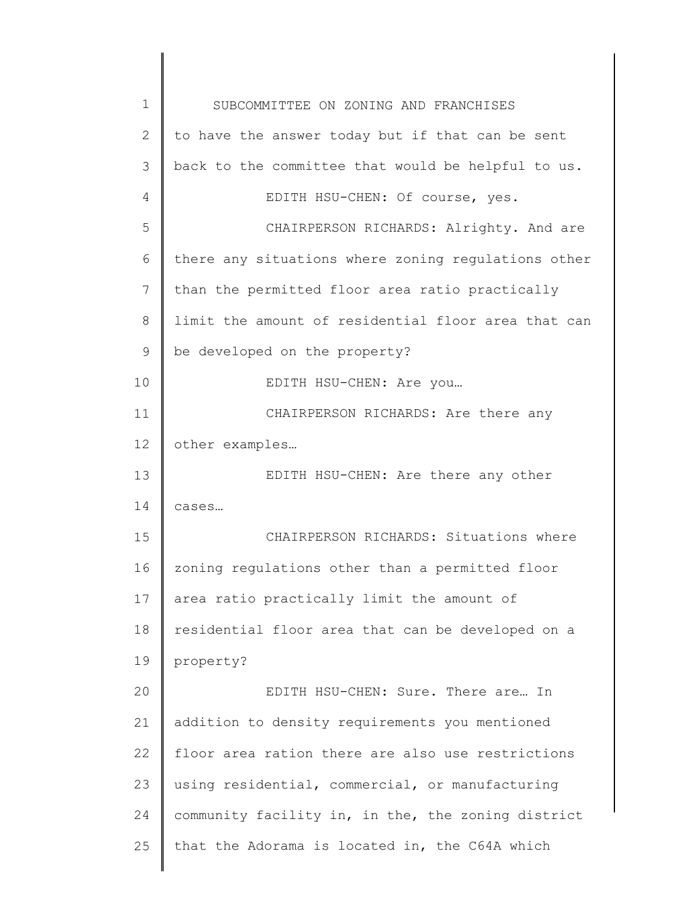1 2 3 4 5 6 7 8 9 10 11 12 13 14 15 16 17 18 19 20 21 22 23 24 25 SUBCOMMITTEE ON ZONING AND FRANCHISES to have the answer today but if that can be sent back to the committee that would be helpful to us. EDITH HSU-CHEN: Of course, yes. CHAIRPERSON RICHARDS: Alrighty. And are there any situations where zoning regulations other than the permitted floor area ratio practically limit the amount of residential floor area that can be developed on the property? EDITH HSU-CHEN: Are you… CHAIRPERSON RICHARDS: Are there any other examples… EDITH HSU-CHEN: Are there any other cases… CHAIRPERSON RICHARDS: Situations where zoning regulations other than a permitted floor area ratio practically limit the amount of residential floor area that can be developed on a property? EDITH HSU-CHEN: Sure. There are… In addition to density requirements you mentioned floor area ration there are also use restrictions using residential, commercial, or manufacturing community facility in, in the, the zoning district that the Adorama is located in, the C64A which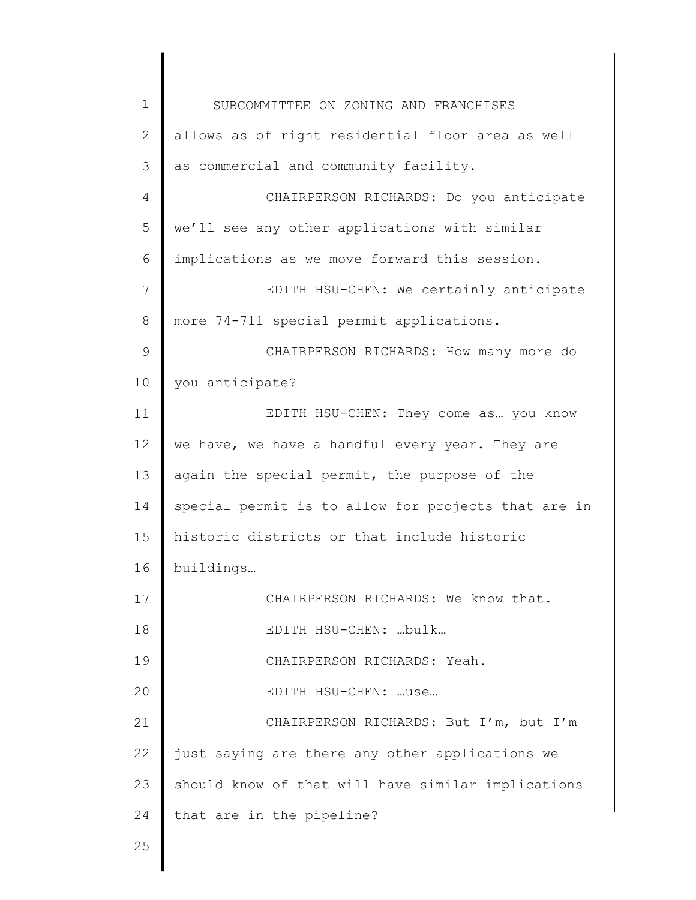| $\mathbf 1$     | SUBCOMMITTEE ON ZONING AND FRANCHISES               |
|-----------------|-----------------------------------------------------|
| $\overline{2}$  | allows as of right residential floor area as well   |
| 3               | as commercial and community facility.               |
| 4               | CHAIRPERSON RICHARDS: Do you anticipate             |
| 5               | we'll see any other applications with similar       |
| 6               | implications as we move forward this session.       |
| $7\phantom{.}$  | EDITH HSU-CHEN: We certainly anticipate             |
| 8               | more 74-711 special permit applications.            |
| 9               | CHAIRPERSON RICHARDS: How many more do              |
| 10              | you anticipate?                                     |
| 11              | EDITH HSU-CHEN: They come as  you know              |
| 12 <sup>°</sup> | we have, we have a handful every year. They are     |
| 13              | again the special permit, the purpose of the        |
| 14              | special permit is to allow for projects that are in |
| 15              | historic districts or that include historic         |
| 16              | buildings                                           |
| 17              | CHAIRPERSON RICHARDS: We know that.                 |
| 18              | EDITH HSU-CHEN: bulk                                |
| 19              | CHAIRPERSON RICHARDS: Yeah.                         |
| 20              | EDITH HSU-CHEN: use                                 |
| 21              | CHAIRPERSON RICHARDS: But I'm, but I'm              |
| 22              | just saying are there any other applications we     |
| 23              | should know of that will have similar implications  |
| 24              | that are in the pipeline?                           |
| 25              |                                                     |
|                 |                                                     |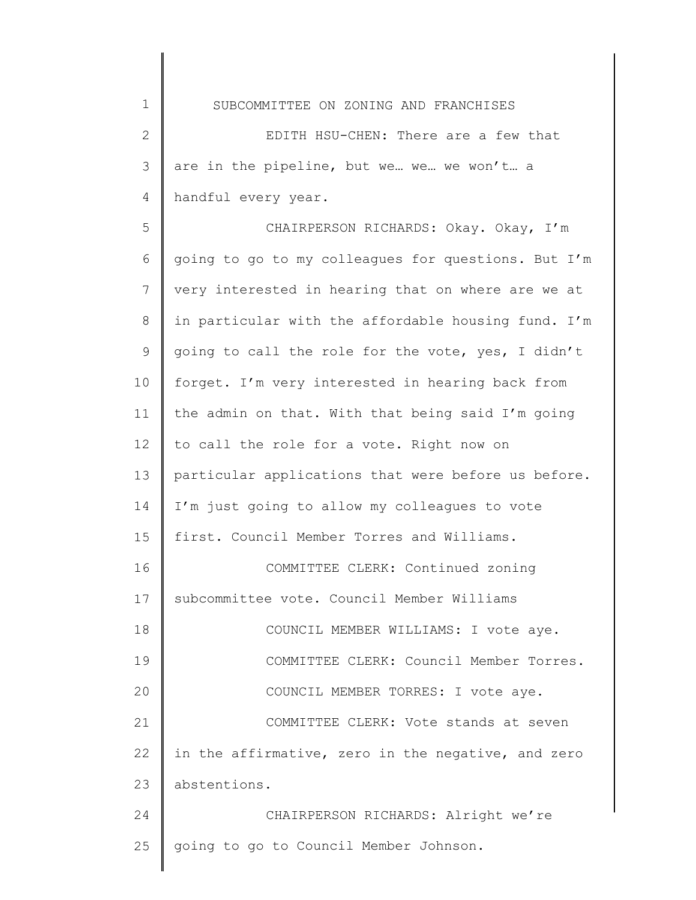1 2 3 4 5 6 7 8 9 10 11 12 13 14 15 16 17 18 19 20 21 22 23 24 25 SUBCOMMITTEE ON ZONING AND FRANCHISES EDITH HSU-CHEN: There are a few that are in the pipeline, but we… we… we won't… a handful every year. CHAIRPERSON RICHARDS: Okay. Okay, I'm going to go to my colleagues for questions. But I'm very interested in hearing that on where are we at in particular with the affordable housing fund. I'm going to call the role for the vote, yes, I didn't forget. I'm very interested in hearing back from the admin on that. With that being said I'm going to call the role for a vote. Right now on particular applications that were before us before. I'm just going to allow my colleagues to vote first. Council Member Torres and Williams. COMMITTEE CLERK: Continued zoning subcommittee vote. Council Member Williams COUNCIL MEMBER WILLIAMS: I vote aye. COMMITTEE CLERK: Council Member Torres. COUNCIL MEMBER TORRES: I vote aye. COMMITTEE CLERK: Vote stands at seven in the affirmative, zero in the negative, and zero abstentions. CHAIRPERSON RICHARDS: Alright we're going to go to Council Member Johnson.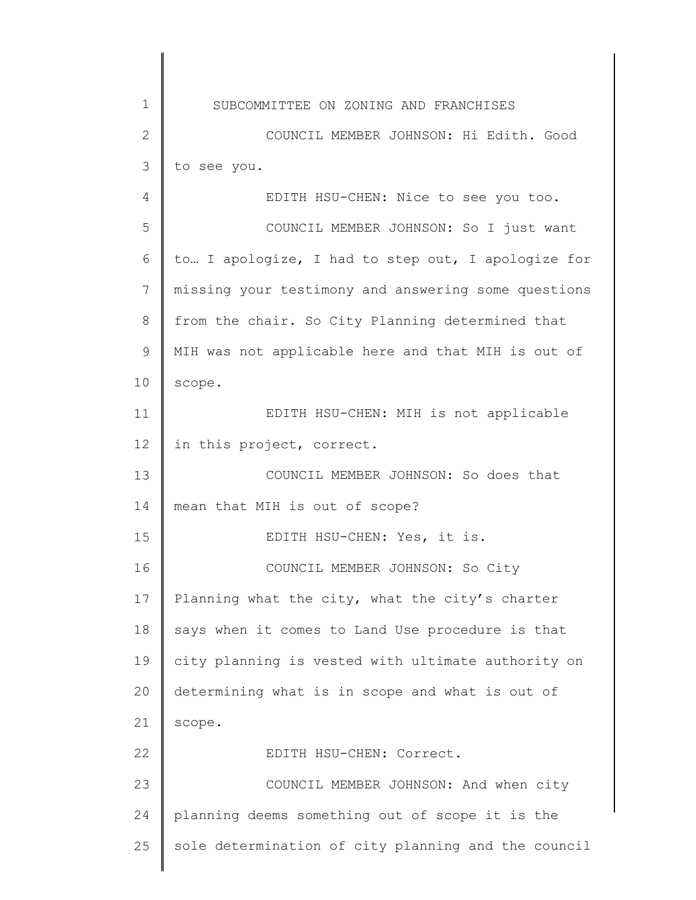1 2 3 4 5 6 7 8 9 10 11 12 13 14 15 16 17 18 19 20 21 22 23 24 25 SUBCOMMITTEE ON ZONING AND FRANCHISES COUNCIL MEMBER JOHNSON: Hi Edith. Good to see you. EDITH HSU-CHEN: Nice to see you too. COUNCIL MEMBER JOHNSON: So I just want to… I apologize, I had to step out, I apologize for missing your testimony and answering some questions from the chair. So City Planning determined that MIH was not applicable here and that MIH is out of scope. EDITH HSU-CHEN: MIH is not applicable in this project, correct. COUNCIL MEMBER JOHNSON: So does that mean that MIH is out of scope? EDITH HSU-CHEN: Yes, it is. COUNCIL MEMBER JOHNSON: So City Planning what the city, what the city's charter says when it comes to Land Use procedure is that city planning is vested with ultimate authority on determining what is in scope and what is out of scope. EDITH HSU-CHEN: Correct. COUNCIL MEMBER JOHNSON: And when city planning deems something out of scope it is the sole determination of city planning and the council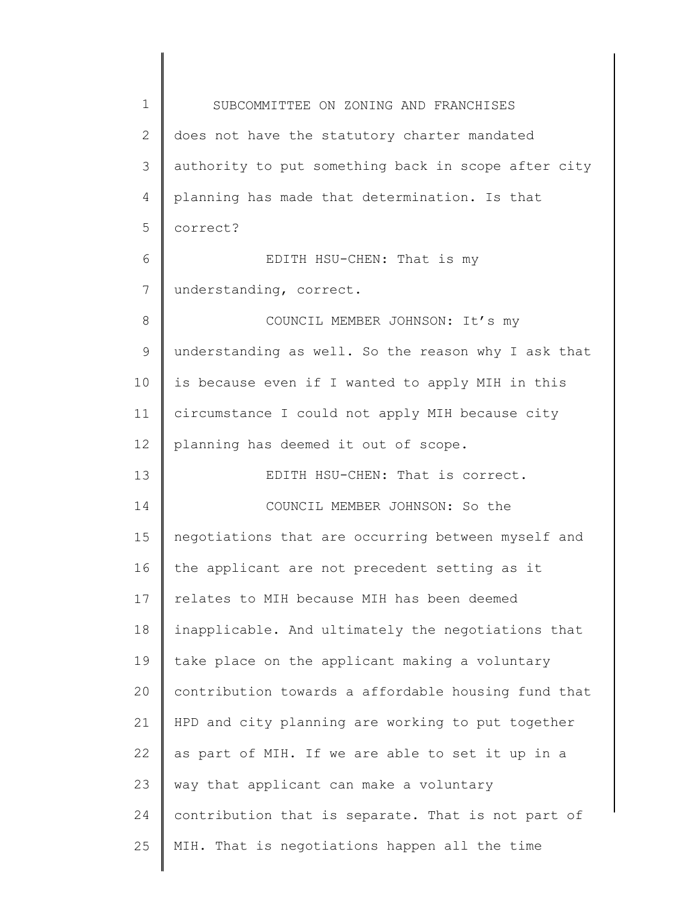1 2 3 4 5 6 7 8 9 10 11 12 13 14 15 16 17 18 19 20 21 22 23 24 25 SUBCOMMITTEE ON ZONING AND FRANCHISES does not have the statutory charter mandated authority to put something back in scope after city planning has made that determination. Is that correct? EDITH HSU-CHEN: That is my understanding, correct. COUNCIL MEMBER JOHNSON: It's my understanding as well. So the reason why I ask that is because even if I wanted to apply MIH in this circumstance I could not apply MIH because city planning has deemed it out of scope. EDITH HSU-CHEN: That is correct. COUNCIL MEMBER JOHNSON: So the negotiations that are occurring between myself and the applicant are not precedent setting as it relates to MIH because MIH has been deemed inapplicable. And ultimately the negotiations that take place on the applicant making a voluntary contribution towards a affordable housing fund that HPD and city planning are working to put together as part of MIH. If we are able to set it up in a way that applicant can make a voluntary contribution that is separate. That is not part of MIH. That is negotiations happen all the time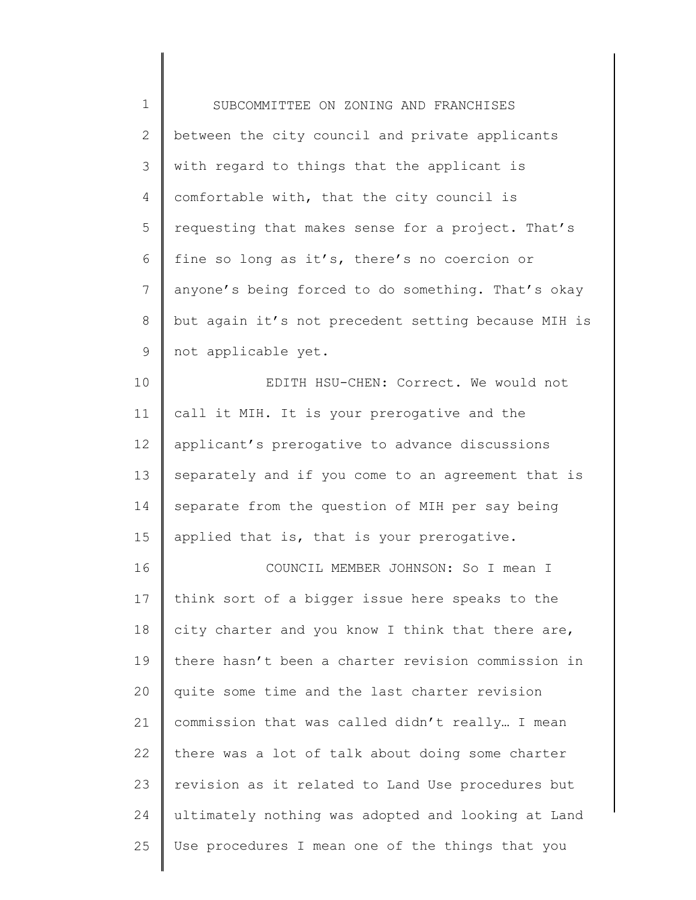1 2 3 4 5 6 7 8 9 10 11 12 13 14 15 16 17 18 19 20 21 22 23 24 25 SUBCOMMITTEE ON ZONING AND FRANCHISES between the city council and private applicants with regard to things that the applicant is comfortable with, that the city council is requesting that makes sense for a project. That's fine so long as it's, there's no coercion or anyone's being forced to do something. That's okay but again it's not precedent setting because MIH is not applicable yet. EDITH HSU-CHEN: Correct. We would not call it MIH. It is your prerogative and the applicant's prerogative to advance discussions separately and if you come to an agreement that is separate from the question of MIH per say being applied that is, that is your prerogative. COUNCIL MEMBER JOHNSON: So I mean I think sort of a bigger issue here speaks to the city charter and you know I think that there are, there hasn't been a charter revision commission in quite some time and the last charter revision commission that was called didn't really… I mean there was a lot of talk about doing some charter revision as it related to Land Use procedures but ultimately nothing was adopted and looking at Land Use procedures I mean one of the things that you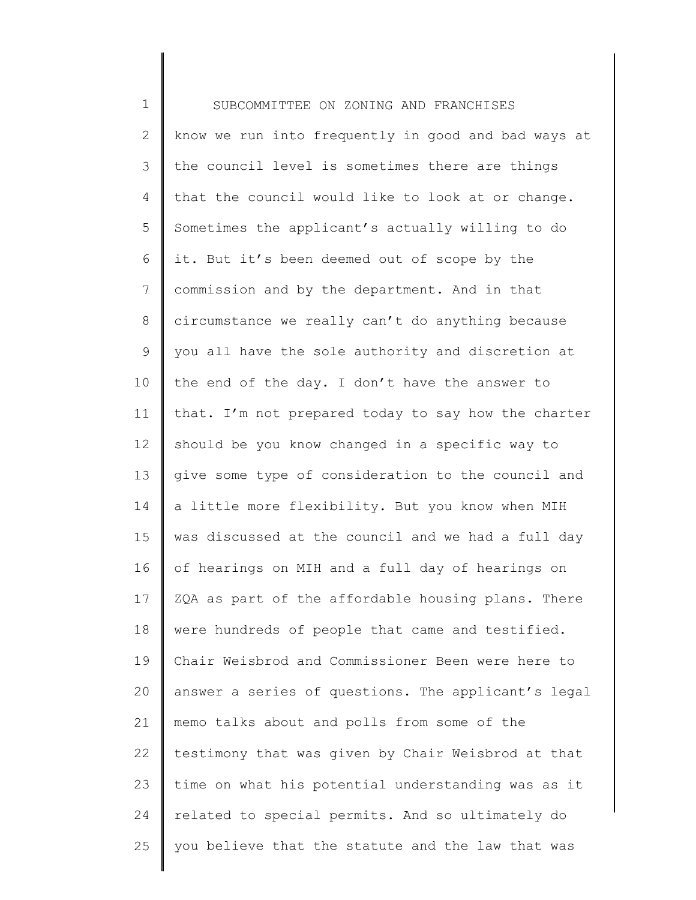1 2 3 4 5 6 7 8 9 10 11 12 13 14 15 16 17 18 19 20 21 22 23 24 25 SUBCOMMITTEE ON ZONING AND FRANCHISES know we run into frequently in good and bad ways at the council level is sometimes there are things that the council would like to look at or change. Sometimes the applicant's actually willing to do it. But it's been deemed out of scope by the commission and by the department. And in that circumstance we really can't do anything because you all have the sole authority and discretion at the end of the day. I don't have the answer to that. I'm not prepared today to say how the charter should be you know changed in a specific way to give some type of consideration to the council and a little more flexibility. But you know when MIH was discussed at the council and we had a full day of hearings on MIH and a full day of hearings on ZQA as part of the affordable housing plans. There were hundreds of people that came and testified. Chair Weisbrod and Commissioner Been were here to answer a series of questions. The applicant's legal memo talks about and polls from some of the testimony that was given by Chair Weisbrod at that time on what his potential understanding was as it related to special permits. And so ultimately do you believe that the statute and the law that was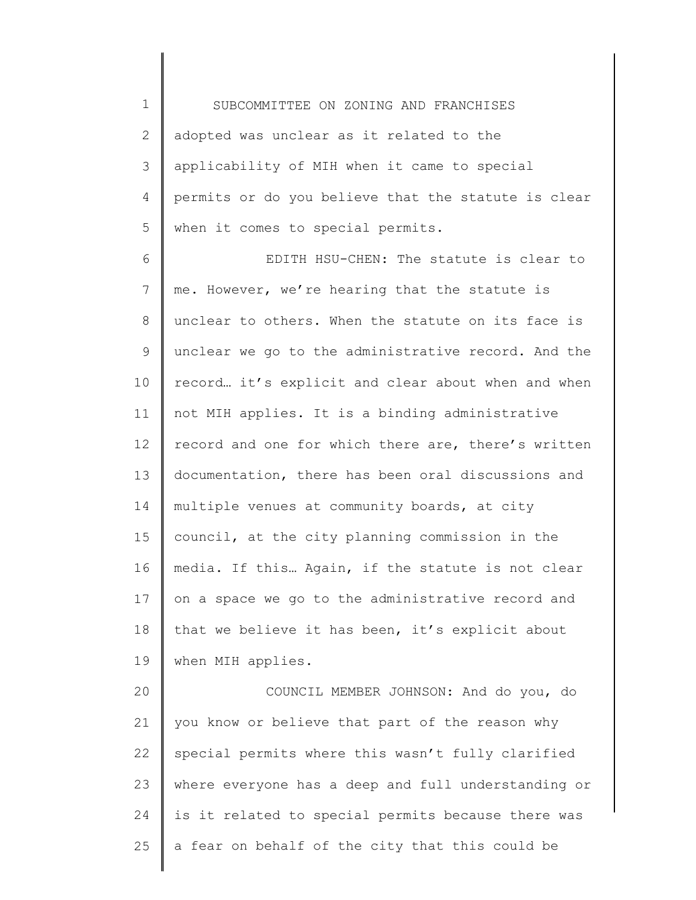1 2 3 4 5 SUBCOMMITTEE ON ZONING AND FRANCHISES adopted was unclear as it related to the applicability of MIH when it came to special permits or do you believe that the statute is clear when it comes to special permits.

6 7 8 9 10 11 12 13 14 15 16 17 18 19 EDITH HSU-CHEN: The statute is clear to me. However, we're hearing that the statute is unclear to others. When the statute on its face is unclear we go to the administrative record. And the record… it's explicit and clear about when and when not MIH applies. It is a binding administrative record and one for which there are, there's written documentation, there has been oral discussions and multiple venues at community boards, at city council, at the city planning commission in the media. If this… Again, if the statute is not clear on a space we go to the administrative record and that we believe it has been, it's explicit about when MIH applies.

20 21 22 23 24 25 COUNCIL MEMBER JOHNSON: And do you, do you know or believe that part of the reason why special permits where this wasn't fully clarified where everyone has a deep and full understanding or is it related to special permits because there was a fear on behalf of the city that this could be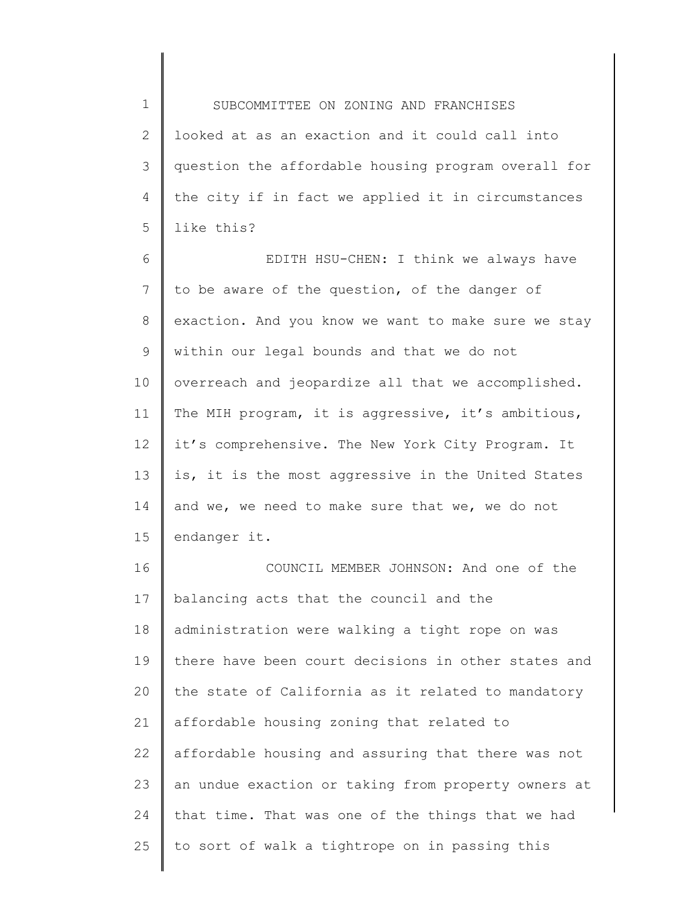1 2 3 4 5 SUBCOMMITTEE ON ZONING AND FRANCHISES looked at as an exaction and it could call into question the affordable housing program overall for the city if in fact we applied it in circumstances like this?

6 7 8 9 10 11 12 13 14 15 EDITH HSU-CHEN: I think we always have to be aware of the question, of the danger of exaction. And you know we want to make sure we stay within our legal bounds and that we do not overreach and jeopardize all that we accomplished. The MIH program, it is aggressive, it's ambitious, it's comprehensive. The New York City Program. It is, it is the most aggressive in the United States and we, we need to make sure that we, we do not endanger it.

16 17 18 19 20 21 22 23 24 25 COUNCIL MEMBER JOHNSON: And one of the balancing acts that the council and the administration were walking a tight rope on was there have been court decisions in other states and the state of California as it related to mandatory affordable housing zoning that related to affordable housing and assuring that there was not an undue exaction or taking from property owners at that time. That was one of the things that we had to sort of walk a tightrope on in passing this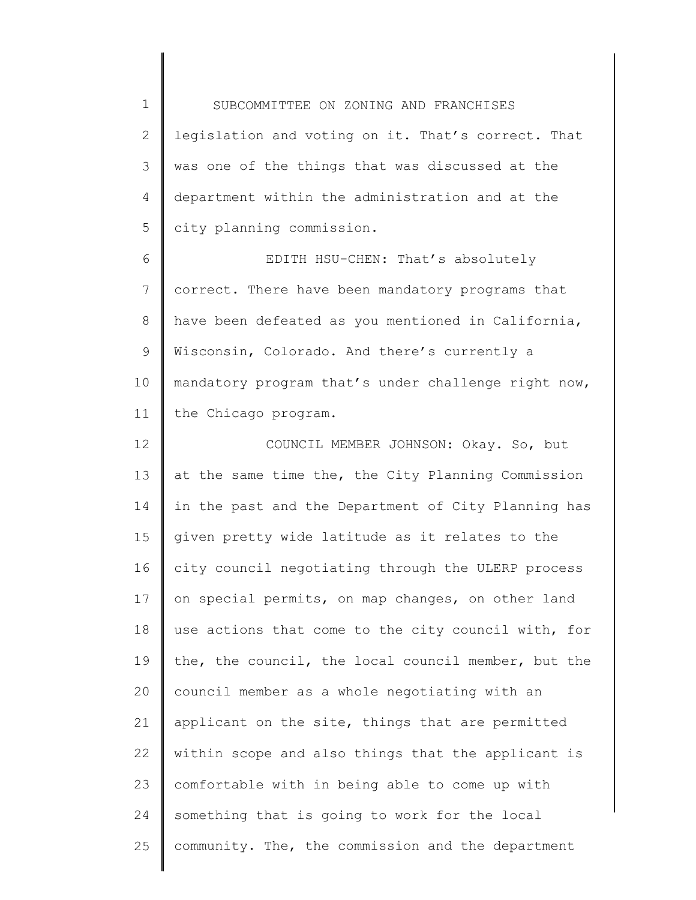1 2 3 4 5 SUBCOMMITTEE ON ZONING AND FRANCHISES legislation and voting on it. That's correct. That was one of the things that was discussed at the department within the administration and at the city planning commission.

6 7 8 9 10 11 EDITH HSU-CHEN: That's absolutely correct. There have been mandatory programs that have been defeated as you mentioned in California, Wisconsin, Colorado. And there's currently a mandatory program that's under challenge right now, the Chicago program.

12 13 14 15 16 17 18 19 20 21 22 23 24 25 COUNCIL MEMBER JOHNSON: Okay. So, but at the same time the, the City Planning Commission in the past and the Department of City Planning has given pretty wide latitude as it relates to the city council negotiating through the ULERP process on special permits, on map changes, on other land use actions that come to the city council with, for the, the council, the local council member, but the council member as a whole negotiating with an applicant on the site, things that are permitted within scope and also things that the applicant is comfortable with in being able to come up with something that is going to work for the local community. The, the commission and the department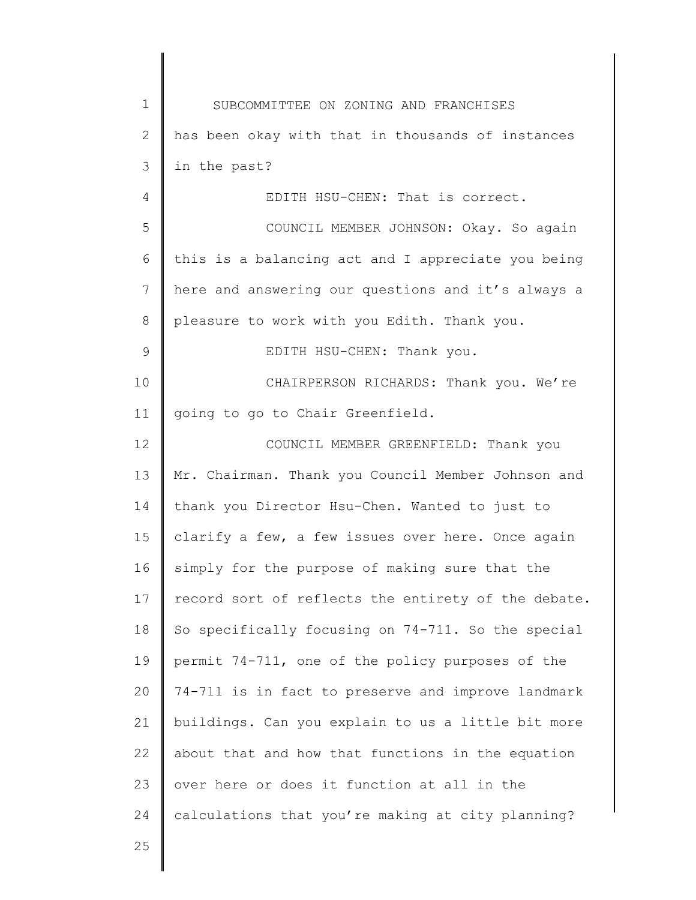1 2 3 4 5 6 7 8 9 10 11 12 13 14 15 16 17 18 19 20 21 22 23 24 25 SUBCOMMITTEE ON ZONING AND FRANCHISES has been okay with that in thousands of instances in the past? EDITH HSU-CHEN: That is correct. COUNCIL MEMBER JOHNSON: Okay. So again this is a balancing act and I appreciate you being here and answering our questions and it's always a pleasure to work with you Edith. Thank you. EDITH HSU-CHEN: Thank you. CHAIRPERSON RICHARDS: Thank you. We're going to go to Chair Greenfield. COUNCIL MEMBER GREENFIELD: Thank you Mr. Chairman. Thank you Council Member Johnson and thank you Director Hsu-Chen. Wanted to just to clarify a few, a few issues over here. Once again simply for the purpose of making sure that the record sort of reflects the entirety of the debate. So specifically focusing on 74-711. So the special permit 74-711, one of the policy purposes of the 74-711 is in fact to preserve and improve landmark buildings. Can you explain to us a little bit more about that and how that functions in the equation over here or does it function at all in the calculations that you're making at city planning?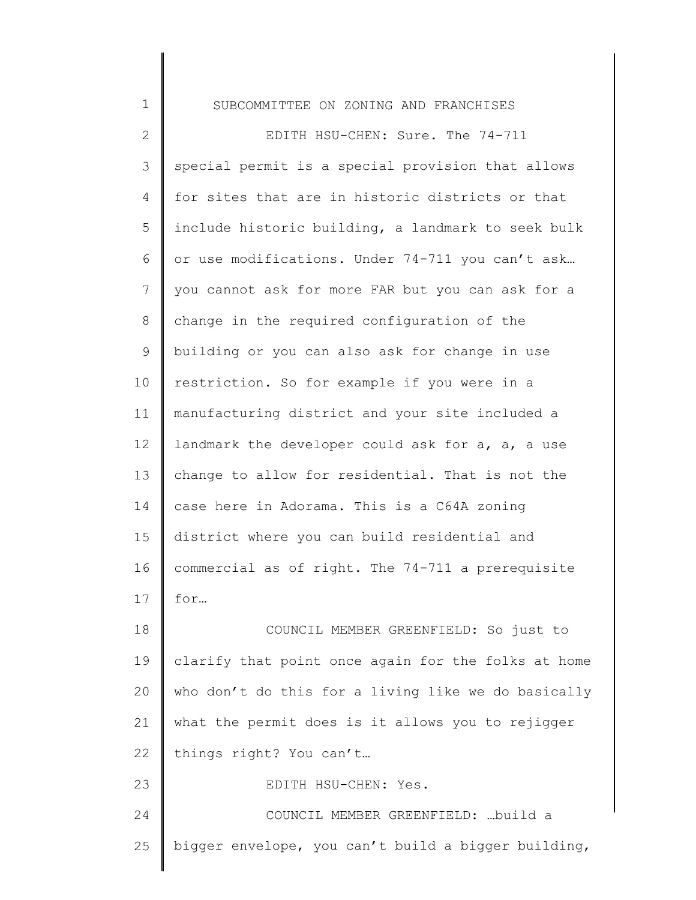1 2 3 4 5 6 7 8 9 10 11 12 13 14 15 16 17 18 19 20 21 22 23 24 25 SUBCOMMITTEE ON ZONING AND FRANCHISES 124 EDITH HSU-CHEN: Sure. The 74-711 special permit is a special provision that allows for sites that are in historic districts or that include historic building, a landmark to seek bulk or use modifications. Under 74-711 you can't ask… you cannot ask for more FAR but you can ask for a change in the required configuration of the building or you can also ask for change in use restriction. So for example if you were in a manufacturing district and your site included a landmark the developer could ask for  $a$ ,  $a$ , a use change to allow for residential. That is not the case here in Adorama. This is a C64A zoning district where you can build residential and commercial as of right. The 74-711 a prerequisite for… COUNCIL MEMBER GREENFIELD: So just to clarify that point once again for the folks at home who don't do this for a living like we do basically what the permit does is it allows you to rejigger things right? You can't… EDITH HSU-CHEN: Yes. COUNCIL MEMBER GREENFIELD: …build a bigger envelope, you can't build a bigger building,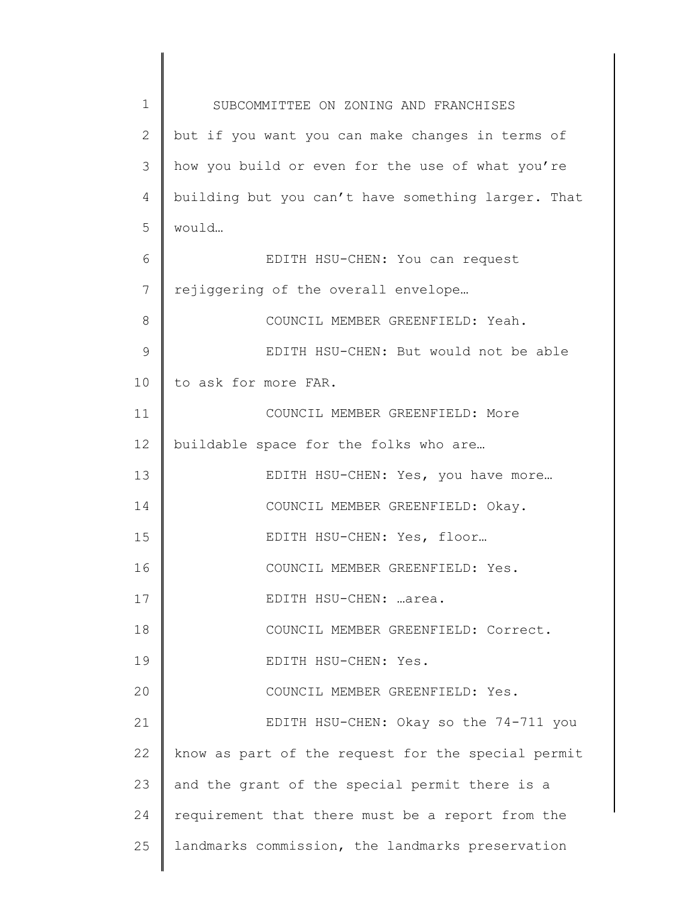1 2 3 4 5 6 7 8 9 10 11 12 13 14 15 16 17 18 19 20 21 22 23 24 25 SUBCOMMITTEE ON ZONING AND FRANCHISES but if you want you can make changes in terms of how you build or even for the use of what you're building but you can't have something larger. That would… EDITH HSU-CHEN: You can request rejiggering of the overall envelope… COUNCIL MEMBER GREENFIELD: Yeah. EDITH HSU-CHEN: But would not be able to ask for more FAR. COUNCIL MEMBER GREENFIELD: More buildable space for the folks who are… EDITH HSU-CHEN: Yes, you have more… COUNCIL MEMBER GREENFIELD: Okay. EDITH HSU-CHEN: Yes, floor… COUNCIL MEMBER GREENFIELD: Yes. EDITH HSU-CHEN: …area. COUNCIL MEMBER GREENFIELD: Correct. EDITH HSU-CHEN: Yes. COUNCIL MEMBER GREENFIELD: Yes. EDITH HSU-CHEN: Okay so the 74-711 you know as part of the request for the special permit and the grant of the special permit there is a requirement that there must be a report from the landmarks commission, the landmarks preservation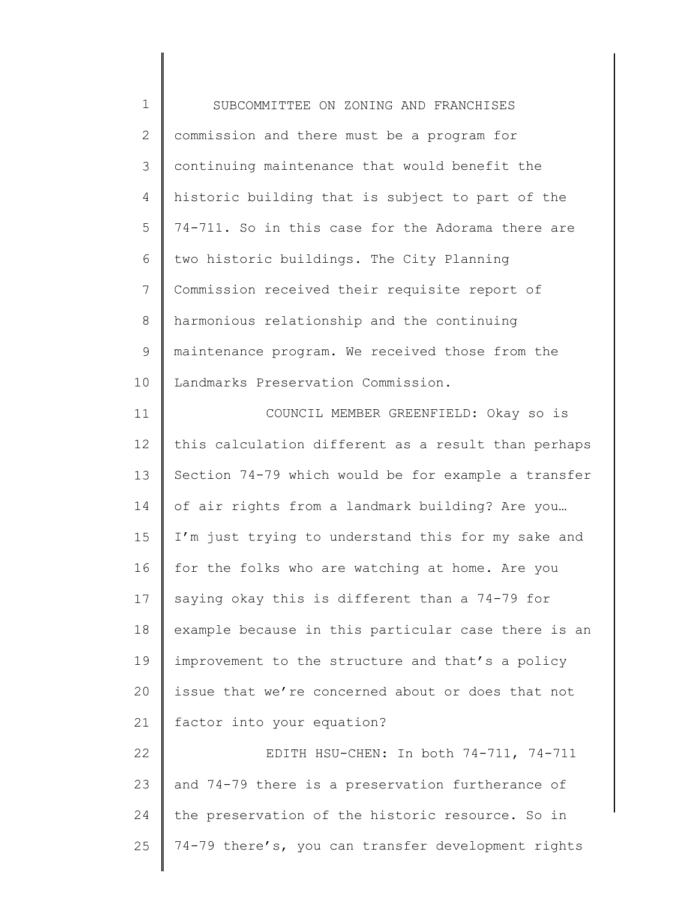| $\mathbf 1$  | SUBCOMMITTEE ON ZONING AND FRANCHISES               |
|--------------|-----------------------------------------------------|
| $\mathbf{2}$ | commission and there must be a program for          |
| 3            | continuing maintenance that would benefit the       |
| 4            | historic building that is subject to part of the    |
| 5            | 74-711. So in this case for the Adorama there are   |
| 6            | two historic buildings. The City Planning           |
| 7            | Commission received their requisite report of       |
| $\,8\,$      | harmonious relationship and the continuing          |
| 9            | maintenance program. We received those from the     |
| 10           | Landmarks Preservation Commission.                  |
| 11           | COUNCIL MEMBER GREENFIELD: Okay so is               |
| 12           | this calculation different as a result than perhaps |
| 13           | Section 74-79 which would be for example a transfer |
| 14           | of air rights from a landmark building? Are you     |
| 15           | I'm just trying to understand this for my sake and  |
| 16           | for the folks who are watching at home. Are you     |
| 17           | saying okay this is different than a 74-79 for      |
| 18           | example because in this particular case there is an |
| 19           | improvement to the structure and that's a policy    |
| 20           | issue that we're concerned about or does that not   |
| 21           | factor into your equation?                          |
| 22           | EDITH HSU-CHEN: In both 74-711, 74-711              |
| 23           | and 74-79 there is a preservation furtherance of    |
| 24           | the preservation of the historic resource. So in    |
| 25           | 74-79 there's, you can transfer development rights  |
|              |                                                     |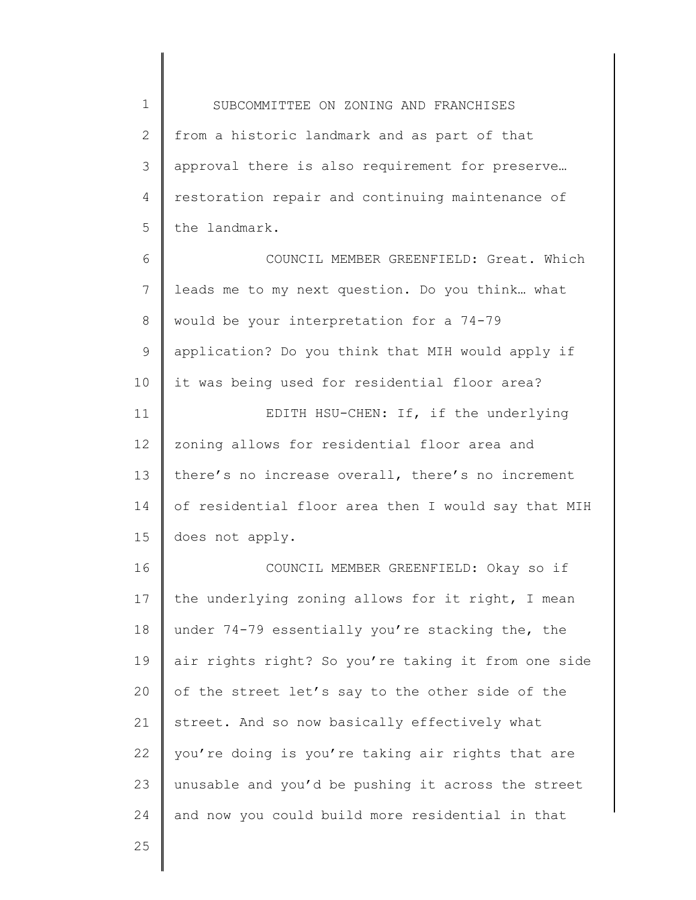1 2 3 4 5 6 7 8 9 10 11 12 13 14 15 16 17 18 19 20 21 22 SUBCOMMITTEE ON ZONING AND FRANCHISES from a historic landmark and as part of that approval there is also requirement for preserve… restoration repair and continuing maintenance of the landmark. COUNCIL MEMBER GREENFIELD: Great. Which leads me to my next question. Do you think… what would be your interpretation for a 74-79 application? Do you think that MIH would apply if it was being used for residential floor area? EDITH HSU-CHEN: If, if the underlying zoning allows for residential floor area and there's no increase overall, there's no increment of residential floor area then I would say that MIH does not apply. COUNCIL MEMBER GREENFIELD: Okay so if the underlying zoning allows for it right, I mean under 74-79 essentially you're stacking the, the air rights right? So you're taking it from one side of the street let's say to the other side of the street. And so now basically effectively what you're doing is you're taking air rights that are

24 and now you could build more residential in that

unusable and you'd be pushing it across the street

25

23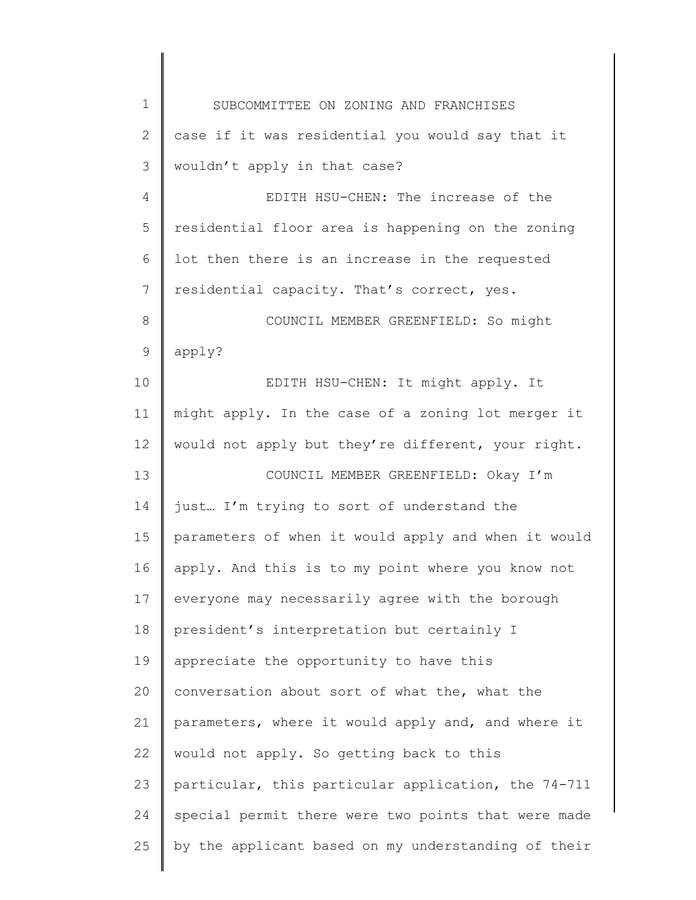| $\mathbf 1$  | SUBCOMMITTEE ON ZONING AND FRANCHISES               |
|--------------|-----------------------------------------------------|
| $\mathbf{2}$ | case if it was residential you would say that it    |
| 3            | wouldn't apply in that case?                        |
| 4            | EDITH HSU-CHEN: The increase of the                 |
| 5            | residential floor area is happening on the zoning   |
| 6            | lot then there is an increase in the requested      |
| 7            | residential capacity. That's correct, yes.          |
| 8            | COUNCIL MEMBER GREENFIELD: So might                 |
| $\mathsf 9$  | apply?                                              |
| 10           | EDITH HSU-CHEN: It might apply. It                  |
| 11           | might apply. In the case of a zoning lot merger it  |
| 12           | would not apply but they're different, your right.  |
| 13           | COUNCIL MEMBER GREENFIELD: Okay I'm                 |
| 14           | just I'm trying to sort of understand the           |
| 15           | parameters of when it would apply and when it would |
| 16           | apply. And this is to my point where you know not   |
| 17           | everyone may necessarily agree with the borough     |
| 18           | president's interpretation but certainly I          |
| 19           | appreciate the opportunity to have this             |
| 20           | conversation about sort of what the, what the       |
| 21           | parameters, where it would apply and, and where it  |
| 22           | would not apply. So getting back to this            |
| 23           | particular, this particular application, the 74-711 |
| 24           | special permit there were two points that were made |
| 25           | by the applicant based on my understanding of their |
|              |                                                     |

 $\begin{array}{c} \hline \end{array}$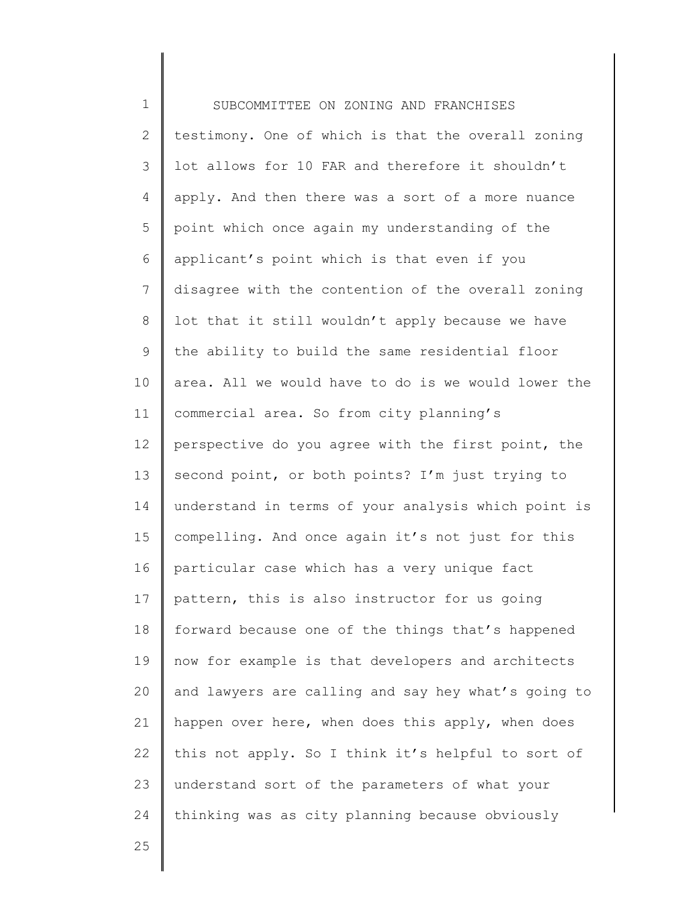1 2 3 4 5 6 7 8 9 10 11 12 13 14 15 16 17 18 19 20 21 22 23 24 SUBCOMMITTEE ON ZONING AND FRANCHISES testimony. One of which is that the overall zoning lot allows for 10 FAR and therefore it shouldn't apply. And then there was a sort of a more nuance point which once again my understanding of the applicant's point which is that even if you disagree with the contention of the overall zoning lot that it still wouldn't apply because we have the ability to build the same residential floor area. All we would have to do is we would lower the commercial area. So from city planning's perspective do you agree with the first point, the second point, or both points? I'm just trying to understand in terms of your analysis which point is compelling. And once again it's not just for this particular case which has a very unique fact pattern, this is also instructor for us going forward because one of the things that's happened now for example is that developers and architects and lawyers are calling and say hey what's going to happen over here, when does this apply, when does this not apply. So I think it's helpful to sort of understand sort of the parameters of what your thinking was as city planning because obviously

25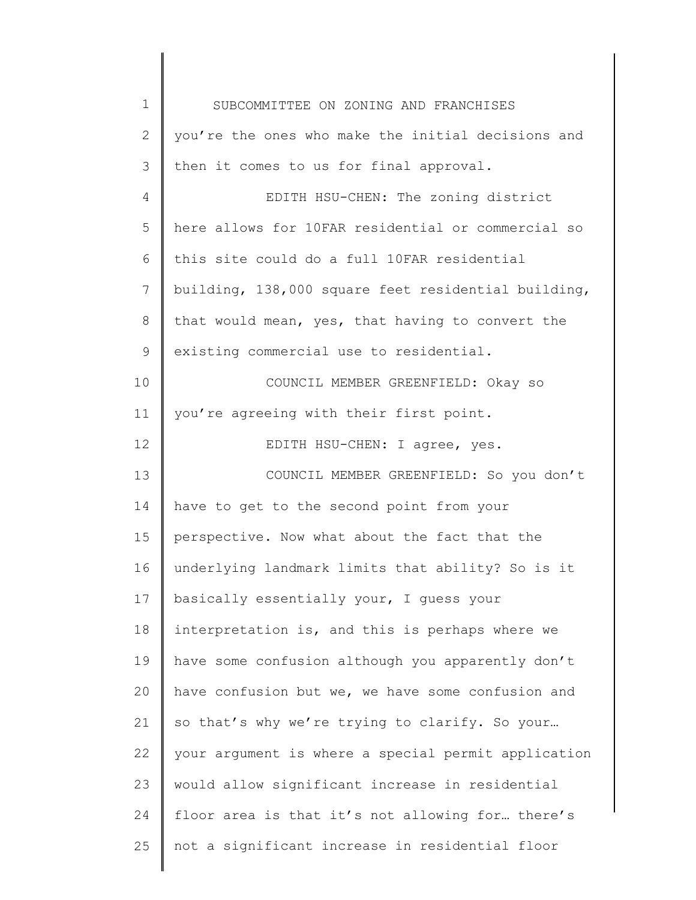| $\mathbf 1$    | SUBCOMMITTEE ON ZONING AND FRANCHISES               |
|----------------|-----------------------------------------------------|
| $\overline{2}$ | you're the ones who make the initial decisions and  |
| 3              | then it comes to us for final approval.             |
| 4              | EDITH HSU-CHEN: The zoning district                 |
| 5              | here allows for 10FAR residential or commercial so  |
| 6              | this site could do a full 10FAR residential         |
| 7              | building, 138,000 square feet residential building, |
| $8\,$          | that would mean, yes, that having to convert the    |
| 9              | existing commercial use to residential.             |
| 10             | COUNCIL MEMBER GREENFIELD: Okay so                  |
| 11             | you're agreeing with their first point.             |
| 12             | EDITH HSU-CHEN: I agree, yes.                       |
| 13             | COUNCIL MEMBER GREENFIELD: So you don't             |
| 14             | have to get to the second point from your           |
| 15             | perspective. Now what about the fact that the       |
| 16             | underlying landmark limits that ability? So is it   |
| 17             | basically essentially your, I guess your            |
| 18             | interpretation is, and this is perhaps where we     |
| 19             | have some confusion although you apparently don't   |
| 20             | have confusion but we, we have some confusion and   |
| 21             | so that's why we're trying to clarify. So your      |
| 22             | your argument is where a special permit application |
| 23             | would allow significant increase in residential     |
| 24             | floor area is that it's not allowing for there's    |
| 25             | not a significant increase in residential floor     |
|                |                                                     |

 $\begin{array}{c} \hline \end{array}$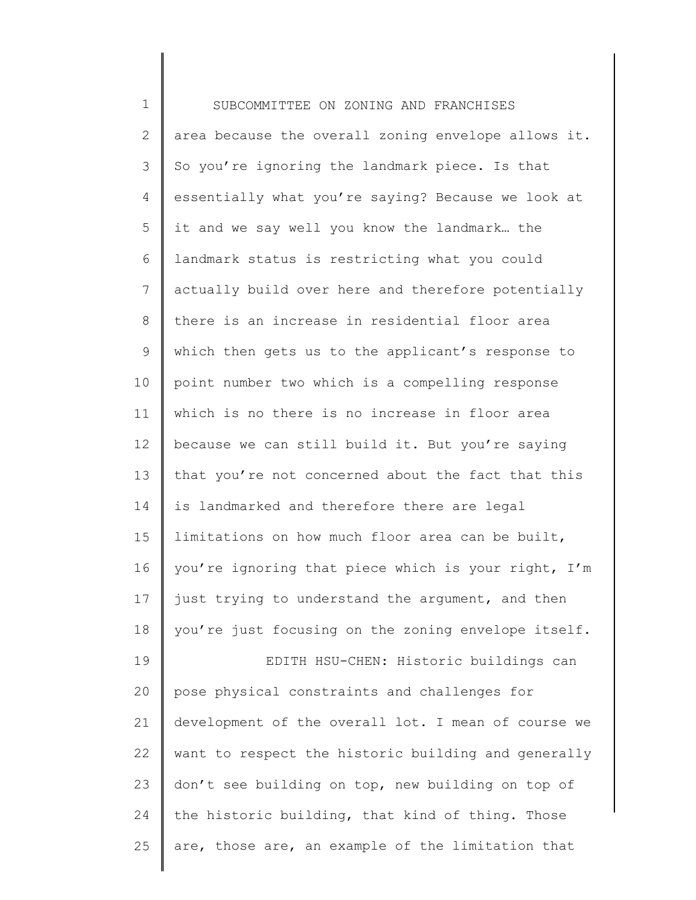1 2 3 4 5 6 7 8 9 10 11 12 13 14 15 16 17 18 19 20 21 22 23 24 25 SUBCOMMITTEE ON ZONING AND FRANCHISES area because the overall zoning envelope allows it. So you're ignoring the landmark piece. Is that essentially what you're saying? Because we look at it and we say well you know the landmark… the landmark status is restricting what you could actually build over here and therefore potentially there is an increase in residential floor area which then gets us to the applicant's response to point number two which is a compelling response which is no there is no increase in floor area because we can still build it. But you're saying that you're not concerned about the fact that this is landmarked and therefore there are legal limitations on how much floor area can be built, you're ignoring that piece which is your right, I'm just trying to understand the argument, and then you're just focusing on the zoning envelope itself. EDITH HSU-CHEN: Historic buildings can pose physical constraints and challenges for development of the overall lot. I mean of course we want to respect the historic building and generally don't see building on top, new building on top of the historic building, that kind of thing. Those are, those are, an example of the limitation that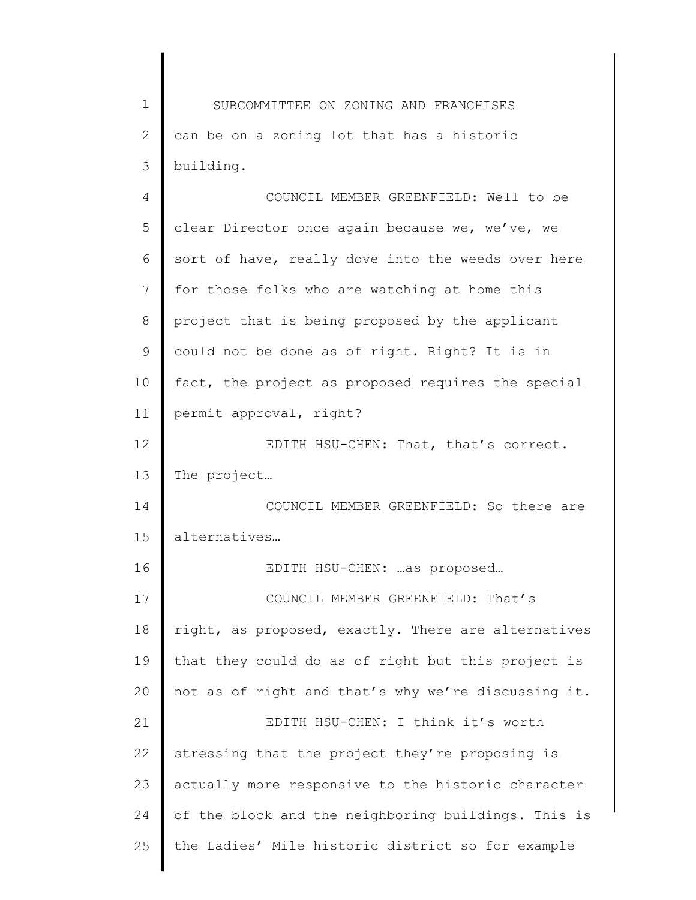1 2 3 4 5 6 7 8 9 10 11 12 13 14 15 16 17 18 19 20 21 22 23 24 25 SUBCOMMITTEE ON ZONING AND FRANCHISES can be on a zoning lot that has a historic building. COUNCIL MEMBER GREENFIELD: Well to be clear Director once again because we, we've, we sort of have, really dove into the weeds over here for those folks who are watching at home this project that is being proposed by the applicant could not be done as of right. Right? It is in fact, the project as proposed requires the special permit approval, right? EDITH HSU-CHEN: That, that's correct. The project… COUNCIL MEMBER GREENFIELD: So there are alternatives… EDITH HSU-CHEN: …as proposed… COUNCIL MEMBER GREENFIELD: That's right, as proposed, exactly. There are alternatives that they could do as of right but this project is not as of right and that's why we're discussing it. EDITH HSU-CHEN: I think it's worth stressing that the project they're proposing is actually more responsive to the historic character of the block and the neighboring buildings. This is the Ladies' Mile historic district so for example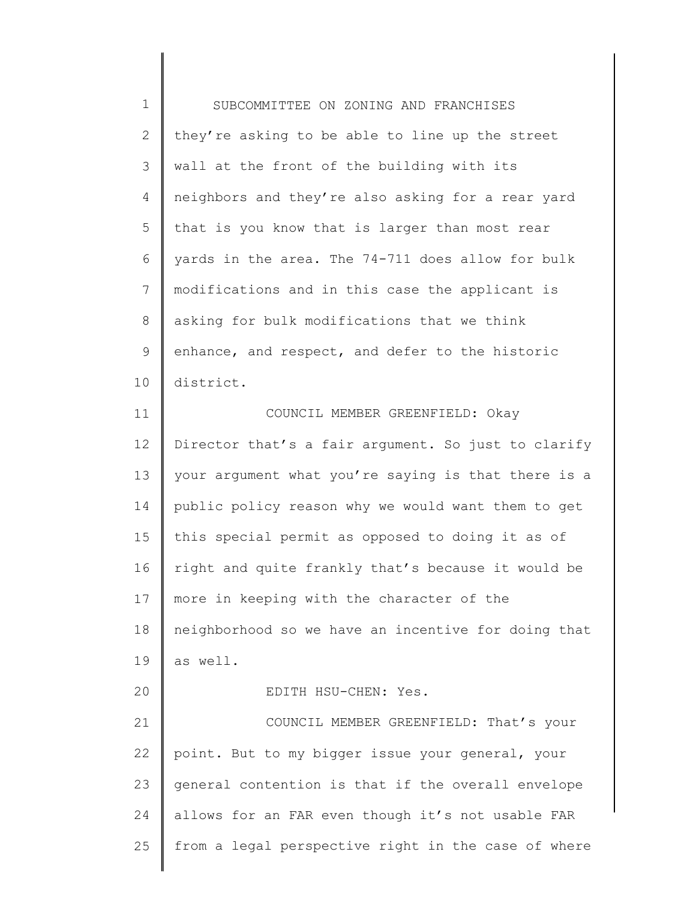| $1\,$          | SUBCOMMITTEE ON ZONING AND FRANCHISES               |
|----------------|-----------------------------------------------------|
| $\mathbf{2}$   | they're asking to be able to line up the street     |
| 3              | wall at the front of the building with its          |
| 4              | neighbors and they're also asking for a rear yard   |
| 5              | that is you know that is larger than most rear      |
| 6              | yards in the area. The 74-711 does allow for bulk   |
| $\overline{7}$ | modifications and in this case the applicant is     |
| $\,8\,$        | asking for bulk modifications that we think         |
| $\mathsf 9$    | enhance, and respect, and defer to the historic     |
| 10             | district.                                           |
| 11             | COUNCIL MEMBER GREENFIELD: Okay                     |
| 12             | Director that's a fair argument. So just to clarify |
| 13             | your argument what you're saying is that there is a |
| 14             | public policy reason why we would want them to get  |
| 15             | this special permit as opposed to doing it as of    |
| 16             | right and quite frankly that's because it would be  |
| 17             | more in keeping with the character of the           |
| 18             | neighborhood so we have an incentive for doing that |
| 19             | as well.                                            |
| 20             | EDITH HSU-CHEN: Yes.                                |
| 21             | COUNCIL MEMBER GREENFIELD: That's your              |
| 22             | point. But to my bigger issue your general, your    |
| 23             | general contention is that if the overall envelope  |
| 24             | allows for an FAR even though it's not usable FAR   |
| 25             | from a legal perspective right in the case of where |
|                |                                                     |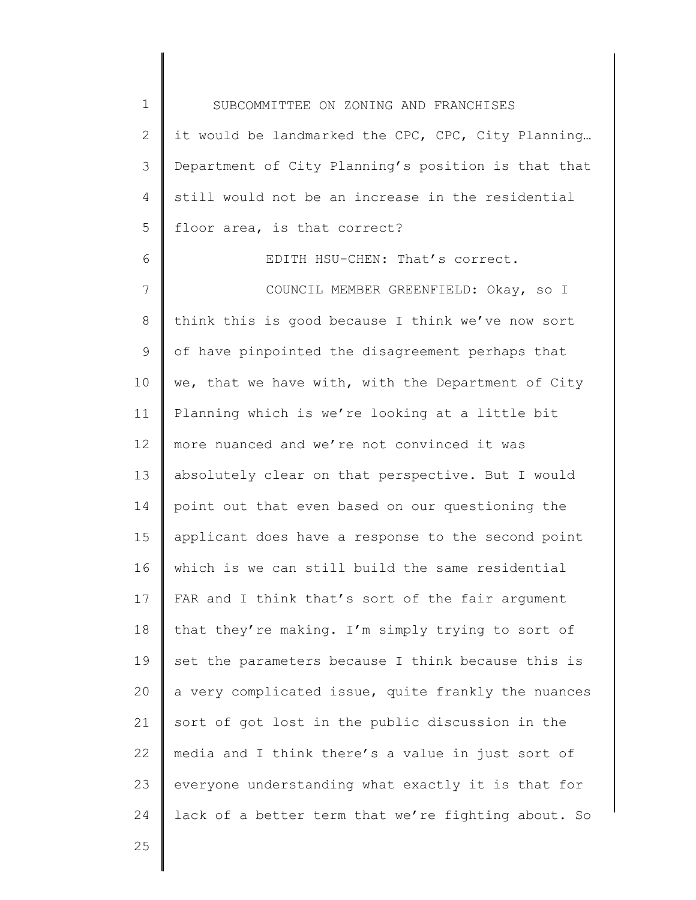| $\mathbf 1$  | SUBCOMMITTEE ON ZONING AND FRANCHISES               |
|--------------|-----------------------------------------------------|
| $\mathbf{2}$ | it would be landmarked the CPC, CPC, City Planning  |
| 3            | Department of City Planning's position is that that |
| 4            | still would not be an increase in the residential   |
| 5            | floor area, is that correct?                        |
| 6            | EDITH HSU-CHEN: That's correct.                     |
| 7            | COUNCIL MEMBER GREENFIELD: Okay, so I               |
| 8            | think this is good because I think we've now sort   |
| 9            | of have pinpointed the disagreement perhaps that    |
| 10           | we, that we have with, with the Department of City  |
| 11           | Planning which is we're looking at a little bit     |
| 12           | more nuanced and we're not convinced it was         |
| 13           | absolutely clear on that perspective. But I would   |
| 14           | point out that even based on our questioning the    |
| 15           | applicant does have a response to the second point  |
| 16           | which is we can still build the same residential    |
| 17           | FAR and I think that's sort of the fair argument    |
| 18           | that they're making. I'm simply trying to sort of   |
| 19           | set the parameters because I think because this is  |
| 20           | a very complicated issue, quite frankly the nuances |
| 21           | sort of got lost in the public discussion in the    |
| 22           | media and I think there's a value in just sort of   |
| 23           | everyone understanding what exactly it is that for  |
| 24           | lack of a better term that we're fighting about. So |
| 25           |                                                     |

25

║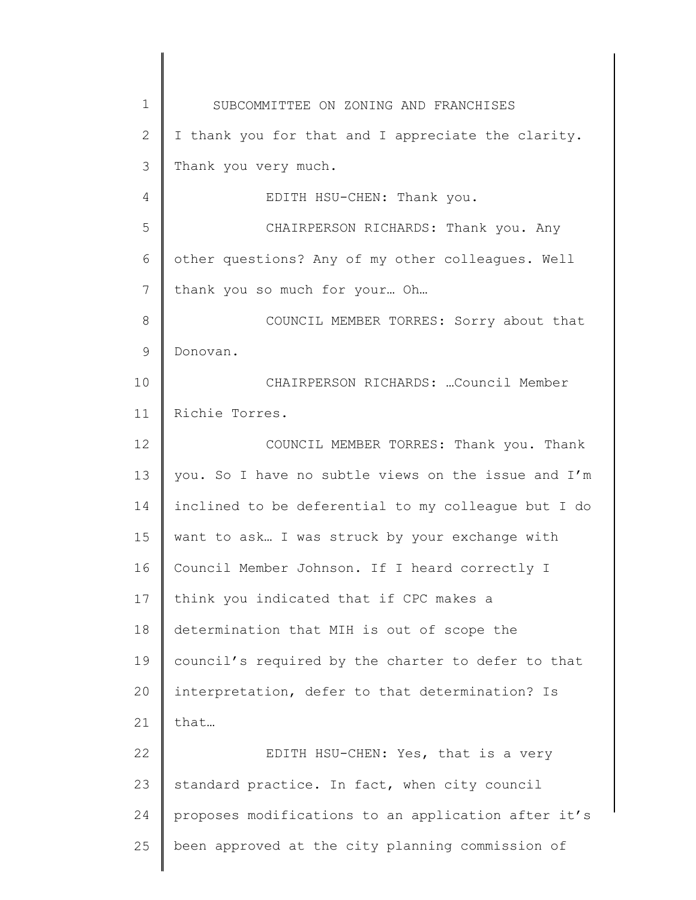1 2 3 4 5 6 7 8 9 10 11 12 13 14 15 16 17 18 19 20 21 22 23 24 25 SUBCOMMITTEE ON ZONING AND FRANCHISES I thank you for that and I appreciate the clarity. Thank you very much. EDITH HSU-CHEN: Thank you. CHAIRPERSON RICHARDS: Thank you. Any other questions? Any of my other colleagues. Well thank you so much for your… Oh… COUNCIL MEMBER TORRES: Sorry about that Donovan. CHAIRPERSON RICHARDS: …Council Member Richie Torres. COUNCIL MEMBER TORRES: Thank you. Thank you. So I have no subtle views on the issue and I'm inclined to be deferential to my colleague but I do want to ask… I was struck by your exchange with Council Member Johnson. If I heard correctly I think you indicated that if CPC makes a determination that MIH is out of scope the council's required by the charter to defer to that interpretation, defer to that determination? Is that… EDITH HSU-CHEN: Yes, that is a very standard practice. In fact, when city council proposes modifications to an application after it's been approved at the city planning commission of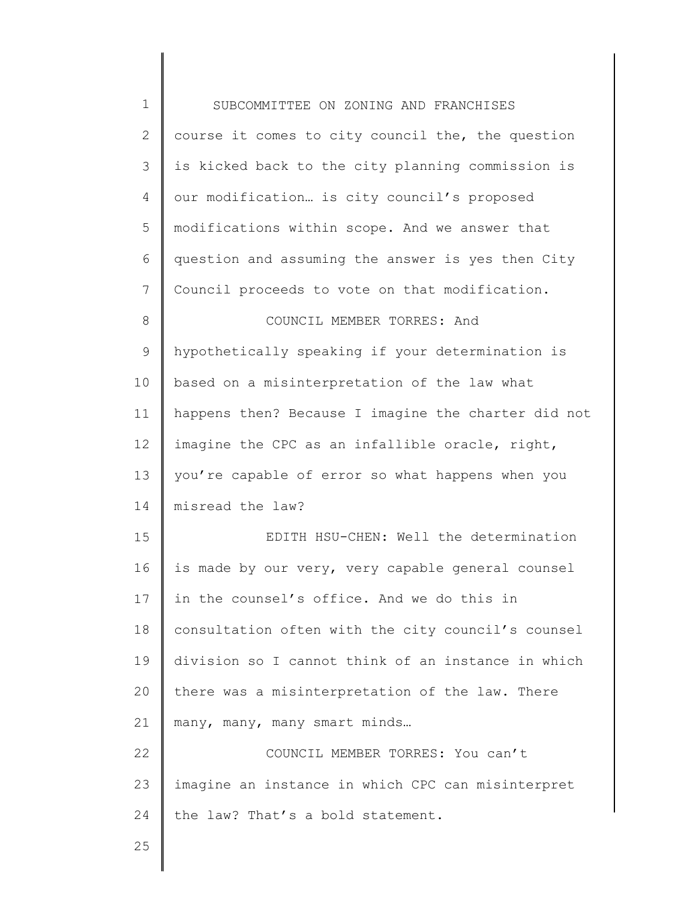| $\mathbf 1$ | SUBCOMMITTEE ON ZONING AND FRANCHISES               |
|-------------|-----------------------------------------------------|
| 2           | course it comes to city council the, the question   |
| 3           | is kicked back to the city planning commission is   |
| 4           | our modification is city council's proposed         |
| 5           | modifications within scope. And we answer that      |
| 6           | question and assuming the answer is yes then City   |
| 7           | Council proceeds to vote on that modification.      |
| 8           | COUNCIL MEMBER TORRES: And                          |
| 9           | hypothetically speaking if your determination is    |
| 10          | based on a misinterpretation of the law what        |
| 11          | happens then? Because I imagine the charter did not |
| 12          | imagine the CPC as an infallible oracle, right,     |
| 13          | you're capable of error so what happens when you    |
| 14          | misread the law?                                    |
| 15          | EDITH HSU-CHEN: Well the determination              |
| 16          | is made by our very, very capable general counsel   |
| 17          | in the counsel's office. And we do this in          |
| 18          | consultation often with the city council's counsel  |
| 19          | division so I cannot think of an instance in which  |
| 20          | there was a misinterpretation of the law. There     |
| 21          | many, many, many smart minds                        |
| 22          | COUNCIL MEMBER TORRES: You can't                    |
| 23          | imagine an instance in which CPC can misinterpret   |
| 24          | the law? That's a bold statement.                   |
| 25          |                                                     |
|             |                                                     |

║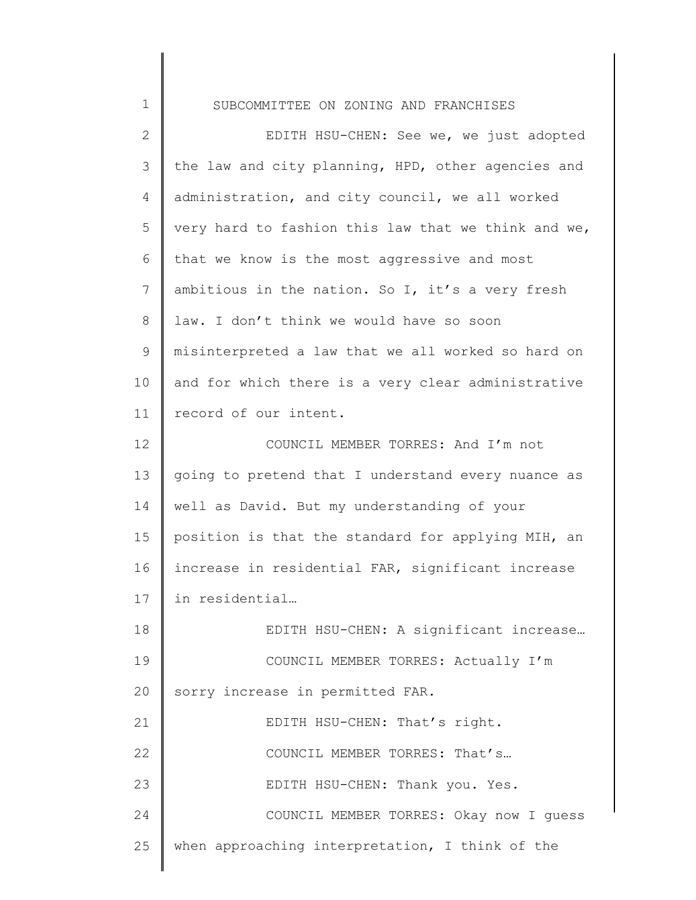1 2 3 4 5 6 7 8 9 10 11 12 13 14 15 16 17 18 19 20 21 22 23 24 25 SUBCOMMITTEE ON ZONING AND FRANCHISES EDITH HSU-CHEN: See we, we just adopted the law and city planning, HPD, other agencies and administration, and city council, we all worked very hard to fashion this law that we think and we, that we know is the most aggressive and most ambitious in the nation. So I, it's a very fresh law. I don't think we would have so soon misinterpreted a law that we all worked so hard on and for which there is a very clear administrative record of our intent. COUNCIL MEMBER TORRES: And I'm not going to pretend that I understand every nuance as well as David. But my understanding of your position is that the standard for applying MIH, an increase in residential FAR, significant increase in residential… EDITH HSU-CHEN: A significant increase… COUNCIL MEMBER TORRES: Actually I'm sorry increase in permitted FAR. EDITH HSU-CHEN: That's right. COUNCIL MEMBER TORRES: That's… EDITH HSU-CHEN: Thank you. Yes. COUNCIL MEMBER TORRES: Okay now I guess when approaching interpretation, I think of the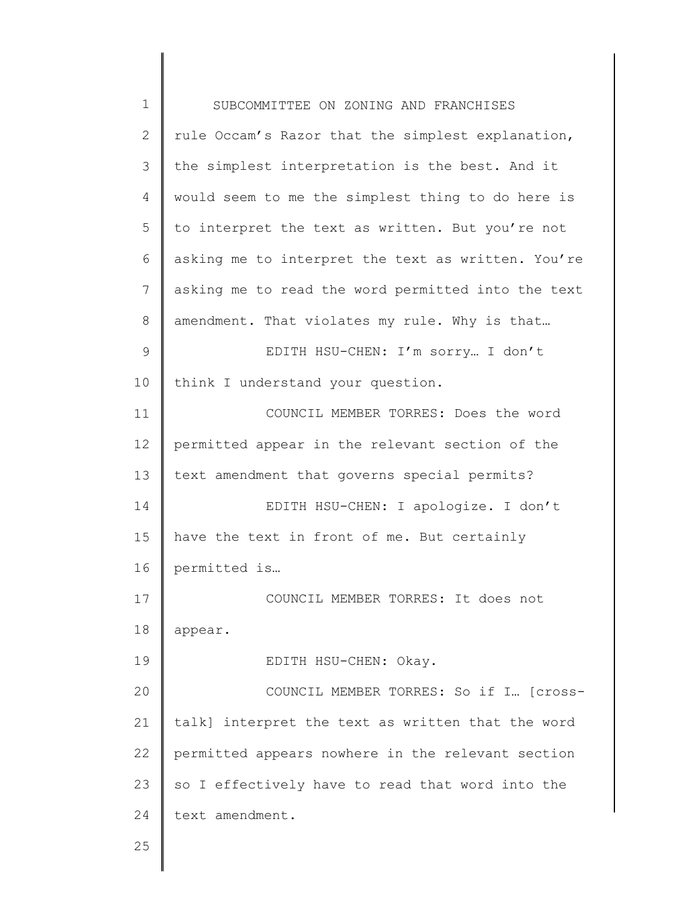1 2 3 4 5 6 7 8 9 10 11 12 13 14 15 16 17 18 19 20 21 22 23 24 25 SUBCOMMITTEE ON ZONING AND FRANCHISES rule Occam's Razor that the simplest explanation, the simplest interpretation is the best. And it would seem to me the simplest thing to do here is to interpret the text as written. But you're not asking me to interpret the text as written. You're asking me to read the word permitted into the text amendment. That violates my rule. Why is that… EDITH HSU-CHEN: I'm sorry… I don't think I understand your question. COUNCIL MEMBER TORRES: Does the word permitted appear in the relevant section of the text amendment that governs special permits? EDITH HSU-CHEN: I apologize. I don't have the text in front of me. But certainly permitted is… COUNCIL MEMBER TORRES: It does not appear. EDITH HSU-CHEN: Okay. COUNCIL MEMBER TORRES: So if I… [crosstalk] interpret the text as written that the word permitted appears nowhere in the relevant section so I effectively have to read that word into the text amendment.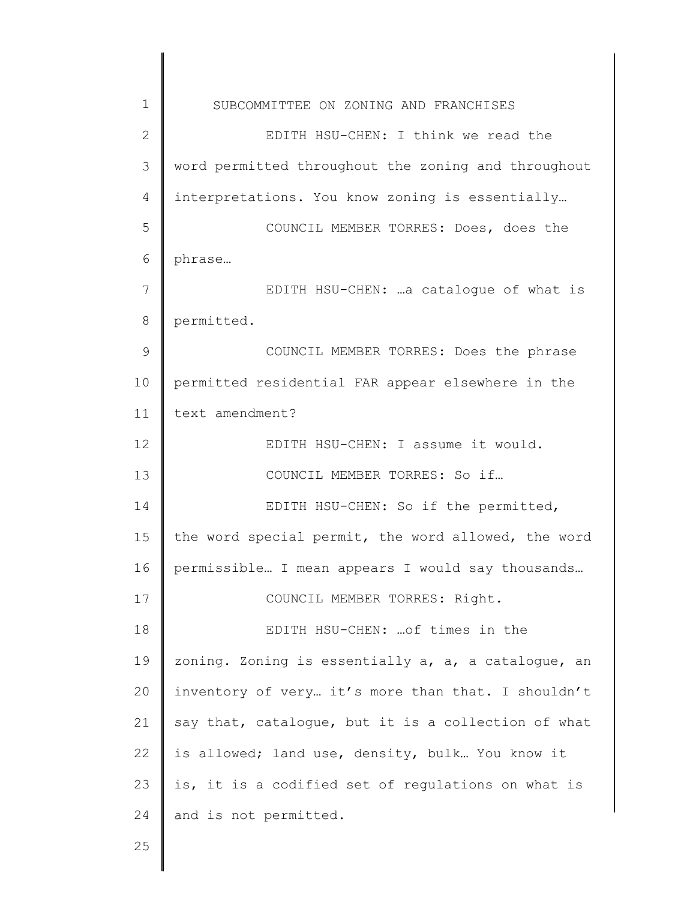1 2 3 4 5 6 7 8 9 10 11 12 13 14 15 16 17 18 19 20 21 22 23 24 25 SUBCOMMITTEE ON ZONING AND FRANCHISES EDITH HSU-CHEN: I think we read the word permitted throughout the zoning and throughout interpretations. You know zoning is essentially… COUNCIL MEMBER TORRES: Does, does the phrase… EDITH HSU-CHEN: …a catalogue of what is permitted. COUNCIL MEMBER TORRES: Does the phrase permitted residential FAR appear elsewhere in the text amendment? EDITH HSU-CHEN: I assume it would. COUNCIL MEMBER TORRES: So if… EDITH HSU-CHEN: So if the permitted, the word special permit, the word allowed, the word permissible… I mean appears I would say thousands… COUNCIL MEMBER TORRES: Right. EDITH HSU-CHEN: …of times in the zoning. Zoning is essentially a, a, a catalogue, an inventory of very… it's more than that. I shouldn't say that, catalogue, but it is a collection of what is allowed; land use, density, bulk… You know it is, it is a codified set of regulations on what is and is not permitted.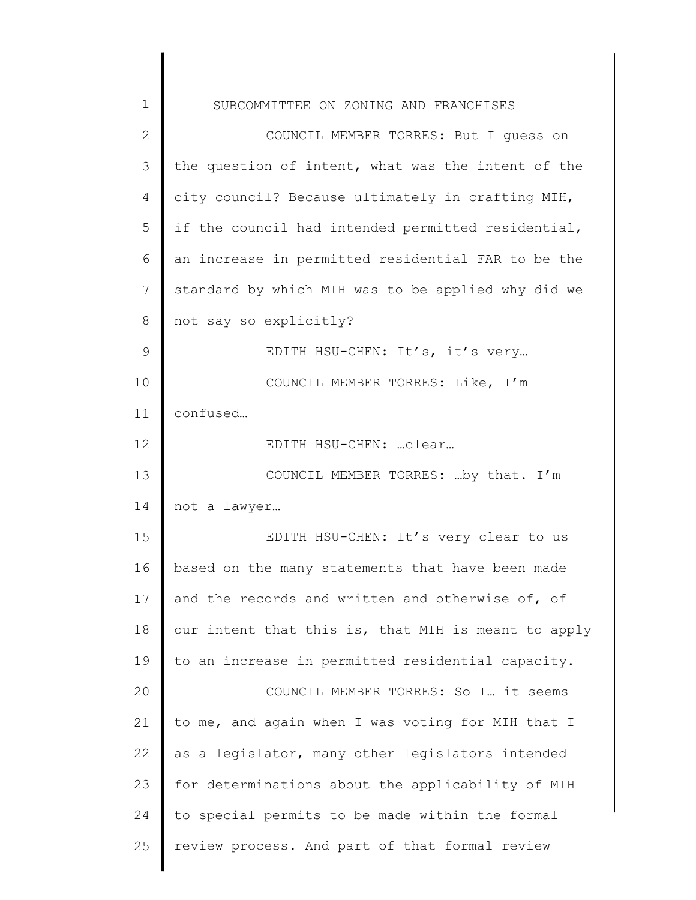| $\mathbf 1$   | SUBCOMMITTEE ON ZONING AND FRANCHISES               |
|---------------|-----------------------------------------------------|
| 2             | COUNCIL MEMBER TORRES: But I quess on               |
| 3             | the question of intent, what was the intent of the  |
| 4             | city council? Because ultimately in crafting MIH,   |
| 5             | if the council had intended permitted residential,  |
| 6             | an increase in permitted residential FAR to be the  |
| 7             | standard by which MIH was to be applied why did we  |
| 8             | not say so explicitly?                              |
| $\mathcal{G}$ | EDITH HSU-CHEN: It's, it's very                     |
| 10            | COUNCIL MEMBER TORRES: Like, I'm                    |
| 11            | confused                                            |
| 12            | EDITH HSU-CHEN:  clear                              |
| 13            | COUNCIL MEMBER TORRES:  by that. I'm                |
| 14            | not a lawyer                                        |
| 15            | EDITH HSU-CHEN: It's very clear to us               |
| 16            | based on the many statements that have been made    |
| 17            | and the records and written and otherwise of, of    |
| 18            | our intent that this is, that MIH is meant to apply |
| 19            | to an increase in permitted residential capacity.   |
| 20            | COUNCIL MEMBER TORRES: So I it seems                |
| 21            | to me, and again when I was voting for MIH that I   |
| 22            | as a legislator, many other legislators intended    |
| 23            | for determinations about the applicability of MIH   |
| 24            | to special permits to be made within the formal     |
| 25            | review process. And part of that formal review      |
|               |                                                     |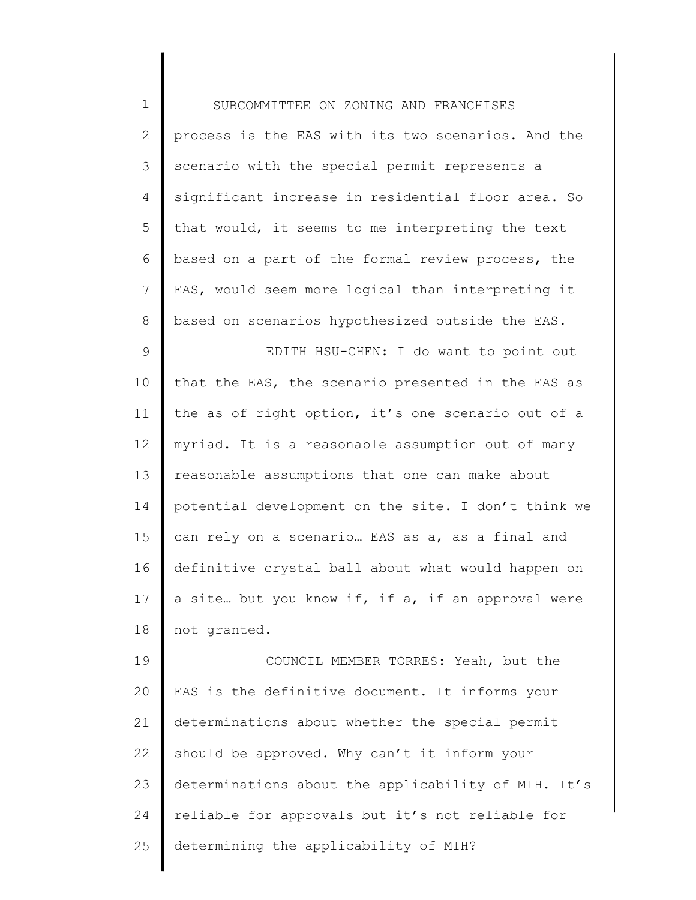| $\mathbf 1$    | SUBCOMMITTEE ON ZONING AND FRANCHISES               |
|----------------|-----------------------------------------------------|
| $\mathbf{2}$   | process is the EAS with its two scenarios. And the  |
| 3              | scenario with the special permit represents a       |
| 4              | significant increase in residential floor area. So  |
| 5              | that would, it seems to me interpreting the text    |
| 6              | based on a part of the formal review process, the   |
| $7\phantom{.}$ | EAS, would seem more logical than interpreting it   |
| $8\,$          | based on scenarios hypothesized outside the EAS.    |
| $\mathcal{G}$  | EDITH HSU-CHEN: I do want to point out              |
| 10             | that the EAS, the scenario presented in the EAS as  |
| 11             | the as of right option, it's one scenario out of a  |
| 12             | myriad. It is a reasonable assumption out of many   |
| 13             | reasonable assumptions that one can make about      |
| 14             | potential development on the site. I don't think we |
| 15             | can rely on a scenario EAS as a, as a final and     |
| 16             | definitive crystal ball about what would happen on  |
| 17             | a site but you know if, if a, if an approval were   |
| 18             | not granted.                                        |
| 19             | COUNCIL MEMBER TORRES: Yeah, but the                |
| 20             | EAS is the definitive document. It informs your     |
| 21             | determinations about whether the special permit     |
| 22             | should be approved. Why can't it inform your        |
| 23             | determinations about the applicability of MIH. It's |
| 24             | reliable for approvals but it's not reliable for    |
| 25             | determining the applicability of MIH?               |

∥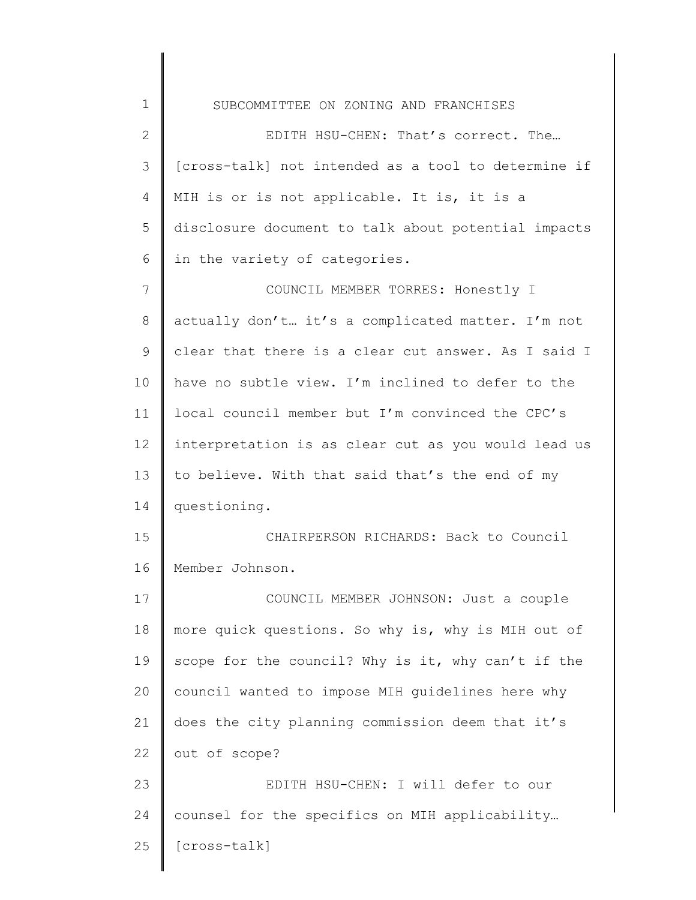| $\mathbf 1$     | SUBCOMMITTEE ON ZONING AND FRANCHISES               |
|-----------------|-----------------------------------------------------|
| $\mathbf{2}$    | EDITH HSU-CHEN: That's correct. The                 |
| 3               | [cross-talk] not intended as a tool to determine if |
| 4               | MIH is or is not applicable. It is, it is a         |
| 5               | disclosure document to talk about potential impacts |
| 6               | in the variety of categories.                       |
| 7               | COUNCIL MEMBER TORRES: Honestly I                   |
| 8               | actually don't it's a complicated matter. I'm not   |
| 9               | clear that there is a clear cut answer. As I said I |
| 10              | have no subtle view. I'm inclined to defer to the   |
| 11              | local council member but I'm convinced the CPC's    |
| 12 <sup>°</sup> | interpretation is as clear cut as you would lead us |
| 13              | to believe. With that said that's the end of my     |
| 14              | questioning.                                        |
| 15              | CHAIRPERSON RICHARDS: Back to Council               |
| 16              | Member Johnson.                                     |
| 17              | COUNCIL MEMBER JOHNSON: Just a couple               |
| 18              | more quick questions. So why is, why is MIH out of  |
| 19              | scope for the council? Why is it, why can't if the  |
| 20              | council wanted to impose MIH quidelines here why    |
| 21              | does the city planning commission deem that it's    |
| 22              | out of scope?                                       |
| 23              | EDITH HSU-CHEN: I will defer to our                 |
| 24              | counsel for the specifics on MIH applicability      |
| 25              | [cross-talk]                                        |
|                 |                                                     |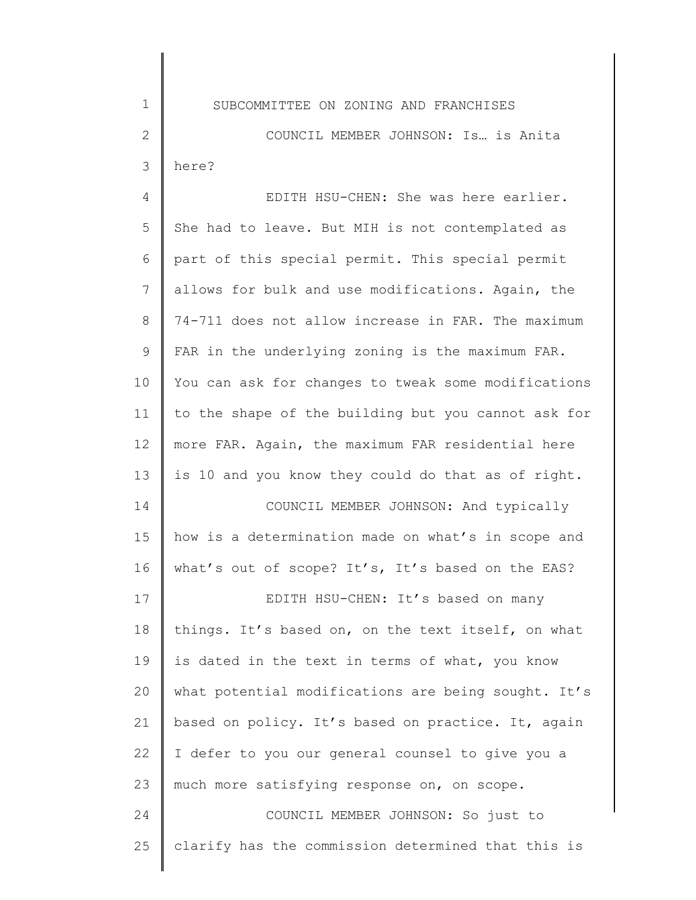1

2 3 COUNCIL MEMBER JOHNSON: Is... is Anita here?

4 5 6 7 8 9 10 11 12 13 14 15 16 17 18 19 20 21 22 23 24 25 EDITH HSU-CHEN: She was here earlier. She had to leave. But MIH is not contemplated as part of this special permit. This special permit allows for bulk and use modifications. Again, the 74-711 does not allow increase in FAR. The maximum FAR in the underlying zoning is the maximum FAR. You can ask for changes to tweak some modifications to the shape of the building but you cannot ask for more FAR. Again, the maximum FAR residential here is 10 and you know they could do that as of right. COUNCIL MEMBER JOHNSON: And typically how is a determination made on what's in scope and what's out of scope? It's, It's based on the EAS? EDITH HSU-CHEN: It's based on many things. It's based on, on the text itself, on what is dated in the text in terms of what, you know what potential modifications are being sought. It's based on policy. It's based on practice. It, again I defer to you our general counsel to give you a much more satisfying response on, on scope. COUNCIL MEMBER JOHNSON: So just to clarify has the commission determined that this is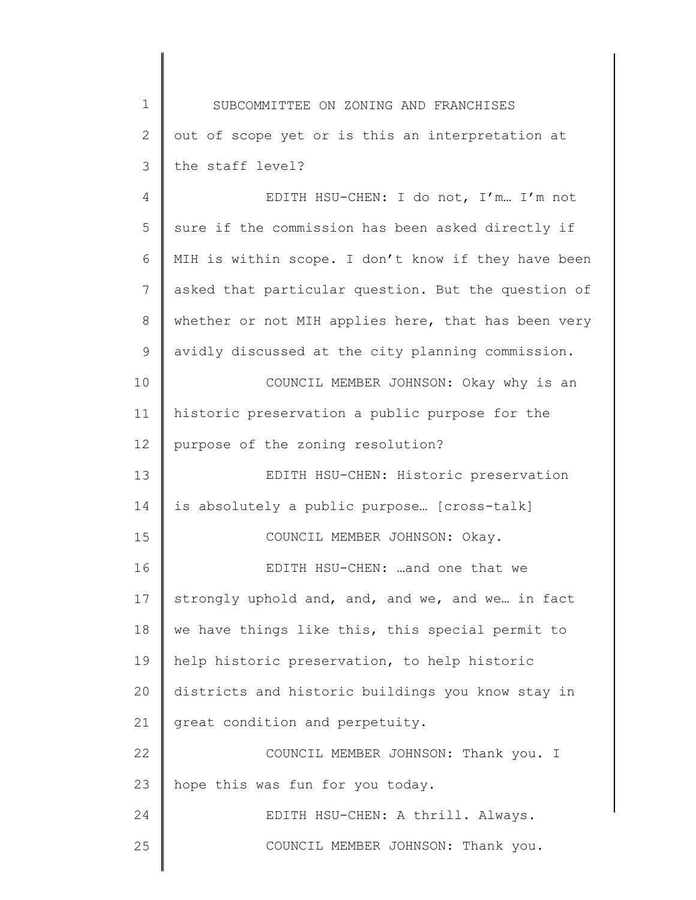1 2 3 SUBCOMMITTEE ON ZONING AND FRANCHISES out of scope yet or is this an interpretation at the staff level?

4 5 6 7 8 9 10 11 12 13 14 15 16 17 18 19 20 21 22 23 24 25 EDITH HSU-CHEN: I do not, I'm… I'm not sure if the commission has been asked directly if MIH is within scope. I don't know if they have been asked that particular question. But the question of whether or not MIH applies here, that has been very avidly discussed at the city planning commission. COUNCIL MEMBER JOHNSON: Okay why is an historic preservation a public purpose for the purpose of the zoning resolution? EDITH HSU-CHEN: Historic preservation is absolutely a public purpose… [cross-talk] COUNCIL MEMBER JOHNSON: Okay. EDITH HSU-CHEN: …and one that we strongly uphold and, and, and we, and we... in fact we have things like this, this special permit to help historic preservation, to help historic districts and historic buildings you know stay in great condition and perpetuity. COUNCIL MEMBER JOHNSON: Thank you. I hope this was fun for you today. EDITH HSU-CHEN: A thrill. Always. COUNCIL MEMBER JOHNSON: Thank you.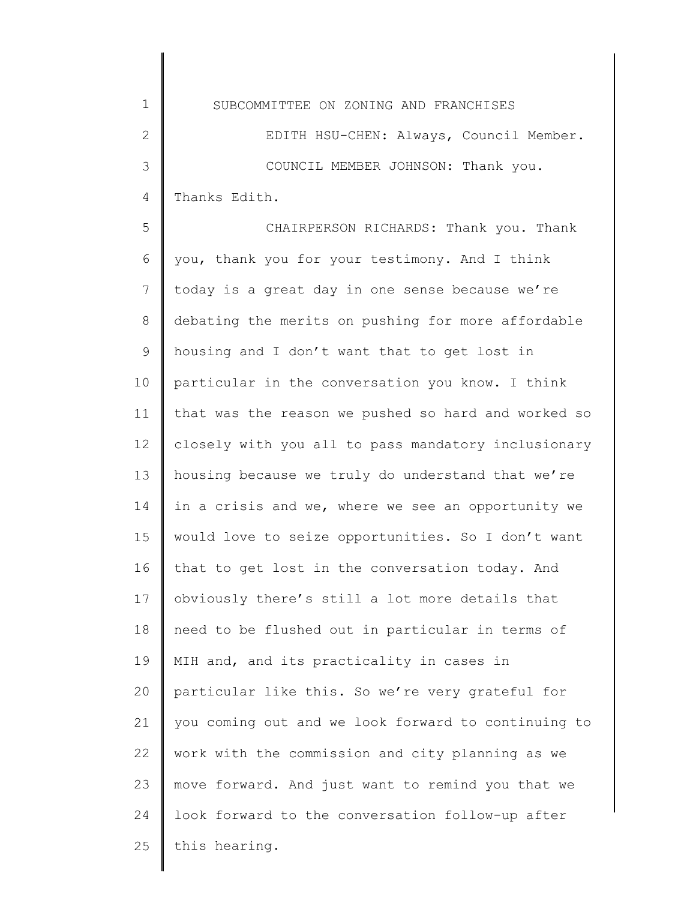| $\mathbf 1$  | SUBCOMMITTEE ON ZONING AND FRANCHISES               |
|--------------|-----------------------------------------------------|
| $\mathbf{2}$ | EDITH HSU-CHEN: Always, Council Member.             |
| 3            | COUNCIL MEMBER JOHNSON: Thank you.                  |
| 4            | Thanks Edith.                                       |
| 5            | CHAIRPERSON RICHARDS: Thank you. Thank              |
| 6            | you, thank you for your testimony. And I think      |
| 7            | today is a great day in one sense because we're     |
| $\,8\,$      | debating the merits on pushing for more affordable  |
| 9            | housing and I don't want that to get lost in        |
| 10           | particular in the conversation you know. I think    |
| 11           | that was the reason we pushed so hard and worked so |
| 12           | closely with you all to pass mandatory inclusionary |
| 13           | housing because we truly do understand that we're   |
| 14           | in a crisis and we, where we see an opportunity we  |
| 15           | would love to seize opportunities. So I don't want  |
| 16           | that to get lost in the conversation today. And     |
| 17           | obviously there's still a lot more details that     |
| 18           | need to be flushed out in particular in terms of    |
| 19           | MIH and, and its practicality in cases in           |
| 20           | particular like this. So we're very grateful for    |
| 21           | you coming out and we look forward to continuing to |
| 22           | work with the commission and city planning as we    |
| 23           | move forward. And just want to remind you that we   |
| 24           | look forward to the conversation follow-up after    |
| 25           | this hearing.                                       |
|              |                                                     |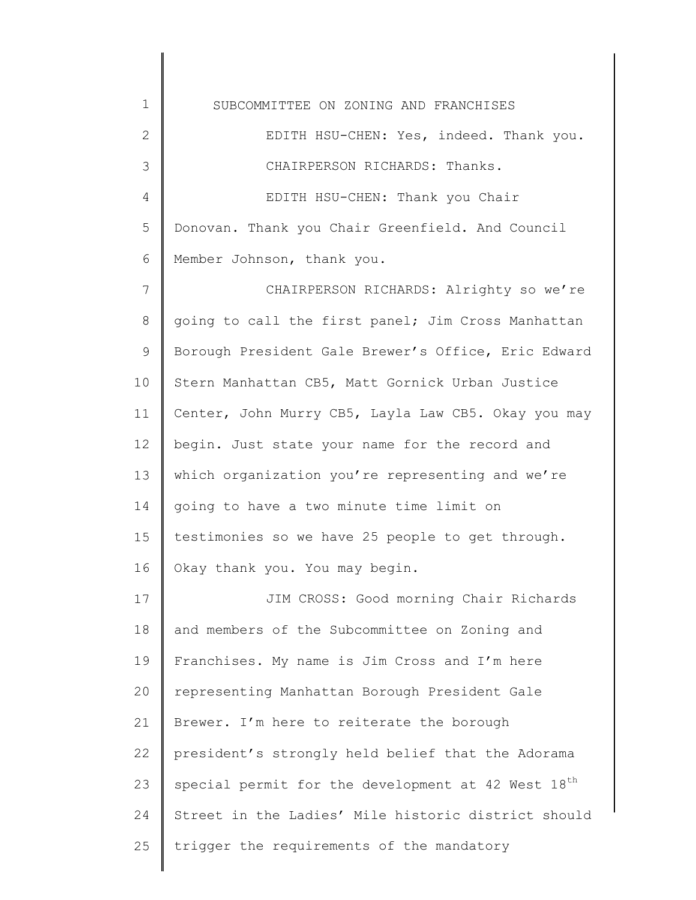1 2 3 4 5 6 7 8 9 10 11 12 13 14 15 16 17 18 19 20 21 22 23 24 25 SUBCOMMITTEE ON ZONING AND FRANCHISES EDITH HSU-CHEN: Yes, indeed. Thank you. CHAIRPERSON RICHARDS: Thanks. EDITH HSU-CHEN: Thank you Chair Donovan. Thank you Chair Greenfield. And Council Member Johnson, thank you. CHAIRPERSON RICHARDS: Alrighty so we're going to call the first panel; Jim Cross Manhattan Borough President Gale Brewer's Office, Eric Edward Stern Manhattan CB5, Matt Gornick Urban Justice Center, John Murry CB5, Layla Law CB5. Okay you may begin. Just state your name for the record and which organization you're representing and we're going to have a two minute time limit on testimonies so we have 25 people to get through. Okay thank you. You may begin. JIM CROSS: Good morning Chair Richards and members of the Subcommittee on Zoning and Franchises. My name is Jim Cross and I'm here representing Manhattan Borough President Gale Brewer. I'm here to reiterate the borough president's strongly held belief that the Adorama special permit for the development at 42 West  $18<sup>th</sup>$ Street in the Ladies' Mile historic district should trigger the requirements of the mandatory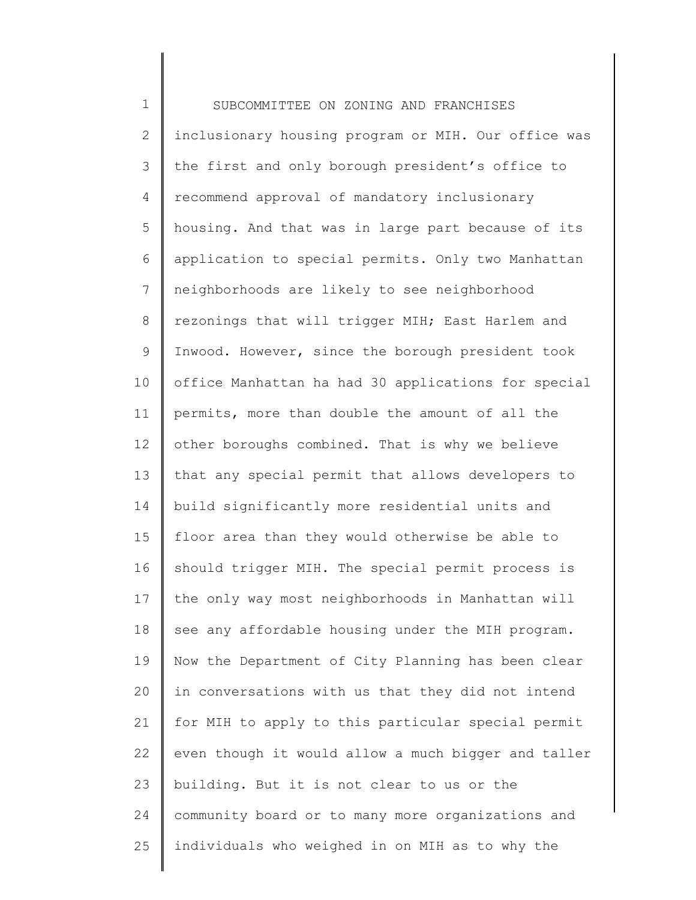1 2 3 4 5 6 7 8 9 10 11 12 13 14 15 16 17 18 19 20 21 22 23 24 25 SUBCOMMITTEE ON ZONING AND FRANCHISES inclusionary housing program or MIH. Our office was the first and only borough president's office to recommend approval of mandatory inclusionary housing. And that was in large part because of its application to special permits. Only two Manhattan neighborhoods are likely to see neighborhood rezonings that will trigger MIH; East Harlem and Inwood. However, since the borough president took office Manhattan ha had 30 applications for special permits, more than double the amount of all the other boroughs combined. That is why we believe that any special permit that allows developers to build significantly more residential units and floor area than they would otherwise be able to should trigger MIH. The special permit process is the only way most neighborhoods in Manhattan will see any affordable housing under the MIH program. Now the Department of City Planning has been clear in conversations with us that they did not intend for MIH to apply to this particular special permit even though it would allow a much bigger and taller building. But it is not clear to us or the community board or to many more organizations and individuals who weighed in on MIH as to why the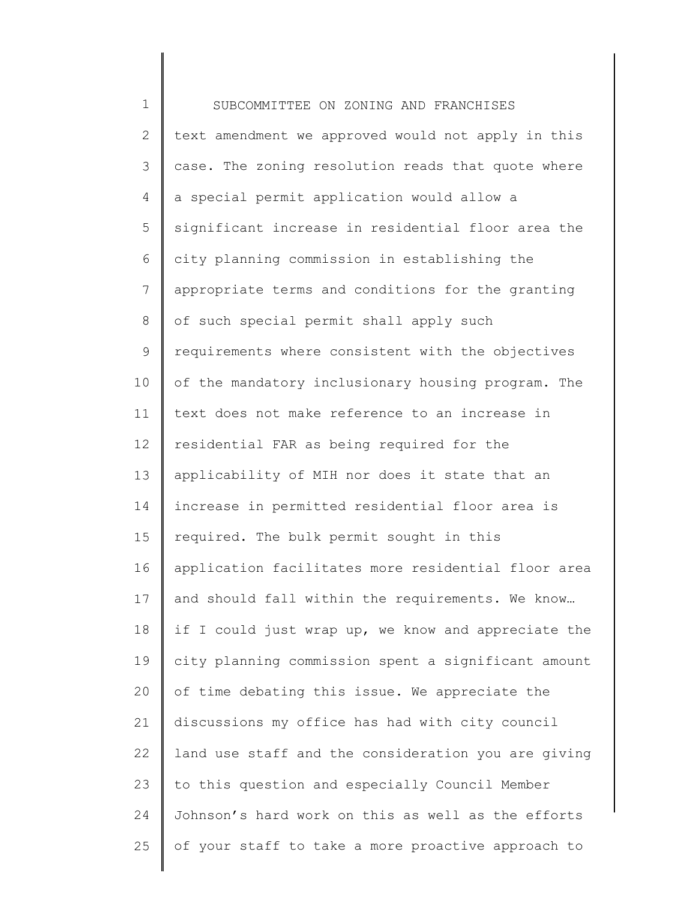1 2 3 4 5 6 7 8 9 10 11 12 13 14 15 16 17 18 19 20 21 22 23 24 25 SUBCOMMITTEE ON ZONING AND FRANCHISES text amendment we approved would not apply in this case. The zoning resolution reads that quote where a special permit application would allow a significant increase in residential floor area the city planning commission in establishing the appropriate terms and conditions for the granting of such special permit shall apply such requirements where consistent with the objectives of the mandatory inclusionary housing program. The text does not make reference to an increase in residential FAR as being required for the applicability of MIH nor does it state that an increase in permitted residential floor area is required. The bulk permit sought in this application facilitates more residential floor area and should fall within the requirements. We know… if I could just wrap up, we know and appreciate the city planning commission spent a significant amount of time debating this issue. We appreciate the discussions my office has had with city council land use staff and the consideration you are giving to this question and especially Council Member Johnson's hard work on this as well as the efforts of your staff to take a more proactive approach to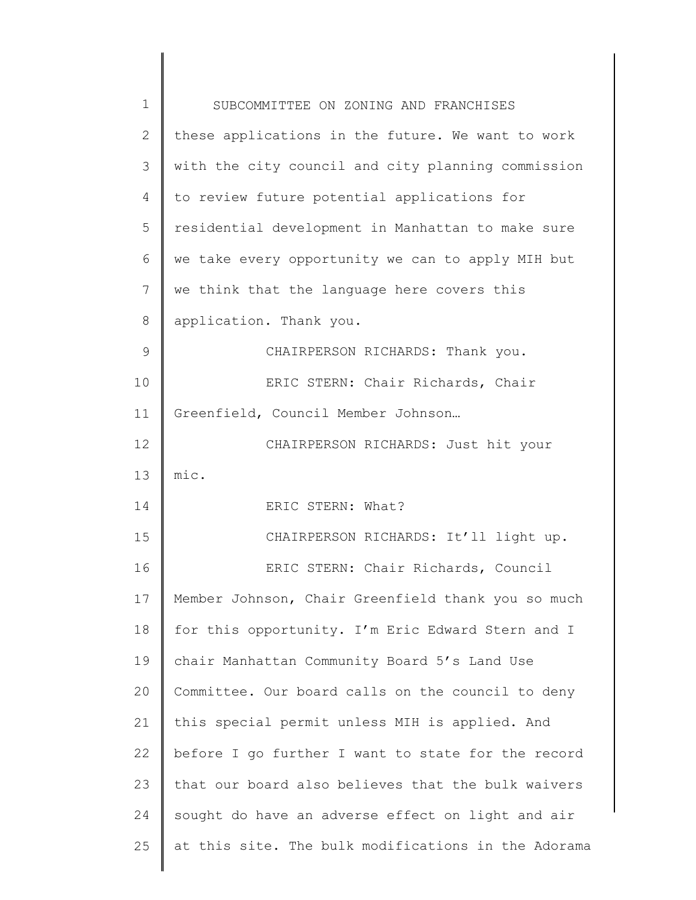| $\mathbf 1$  | SUBCOMMITTEE ON ZONING AND FRANCHISES               |
|--------------|-----------------------------------------------------|
| $\mathbf{2}$ | these applications in the future. We want to work   |
| 3            | with the city council and city planning commission  |
| 4            | to review future potential applications for         |
| 5            | residential development in Manhattan to make sure   |
| 6            | we take every opportunity we can to apply MIH but   |
| 7            | we think that the language here covers this         |
| 8            | application. Thank you.                             |
| 9            | CHAIRPERSON RICHARDS: Thank you.                    |
| 10           | ERIC STERN: Chair Richards, Chair                   |
| 11           | Greenfield, Council Member Johnson                  |
| 12           | CHAIRPERSON RICHARDS: Just hit your                 |
| 13           | mic.                                                |
| 14           | ERIC STERN: What?                                   |
| 15           | CHAIRPERSON RICHARDS: It'll light up.               |
| 16           | ERIC STERN: Chair Richards, Council                 |
| 17           | Member Johnson, Chair Greenfield thank you so much  |
| 18           | for this opportunity. I'm Eric Edward Stern and I   |
| 19           | chair Manhattan Community Board 5's Land Use        |
| 20           | Committee. Our board calls on the council to deny   |
| 21           | this special permit unless MIH is applied. And      |
| 22           | before I go further I want to state for the record  |
| 23           | that our board also believes that the bulk waivers  |
| 24           | sought do have an adverse effect on light and air   |
| 25           | at this site. The bulk modifications in the Adorama |
|              |                                                     |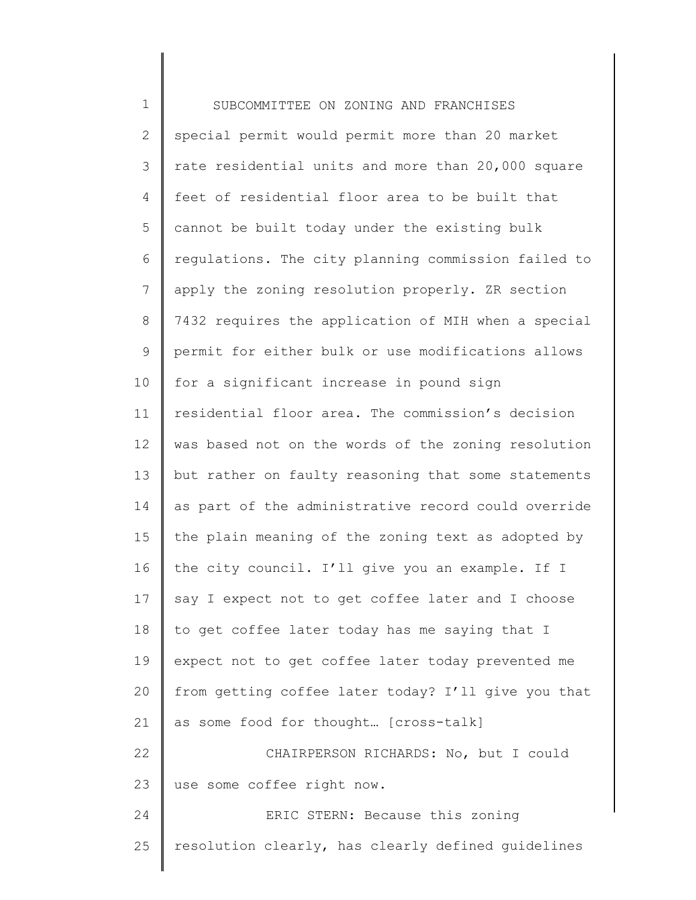| $1\,$          | SUBCOMMITTEE ON ZONING AND FRANCHISES               |
|----------------|-----------------------------------------------------|
| $\mathbf{2}$   | special permit would permit more than 20 market     |
| 3              | rate residential units and more than 20,000 square  |
| 4              | feet of residential floor area to be built that     |
| 5              | cannot be built today under the existing bulk       |
| 6              | regulations. The city planning commission failed to |
| $\overline{7}$ | apply the zoning resolution properly. ZR section    |
| $8\,$          | 7432 requires the application of MIH when a special |
| $\mathsf 9$    | permit for either bulk or use modifications allows  |
| 10             | for a significant increase in pound sign            |
| 11             | residential floor area. The commission's decision   |
| 12             | was based not on the words of the zoning resolution |
| 13             | but rather on faulty reasoning that some statements |
| 14             | as part of the administrative record could override |
| 15             | the plain meaning of the zoning text as adopted by  |
| 16             | the city council. I'll give you an example. If I    |
| 17             | say I expect not to get coffee later and I choose   |
| 18             | to get coffee later today has me saying that I      |
| 19             | expect not to get coffee later today prevented me   |
| 20             | from getting coffee later today? I'll give you that |
| 21             | as some food for thought [cross-talk]               |
| 22             | CHAIRPERSON RICHARDS: No, but I could               |
| 23             | use some coffee right now.                          |
| 24             | ERIC STERN: Because this zoning                     |
| 25             | resolution clearly, has clearly defined guidelines  |
|                |                                                     |

║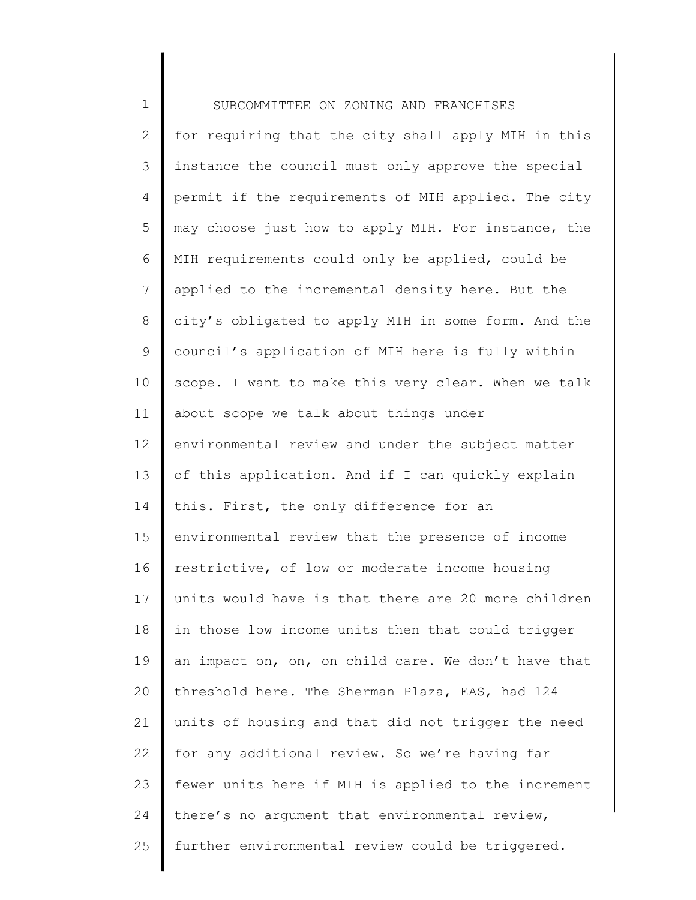1 2 3 4 5 6 7 8 9 10 11 12 13 14 15 16 17 18 19 20 21 22 23 24 25 SUBCOMMITTEE ON ZONING AND FRANCHISES for requiring that the city shall apply MIH in this instance the council must only approve the special permit if the requirements of MIH applied. The city may choose just how to apply MIH. For instance, the MIH requirements could only be applied, could be applied to the incremental density here. But the city's obligated to apply MIH in some form. And the council's application of MIH here is fully within scope. I want to make this very clear. When we talk about scope we talk about things under environmental review and under the subject matter of this application. And if I can quickly explain this. First, the only difference for an environmental review that the presence of income restrictive, of low or moderate income housing units would have is that there are 20 more children in those low income units then that could trigger an impact on, on, on child care. We don't have that threshold here. The Sherman Plaza, EAS, had 124 units of housing and that did not trigger the need for any additional review. So we're having far fewer units here if MIH is applied to the increment there's no argument that environmental review, further environmental review could be triggered.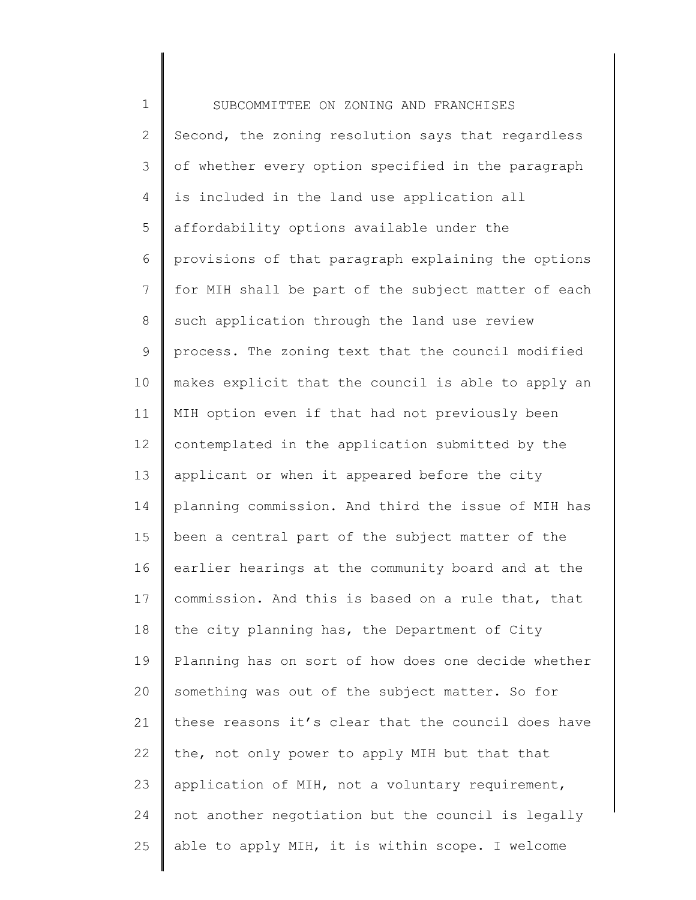1 2 3 4 5 6 7 8 9 10 11 12 13 14 15 16 17 18 19 20 21 22 23 24 25 SUBCOMMITTEE ON ZONING AND FRANCHISES Second, the zoning resolution says that regardless of whether every option specified in the paragraph is included in the land use application all affordability options available under the provisions of that paragraph explaining the options for MIH shall be part of the subject matter of each such application through the land use review process. The zoning text that the council modified makes explicit that the council is able to apply an MIH option even if that had not previously been contemplated in the application submitted by the applicant or when it appeared before the city planning commission. And third the issue of MIH has been a central part of the subject matter of the earlier hearings at the community board and at the commission. And this is based on a rule that, that the city planning has, the Department of City Planning has on sort of how does one decide whether something was out of the subject matter. So for these reasons it's clear that the council does have the, not only power to apply MIH but that that application of MIH, not a voluntary requirement, not another negotiation but the council is legally able to apply MIH, it is within scope. I welcome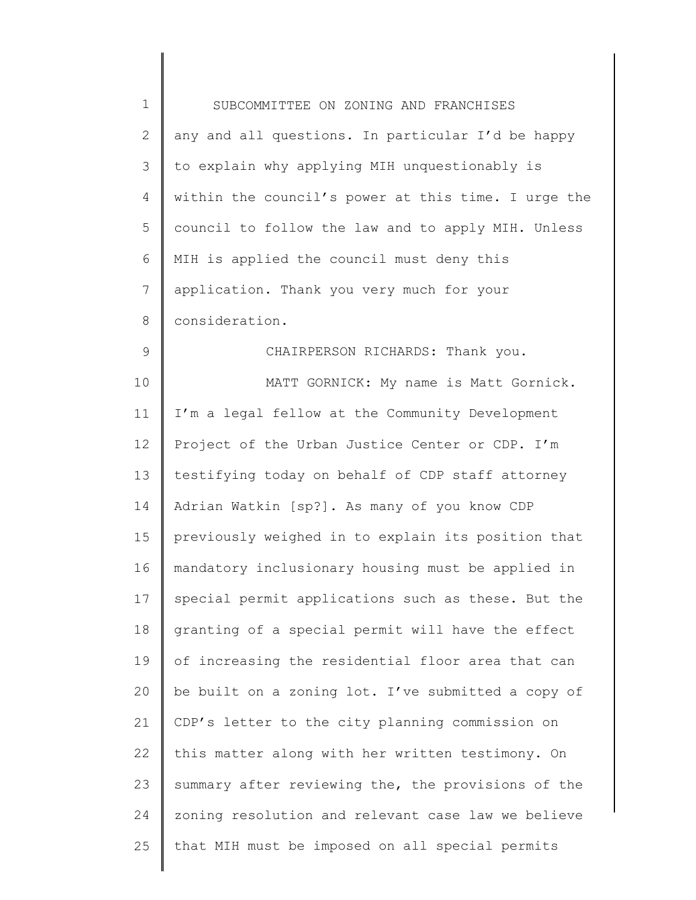| $\mathbf 1$  | SUBCOMMITTEE ON ZONING AND FRANCHISES               |
|--------------|-----------------------------------------------------|
| $\mathbf{2}$ | any and all questions. In particular I'd be happy   |
| 3            | to explain why applying MIH unquestionably is       |
| 4            | within the council's power at this time. I urge the |
| 5            | council to follow the law and to apply MIH. Unless  |
| 6            | MIH is applied the council must deny this           |
| 7            | application. Thank you very much for your           |
| $8\,$        | consideration.                                      |
| $\mathsf 9$  | CHAIRPERSON RICHARDS: Thank you.                    |
| 10           | MATT GORNICK: My name is Matt Gornick.              |
| 11           | I'm a legal fellow at the Community Development     |
| 12           | Project of the Urban Justice Center or CDP. I'm     |
| 13           | testifying today on behalf of CDP staff attorney    |
| 14           | Adrian Watkin [sp?]. As many of you know CDP        |
| 15           | previously weighed in to explain its position that  |
| 16           | mandatory inclusionary housing must be applied in   |
| 17           | special permit applications such as these. But the  |
| 18           | granting of a special permit will have the effect   |
| 19           | of increasing the residential floor area that can   |
| 20           | be built on a zoning lot. I've submitted a copy of  |
| 21           | CDP's letter to the city planning commission on     |
| 22           | this matter along with her written testimony. On    |
| 23           | summary after reviewing the, the provisions of the  |
| 24           | zoning resolution and relevant case law we believe  |
| 25           | that MIH must be imposed on all special permits     |
|              |                                                     |

║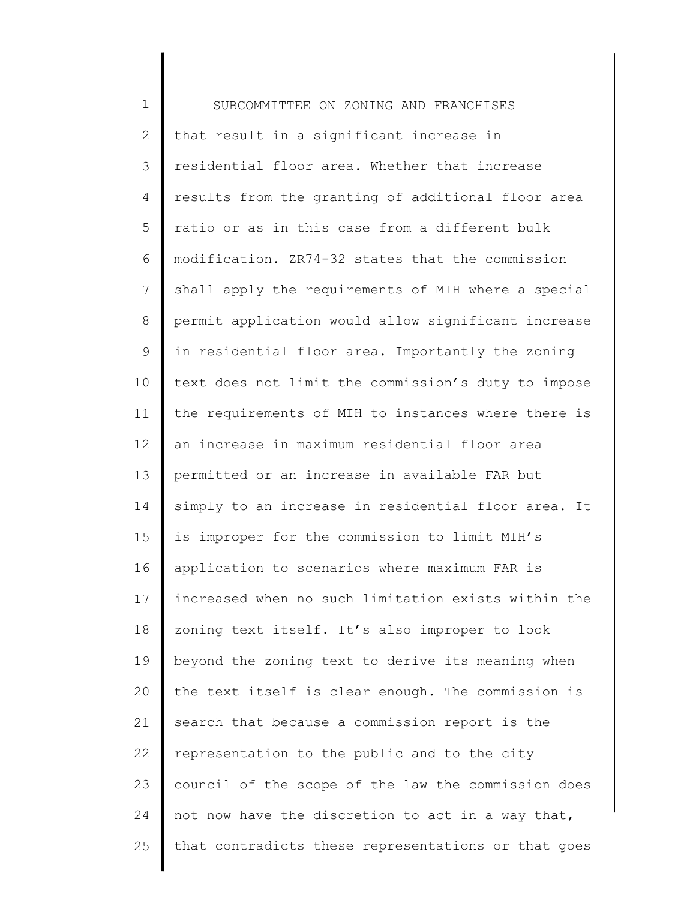1 2 3 4 5 6 7 8 9 10 11 12 13 14 15 16 17 18 19 20 21 22 23 24 25 SUBCOMMITTEE ON ZONING AND FRANCHISES that result in a significant increase in residential floor area. Whether that increase results from the granting of additional floor area ratio or as in this case from a different bulk modification. ZR74-32 states that the commission shall apply the requirements of MIH where a special permit application would allow significant increase in residential floor area. Importantly the zoning text does not limit the commission's duty to impose the requirements of MIH to instances where there is an increase in maximum residential floor area permitted or an increase in available FAR but simply to an increase in residential floor area. It is improper for the commission to limit MIH's application to scenarios where maximum FAR is increased when no such limitation exists within the zoning text itself. It's also improper to look beyond the zoning text to derive its meaning when the text itself is clear enough. The commission is search that because a commission report is the representation to the public and to the city council of the scope of the law the commission does not now have the discretion to act in a way that, that contradicts these representations or that goes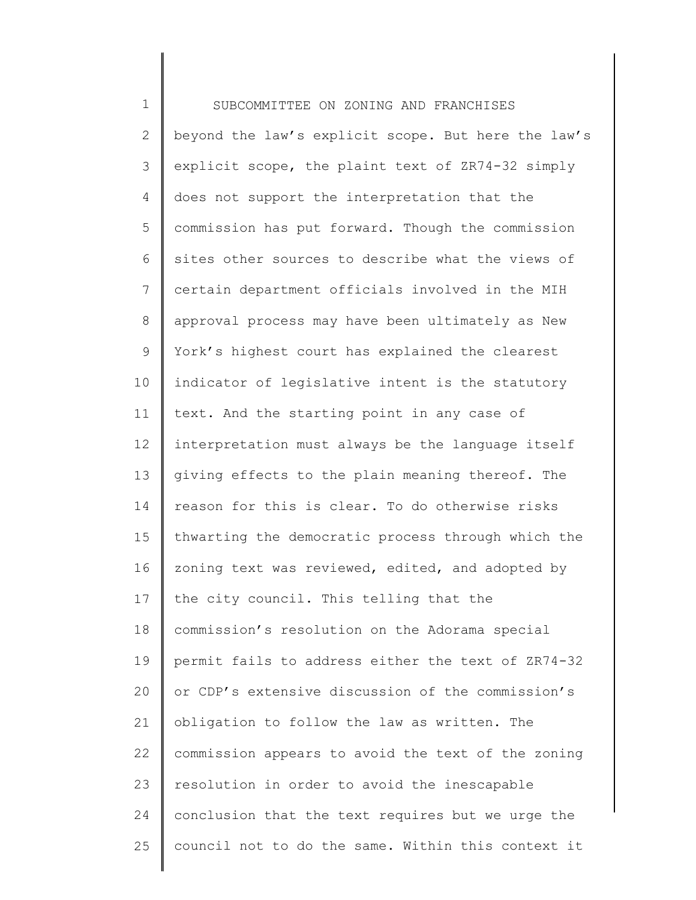1 2 3 4 5 6 7 8 9 10 11 12 13 14 15 16 17 18 19 20 21 22 23 24 25 SUBCOMMITTEE ON ZONING AND FRANCHISES beyond the law's explicit scope. But here the law's explicit scope, the plaint text of ZR74-32 simply does not support the interpretation that the commission has put forward. Though the commission sites other sources to describe what the views of certain department officials involved in the MIH approval process may have been ultimately as New York's highest court has explained the clearest indicator of legislative intent is the statutory text. And the starting point in any case of interpretation must always be the language itself giving effects to the plain meaning thereof. The reason for this is clear. To do otherwise risks thwarting the democratic process through which the zoning text was reviewed, edited, and adopted by the city council. This telling that the commission's resolution on the Adorama special permit fails to address either the text of ZR74-32 or CDP's extensive discussion of the commission's obligation to follow the law as written. The commission appears to avoid the text of the zoning resolution in order to avoid the inescapable conclusion that the text requires but we urge the council not to do the same. Within this context it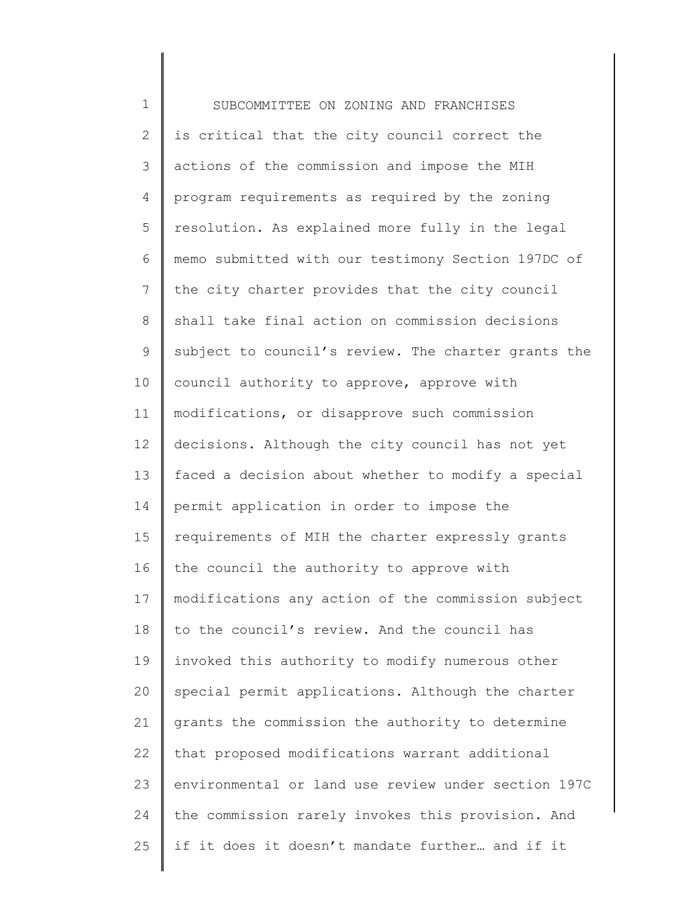1 2 3 4 5 6 7 8 9 10 11 12 13 14 15 16 17 18 19 20 21 22 23 24 25 SUBCOMMITTEE ON ZONING AND FRANCHISES is critical that the city council correct the actions of the commission and impose the MIH program requirements as required by the zoning resolution. As explained more fully in the legal memo submitted with our testimony Section 197DC of the city charter provides that the city council shall take final action on commission decisions subject to council's review. The charter grants the council authority to approve, approve with modifications, or disapprove such commission decisions. Although the city council has not yet faced a decision about whether to modify a special permit application in order to impose the requirements of MIH the charter expressly grants the council the authority to approve with modifications any action of the commission subject to the council's review. And the council has invoked this authority to modify numerous other special permit applications. Although the charter grants the commission the authority to determine that proposed modifications warrant additional environmental or land use review under section 197C the commission rarely invokes this provision. And if it does it doesn't mandate further… and if it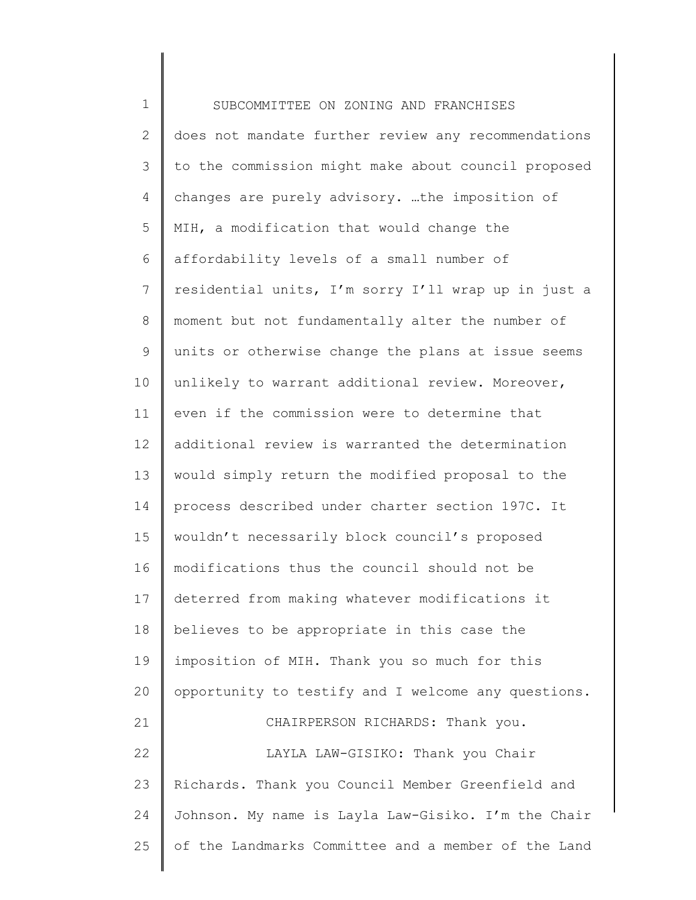1 2 3 4 5 6 7 8 9 10 11 12 13 14 15 16 17 18 19 20 21 22 23 24 25 SUBCOMMITTEE ON ZONING AND FRANCHISES does not mandate further review any recommendations to the commission might make about council proposed changes are purely advisory. …the imposition of MIH, a modification that would change the affordability levels of a small number of residential units, I'm sorry I'll wrap up in just a moment but not fundamentally alter the number of units or otherwise change the plans at issue seems unlikely to warrant additional review. Moreover, even if the commission were to determine that additional review is warranted the determination would simply return the modified proposal to the process described under charter section 197C. It wouldn't necessarily block council's proposed modifications thus the council should not be deterred from making whatever modifications it believes to be appropriate in this case the imposition of MIH. Thank you so much for this opportunity to testify and I welcome any questions. CHAIRPERSON RICHARDS: Thank you. LAYLA LAW-GISIKO: Thank you Chair Richards. Thank you Council Member Greenfield and Johnson. My name is Layla Law-Gisiko. I'm the Chair of the Landmarks Committee and a member of the Land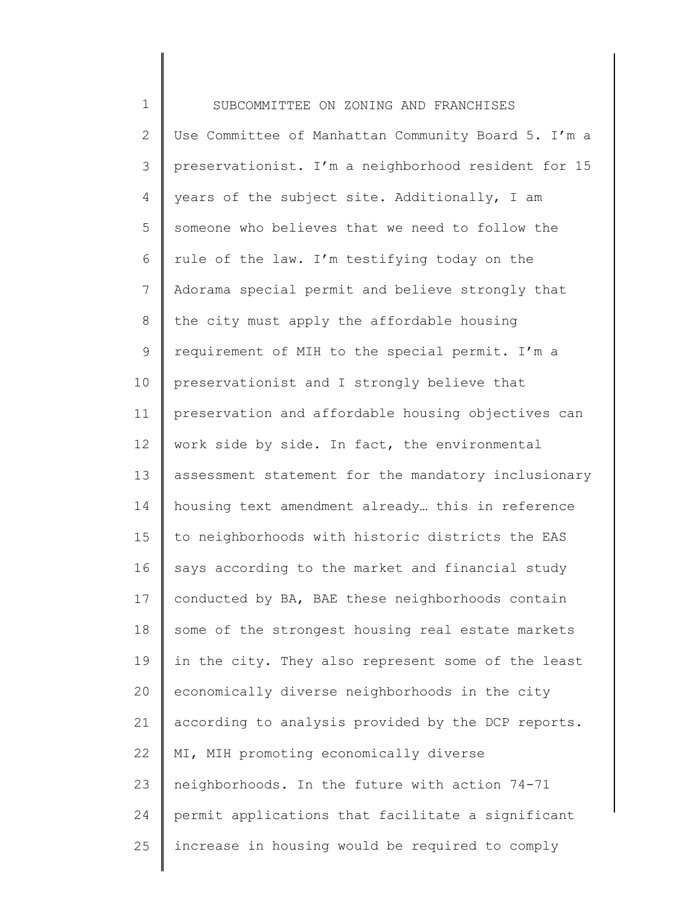1 2 3 4 5 6 7 8 9 10 11 12 13 14 15 16 17 18 19 20 21 22 23 24 25 SUBCOMMITTEE ON ZONING AND FRANCHISES Use Committee of Manhattan Community Board 5. I'm a preservationist. I'm a neighborhood resident for 15 years of the subject site. Additionally, I am someone who believes that we need to follow the rule of the law. I'm testifying today on the Adorama special permit and believe strongly that the city must apply the affordable housing requirement of MIH to the special permit. I'm a preservationist and I strongly believe that preservation and affordable housing objectives can work side by side. In fact, the environmental assessment statement for the mandatory inclusionary housing text amendment already… this in reference to neighborhoods with historic districts the EAS says according to the market and financial study conducted by BA, BAE these neighborhoods contain some of the strongest housing real estate markets in the city. They also represent some of the least economically diverse neighborhoods in the city according to analysis provided by the DCP reports. MI, MIH promoting economically diverse neighborhoods. In the future with action 74-71 permit applications that facilitate a significant increase in housing would be required to comply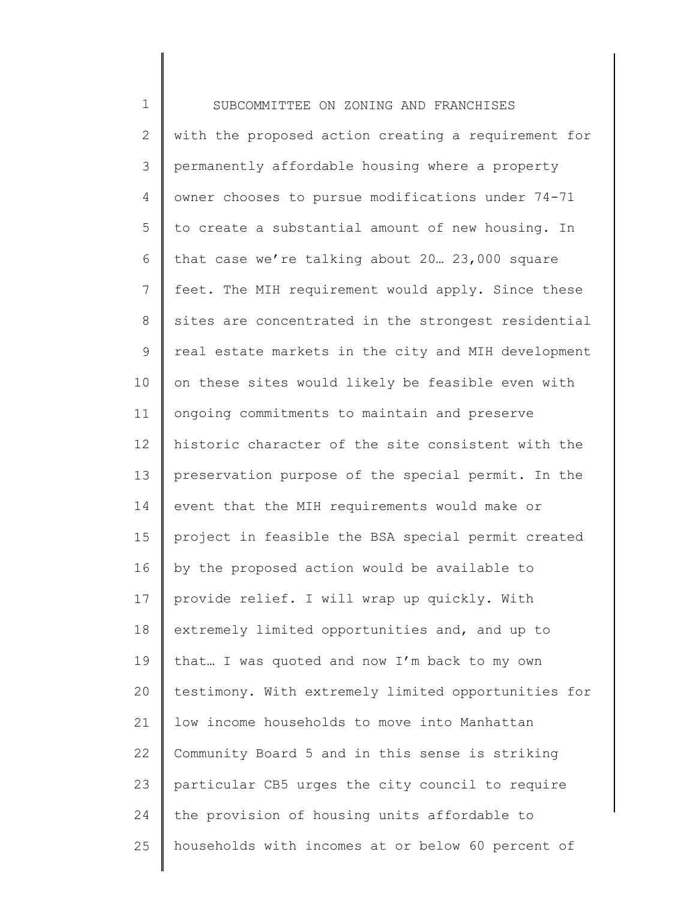1 2 3 4 5 6 7 8 9 10 11 12 13 14 15 16 17 18 19 20 21 22 23 24 25 SUBCOMMITTEE ON ZONING AND FRANCHISES with the proposed action creating a requirement for permanently affordable housing where a property owner chooses to pursue modifications under 74-71 to create a substantial amount of new housing. In that case we're talking about 20… 23,000 square feet. The MIH requirement would apply. Since these sites are concentrated in the strongest residential real estate markets in the city and MIH development on these sites would likely be feasible even with ongoing commitments to maintain and preserve historic character of the site consistent with the preservation purpose of the special permit. In the event that the MIH requirements would make or project in feasible the BSA special permit created by the proposed action would be available to provide relief. I will wrap up quickly. With extremely limited opportunities and, and up to that… I was quoted and now I'm back to my own testimony. With extremely limited opportunities for low income households to move into Manhattan Community Board 5 and in this sense is striking particular CB5 urges the city council to require the provision of housing units affordable to households with incomes at or below 60 percent of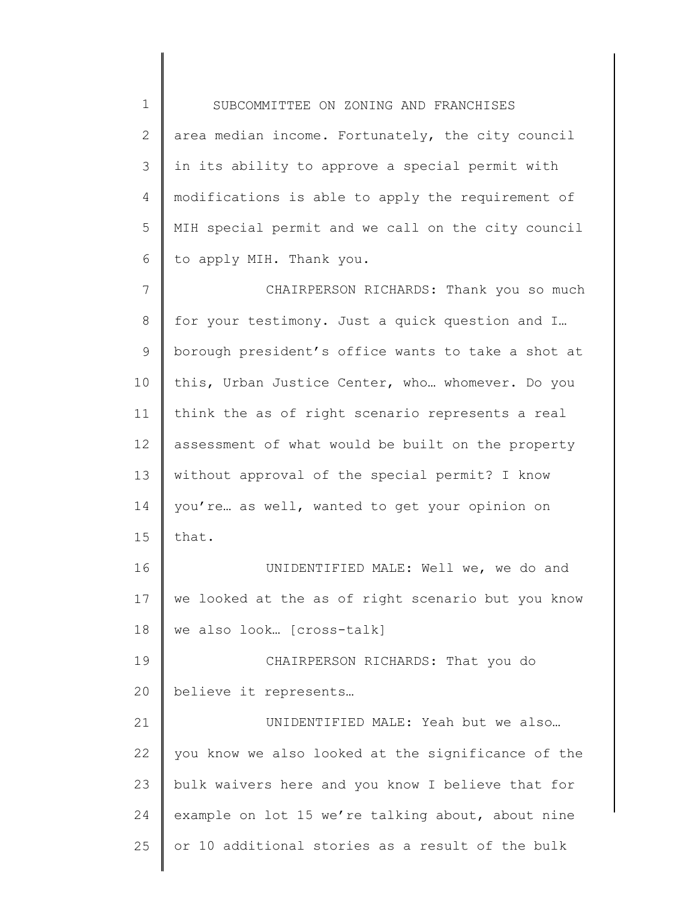1 2 3 4 5 6 SUBCOMMITTEE ON ZONING AND FRANCHISES area median income. Fortunately, the city council in its ability to approve a special permit with modifications is able to apply the requirement of MIH special permit and we call on the city council to apply MIH. Thank you.

7 8 9 10 11 12 13 14 15 CHAIRPERSON RICHARDS: Thank you so much for your testimony. Just a quick question and I… borough president's office wants to take a shot at this, Urban Justice Center, who… whomever. Do you think the as of right scenario represents a real assessment of what would be built on the property without approval of the special permit? I know you're… as well, wanted to get your opinion on that.

16 17 18 UNIDENTIFIED MALE: Well we, we do and we looked at the as of right scenario but you know we also look… [cross-talk]

19 20 CHAIRPERSON RICHARDS: That you do believe it represents…

21 22 23 24 25 UNIDENTIFIED MALE: Yeah but we also… you know we also looked at the significance of the bulk waivers here and you know I believe that for example on lot 15 we're talking about, about nine or 10 additional stories as a result of the bulk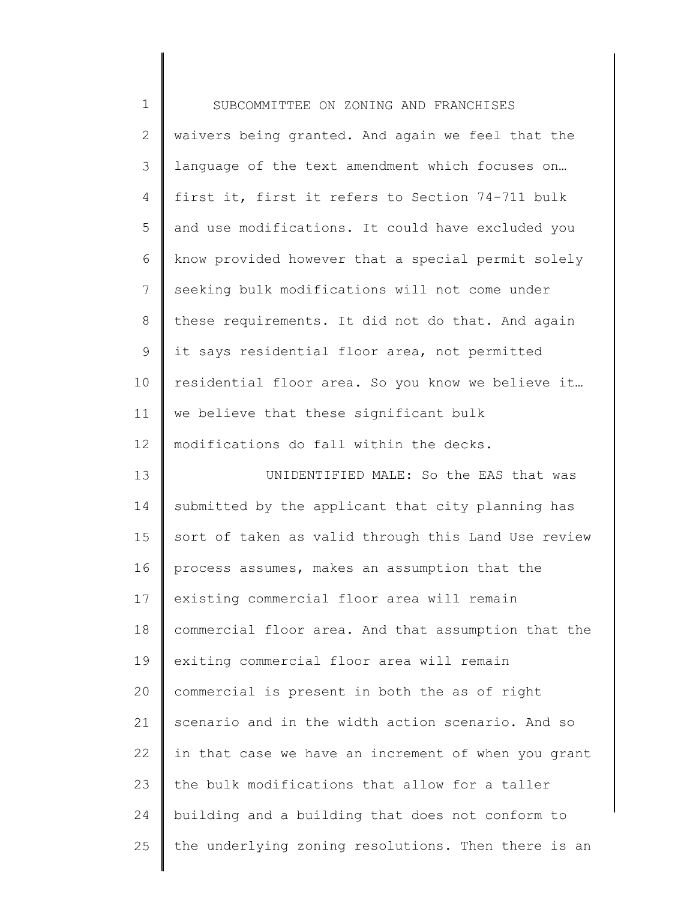| $\mathbf 1$  | SUBCOMMITTEE ON ZONING AND FRANCHISES               |
|--------------|-----------------------------------------------------|
| $\mathbf{2}$ | waivers being granted. And again we feel that the   |
| 3            | language of the text amendment which focuses on     |
| 4            | first it, first it refers to Section 74-711 bulk    |
| 5            | and use modifications. It could have excluded you   |
| 6            | know provided however that a special permit solely  |
| 7            | seeking bulk modifications will not come under      |
| $8\,$        | these requirements. It did not do that. And again   |
| $\mathsf 9$  | it says residential floor area, not permitted       |
| 10           | residential floor area. So you know we believe it   |
| 11           | we believe that these significant bulk              |
| 12           | modifications do fall within the decks.             |
| 13           | UNIDENTIFIED MALE: So the EAS that was              |
| 14           | submitted by the applicant that city planning has   |
| 15           | sort of taken as valid through this Land Use review |
| 16           | process assumes, makes an assumption that the       |
| 17           | existing commercial floor area will remain          |
| 18           | commercial floor area. And that assumption that the |
| 19           | exiting commercial floor area will remain           |
| 20           | commercial is present in both the as of right       |
| 21           | scenario and in the width action scenario. And so   |
| 22           | in that case we have an increment of when you grant |
| 23           | the bulk modifications that allow for a taller      |
| 24           | building and a building that does not conform to    |
| 25           | the underlying zoning resolutions. Then there is an |
|              |                                                     |

║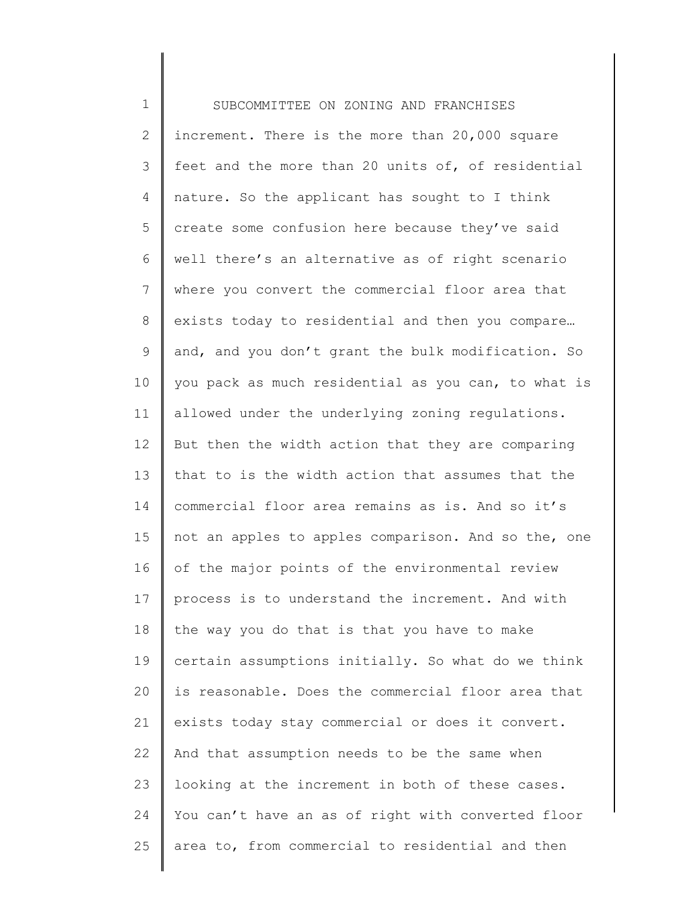1 2 3 4 5 6 7 8 9 10 11 12 13 14 15 16 17 18 19 20 21 22 23 24 25 SUBCOMMITTEE ON ZONING AND FRANCHISES increment. There is the more than  $20,000$  square feet and the more than 20 units of, of residential nature. So the applicant has sought to I think create some confusion here because they've said well there's an alternative as of right scenario where you convert the commercial floor area that exists today to residential and then you compare… and, and you don't grant the bulk modification. So you pack as much residential as you can, to what is allowed under the underlying zoning regulations. But then the width action that they are comparing that to is the width action that assumes that the commercial floor area remains as is. And so it's not an apples to apples comparison. And so the, one of the major points of the environmental review process is to understand the increment. And with the way you do that is that you have to make certain assumptions initially. So what do we think is reasonable. Does the commercial floor area that exists today stay commercial or does it convert. And that assumption needs to be the same when looking at the increment in both of these cases. You can't have an as of right with converted floor area to, from commercial to residential and then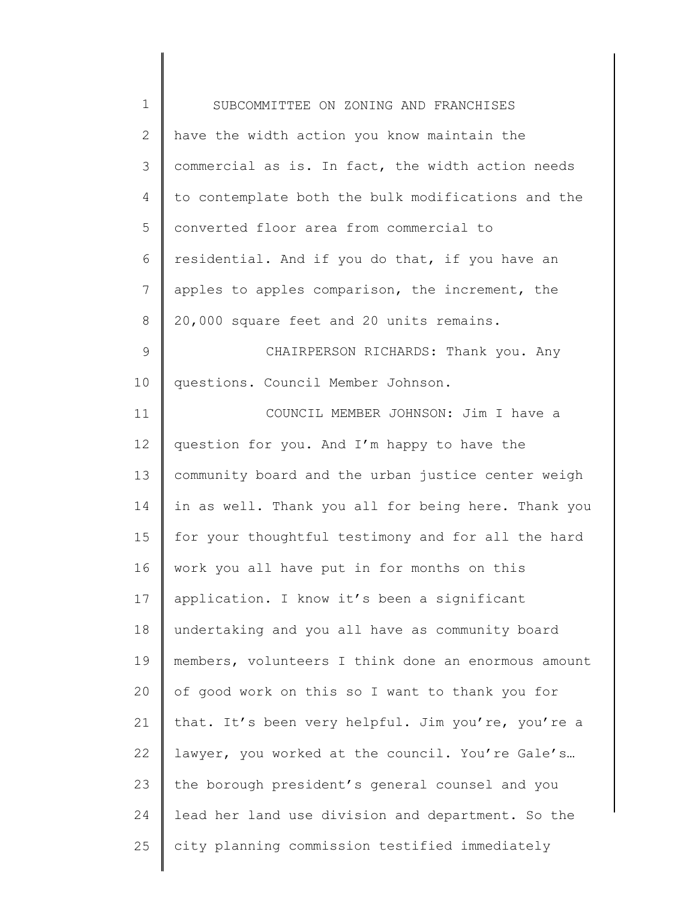| $\mathbf 1$  | SUBCOMMITTEE ON ZONING AND FRANCHISES               |
|--------------|-----------------------------------------------------|
| $\mathbf{2}$ | have the width action you know maintain the         |
| 3            | commercial as is. In fact, the width action needs   |
| 4            | to contemplate both the bulk modifications and the  |
| 5            | converted floor area from commercial to             |
| 6            | residential. And if you do that, if you have an     |
| 7            | apples to apples comparison, the increment, the     |
| 8            | 20,000 square feet and 20 units remains.            |
| $\mathsf 9$  | CHAIRPERSON RICHARDS: Thank you. Any                |
| 10           | questions. Council Member Johnson.                  |
| 11           | COUNCIL MEMBER JOHNSON: Jim I have a                |
| 12           | question for you. And I'm happy to have the         |
| 13           | community board and the urban justice center weigh  |
| 14           | in as well. Thank you all for being here. Thank you |
| 15           | for your thoughtful testimony and for all the hard  |
| 16           | work you all have put in for months on this         |
| 17           | application. I know it's been a significant         |
| 18           | undertaking and you all have as community board     |
| 19           | members, volunteers I think done an enormous amount |
| 20           | of good work on this so I want to thank you for     |
| 21           | that. It's been very helpful. Jim you're, you're a  |
| 22           | lawyer, you worked at the council. You're Gale's    |
| 23           | the borough president's general counsel and you     |
| 24           | lead her land use division and department. So the   |
| 25           | city planning commission testified immediately      |
|              |                                                     |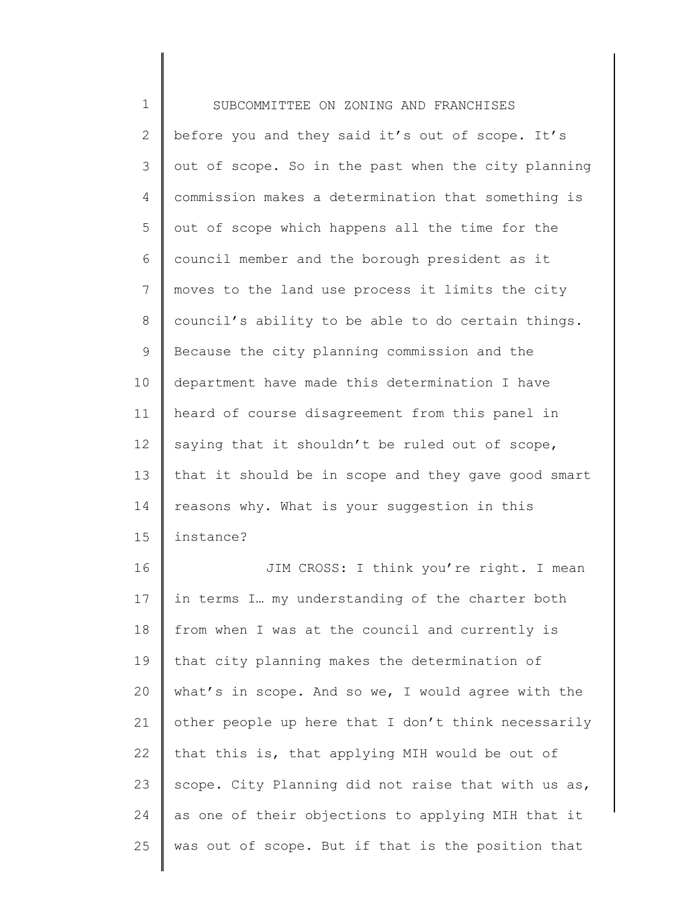1 2 3 4 5 6 7 8 9 10 11 12 13 14 15 16 17 18 19 20 21 22 23 SUBCOMMITTEE ON ZONING AND FRANCHISES before you and they said it's out of scope. It's out of scope. So in the past when the city planning commission makes a determination that something is out of scope which happens all the time for the council member and the borough president as it moves to the land use process it limits the city council's ability to be able to do certain things. Because the city planning commission and the department have made this determination I have heard of course disagreement from this panel in saying that it shouldn't be ruled out of scope, that it should be in scope and they gave good smart reasons why. What is your suggestion in this instance? JIM CROSS: I think you're right. I mean in terms I… my understanding of the charter both from when I was at the council and currently is that city planning makes the determination of what's in scope. And so we, I would agree with the other people up here that I don't think necessarily that this is, that applying MIH would be out of scope. City Planning did not raise that with us as,

25 was out of scope. But if that is the position that

as one of their objections to applying MIH that it

24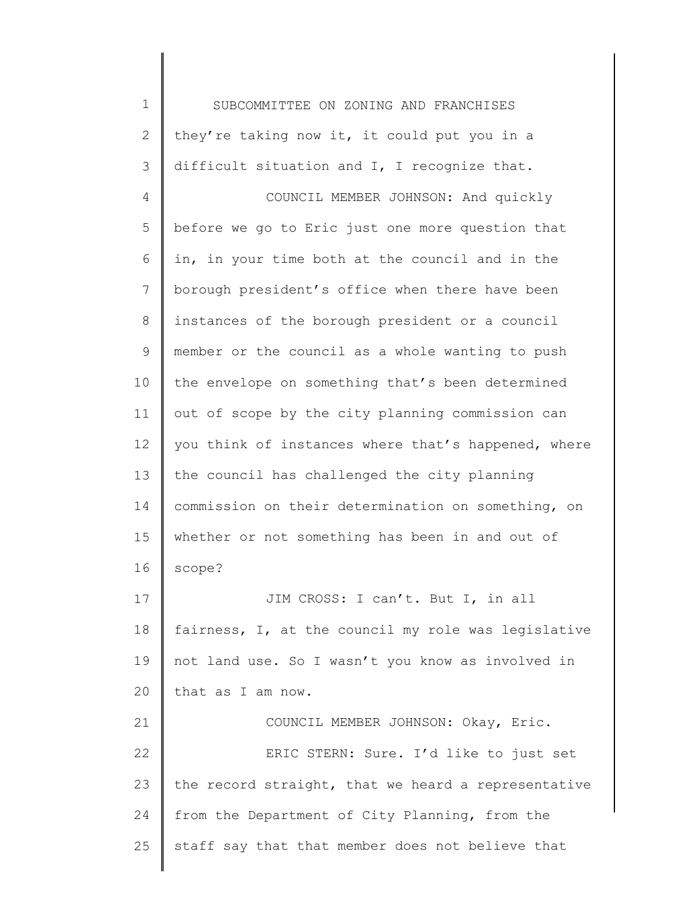1 2 3 4 5 6 7 8 9 10 11 12 13 14 15 16 17 18 19 20 21 22 23 24 25 SUBCOMMITTEE ON ZONING AND FRANCHISES they're taking now it, it could put you in a difficult situation and I, I recognize that. COUNCIL MEMBER JOHNSON: And quickly before we go to Eric just one more question that in, in your time both at the council and in the borough president's office when there have been instances of the borough president or a council member or the council as a whole wanting to push the envelope on something that's been determined out of scope by the city planning commission can you think of instances where that's happened, where the council has challenged the city planning commission on their determination on something, on whether or not something has been in and out of scope? JIM CROSS: I can't. But I, in all fairness, I, at the council my role was legislative not land use. So I wasn't you know as involved in that as I am now. COUNCIL MEMBER JOHNSON: Okay, Eric. ERIC STERN: Sure. I'd like to just set the record straight, that we heard a representative from the Department of City Planning, from the staff say that that member does not believe that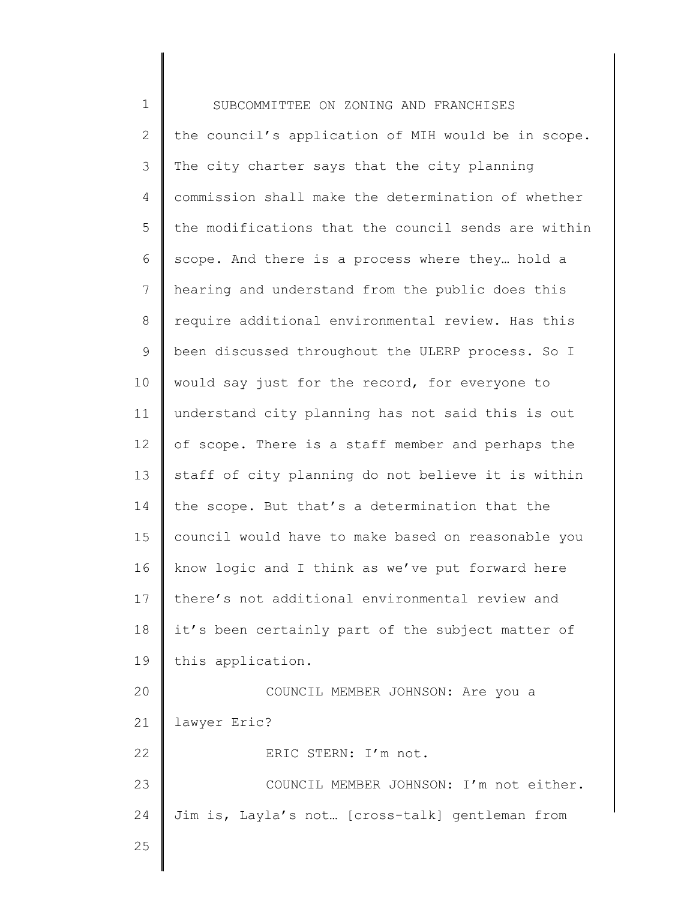1 2 3 4 5 6 7 8 9 10 11 12 13 14 15 16 17 18 19 20 21 22 23 24 25 SUBCOMMITTEE ON ZONING AND FRANCHISES the council's application of MIH would be in scope. The city charter says that the city planning commission shall make the determination of whether the modifications that the council sends are within scope. And there is a process where they… hold a hearing and understand from the public does this require additional environmental review. Has this been discussed throughout the ULERP process. So I would say just for the record, for everyone to understand city planning has not said this is out of scope. There is a staff member and perhaps the staff of city planning do not believe it is within the scope. But that's a determination that the council would have to make based on reasonable you know logic and I think as we've put forward here there's not additional environmental review and it's been certainly part of the subject matter of this application. COUNCIL MEMBER JOHNSON: Are you a lawyer Eric? ERIC STERN: I'm not. COUNCIL MEMBER JOHNSON: I'm not either. Jim is, Layla's not… [cross-talk] gentleman from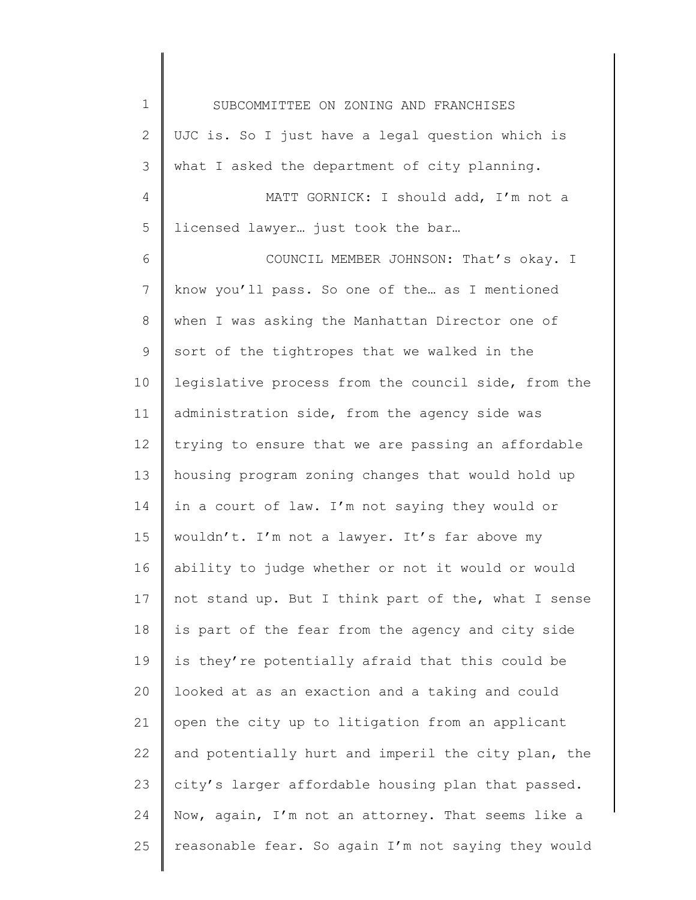1 2 3 4 5 6 7 8 9 10 11 12 13 14 15 16 17 18 19 20 21 22 23 24 25 SUBCOMMITTEE ON ZONING AND FRANCHISES UJC is. So I just have a legal question which is what I asked the department of city planning. MATT GORNICK: I should add, I'm not a licensed lawyer… just took the bar… COUNCIL MEMBER JOHNSON: That's okay. I know you'll pass. So one of the… as I mentioned when I was asking the Manhattan Director one of sort of the tightropes that we walked in the legislative process from the council side, from the administration side, from the agency side was trying to ensure that we are passing an affordable housing program zoning changes that would hold up in a court of law. I'm not saying they would or wouldn't. I'm not a lawyer. It's far above my ability to judge whether or not it would or would not stand up. But I think part of the, what I sense is part of the fear from the agency and city side is they're potentially afraid that this could be looked at as an exaction and a taking and could open the city up to litigation from an applicant and potentially hurt and imperil the city plan, the city's larger affordable housing plan that passed. Now, again, I'm not an attorney. That seems like a reasonable fear. So again I'm not saying they would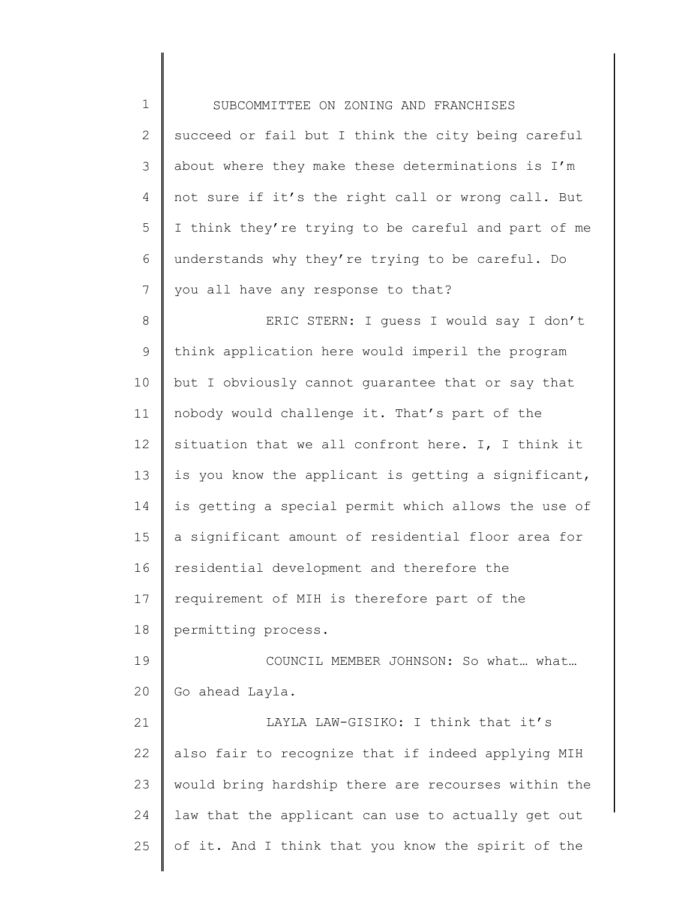1 2 3 4 5 6 7 8 9 10 11 12 13 14 15 16 17 18 19 20 21 22 23 24 25 SUBCOMMITTEE ON ZONING AND FRANCHISES succeed or fail but I think the city being careful about where they make these determinations is I'm not sure if it's the right call or wrong call. But I think they're trying to be careful and part of me understands why they're trying to be careful. Do you all have any response to that? ERIC STERN: I guess I would say I don't think application here would imperil the program but I obviously cannot guarantee that or say that nobody would challenge it. That's part of the situation that we all confront here. I, I think it is you know the applicant is getting a significant, is getting a special permit which allows the use of a significant amount of residential floor area for residential development and therefore the requirement of MIH is therefore part of the permitting process. COUNCIL MEMBER JOHNSON: So what… what… Go ahead Layla. LAYLA LAW-GISIKO: I think that it's also fair to recognize that if indeed applying MIH would bring hardship there are recourses within the law that the applicant can use to actually get out of it. And I think that you know the spirit of the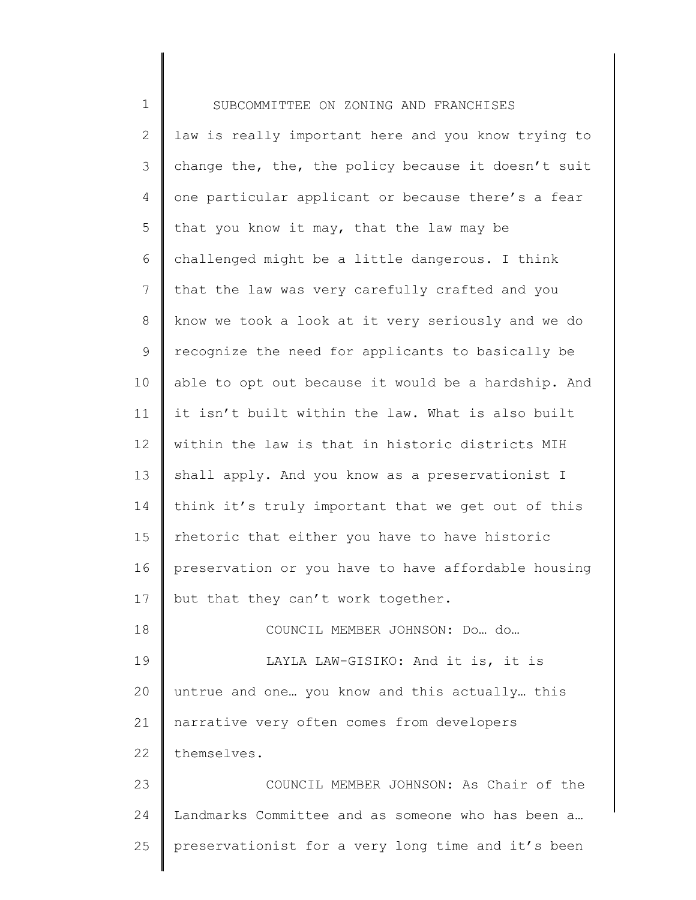1 2 3 4 5 6 7 8 9 10 11 12 13 14 15 16 17 18 19 20 21 22 23 24 25 SUBCOMMITTEE ON ZONING AND FRANCHISES law is really important here and you know trying to change the, the, the policy because it doesn't suit one particular applicant or because there's a fear that you know it may, that the law may be challenged might be a little dangerous. I think that the law was very carefully crafted and you know we took a look at it very seriously and we do recognize the need for applicants to basically be able to opt out because it would be a hardship. And it isn't built within the law. What is also built within the law is that in historic districts MIH shall apply. And you know as a preservationist I think it's truly important that we get out of this rhetoric that either you have to have historic preservation or you have to have affordable housing but that they can't work together. COUNCIL MEMBER JOHNSON: Do… do… LAYLA LAW-GISIKO: And it is, it is untrue and one… you know and this actually… this narrative very often comes from developers themselves. COUNCIL MEMBER JOHNSON: As Chair of the Landmarks Committee and as someone who has been a… preservationist for a very long time and it's been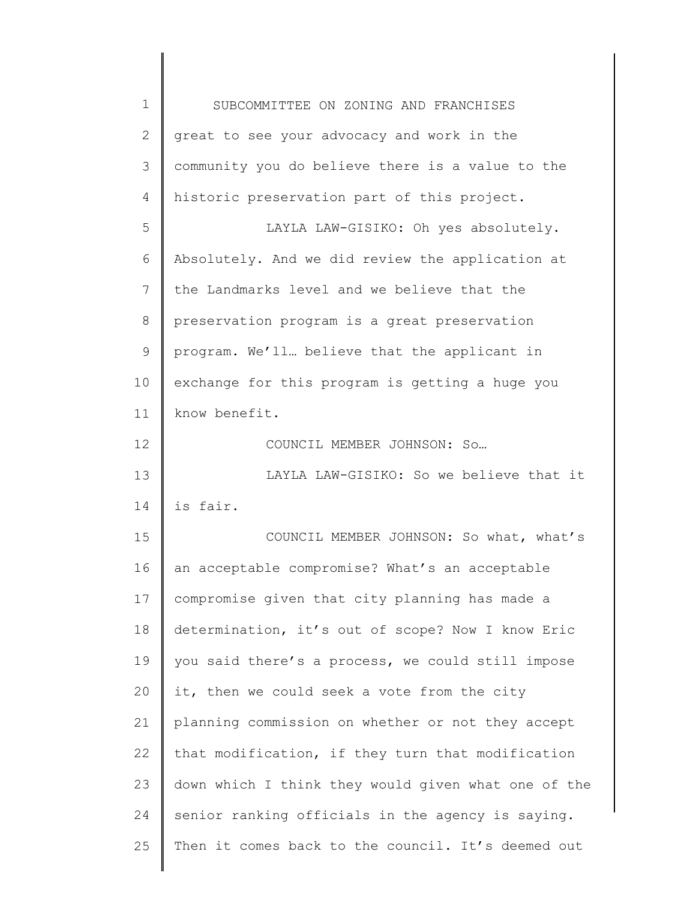1 2 3 4 5 6 7 8 9 10 11 12 13 14 15 16 17 18 19 20 21 22 23 24 25 SUBCOMMITTEE ON ZONING AND FRANCHISES great to see your advocacy and work in the community you do believe there is a value to the historic preservation part of this project. LAYLA LAW-GISIKO: Oh yes absolutely. Absolutely. And we did review the application at the Landmarks level and we believe that the preservation program is a great preservation program. We'll… believe that the applicant in exchange for this program is getting a huge you know benefit. COUNCIL MEMBER JOHNSON: So… LAYLA LAW-GISIKO: So we believe that it is fair. COUNCIL MEMBER JOHNSON: So what, what's an acceptable compromise? What's an acceptable compromise given that city planning has made a determination, it's out of scope? Now I know Eric you said there's a process, we could still impose it, then we could seek a vote from the city planning commission on whether or not they accept that modification, if they turn that modification down which I think they would given what one of the senior ranking officials in the agency is saying. Then it comes back to the council. It's deemed out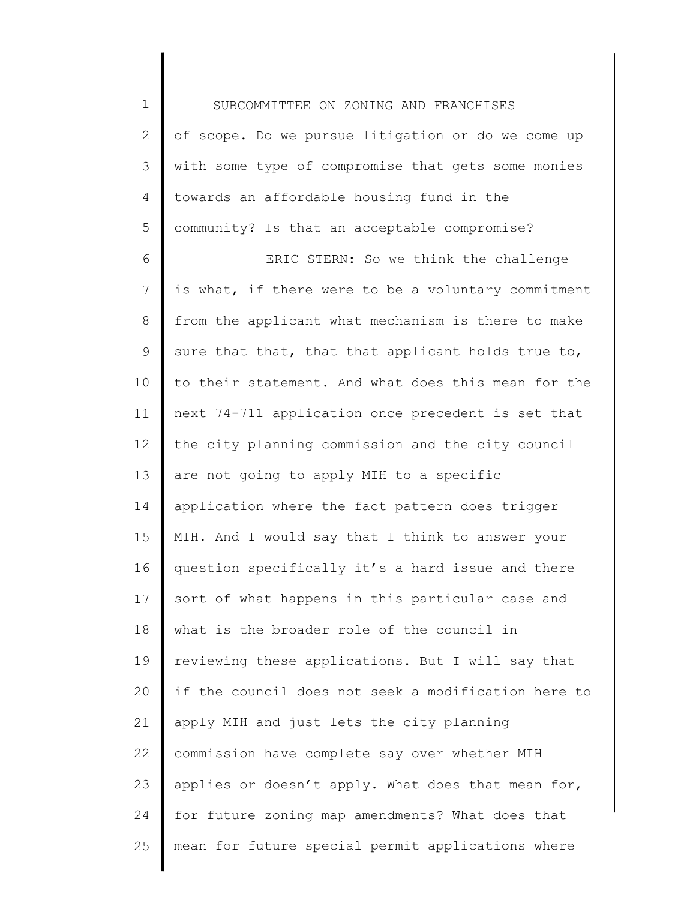1 2 3 4 5 6 7 8 9 10 11 12 13 14 15 16 SUBCOMMITTEE ON ZONING AND FRANCHISES of scope. Do we pursue litigation or do we come up with some type of compromise that gets some monies towards an affordable housing fund in the community? Is that an acceptable compromise? ERIC STERN: So we think the challenge is what, if there were to be a voluntary commitment from the applicant what mechanism is there to make sure that that, that that applicant holds true to, to their statement. And what does this mean for the next 74-711 application once precedent is set that the city planning commission and the city council are not going to apply MIH to a specific application where the fact pattern does trigger MIH. And I would say that I think to answer your question specifically it's a hard issue and there

20 21 22 23 24 25 if the council does not seek a modification here to apply MIH and just lets the city planning commission have complete say over whether MIH applies or doesn't apply. What does that mean for, for future zoning map amendments? What does that mean for future special permit applications where

sort of what happens in this particular case and

reviewing these applications. But I will say that

what is the broader role of the council in

17

18

19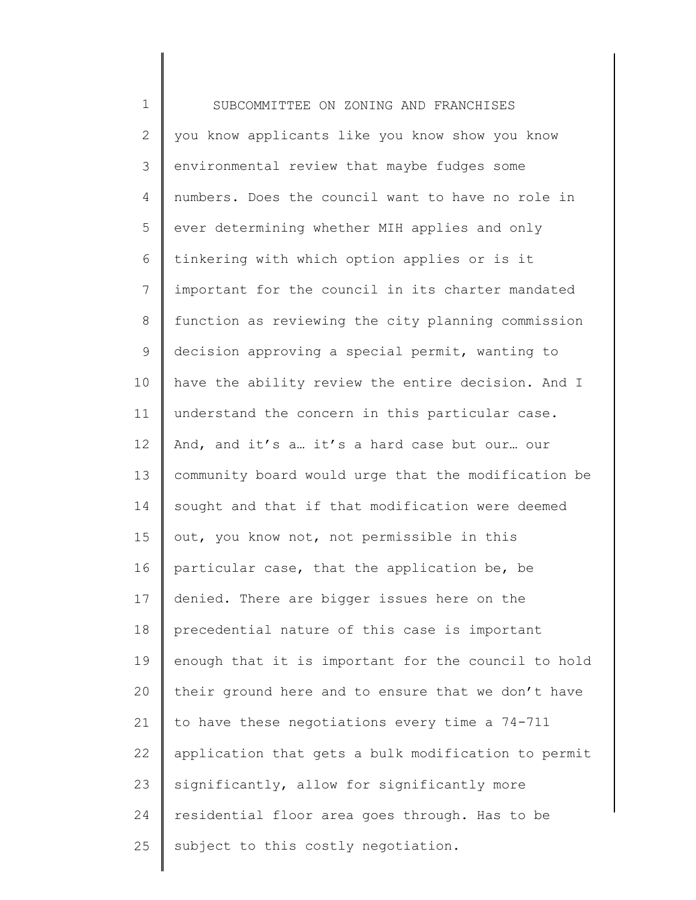1 2 3 4 5 6 7 8 9 10 11 12 13 14 15 16 17 18 19 20 21 22 23 24 25 SUBCOMMITTEE ON ZONING AND FRANCHISES you know applicants like you know show you know environmental review that maybe fudges some numbers. Does the council want to have no role in ever determining whether MIH applies and only tinkering with which option applies or is it important for the council in its charter mandated function as reviewing the city planning commission decision approving a special permit, wanting to have the ability review the entire decision. And I understand the concern in this particular case. And, and it's a… it's a hard case but our… our community board would urge that the modification be sought and that if that modification were deemed out, you know not, not permissible in this particular case, that the application be, be denied. There are bigger issues here on the precedential nature of this case is important enough that it is important for the council to hold their ground here and to ensure that we don't have to have these negotiations every time a 74-711 application that gets a bulk modification to permit significantly, allow for significantly more residential floor area goes through. Has to be subject to this costly negotiation.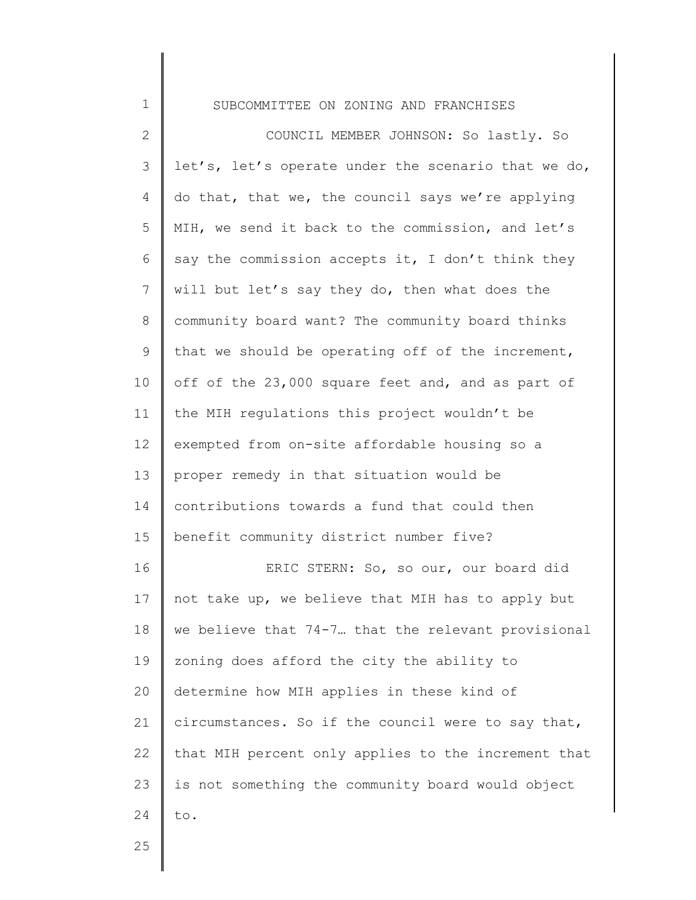## SUBCOMMITTEE ON ZONING AND FRANCHISES

| $\overline{2}$ | COUNCIL MEMBER JOHNSON: So lastly. So               |
|----------------|-----------------------------------------------------|
| 3              | let's, let's operate under the scenario that we do, |
| 4              | do that, that we, the council says we're applying   |
| 5              | MIH, we send it back to the commission, and let's   |
| 6              | say the commission accepts it, I don't think they   |
| 7              | will but let's say they do, then what does the      |
| 8              | community board want? The community board thinks    |
| 9              | that we should be operating off of the increment,   |
| 10             | off of the 23,000 square feet and, and as part of   |
| 11             | the MIH regulations this project wouldn't be        |
| 12             | exempted from on-site affordable housing so a       |
| 13             | proper remedy in that situation would be            |
| 14             | contributions towards a fund that could then        |
| 15             | benefit community district number five?             |
| 16             | ERIC STERN: So, so our, our board did               |
| 17             | not take up, we believe that MIH has to apply but   |
| 18             | we believe that 74-7 that the relevant provisional  |
| 19             | zoning does afford the city the ability to          |
| 20             | determine how MIH applies in these kind of          |
| 21             | circumstances. So if the council were to say that,  |
| 22             | that MIH percent only applies to the increment that |
| 23             | is not something the community board would object   |
| 24             | to.                                                 |
|                |                                                     |

25

1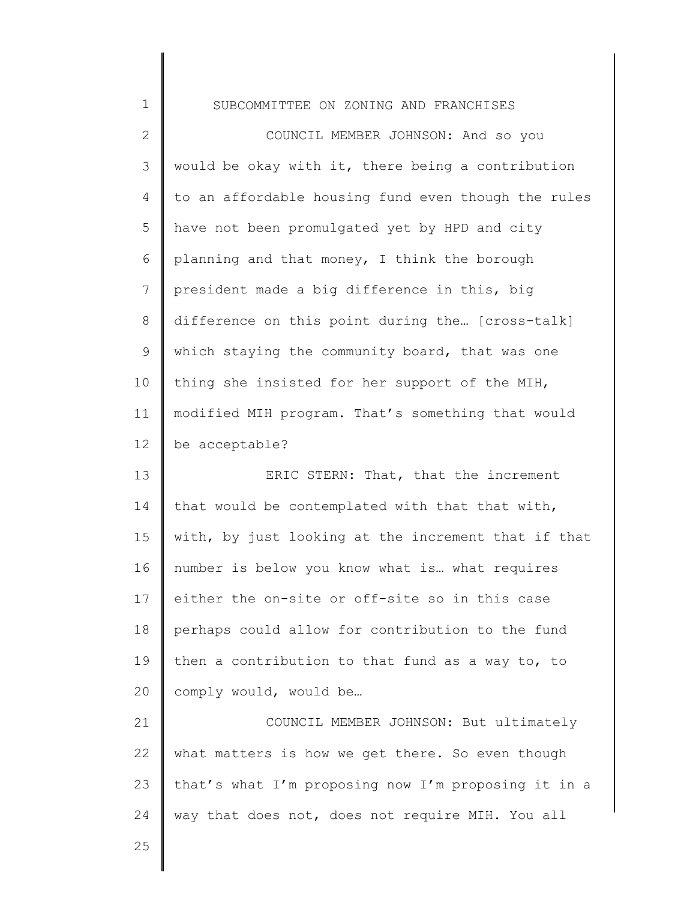| $\mathbf 1$  | SUBCOMMITTEE ON ZONING AND FRANCHISES               |
|--------------|-----------------------------------------------------|
| $\mathbf{2}$ | COUNCIL MEMBER JOHNSON: And so you                  |
| 3            | would be okay with it, there being a contribution   |
| 4            | to an affordable housing fund even though the rules |
| 5            | have not been promulgated yet by HPD and city       |
| 6            | planning and that money, I think the borough        |
| 7            | president made a big difference in this, big        |
| $\,8\,$      | difference on this point during the [cross-talk]    |
| $\mathsf 9$  | which staying the community board, that was one     |
| 10           | thing she insisted for her support of the MIH,      |
| 11           | modified MIH program. That's something that would   |
| 12           | be acceptable?                                      |
| 13           | ERIC STERN: That, that the increment                |
| 14           | that would be contemplated with that that with,     |
| 15           | with, by just looking at the increment that if that |
| 16           | number is below you know what is what requires      |
| 17           | either the on-site or off-site so in this case      |
| 18           | perhaps could allow for contribution to the fund    |
| 19           | then a contribution to that fund as a way to, to    |
| 20           | comply would, would be                              |
| 21           | COUNCIL MEMBER JOHNSON: But ultimately              |
| 22           | what matters is how we get there. So even though    |
| 23           | that's what I'm proposing now I'm proposing it in a |
| 24           | way that does not, does not require MIH. You all    |
| つに           |                                                     |

25

 $\begin{array}{c} \hline \end{array}$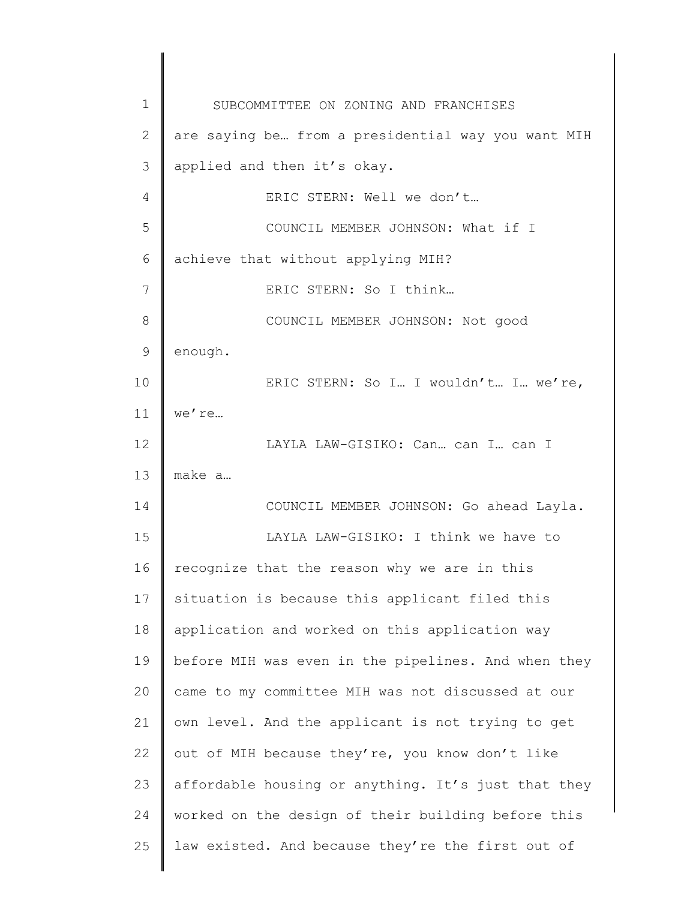1 2 3 4 5 6 7 8 9 10 11 12 13 14 15 16 17 18 19 20 21 22 23 24 25 SUBCOMMITTEE ON ZONING AND FRANCHISES are saying be... from a presidential way you want MIH applied and then it's okay. ERIC STERN: Well we don't… COUNCIL MEMBER JOHNSON: What if I achieve that without applying MIH? ERIC STERN: So I think… COUNCIL MEMBER JOHNSON: Not good enough. ERIC STERN: So I… I wouldn't… I… we're, we're... LAYLA LAW-GISIKO: Can… can I… can I make a… COUNCIL MEMBER JOHNSON: Go ahead Layla. LAYLA LAW-GISIKO: I think we have to recognize that the reason why we are in this situation is because this applicant filed this application and worked on this application way before MIH was even in the pipelines. And when they came to my committee MIH was not discussed at our own level. And the applicant is not trying to get out of MIH because they're, you know don't like affordable housing or anything. It's just that they worked on the design of their building before this law existed. And because they're the first out of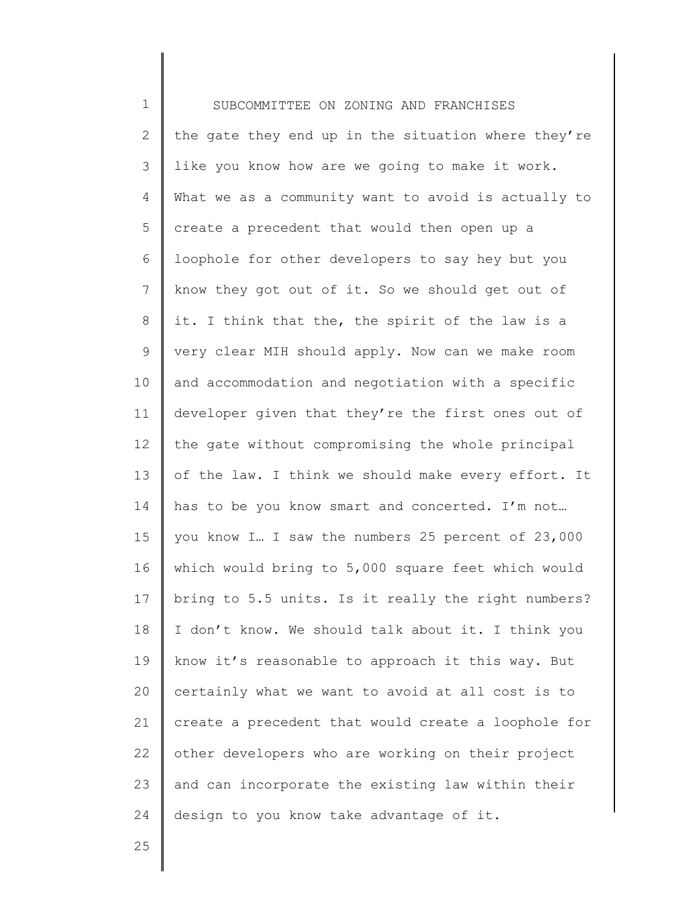1 2 3 4 5 6 7 8 9 10 11 12 13 14 15 16 17 18 19 20 21 22 23 24 SUBCOMMITTEE ON ZONING AND FRANCHISES the gate they end up in the situation where they're like you know how are we going to make it work. What we as a community want to avoid is actually to create a precedent that would then open up a loophole for other developers to say hey but you know they got out of it. So we should get out of it. I think that the, the spirit of the law is a very clear MIH should apply. Now can we make room and accommodation and negotiation with a specific developer given that they're the first ones out of the gate without compromising the whole principal of the law. I think we should make every effort. It has to be you know smart and concerted. I'm not... you know I… I saw the numbers 25 percent of 23,000 which would bring to 5,000 square feet which would bring to 5.5 units. Is it really the right numbers? I don't know. We should talk about it. I think you know it's reasonable to approach it this way. But certainly what we want to avoid at all cost is to create a precedent that would create a loophole for other developers who are working on their project and can incorporate the existing law within their design to you know take advantage of it.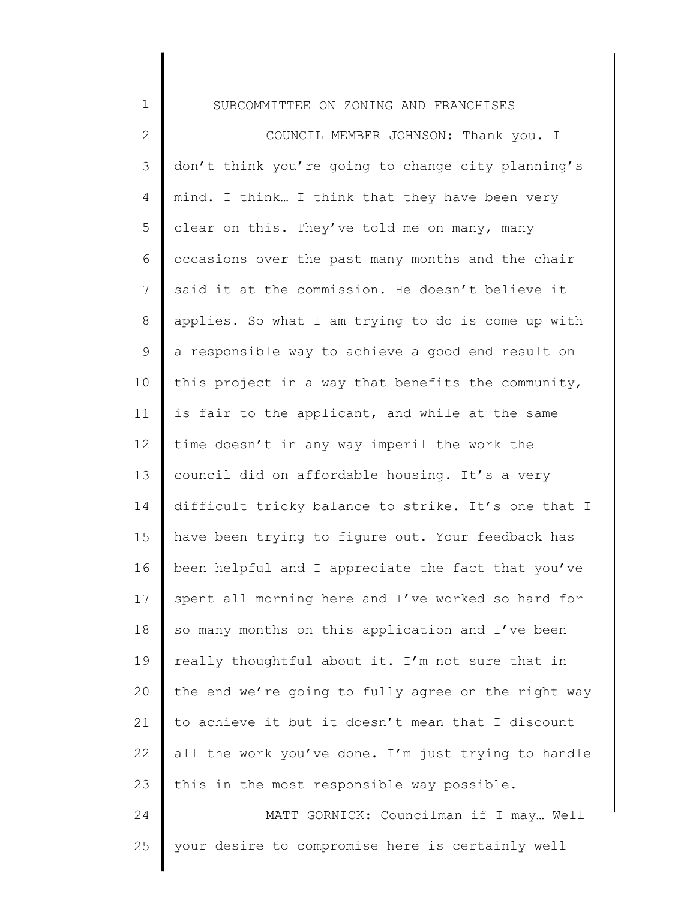## SUBCOMMITTEE ON ZONING AND FRANCHISES

2 3 4 5 6 7 8 9 10 11 12 13 14 15 16 17 18 19 20 21 22 23 24 COUNCIL MEMBER JOHNSON: Thank you. I don't think you're going to change city planning's mind. I think… I think that they have been very clear on this. They've told me on many, many occasions over the past many months and the chair said it at the commission. He doesn't believe it applies. So what I am trying to do is come up with a responsible way to achieve a good end result on this project in a way that benefits the community, is fair to the applicant, and while at the same time doesn't in any way imperil the work the council did on affordable housing. It's a very difficult tricky balance to strike. It's one that I have been trying to figure out. Your feedback has been helpful and I appreciate the fact that you've spent all morning here and I've worked so hard for so many months on this application and I've been really thoughtful about it. I'm not sure that in the end we're going to fully agree on the right way to achieve it but it doesn't mean that I discount all the work you've done. I'm just trying to handle this in the most responsible way possible. MATT GORNICK: Councilman if I may… Well

your desire to compromise here is certainly well

25

1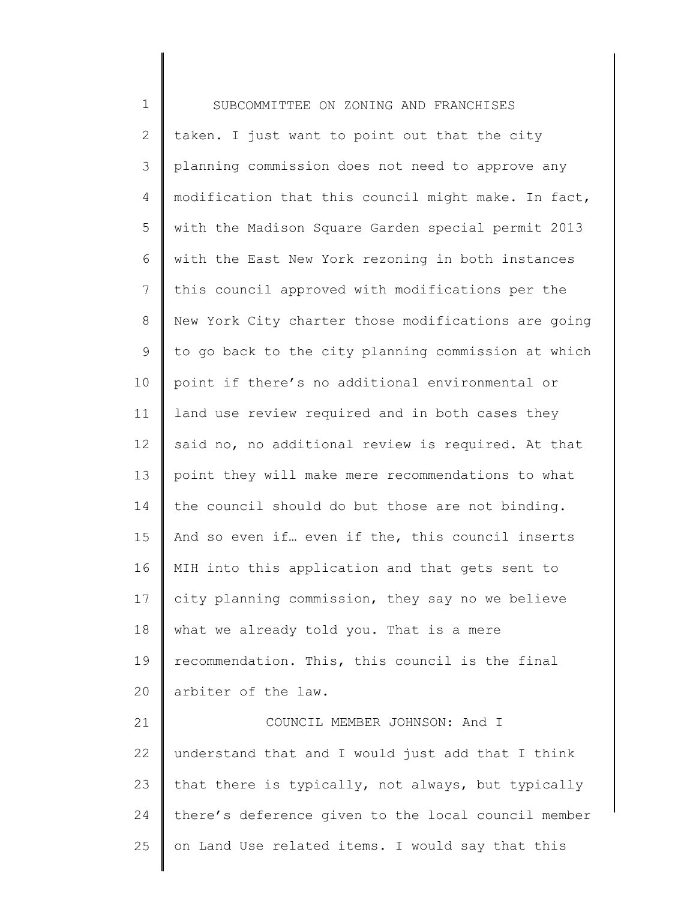1 2 3 4 5 6 7 8 9 10 11 12 13 14 15 16 17 18 19 20 21 22 23 24 25 SUBCOMMITTEE ON ZONING AND FRANCHISES taken. I just want to point out that the city planning commission does not need to approve any modification that this council might make. In fact, with the Madison Square Garden special permit 2013 with the East New York rezoning in both instances this council approved with modifications per the New York City charter those modifications are going to go back to the city planning commission at which point if there's no additional environmental or land use review required and in both cases they said no, no additional review is required. At that point they will make mere recommendations to what the council should do but those are not binding. And so even if… even if the, this council inserts MIH into this application and that gets sent to city planning commission, they say no we believe what we already told you. That is a mere recommendation. This, this council is the final arbiter of the law. COUNCIL MEMBER JOHNSON: And I understand that and I would just add that I think that there is typically, not always, but typically there's deference given to the local council member on Land Use related items. I would say that this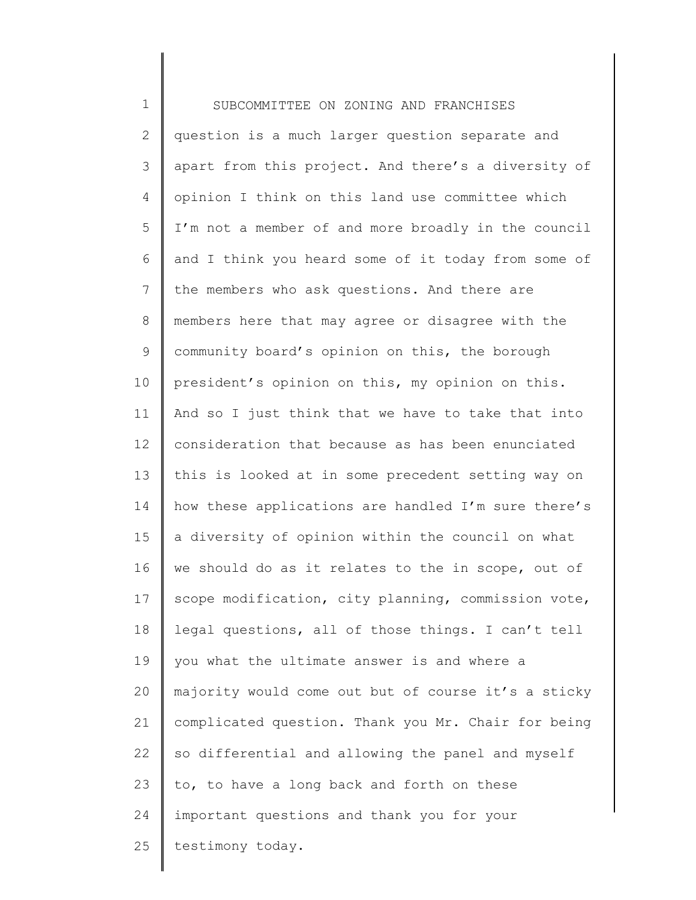1 2 3 4 5 6 7 8 9 10 11 12 13 14 15 16 17 18 19 20 21 22 23 24 25 SUBCOMMITTEE ON ZONING AND FRANCHISES question is a much larger question separate and apart from this project. And there's a diversity of opinion I think on this land use committee which I'm not a member of and more broadly in the council and I think you heard some of it today from some of the members who ask questions. And there are members here that may agree or disagree with the community board's opinion on this, the borough president's opinion on this, my opinion on this. And so I just think that we have to take that into consideration that because as has been enunciated this is looked at in some precedent setting way on how these applications are handled I'm sure there's a diversity of opinion within the council on what we should do as it relates to the in scope, out of scope modification, city planning, commission vote, legal questions, all of those things. I can't tell you what the ultimate answer is and where a majority would come out but of course it's a sticky complicated question. Thank you Mr. Chair for being so differential and allowing the panel and myself to, to have a long back and forth on these important questions and thank you for your testimony today.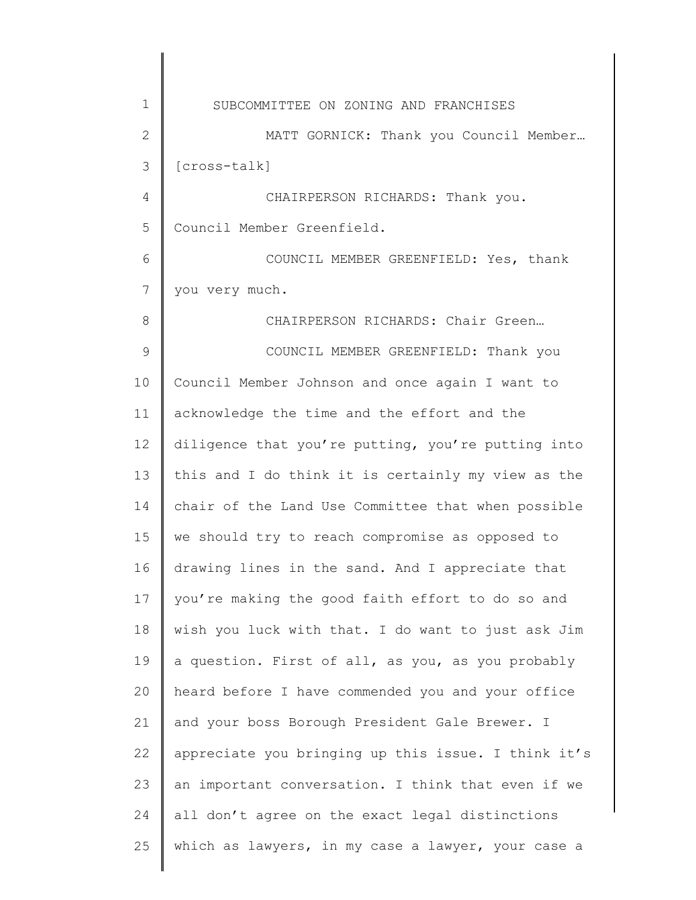| $\mathbf 1$   | SUBCOMMITTEE ON ZONING AND FRANCHISES               |
|---------------|-----------------------------------------------------|
| 2             | MATT GORNICK: Thank you Council Member              |
| 3             | [cross-talk]                                        |
| 4             | CHAIRPERSON RICHARDS: Thank you.                    |
| 5             | Council Member Greenfield.                          |
| 6             | COUNCIL MEMBER GREENFIELD: Yes, thank               |
| 7             | you very much.                                      |
| 8             | CHAIRPERSON RICHARDS: Chair Green                   |
| $\mathcal{G}$ | COUNCIL MEMBER GREENFIELD: Thank you                |
| 10            | Council Member Johnson and once again I want to     |
| 11            | acknowledge the time and the effort and the         |
| 12            | diligence that you're putting, you're putting into  |
| 13            | this and I do think it is certainly my view as the  |
| 14            | chair of the Land Use Committee that when possible  |
| 15            | we should try to reach compromise as opposed to     |
| 16            | drawing lines in the sand. And I appreciate that    |
| 17            | you're making the good faith effort to do so and    |
| 18            | wish you luck with that. I do want to just ask Jim  |
| 19            | a question. First of all, as you, as you probably   |
| 20            | heard before I have commended you and your office   |
| 21            | and your boss Borough President Gale Brewer. I      |
| 22            | appreciate you bringing up this issue. I think it's |
| 23            | an important conversation. I think that even if we  |
| 24            | all don't agree on the exact legal distinctions     |
| 25            | which as lawyers, in my case a lawyer, your case a  |
|               |                                                     |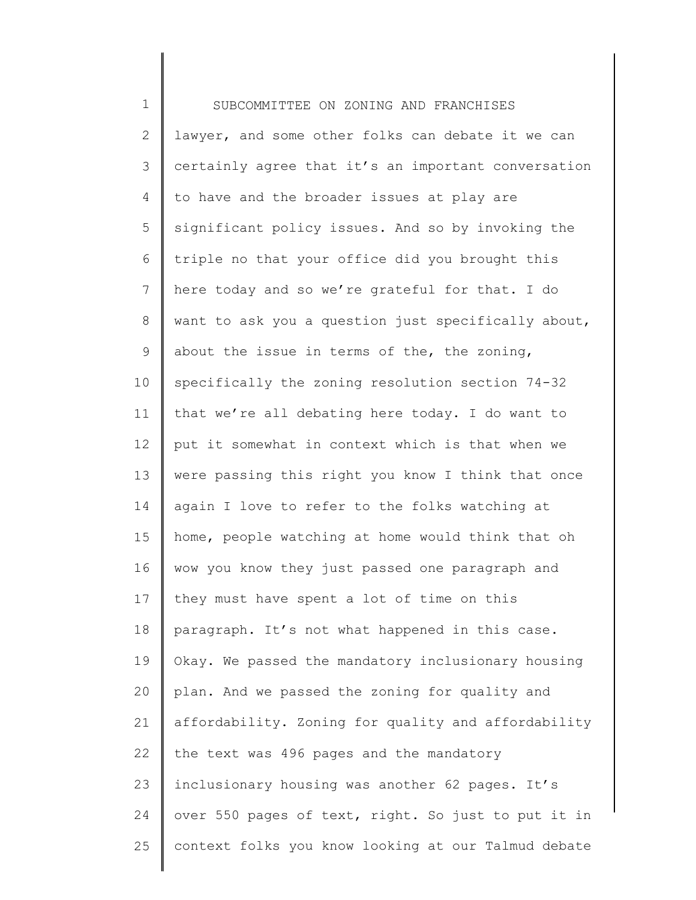1 2 3 4 5 6 7 8 9 10 11 12 13 14 15 16 17 18 19 20 21 22 23 24 25 SUBCOMMITTEE ON ZONING AND FRANCHISES lawyer, and some other folks can debate it we can certainly agree that it's an important conversation to have and the broader issues at play are significant policy issues. And so by invoking the triple no that your office did you brought this here today and so we're grateful for that. I do want to ask you a question just specifically about, about the issue in terms of the, the zoning, specifically the zoning resolution section 74-32 that we're all debating here today. I do want to put it somewhat in context which is that when we were passing this right you know I think that once again I love to refer to the folks watching at home, people watching at home would think that oh wow you know they just passed one paragraph and they must have spent a lot of time on this paragraph. It's not what happened in this case. Okay. We passed the mandatory inclusionary housing plan. And we passed the zoning for quality and affordability. Zoning for quality and affordability the text was 496 pages and the mandatory inclusionary housing was another 62 pages. It's over 550 pages of text, right. So just to put it in context folks you know looking at our Talmud debate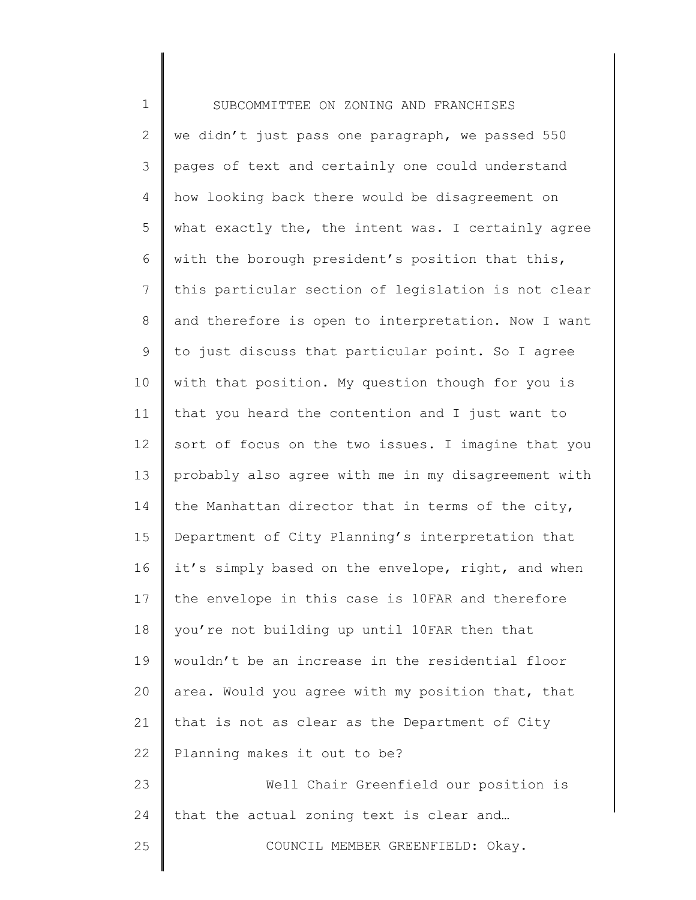1 2 3 4 5 6 7 8 9 10 11 12 13 14 15 16 17 18 19 20 21 22 23 24 25 SUBCOMMITTEE ON ZONING AND FRANCHISES we didn't just pass one paragraph, we passed 550 pages of text and certainly one could understand how looking back there would be disagreement on what exactly the, the intent was. I certainly agree with the borough president's position that this, this particular section of legislation is not clear and therefore is open to interpretation. Now I want to just discuss that particular point. So I agree with that position. My question though for you is that you heard the contention and I just want to sort of focus on the two issues. I imagine that you probably also agree with me in my disagreement with the Manhattan director that in terms of the city, Department of City Planning's interpretation that it's simply based on the envelope, right, and when the envelope in this case is 10FAR and therefore you're not building up until 10FAR then that wouldn't be an increase in the residential floor area. Would you agree with my position that, that that is not as clear as the Department of City Planning makes it out to be? Well Chair Greenfield our position is that the actual zoning text is clear and… COUNCIL MEMBER GREENFIELD: Okay.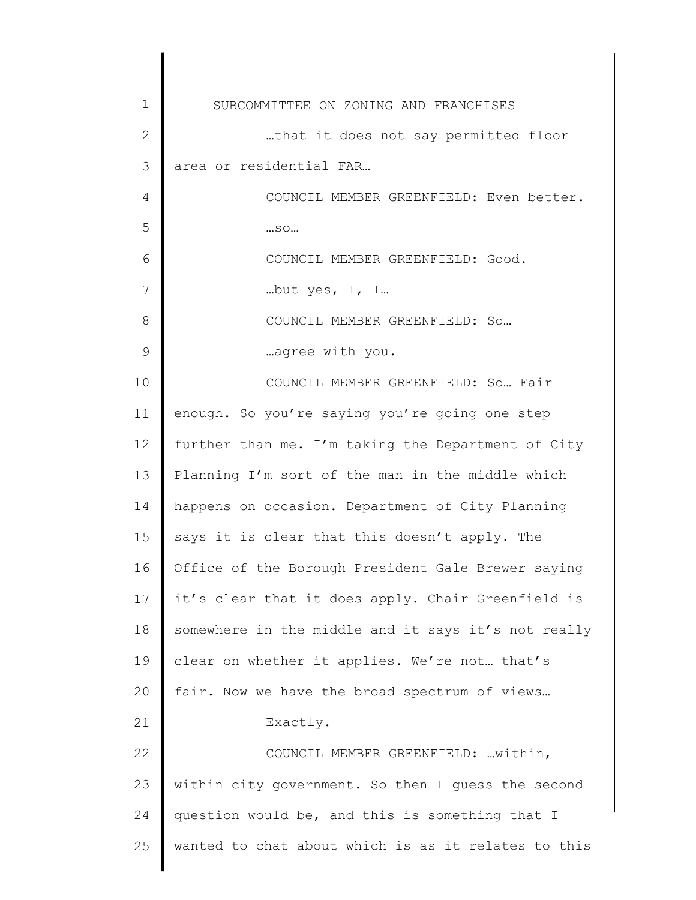| 1             | SUBCOMMITTEE ON ZONING AND FRANCHISES               |
|---------------|-----------------------------------------------------|
| $\mathbf{2}$  | that it does not say permitted floor                |
| 3             | area or residential FAR                             |
| 4             | COUNCIL MEMBER GREENFIELD: Even better.             |
| 5             | $$ SO                                               |
| 6             | COUNCIL MEMBER GREENFIELD: Good.                    |
| 7             | but yes, I, I                                       |
| 8             | COUNCIL MEMBER GREENFIELD: So                       |
| $\mathcal{G}$ | agree with you.                                     |
| 10            | COUNCIL MEMBER GREENFIELD: So Fair                  |
| 11            | enough. So you're saying you're going one step      |
| 12            | further than me. I'm taking the Department of City  |
| 13            | Planning I'm sort of the man in the middle which    |
| 14            | happens on occasion. Department of City Planning    |
| 15            | says it is clear that this doesn't apply. The       |
| 16            | Office of the Borough President Gale Brewer saying  |
| 17            | it's clear that it does apply. Chair Greenfield is  |
| 18            | somewhere in the middle and it says it's not really |
| 19            | clear on whether it applies. We're not that's       |
| 20            | fair. Now we have the broad spectrum of views       |
| 21            | Exactly.                                            |
| 22            | COUNCIL MEMBER GREENFIELD: within,                  |
| 23            | within city government. So then I guess the second  |
| 24            | question would be, and this is something that I     |
| 25            | wanted to chat about which is as it relates to this |
|               |                                                     |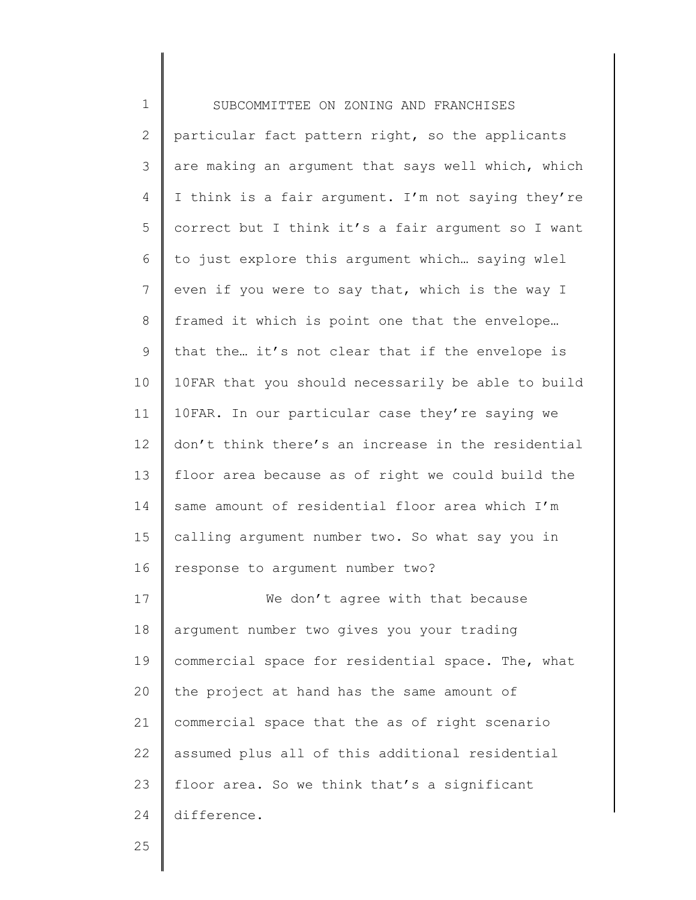| $\mathbf 1$    | SUBCOMMITTEE ON ZONING AND FRANCHISES              |
|----------------|----------------------------------------------------|
| $\mathbf{2}$   | particular fact pattern right, so the applicants   |
| 3              | are making an argument that says well which, which |
| 4              | I think is a fair argument. I'm not saying they're |
| 5              | correct but I think it's a fair argument so I want |
| 6              | to just explore this argument which saying wlel    |
| $\overline{7}$ | even if you were to say that, which is the way I   |
| 8              | framed it which is point one that the envelope     |
| $\mathsf 9$    | that the it's not clear that if the envelope is    |
| 10             | 10FAR that you should necessarily be able to build |
| 11             | 10FAR. In our particular case they're saying we    |
| 12             | don't think there's an increase in the residential |
| 13             | floor area because as of right we could build the  |
| 14             | same amount of residential floor area which I'm    |
| 15             | calling argument number two. So what say you in    |
| 16             | response to argument number two?                   |
| 17             | We don't agree with that because                   |
| 18             | argument number two gives you your trading         |
| 19             | commercial space for residential space. The, what  |
| 20             | the project at hand has the same amount of         |
| 21             | commercial space that the as of right scenario     |
| 22             | assumed plus all of this additional residential    |
| 23             | floor area. So we think that's a significant       |
| 24             | difference.                                        |
|                |                                                    |

25

║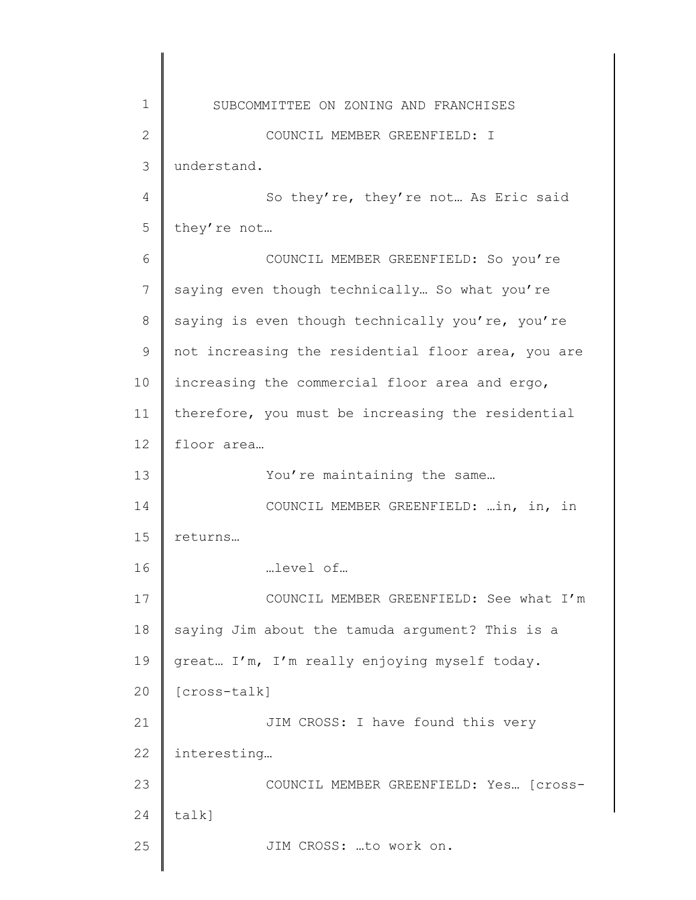1 2 3 4 5 6 7 8 9 10 11 12 13 14 15 16 17 18 19 20 21 22 23 24 25 SUBCOMMITTEE ON ZONING AND FRANCHISES COUNCIL MEMBER GREENFIELD: I understand. So they're, they're not… As Eric said they're not… COUNCIL MEMBER GREENFIELD: So you're saying even though technically… So what you're saying is even though technically you're, you're not increasing the residential floor area, you are increasing the commercial floor area and ergo, therefore, you must be increasing the residential floor area… You're maintaining the same... COUNCIL MEMBER GREENFIELD: …in, in, in returns… …level of… COUNCIL MEMBER GREENFIELD: See what I'm saying Jim about the tamuda argument? This is a great… I'm, I'm really enjoying myself today. [cross-talk] JIM CROSS: I have found this very interesting… COUNCIL MEMBER GREENFIELD: Yes… [crosstalk] JIM CROSS: …to work on.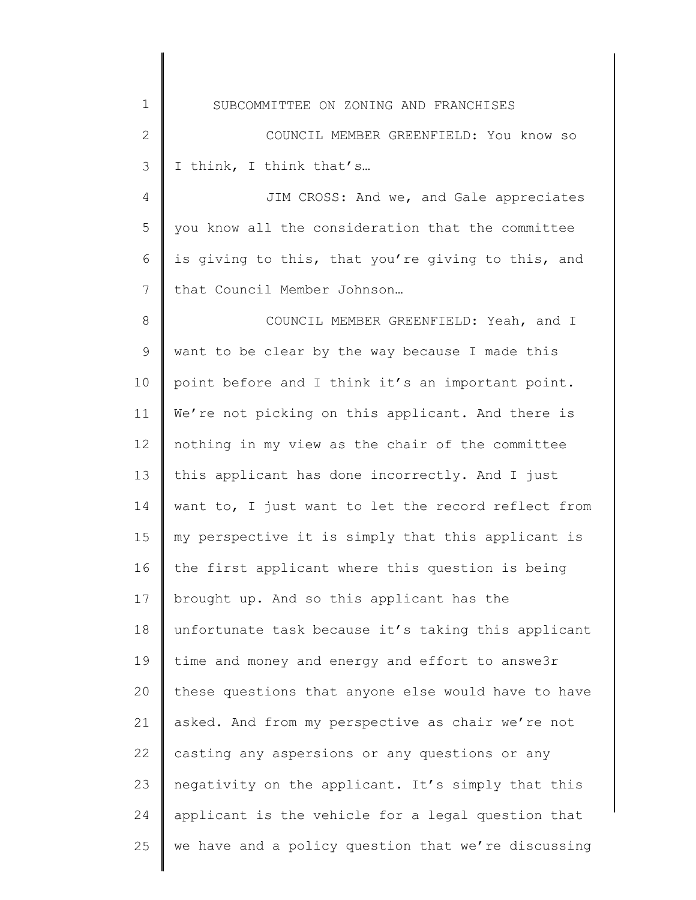| $\mathbf 1$  | SUBCOMMITTEE ON ZONING AND FRANCHISES               |
|--------------|-----------------------------------------------------|
| $\mathbf{2}$ | COUNCIL MEMBER GREENFIELD: You know so              |
| 3            | I think, I think that's                             |
| 4            | JIM CROSS: And we, and Gale appreciates             |
| 5            | you know all the consideration that the committee   |
| 6            | is giving to this, that you're giving to this, and  |
| 7            | that Council Member Johnson                         |
| $8\,$        | COUNCIL MEMBER GREENFIELD: Yeah, and I              |
| $\mathsf 9$  | want to be clear by the way because I made this     |
| 10           | point before and I think it's an important point.   |
| 11           | We're not picking on this applicant. And there is   |
| 12           | nothing in my view as the chair of the committee    |
| 13           | this applicant has done incorrectly. And I just     |
| 14           | want to, I just want to let the record reflect from |
| 15           | my perspective it is simply that this applicant is  |
| 16           | the first applicant where this question is being    |
| 17           | brought up. And so this applicant has the           |
| 18           | unfortunate task because it's taking this applicant |
| 19           | time and money and energy and effort to answe3r     |
| 20           | these questions that anyone else would have to have |
| 21           | asked. And from my perspective as chair we're not   |
| 22           | casting any aspersions or any questions or any      |
| 23           | negativity on the applicant. It's simply that this  |
| 24           | applicant is the vehicle for a legal question that  |
| 25           | we have and a policy question that we're discussing |

║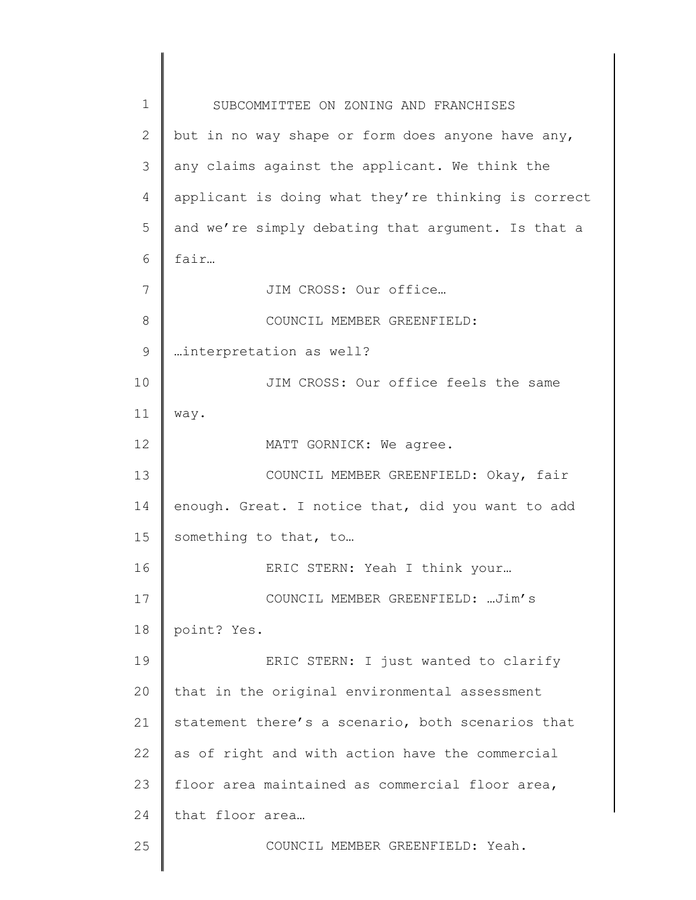1 2 3 4 5 6 7 8 9 10 11 12 13 14 15 16 17 18 19 20 21 22 23 24 25 SUBCOMMITTEE ON ZONING AND FRANCHISES but in no way shape or form does anyone have any, any claims against the applicant. We think the applicant is doing what they're thinking is correct and we're simply debating that argument. Is that a fair… JIM CROSS: Our office… COUNCIL MEMBER GREENFIELD: …interpretation as well? JIM CROSS: Our office feels the same way. MATT GORNICK: We agree. COUNCIL MEMBER GREENFIELD: Okay, fair enough. Great. I notice that, did you want to add something to that, to… ERIC STERN: Yeah I think your… COUNCIL MEMBER GREENFIELD: …Jim's point? Yes. ERIC STERN: I just wanted to clarify that in the original environmental assessment statement there's a scenario, both scenarios that as of right and with action have the commercial floor area maintained as commercial floor area, that floor area… COUNCIL MEMBER GREENFIELD: Yeah.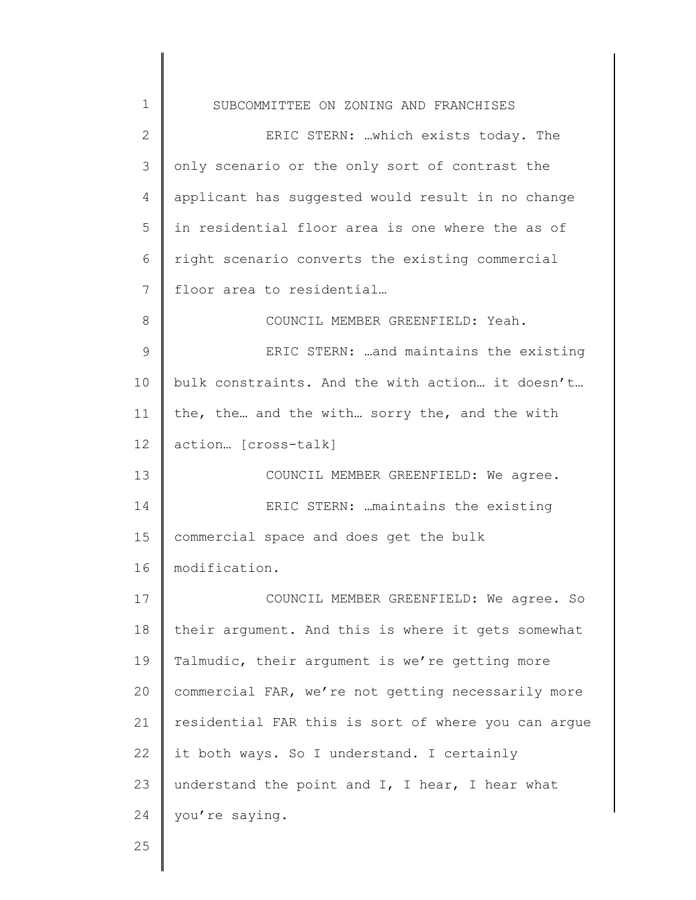| $\mathbf 1$   | SUBCOMMITTEE ON ZONING AND FRANCHISES               |
|---------------|-----------------------------------------------------|
| $\mathbf{2}$  | ERIC STERN: which exists today. The                 |
| 3             | only scenario or the only sort of contrast the      |
| 4             | applicant has suggested would result in no change   |
| 5             | in residential floor area is one where the as of    |
| 6             | right scenario converts the existing commercial     |
| 7             | floor area to residential                           |
| 8             | COUNCIL MEMBER GREENFIELD: Yeah.                    |
| $\mathcal{G}$ | ERIC STERN:  and maintains the existing             |
| 10            | bulk constraints. And the with action it doesn't    |
| 11            | the, the and the with sorry the, and the with       |
| 12            | action [cross-talk]                                 |
| 13            | COUNCIL MEMBER GREENFIELD: We agree.                |
| 14            | ERIC STERN:  maintains the existing                 |
| 15            | commercial space and does get the bulk              |
| 16            | modification.                                       |
| 17            | COUNCIL MEMBER GREENFIELD: We agree. So             |
| 18            | their argument. And this is where it gets somewhat  |
| 19            | Talmudic, their argument is we're getting more      |
| 20            | commercial FAR, we're not getting necessarily more  |
| 21            | residential FAR this is sort of where you can argue |
| 22            | it both ways. So I understand. I certainly          |
| 23            | understand the point and I, I hear, I hear what     |
| 24            | you're saying.                                      |
| 25            |                                                     |

║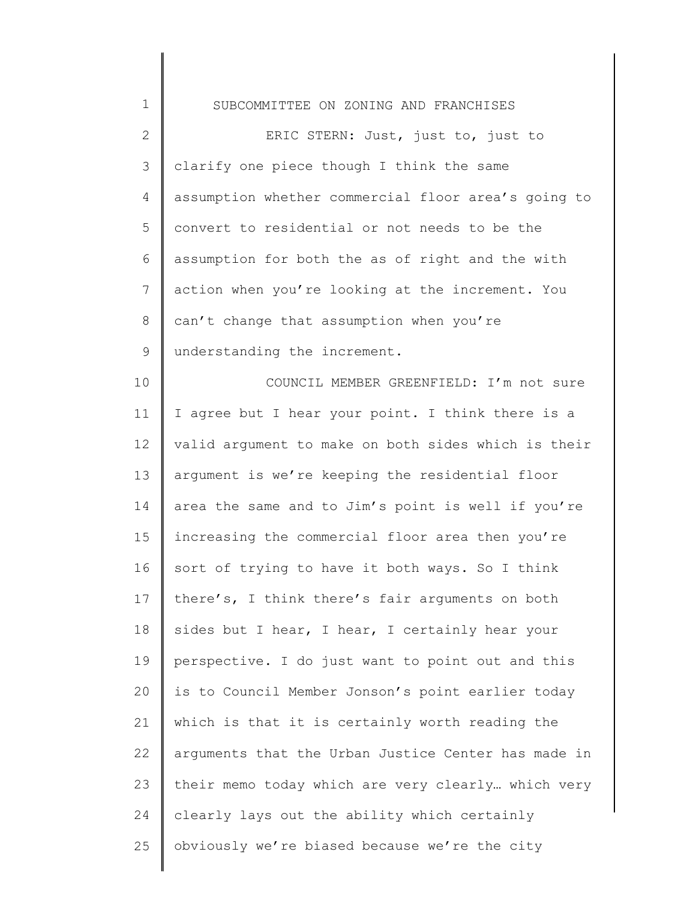| $\mathbf 1$  | SUBCOMMITTEE ON ZONING AND FRANCHISES               |
|--------------|-----------------------------------------------------|
| $\mathbf{2}$ | ERIC STERN: Just, just to, just to                  |
| 3            | clarify one piece though I think the same           |
| 4            | assumption whether commercial floor area's going to |
| 5            | convert to residential or not needs to be the       |
| 6            | assumption for both the as of right and the with    |
| 7            | action when you're looking at the increment. You    |
| 8            | can't change that assumption when you're            |
| $\mathsf 9$  | understanding the increment.                        |
| 10           | COUNCIL MEMBER GREENFIELD: I'm not sure             |
| 11           | I agree but I hear your point. I think there is a   |
| 12           | valid argument to make on both sides which is their |
| 13           | argument is we're keeping the residential floor     |
| 14           | area the same and to Jim's point is well if you're  |
| 15           | increasing the commercial floor area then you're    |
| 16           | sort of trying to have it both ways. So I think     |
| 17           | there's, I think there's fair arguments on both     |
| 18           | sides but I hear, I hear, I certainly hear your     |
| 19           | perspective. I do just want to point out and this   |
| 20           | is to Council Member Jonson's point earlier today   |
| 21           | which is that it is certainly worth reading the     |
| 22           | arguments that the Urban Justice Center has made in |
| 23           | their memo today which are very clearly which very  |
| 24           | clearly lays out the ability which certainly        |
| 25           | obviously we're biased because we're the city       |
|              |                                                     |

║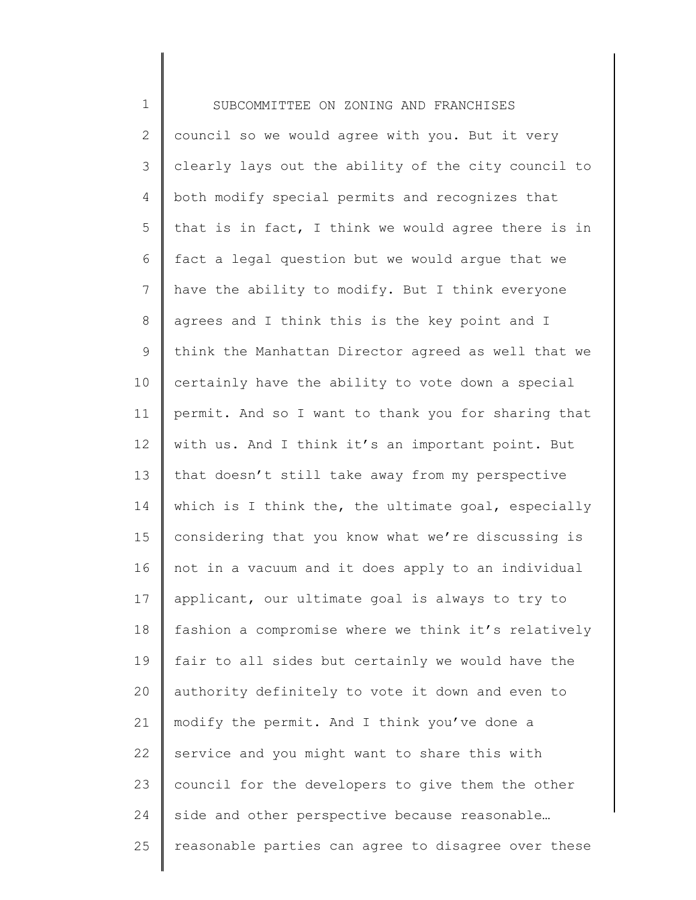1 2 3 4 5 6 7 8 9 10 11 12 13 14 15 16 17 18 19 20 21 22 23 24 25 SUBCOMMITTEE ON ZONING AND FRANCHISES council so we would agree with you. But it very clearly lays out the ability of the city council to both modify special permits and recognizes that that is in fact, I think we would agree there is in fact a legal question but we would argue that we have the ability to modify. But I think everyone agrees and I think this is the key point and I think the Manhattan Director agreed as well that we certainly have the ability to vote down a special permit. And so I want to thank you for sharing that with us. And I think it's an important point. But that doesn't still take away from my perspective which is I think the, the ultimate goal, especially considering that you know what we're discussing is not in a vacuum and it does apply to an individual applicant, our ultimate goal is always to try to fashion a compromise where we think it's relatively fair to all sides but certainly we would have the authority definitely to vote it down and even to modify the permit. And I think you've done a service and you might want to share this with council for the developers to give them the other side and other perspective because reasonable… reasonable parties can agree to disagree over these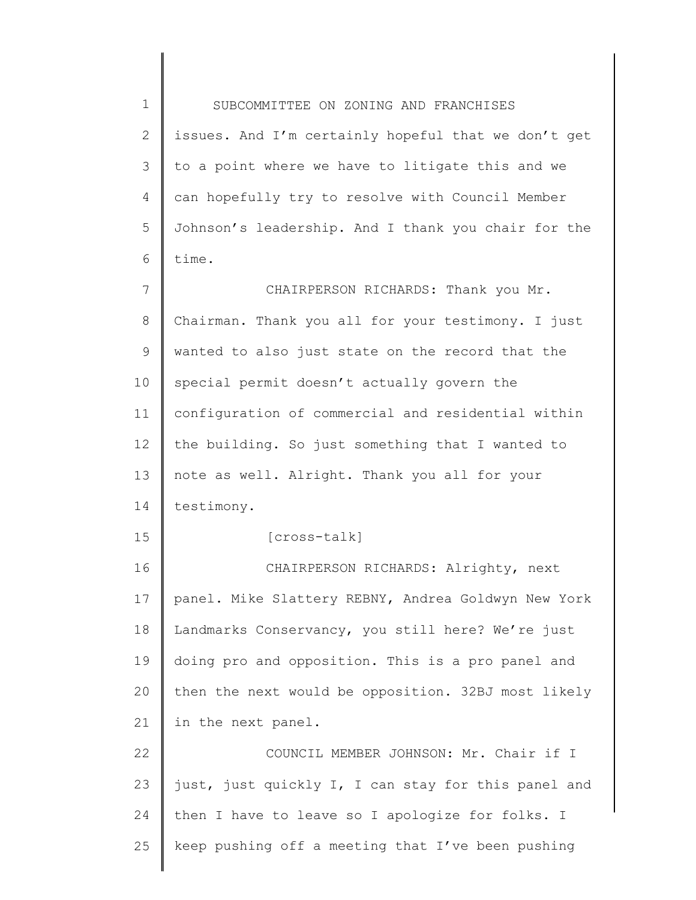1 2 3 4 5 6 7 8 9 10 11 12 13 14 15 16 17 18 19 20 21 22 23 SUBCOMMITTEE ON ZONING AND FRANCHISES issues. And I'm certainly hopeful that we don't get to a point where we have to litigate this and we can hopefully try to resolve with Council Member Johnson's leadership. And I thank you chair for the time. CHAIRPERSON RICHARDS: Thank you Mr. Chairman. Thank you all for your testimony. I just wanted to also just state on the record that the special permit doesn't actually govern the configuration of commercial and residential within the building. So just something that I wanted to note as well. Alright. Thank you all for your testimony. [cross-talk] CHAIRPERSON RICHARDS: Alrighty, next panel. Mike Slattery REBNY, Andrea Goldwyn New York Landmarks Conservancy, you still here? We're just doing pro and opposition. This is a pro panel and then the next would be opposition. 32BJ most likely in the next panel. COUNCIL MEMBER JOHNSON: Mr. Chair if I just, just quickly I, I can stay for this panel and

25 keep pushing off a meeting that I've been pushing

then I have to leave so I apologize for folks. I

24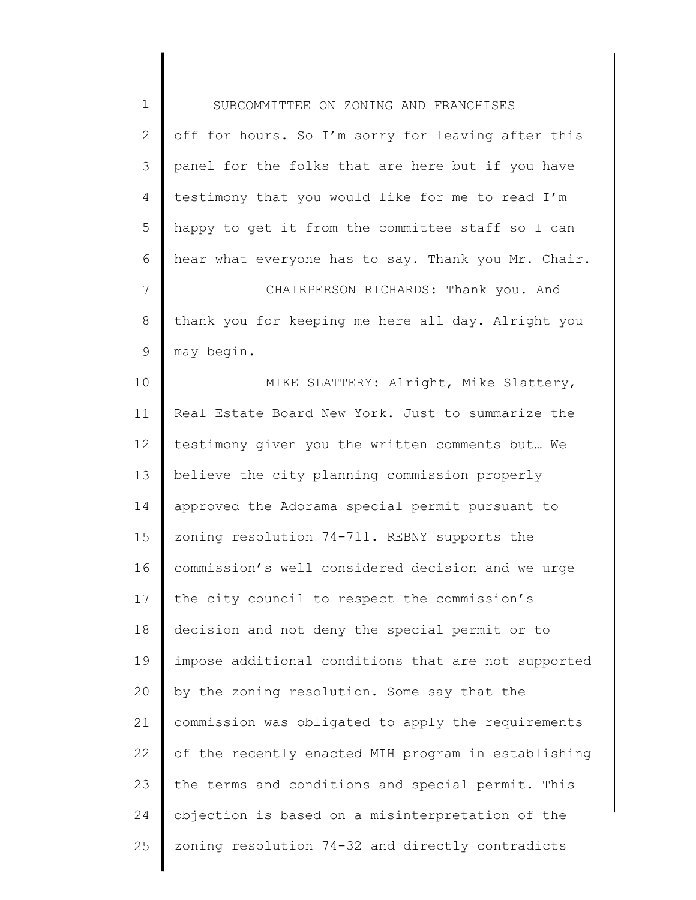1 2 3 4 5 6 7 8 9 10 11 12 13 14 15 16 17 18 19 20 21 22 23 24 25 SUBCOMMITTEE ON ZONING AND FRANCHISES off for hours. So I'm sorry for leaving after this panel for the folks that are here but if you have testimony that you would like for me to read I'm happy to get it from the committee staff so I can hear what everyone has to say. Thank you Mr. Chair. CHAIRPERSON RICHARDS: Thank you. And thank you for keeping me here all day. Alright you may begin. MIKE SLATTERY: Alright, Mike Slattery, Real Estate Board New York. Just to summarize the testimony given you the written comments but… We believe the city planning commission properly approved the Adorama special permit pursuant to zoning resolution 74-711. REBNY supports the commission's well considered decision and we urge the city council to respect the commission's decision and not deny the special permit or to impose additional conditions that are not supported by the zoning resolution. Some say that the commission was obligated to apply the requirements of the recently enacted MIH program in establishing the terms and conditions and special permit. This objection is based on a misinterpretation of the zoning resolution 74-32 and directly contradicts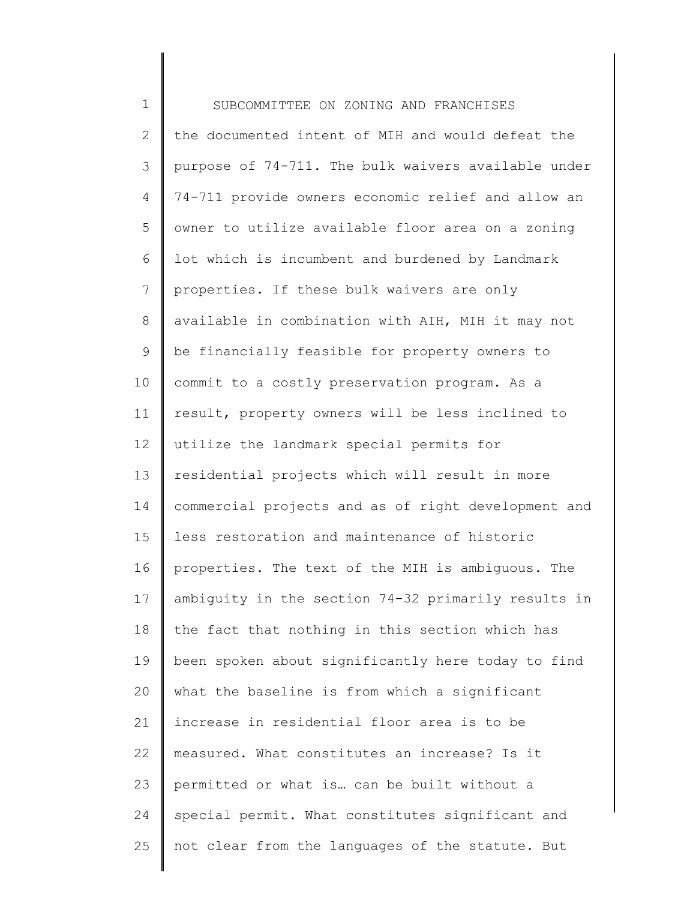| $\mathbf 1$    | SUBCOMMITTEE ON ZONING AND FRANCHISES               |
|----------------|-----------------------------------------------------|
| $\overline{2}$ | the documented intent of MIH and would defeat the   |
| 3              | purpose of 74-711. The bulk waivers available under |
| 4              | 74-711 provide owners economic relief and allow an  |
| 5              | owner to utilize available floor area on a zoning   |
| 6              | lot which is incumbent and burdened by Landmark     |
| 7              | properties. If these bulk waivers are only          |
| $\,8\,$        | available in combination with AIH, MIH it may not   |
| 9              | be financially feasible for property owners to      |
| 10             | commit to a costly preservation program. As a       |
| 11             | result, property owners will be less inclined to    |
| 12             | utilize the landmark special permits for            |
| 13             | residential projects which will result in more      |
| 14             | commercial projects and as of right development and |
| 15             | less restoration and maintenance of historic        |
| 16             | properties. The text of the MIH is ambiguous. The   |
| 17             | ambiguity in the section 74-32 primarily results in |
| 18             | the fact that nothing in this section which has     |
| 19             | been spoken about significantly here today to find  |
| 20             | what the baseline is from which a significant       |
| 21             | increase in residential floor area is to be         |
| 22             | measured. What constitutes an increase? Is it       |
| 23             | permitted or what is can be built without a         |
| 24             | special permit. What constitutes significant and    |
| 25             | not clear from the languages of the statute. But    |
|                |                                                     |

∥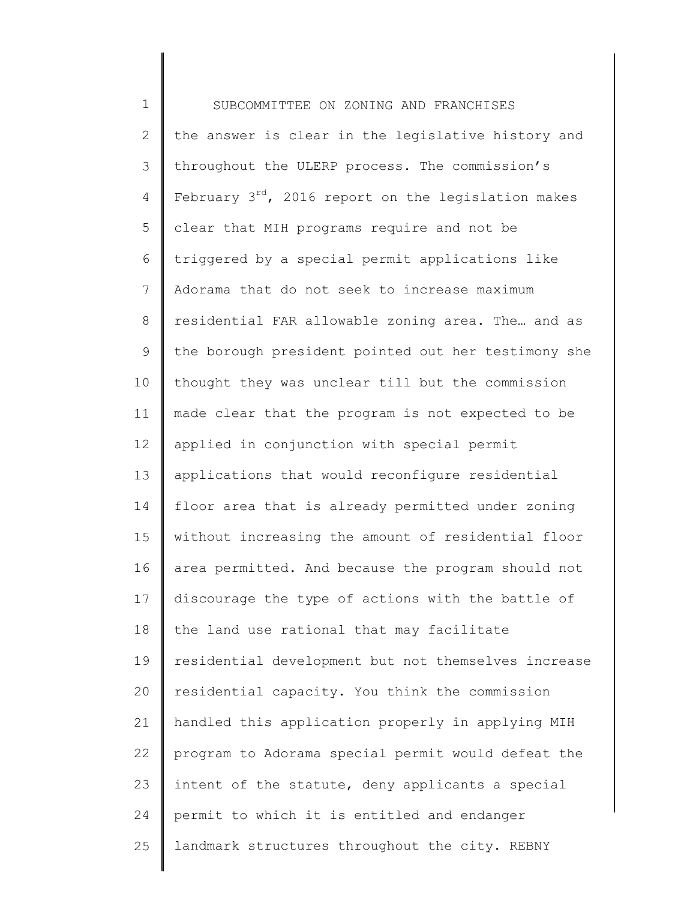1 2 3 4 5 6 7 8 9 10 11 12 13 14 15 16 17 18 19 20 21 22 23 24 25 SUBCOMMITTEE ON ZONING AND FRANCHISES the answer is clear in the legislative history and throughout the ULERP process. The commission's February  $3^{rd}$ , 2016 report on the legislation makes clear that MIH programs require and not be triggered by a special permit applications like Adorama that do not seek to increase maximum residential FAR allowable zoning area. The… and as the borough president pointed out her testimony she thought they was unclear till but the commission made clear that the program is not expected to be applied in conjunction with special permit applications that would reconfigure residential floor area that is already permitted under zoning without increasing the amount of residential floor area permitted. And because the program should not discourage the type of actions with the battle of the land use rational that may facilitate residential development but not themselves increase residential capacity. You think the commission handled this application properly in applying MIH program to Adorama special permit would defeat the intent of the statute, deny applicants a special permit to which it is entitled and endanger landmark structures throughout the city. REBNY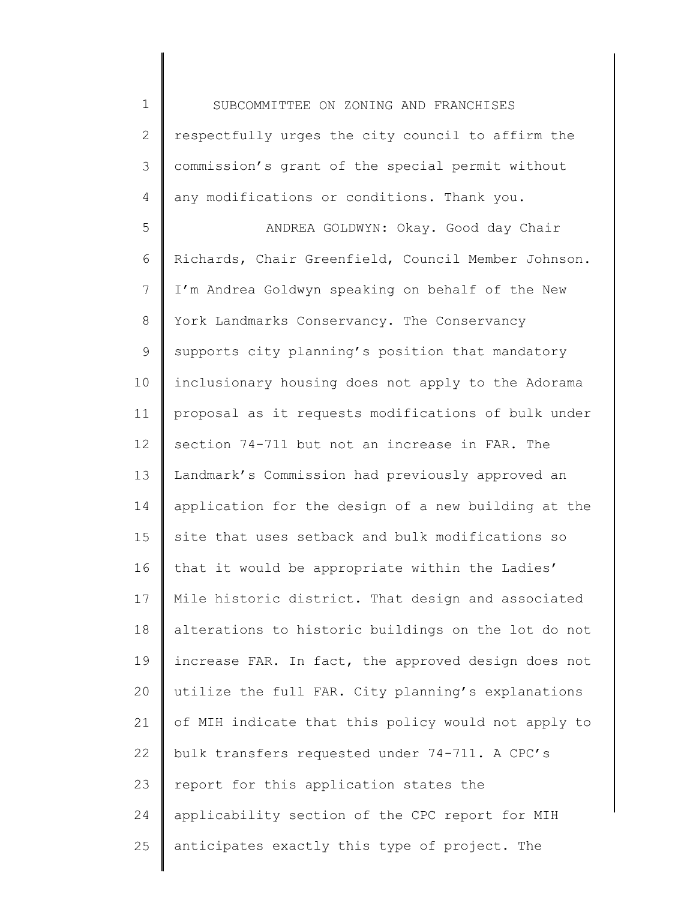1 2 3 4 SUBCOMMITTEE ON ZONING AND FRANCHISES respectfully urges the city council to affirm the commission's grant of the special permit without any modifications or conditions. Thank you.

5 6 7 8 9 10 11 12 13 14 15 16 17 18 19 20 21 22 23 24 25 ANDREA GOLDWYN: Okay. Good day Chair Richards, Chair Greenfield, Council Member Johnson. I'm Andrea Goldwyn speaking on behalf of the New York Landmarks Conservancy. The Conservancy supports city planning's position that mandatory inclusionary housing does not apply to the Adorama proposal as it requests modifications of bulk under section 74-711 but not an increase in FAR. The Landmark's Commission had previously approved an application for the design of a new building at the site that uses setback and bulk modifications so that it would be appropriate within the Ladies' Mile historic district. That design and associated alterations to historic buildings on the lot do not increase FAR. In fact, the approved design does not utilize the full FAR. City planning's explanations of MIH indicate that this policy would not apply to bulk transfers requested under 74-711. A CPC's report for this application states the applicability section of the CPC report for MIH anticipates exactly this type of project. The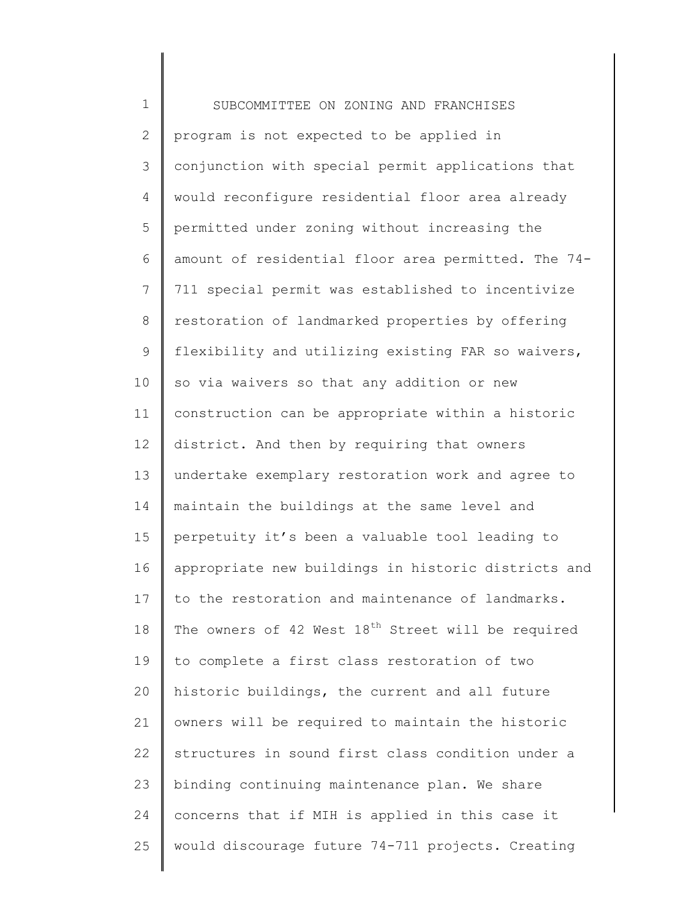1 2 3 4 5 6 7 8 9 10 11 12 13 14 15 16 17 18 19 20 21 22 23 24 25 SUBCOMMITTEE ON ZONING AND FRANCHISES program is not expected to be applied in conjunction with special permit applications that would reconfigure residential floor area already permitted under zoning without increasing the amount of residential floor area permitted. The 74- 711 special permit was established to incentivize restoration of landmarked properties by offering flexibility and utilizing existing FAR so waivers, so via waivers so that any addition or new construction can be appropriate within a historic district. And then by requiring that owners undertake exemplary restoration work and agree to maintain the buildings at the same level and perpetuity it's been a valuable tool leading to appropriate new buildings in historic districts and to the restoration and maintenance of landmarks. The owners of 42 West 18<sup>th</sup> Street will be required to complete a first class restoration of two historic buildings, the current and all future owners will be required to maintain the historic structures in sound first class condition under a binding continuing maintenance plan. We share concerns that if MIH is applied in this case it would discourage future 74-711 projects. Creating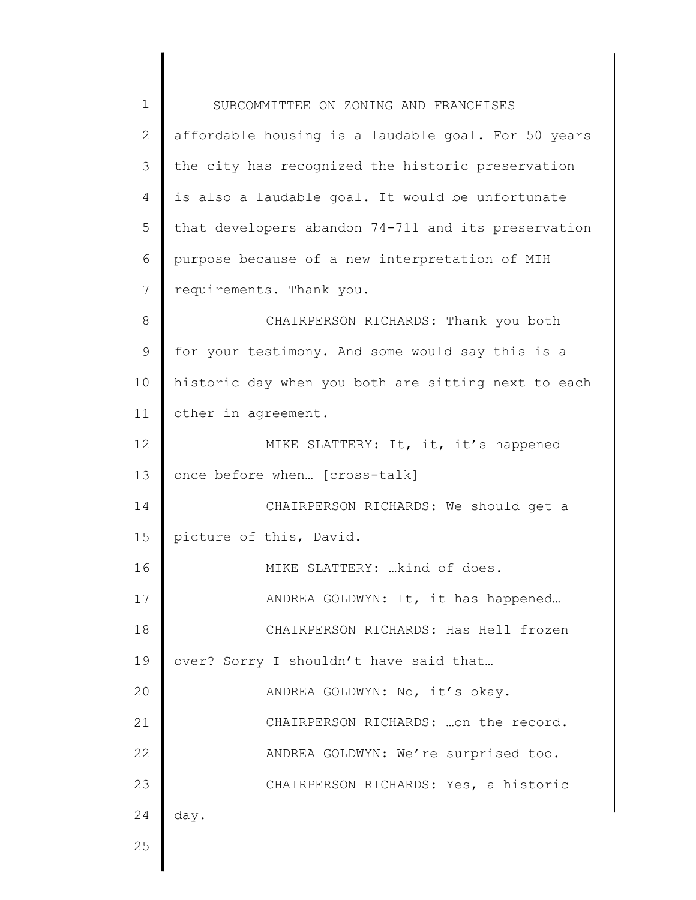| $\mathbf 1$  | SUBCOMMITTEE ON ZONING AND FRANCHISES               |
|--------------|-----------------------------------------------------|
| $\mathbf{2}$ | affordable housing is a laudable goal. For 50 years |
| 3            | the city has recognized the historic preservation   |
| 4            | is also a laudable goal. It would be unfortunate    |
| 5            | that developers abandon 74-711 and its preservation |
| 6            | purpose because of a new interpretation of MIH      |
| 7            | requirements. Thank you.                            |
| 8            | CHAIRPERSON RICHARDS: Thank you both                |
| 9            | for your testimony. And some would say this is a    |
| 10           | historic day when you both are sitting next to each |
| 11           | other in agreement.                                 |
| 12           | MIKE SLATTERY: It, it, it's happened                |
| 13           | once before when [cross-talk]                       |
| 14           | CHAIRPERSON RICHARDS: We should get a               |
| 15           | picture of this, David.                             |
| 16           | MIKE SLATTERY: kind of does.                        |
| 17           | ANDREA GOLDWYN: It, it has happened                 |
| 18           | CHAIRPERSON RICHARDS: Has Hell frozen               |
| 19           | over? Sorry I shouldn't have said that              |
| 20           | ANDREA GOLDWYN: No, it's okay.                      |
| 21           | CHAIRPERSON RICHARDS:  on the record.               |
| 22           | ANDREA GOLDWYN: We're surprised too.                |
| 23           | CHAIRPERSON RICHARDS: Yes, a historic               |
| 24           | day.                                                |
| 25           |                                                     |
|              |                                                     |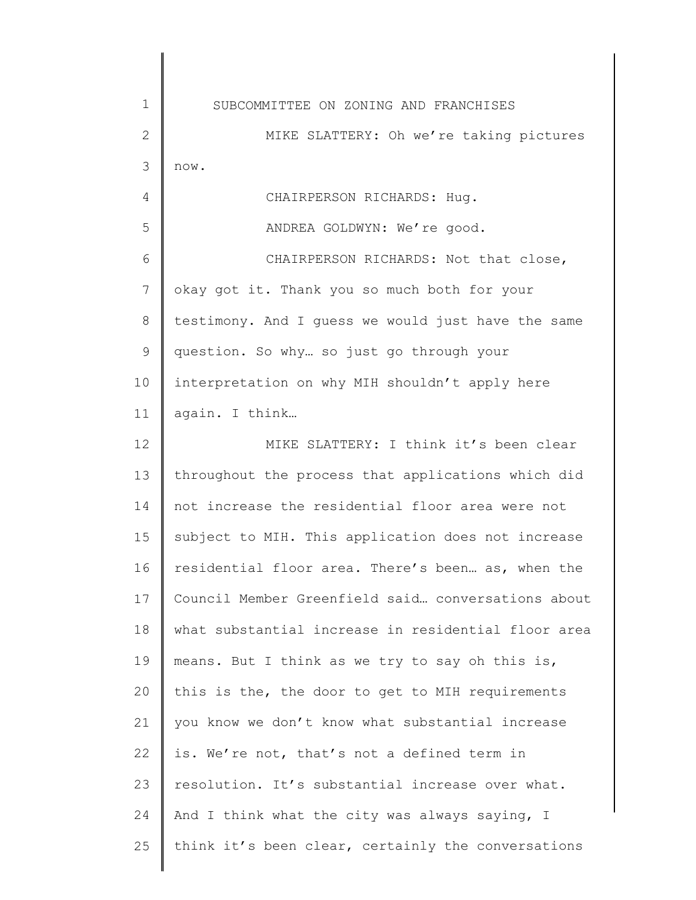1 2 3 4 5 6 7 8 9 10 11 12 13 14 15 16 17 18 19 20 21 22 23 24 25 SUBCOMMITTEE ON ZONING AND FRANCHISES MIKE SLATTERY: Oh we're taking pictures now. CHAIRPERSON RICHARDS: Hug. ANDREA GOLDWYN: We're good. CHAIRPERSON RICHARDS: Not that close, okay got it. Thank you so much both for your testimony. And I guess we would just have the same question. So why… so just go through your interpretation on why MIH shouldn't apply here again. I think… MIKE SLATTERY: I think it's been clear throughout the process that applications which did not increase the residential floor area were not subject to MIH. This application does not increase residential floor area. There's been… as, when the Council Member Greenfield said… conversations about what substantial increase in residential floor area means. But I think as we try to say oh this is, this is the, the door to get to MIH requirements you know we don't know what substantial increase is. We're not, that's not a defined term in resolution. It's substantial increase over what. And I think what the city was always saying, I think it's been clear, certainly the conversations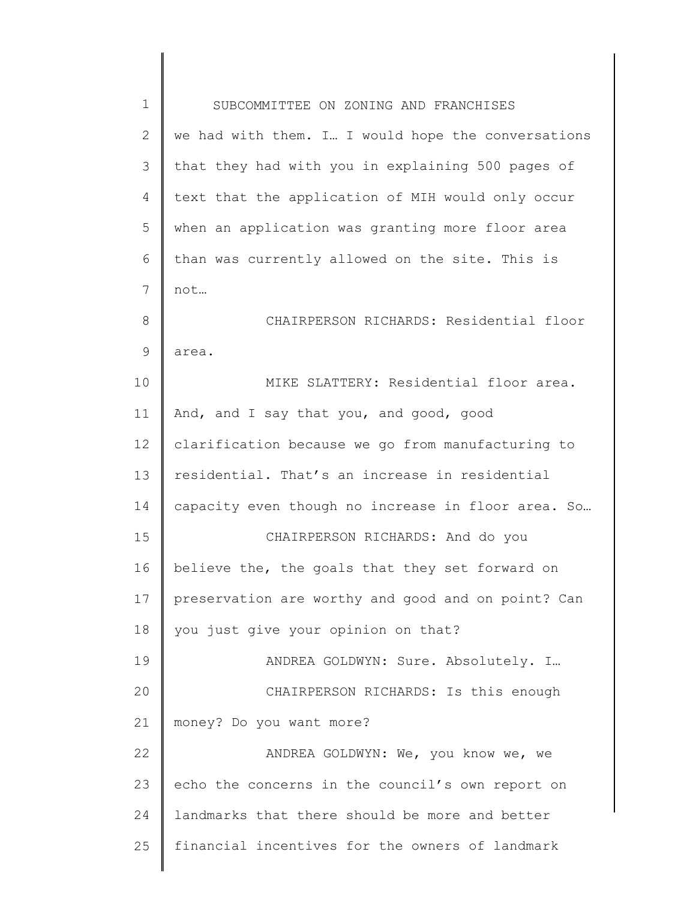| $\mathbf 1$ | SUBCOMMITTEE ON ZONING AND FRANCHISES               |
|-------------|-----------------------------------------------------|
| 2           | we had with them. I. I would hope the conversations |
| 3           | that they had with you in explaining 500 pages of   |
| 4           | text that the application of MIH would only occur   |
| 5           | when an application was granting more floor area    |
| 6           | than was currently allowed on the site. This is     |
| 7           | not                                                 |
| 8           | CHAIRPERSON RICHARDS: Residential floor             |
| 9           | area.                                               |
| 10          | MIKE SLATTERY: Residential floor area.              |
| 11          | And, and I say that you, and good, good             |
| 12          | clarification because we go from manufacturing to   |
| 13          | residential. That's an increase in residential      |
| 14          | capacity even though no increase in floor area. So  |
| 15          | CHAIRPERSON RICHARDS: And do you                    |
| 16          | believe the, the goals that they set forward on     |
| 17          | preservation are worthy and good and on point? Can  |
| 18          | you just give your opinion on that?                 |
| 19          | ANDREA GOLDWYN: Sure. Absolutely. I                 |
| 20          | CHAIRPERSON RICHARDS: Is this enough                |
| 21          | money? Do you want more?                            |
| 22          | ANDREA GOLDWYN: We, you know we, we                 |
| 23          | echo the concerns in the council's own report on    |
| 24          | landmarks that there should be more and better      |
| 25          | financial incentives for the owners of landmark     |
|             |                                                     |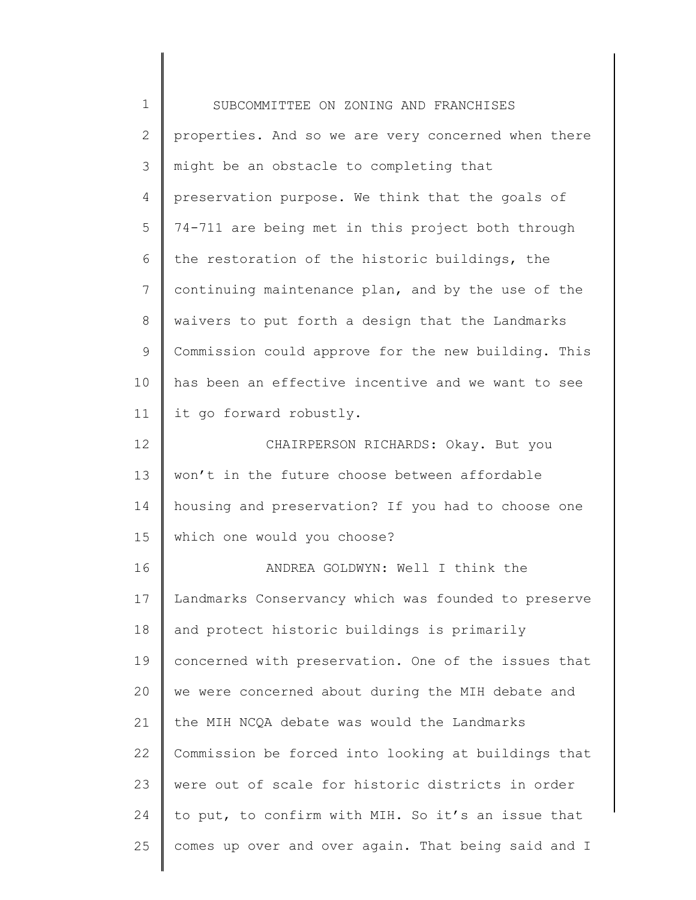| $1\,$        | SUBCOMMITTEE ON ZONING AND FRANCHISES               |
|--------------|-----------------------------------------------------|
| $\mathbf{2}$ | properties. And so we are very concerned when there |
| 3            | might be an obstacle to completing that             |
| 4            | preservation purpose. We think that the goals of    |
| 5            | 74-711 are being met in this project both through   |
| 6            | the restoration of the historic buildings, the      |
| 7            | continuing maintenance plan, and by the use of the  |
| $\,8\,$      | waivers to put forth a design that the Landmarks    |
| $\mathsf 9$  | Commission could approve for the new building. This |
| 10           | has been an effective incentive and we want to see  |
| 11           | it go forward robustly.                             |
| 12           | CHAIRPERSON RICHARDS: Okay. But you                 |
| 13           | won't in the future choose between affordable       |
| 14           | housing and preservation? If you had to choose one  |
| 15           | which one would you choose?                         |
| 16           | ANDREA GOLDWYN: Well I think the                    |
| 17           | Landmarks Conservancy which was founded to preserve |
| 18           | and protect historic buildings is primarily         |
| 19           | concerned with preservation. One of the issues that |
| 20           | we were concerned about during the MIH debate and   |
| 21           | the MIH NCQA debate was would the Landmarks         |
| 22           | Commission be forced into looking at buildings that |
| 23           | were out of scale for historic districts in order   |
| 24           | to put, to confirm with MIH. So it's an issue that  |
| 25           | comes up over and over again. That being said and I |
|              |                                                     |

 $\begin{array}{c} \hline \end{array}$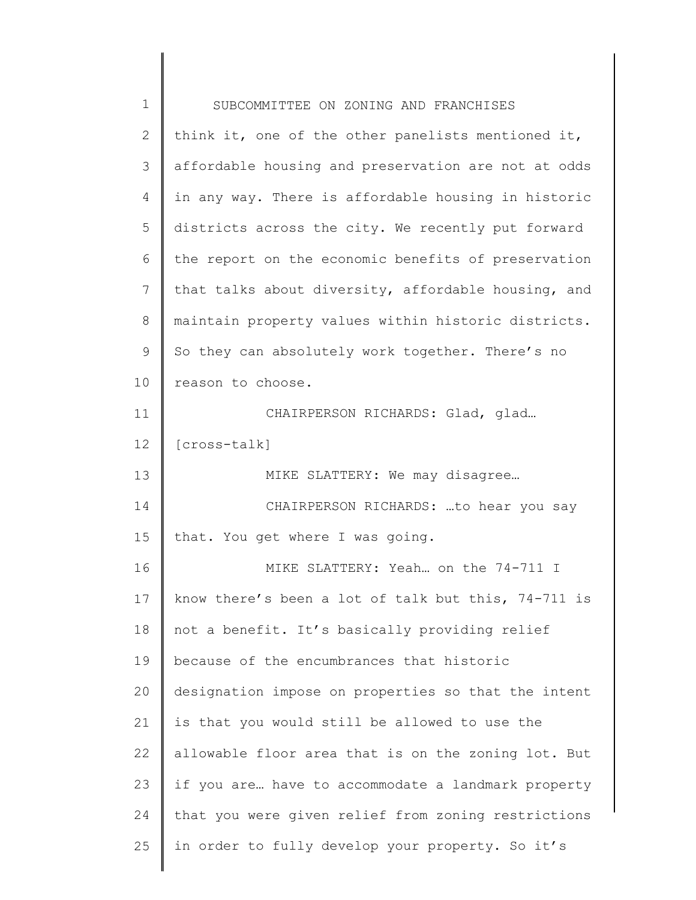| $\mathbf 1$  | SUBCOMMITTEE ON ZONING AND FRANCHISES               |
|--------------|-----------------------------------------------------|
| $\mathbf{2}$ | think it, one of the other panelists mentioned it,  |
| 3            | affordable housing and preservation are not at odds |
| 4            | in any way. There is affordable housing in historic |
| 5            | districts across the city. We recently put forward  |
| 6            | the report on the economic benefits of preservation |
| 7            | that talks about diversity, affordable housing, and |
| 8            | maintain property values within historic districts. |
| 9            | So they can absolutely work together. There's no    |
| 10           | reason to choose.                                   |
| 11           | CHAIRPERSON RICHARDS: Glad, glad                    |
| 12           | [cross-talk]                                        |
| 13           | MIKE SLATTERY: We may disagree                      |
| 14           | CHAIRPERSON RICHARDS: to hear you say               |
| 15           | that. You get where I was going.                    |
| 16           | MIKE SLATTERY: Yeah on the 74-711 I                 |
| 17           | know there's been a lot of talk but this, 74-711 is |
| 18           | not a benefit. It's basically providing relief      |
| 19           | because of the encumbrances that historic           |
| 20           | designation impose on properties so that the intent |
| 21           | is that you would still be allowed to use the       |
| 22           | allowable floor area that is on the zoning lot. But |
| 23           | if you are have to accommodate a landmark property  |
| 24           | that you were given relief from zoning restrictions |
| 25           | in order to fully develop your property. So it's    |
|              |                                                     |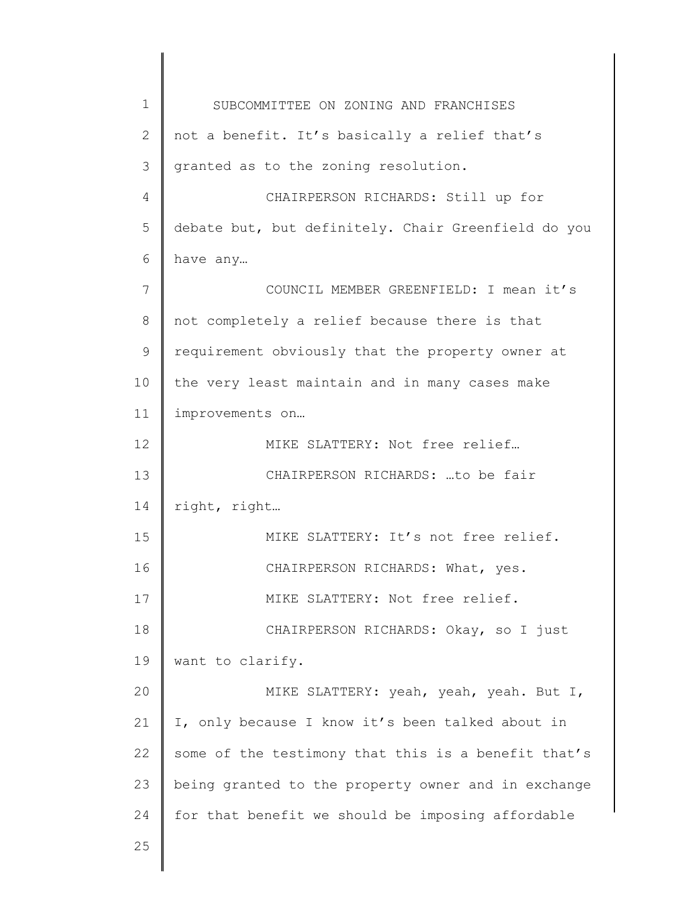1 2 3 4 5 6 7 8 9 10 11 12 13 14 15 16 17 18 19 20 21 22 23 24 25 SUBCOMMITTEE ON ZONING AND FRANCHISES not a benefit. It's basically a relief that's granted as to the zoning resolution. CHAIRPERSON RICHARDS: Still up for debate but, but definitely. Chair Greenfield do you have any… COUNCIL MEMBER GREENFIELD: I mean it's not completely a relief because there is that requirement obviously that the property owner at the very least maintain and in many cases make improvements on… MIKE SLATTERY: Not free relief… CHAIRPERSON RICHARDS: …to be fair right, right… MIKE SLATTERY: It's not free relief. CHAIRPERSON RICHARDS: What, yes. MIKE SLATTERY: Not free relief. CHAIRPERSON RICHARDS: Okay, so I just want to clarify. MIKE SLATTERY: yeah, yeah, yeah. But I, I, only because I know it's been talked about in some of the testimony that this is a benefit that's being granted to the property owner and in exchange for that benefit we should be imposing affordable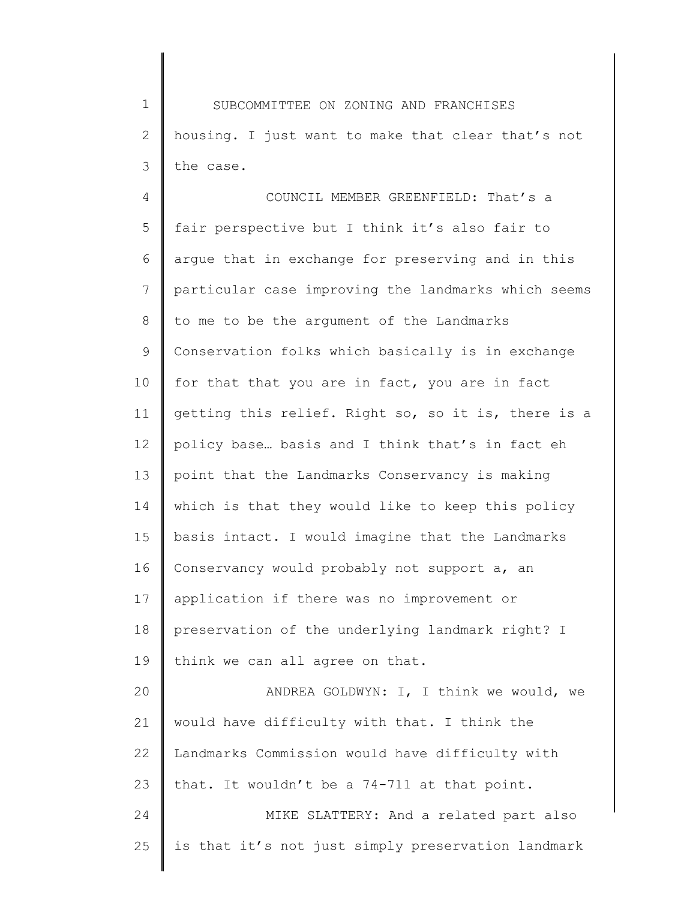1 2 3 SUBCOMMITTEE ON ZONING AND FRANCHISES housing. I just want to make that clear that's not the case.

4 5 6 7 8 9 10 11 12 13 14 15 16 17 18 19 20 21 22 23 24 25 COUNCIL MEMBER GREENFIELD: That's a fair perspective but I think it's also fair to argue that in exchange for preserving and in this particular case improving the landmarks which seems to me to be the argument of the Landmarks Conservation folks which basically is in exchange for that that you are in fact, you are in fact getting this relief. Right so, so it is, there is a policy base… basis and I think that's in fact eh point that the Landmarks Conservancy is making which is that they would like to keep this policy basis intact. I would imagine that the Landmarks Conservancy would probably not support a, an application if there was no improvement or preservation of the underlying landmark right? I think we can all agree on that. ANDREA GOLDWYN: I, I think we would, we would have difficulty with that. I think the Landmarks Commission would have difficulty with that. It wouldn't be a 74-711 at that point. MIKE SLATTERY: And a related part also is that it's not just simply preservation landmark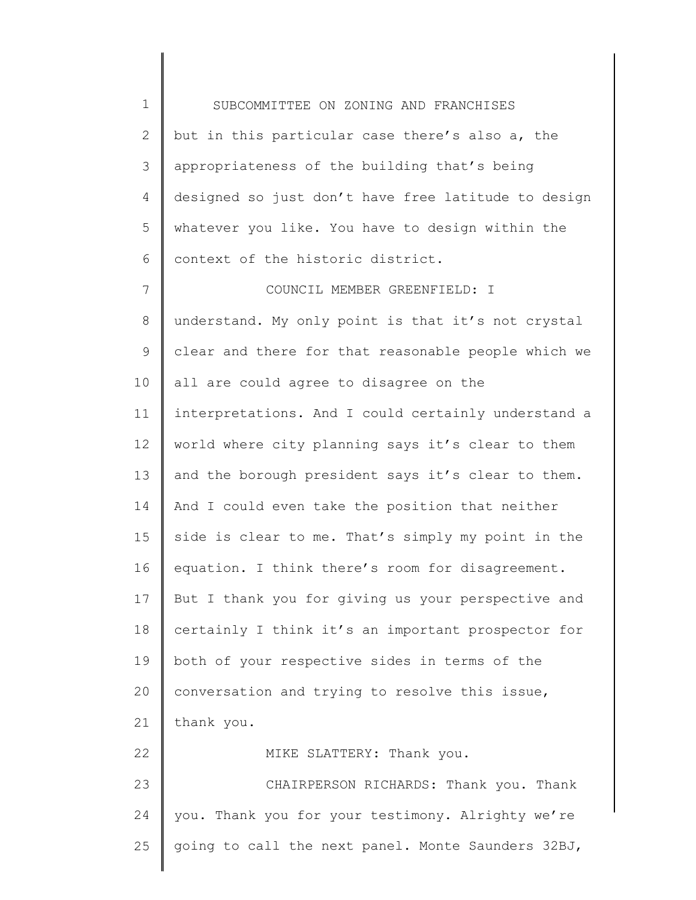1 2 3 4 5 6 7 8 9 10 11 12 13 14 15 16 17 18 19 20 21 22 23 24 25 SUBCOMMITTEE ON ZONING AND FRANCHISES but in this particular case there's also a, the appropriateness of the building that's being designed so just don't have free latitude to design whatever you like. You have to design within the context of the historic district. COUNCIL MEMBER GREENFIELD: I understand. My only point is that it's not crystal clear and there for that reasonable people which we all are could agree to disagree on the interpretations. And I could certainly understand a world where city planning says it's clear to them and the borough president says it's clear to them. And I could even take the position that neither side is clear to me. That's simply my point in the equation. I think there's room for disagreement. But I thank you for giving us your perspective and certainly I think it's an important prospector for both of your respective sides in terms of the conversation and trying to resolve this issue, thank you. MIKE SLATTERY: Thank you. CHAIRPERSON RICHARDS: Thank you. Thank you. Thank you for your testimony. Alrighty we're going to call the next panel. Monte Saunders 32BJ,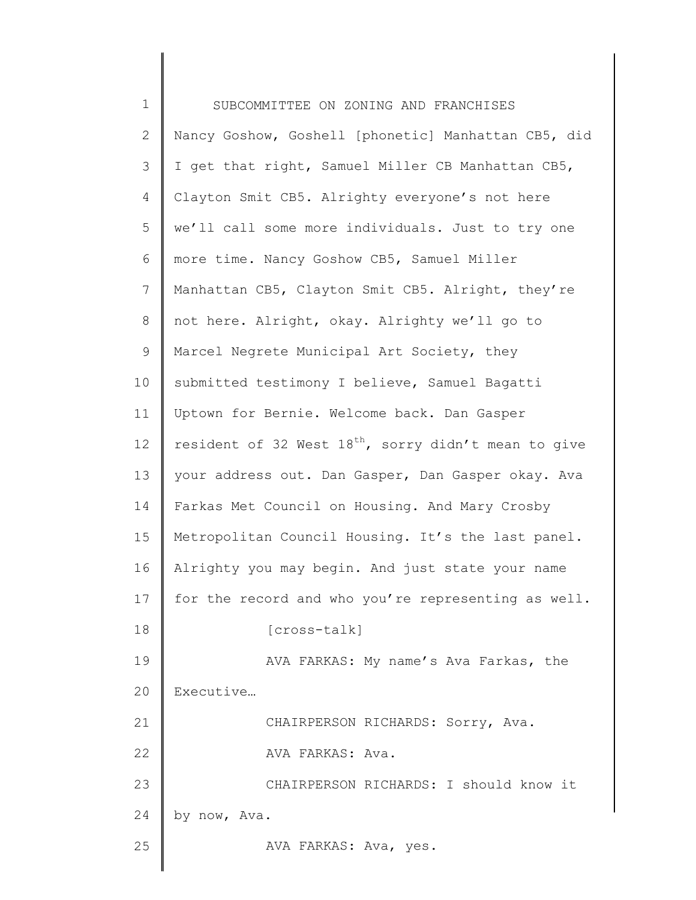| $\mathbf 1$    | SUBCOMMITTEE ON ZONING AND FRANCHISES                     |
|----------------|-----------------------------------------------------------|
| $\mathbf{2}$   | Nancy Goshow, Goshell [phonetic] Manhattan CB5, did       |
| 3              | I get that right, Samuel Miller CB Manhattan CB5,         |
| 4              | Clayton Smit CB5. Alrighty everyone's not here            |
| 5              | we'll call some more individuals. Just to try one         |
| 6              | more time. Nancy Goshow CB5, Samuel Miller                |
| $\overline{7}$ | Manhattan CB5, Clayton Smit CB5. Alright, they're         |
| $\,8\,$        | not here. Alright, okay. Alrighty we'll go to             |
| $\mathsf 9$    | Marcel Negrete Municipal Art Society, they                |
| 10             | submitted testimony I believe, Samuel Bagatti             |
| 11             | Uptown for Bernie. Welcome back. Dan Gasper               |
| 12             | resident of 32 West $18^{th}$ , sorry didn't mean to give |
| 13             | your address out. Dan Gasper, Dan Gasper okay. Ava        |
| 14             | Farkas Met Council on Housing. And Mary Crosby            |
| 15             | Metropolitan Council Housing. It's the last panel.        |
| 16             | Alrighty you may begin. And just state your name          |
| 17             | for the record and who you're representing as well.       |
| 18             | [cross-talk]                                              |
| 19             | AVA FARKAS: My name's Ava Farkas, the                     |
| 20             | Executive                                                 |
| 21             | CHAIRPERSON RICHARDS: Sorry, Ava.                         |
| 22             | AVA FARKAS: Ava.                                          |
| 23             | CHAIRPERSON RICHARDS: I should know it                    |
| 24             | by now, Ava.                                              |
| 25             | AVA FARKAS: Ava, yes.                                     |
|                |                                                           |

║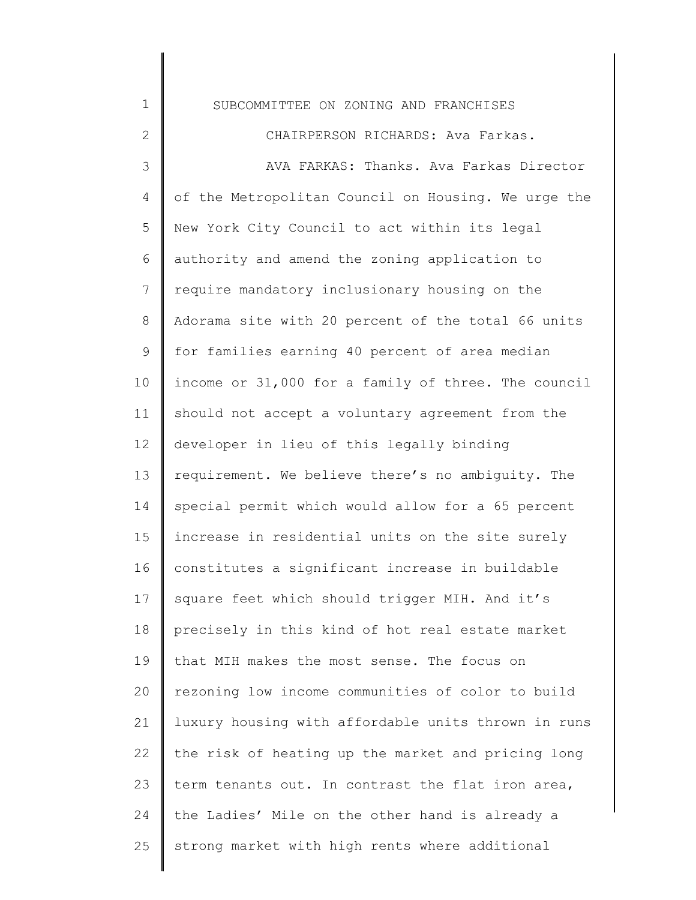1 2 3 4 5 6 7 8 9 10 11 12 13 14 15 16 17 18 19 20 21 22 23 24 25 SUBCOMMITTEE ON ZONING AND FRANCHISES CHAIRPERSON RICHARDS: Ava Farkas. AVA FARKAS: Thanks. Ava Farkas Director of the Metropolitan Council on Housing. We urge the New York City Council to act within its legal authority and amend the zoning application to require mandatory inclusionary housing on the Adorama site with 20 percent of the total 66 units for families earning 40 percent of area median income or 31,000 for a family of three. The council should not accept a voluntary agreement from the developer in lieu of this legally binding requirement. We believe there's no ambiguity. The special permit which would allow for a 65 percent increase in residential units on the site surely constitutes a significant increase in buildable square feet which should trigger MIH. And it's precisely in this kind of hot real estate market that MIH makes the most sense. The focus on rezoning low income communities of color to build luxury housing with affordable units thrown in runs the risk of heating up the market and pricing long term tenants out. In contrast the flat iron area, the Ladies' Mile on the other hand is already a strong market with high rents where additional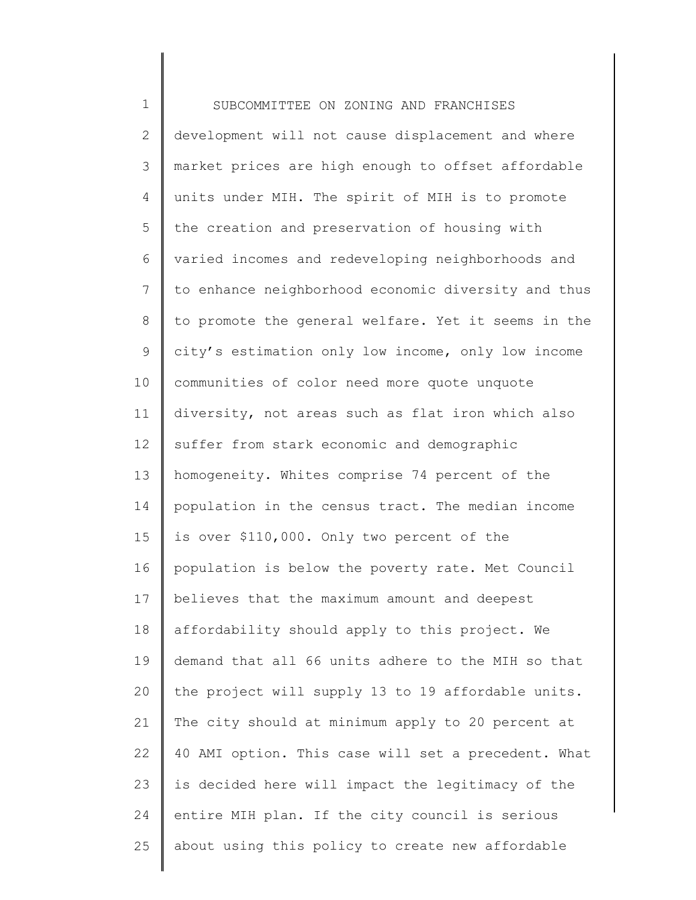1 2 3 4 5 6 7 8 9 10 11 12 13 14 15 16 17 18 19 20 21 22 23 24 25 SUBCOMMITTEE ON ZONING AND FRANCHISES development will not cause displacement and where market prices are high enough to offset affordable units under MIH. The spirit of MIH is to promote the creation and preservation of housing with varied incomes and redeveloping neighborhoods and to enhance neighborhood economic diversity and thus to promote the general welfare. Yet it seems in the city's estimation only low income, only low income communities of color need more quote unquote diversity, not areas such as flat iron which also suffer from stark economic and demographic homogeneity. Whites comprise 74 percent of the population in the census tract. The median income is over \$110,000. Only two percent of the population is below the poverty rate. Met Council believes that the maximum amount and deepest affordability should apply to this project. We demand that all 66 units adhere to the MIH so that the project will supply 13 to 19 affordable units. The city should at minimum apply to 20 percent at 40 AMI option. This case will set a precedent. What is decided here will impact the legitimacy of the entire MIH plan. If the city council is serious about using this policy to create new affordable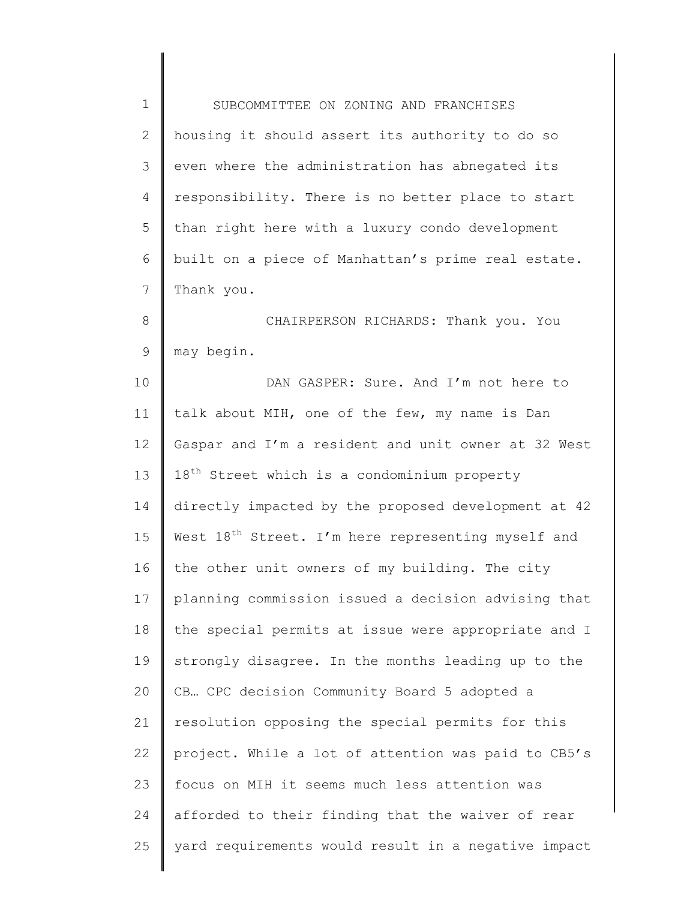| $\mathbf 1$  | SUBCOMMITTEE ON ZONING AND FRANCHISES                          |
|--------------|----------------------------------------------------------------|
| $\mathbf{2}$ | housing it should assert its authority to do so                |
| 3            | even where the administration has abnegated its                |
| 4            | responsibility. There is no better place to start              |
| 5            | than right here with a luxury condo development                |
| 6            | built on a piece of Manhattan's prime real estate.             |
| 7            | Thank you.                                                     |
| 8            | CHAIRPERSON RICHARDS: Thank you. You                           |
| $\mathsf 9$  | may begin.                                                     |
| 10           | DAN GASPER: Sure. And I'm not here to                          |
| 11           | talk about MIH, one of the few, my name is Dan                 |
| 12           | Gaspar and I'm a resident and unit owner at 32 West            |
| 13           | 18 <sup>th</sup> Street which is a condominium property        |
| 14           | directly impacted by the proposed development at 42            |
| 15           | West 18 <sup>th</sup> Street. I'm here representing myself and |
| 16           | the other unit owners of my building. The city                 |
| 17           | planning commission issued a decision advising that            |
| 18           | the special permits at issue were appropriate and I            |
| 19           | strongly disagree. In the months leading up to the             |
| 20           | CB CPC decision Community Board 5 adopted a                    |
| 21           | resolution opposing the special permits for this               |
| 22           | project. While a lot of attention was paid to CB5's            |
| 23           | focus on MIH it seems much less attention was                  |
| 24           | afforded to their finding that the waiver of rear              |
| 25           | yard requirements would result in a negative impact            |
|              |                                                                |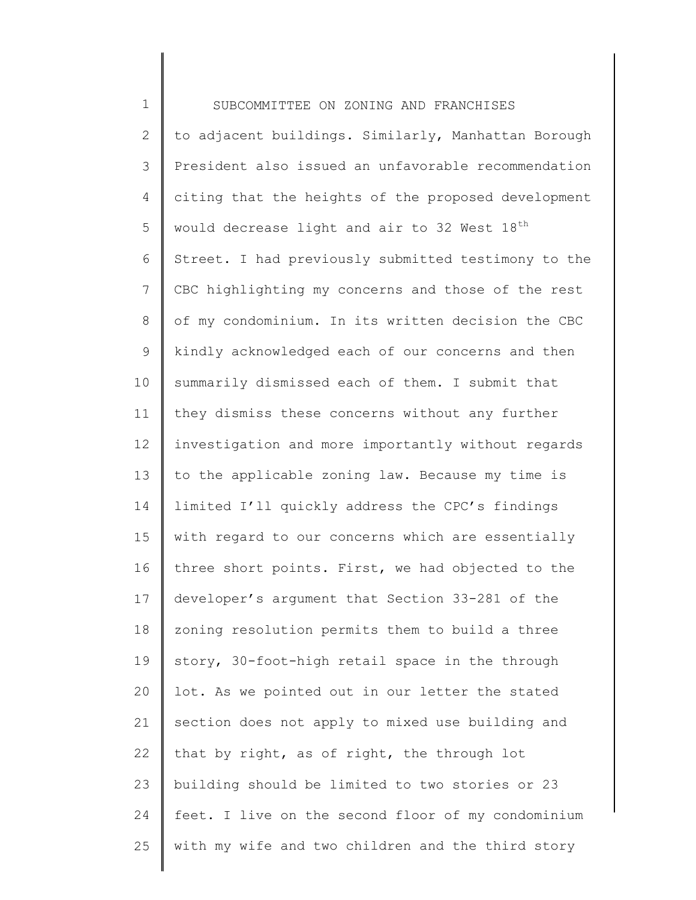1 2 3 4 5 6 7 8 9 10 11 12 13 14 15 16 17 18 19 20 21 22 23 24 25 SUBCOMMITTEE ON ZONING AND FRANCHISES to adjacent buildings. Similarly, Manhattan Borough President also issued an unfavorable recommendation citing that the heights of the proposed development would decrease light and air to 32 West  $18<sup>th</sup>$ Street. I had previously submitted testimony to the CBC highlighting my concerns and those of the rest of my condominium. In its written decision the CBC kindly acknowledged each of our concerns and then summarily dismissed each of them. I submit that they dismiss these concerns without any further investigation and more importantly without regards to the applicable zoning law. Because my time is limited I'll quickly address the CPC's findings with regard to our concerns which are essentially three short points. First, we had objected to the developer's argument that Section 33-281 of the zoning resolution permits them to build a three story, 30-foot-high retail space in the through lot. As we pointed out in our letter the stated section does not apply to mixed use building and that by right, as of right, the through lot building should be limited to two stories or 23 feet. I live on the second floor of my condominium with my wife and two children and the third story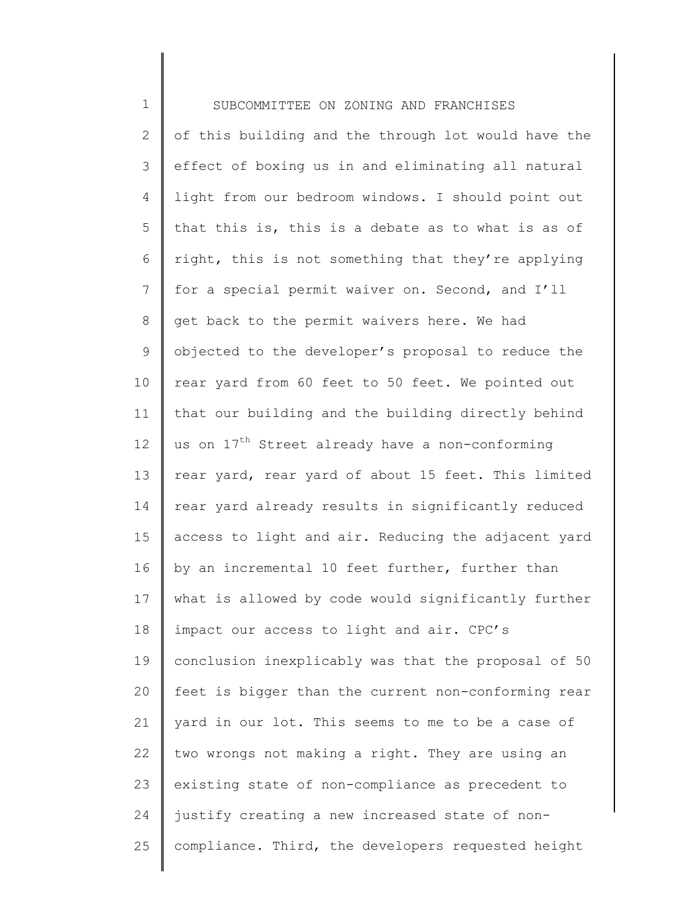| $\mathbf 1$    | SUBCOMMITTEE ON ZONING AND FRANCHISES                       |
|----------------|-------------------------------------------------------------|
| $\overline{2}$ | of this building and the through lot would have the         |
| 3              | effect of boxing us in and eliminating all natural          |
| 4              | light from our bedroom windows. I should point out          |
| 5              | that this is, this is a debate as to what is as of          |
| 6              | right, this is not something that they're applying          |
| 7              | for a special permit waiver on. Second, and I'll            |
| 8              | get back to the permit waivers here. We had                 |
| 9              | objected to the developer's proposal to reduce the          |
| 10             | rear yard from 60 feet to 50 feet. We pointed out           |
| 11             | that our building and the building directly behind          |
| 12             | us on 17 <sup>th</sup> Street already have a non-conforming |
| 13             | rear yard, rear yard of about 15 feet. This limited         |
| 14             | rear yard already results in significantly reduced          |
| 15             | access to light and air. Reducing the adjacent yard         |
| 16             | by an incremental 10 feet further, further than             |
| 17             | what is allowed by code would significantly further         |
| 18             | impact our access to light and air. CPC's                   |
| 19             | conclusion inexplicably was that the proposal of 50         |
| 20             | feet is bigger than the current non-conforming rear         |
| 21             | yard in our lot. This seems to me to be a case of           |
| 22             | two wrongs not making a right. They are using an            |
| 23             | existing state of non-compliance as precedent to            |
| 24             | justify creating a new increased state of non-              |
| 25             | compliance. Third, the developers requested height          |
|                |                                                             |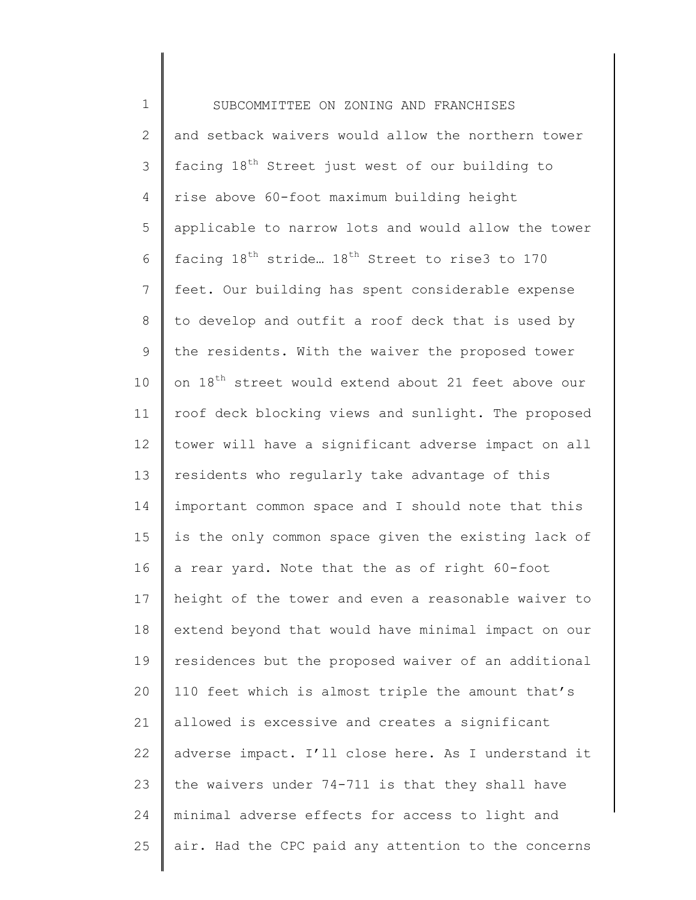1 2 3 4 5 6 7 8 9 10 11 12 13 14 15 16 17 18 19 20 21 22 23 24 25 SUBCOMMITTEE ON ZONING AND FRANCHISES and setback waivers would allow the northern tower facing 18<sup>th</sup> Street just west of our building to rise above 60-foot maximum building height applicable to narrow lots and would allow the tower facing  $18<sup>th</sup>$  stride...  $18<sup>th</sup>$  Street to rise3 to 170 feet. Our building has spent considerable expense to develop and outfit a roof deck that is used by the residents. With the waiver the proposed tower on 18<sup>th</sup> street would extend about 21 feet above our roof deck blocking views and sunlight. The proposed tower will have a significant adverse impact on all residents who regularly take advantage of this important common space and I should note that this is the only common space given the existing lack of a rear yard. Note that the as of right 60-foot height of the tower and even a reasonable waiver to extend beyond that would have minimal impact on our residences but the proposed waiver of an additional 110 feet which is almost triple the amount that's allowed is excessive and creates a significant adverse impact. I'll close here. As I understand it the waivers under 74-711 is that they shall have minimal adverse effects for access to light and air. Had the CPC paid any attention to the concerns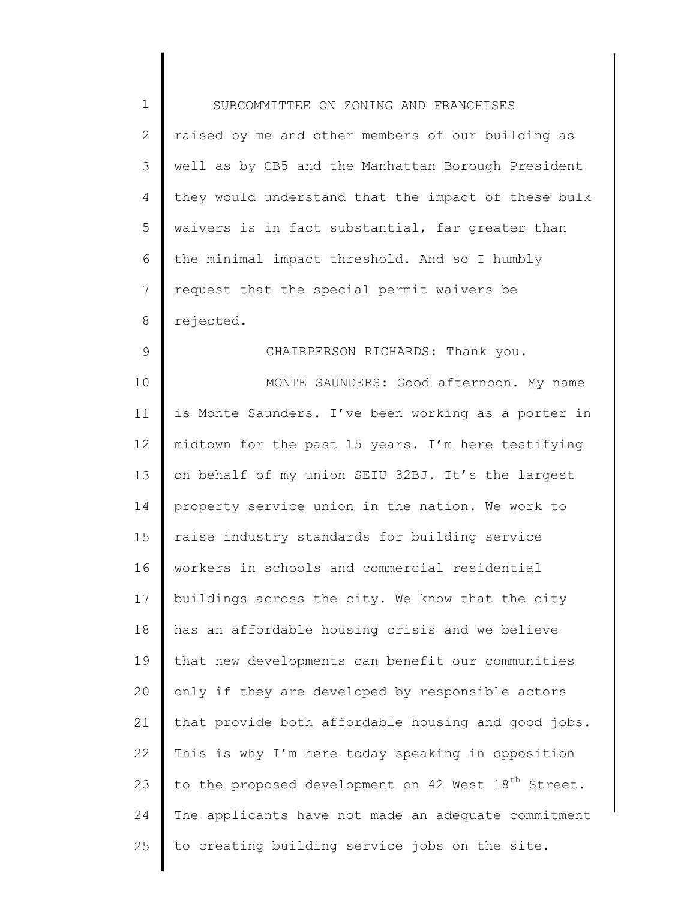| $1\,$          | SUBCOMMITTEE ON ZONING AND FRANCHISES                           |
|----------------|-----------------------------------------------------------------|
| $\mathbf{2}$   | raised by me and other members of our building as               |
| 3              | well as by CB5 and the Manhattan Borough President              |
| 4              | they would understand that the impact of these bulk             |
| 5              | waivers is in fact substantial, far greater than                |
| 6              | the minimal impact threshold. And so I humbly                   |
| $\overline{7}$ | request that the special permit waivers be                      |
| $8\,$          | rejected.                                                       |
| $\mathsf 9$    | CHAIRPERSON RICHARDS: Thank you.                                |
| 10             | MONTE SAUNDERS: Good afternoon. My name                         |
| 11             | is Monte Saunders. I've been working as a porter in             |
| 12             | midtown for the past 15 years. I'm here testifying              |
| 13             | on behalf of my union SEIU 32BJ. It's the largest               |
| 14             | property service union in the nation. We work to                |
| 15             | raise industry standards for building service                   |
| 16             | workers in schools and commercial residential                   |
| 17             | buildings across the city. We know that the city                |
| 18             | has an affordable housing crisis and we believe                 |
| 19             | that new developments can benefit our communities               |
| 20             | only if they are developed by responsible actors                |
| 21             | that provide both affordable housing and good jobs.             |
| 22             | This is why I'm here today speaking in opposition               |
| 23             | to the proposed development on 42 West 18 <sup>th</sup> Street. |
| 24             | The applicants have not made an adequate commitment             |
| 25             | to creating building service jobs on the site.                  |
|                |                                                                 |

 $\begin{array}{c} \hline \end{array}$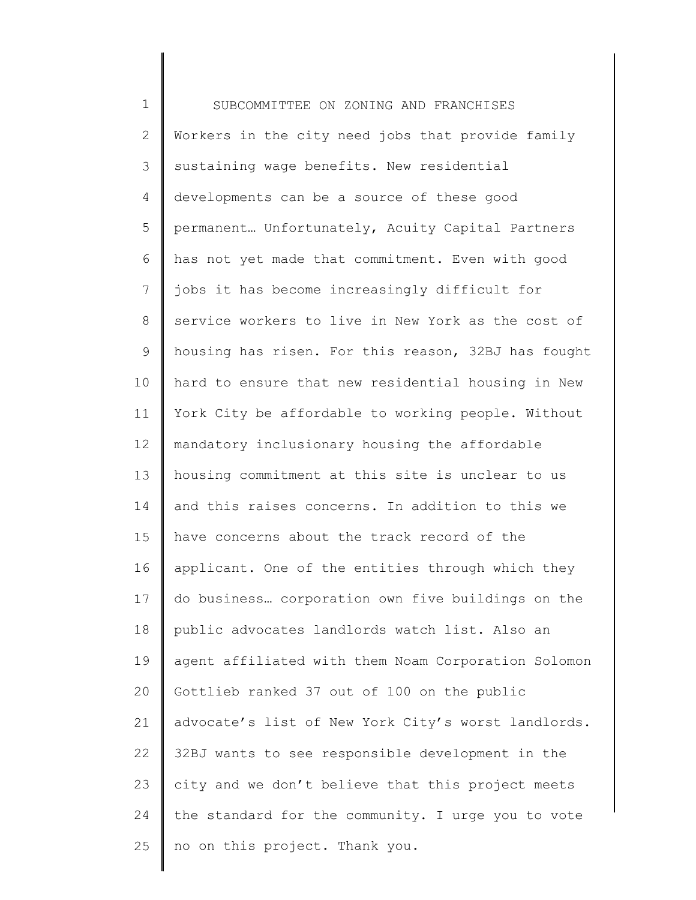1 2 3 4 5 6 7 8 9 10 11 12 13 14 15 16 17 18 19 20 21 22 23 24 25 SUBCOMMITTEE ON ZONING AND FRANCHISES Workers in the city need jobs that provide family sustaining wage benefits. New residential developments can be a source of these good permanent… Unfortunately, Acuity Capital Partners has not yet made that commitment. Even with good jobs it has become increasingly difficult for service workers to live in New York as the cost of housing has risen. For this reason, 32BJ has fought hard to ensure that new residential housing in New York City be affordable to working people. Without mandatory inclusionary housing the affordable housing commitment at this site is unclear to us and this raises concerns. In addition to this we have concerns about the track record of the applicant. One of the entities through which they do business… corporation own five buildings on the public advocates landlords watch list. Also an agent affiliated with them Noam Corporation Solomon Gottlieb ranked 37 out of 100 on the public advocate's list of New York City's worst landlords. 32BJ wants to see responsible development in the city and we don't believe that this project meets the standard for the community. I urge you to vote no on this project. Thank you.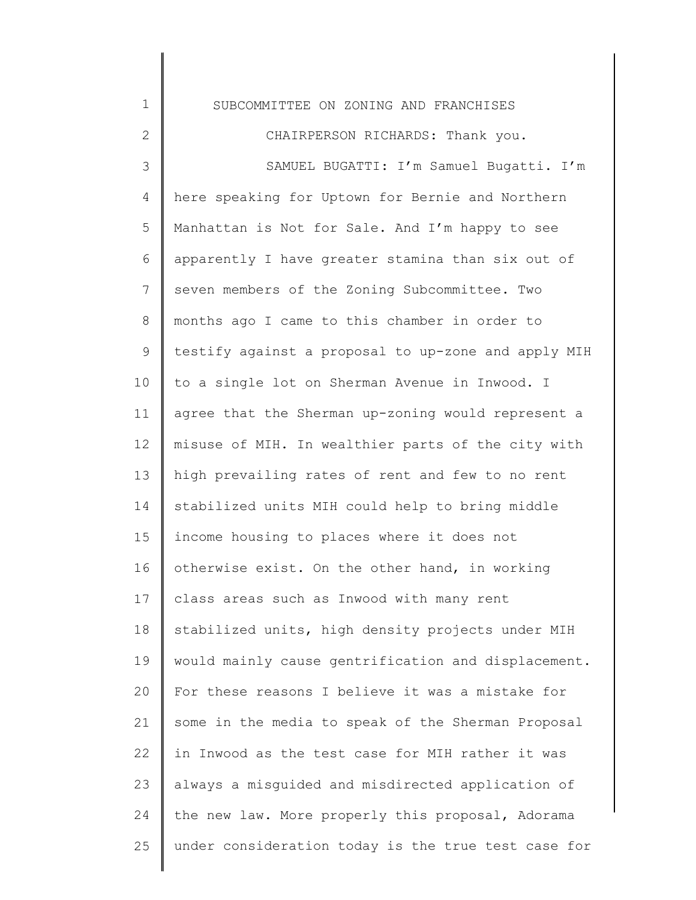1 2 3 4 5 6 7 8 9 10 11 12 13 14 15 16 17 18 19 20 21 22 23 24 25 SUBCOMMITTEE ON ZONING AND FRANCHISES CHAIRPERSON RICHARDS: Thank you. SAMUEL BUGATTI: I'm Samuel Bugatti. I'm here speaking for Uptown for Bernie and Northern Manhattan is Not for Sale. And I'm happy to see apparently I have greater stamina than six out of seven members of the Zoning Subcommittee. Two months ago I came to this chamber in order to testify against a proposal to up-zone and apply MIH to a single lot on Sherman Avenue in Inwood. I agree that the Sherman up-zoning would represent a misuse of MIH. In wealthier parts of the city with high prevailing rates of rent and few to no rent stabilized units MIH could help to bring middle income housing to places where it does not otherwise exist. On the other hand, in working class areas such as Inwood with many rent stabilized units, high density projects under MIH would mainly cause gentrification and displacement. For these reasons I believe it was a mistake for some in the media to speak of the Sherman Proposal in Inwood as the test case for MIH rather it was always a misguided and misdirected application of the new law. More properly this proposal, Adorama under consideration today is the true test case for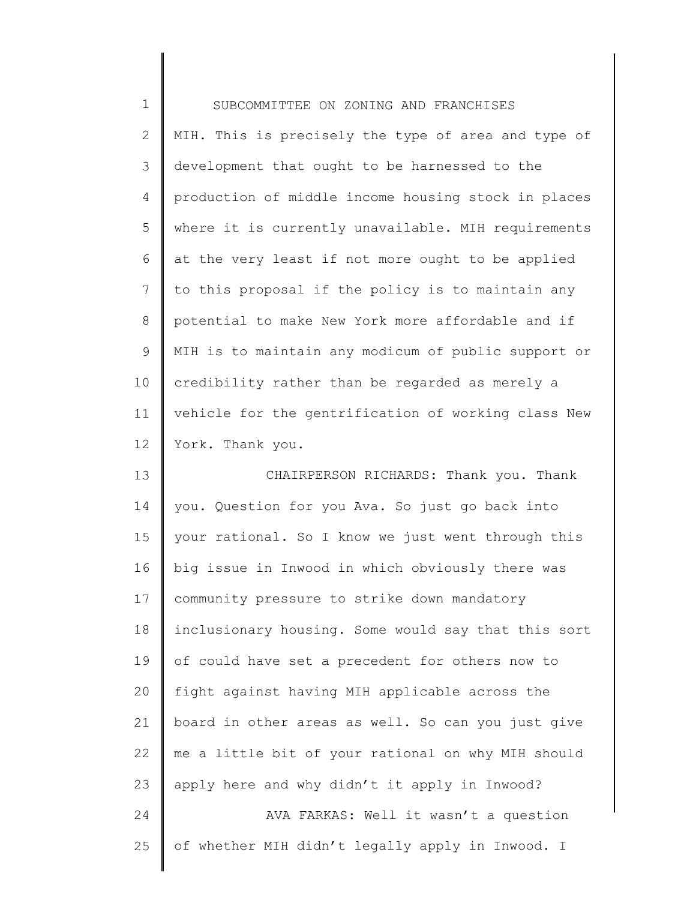| $\mathbf 1$                | SUBCOMMITTEE ON ZONING AND FRANCHISES               |
|----------------------------|-----------------------------------------------------|
| $\mathbf{2}$               | MIH. This is precisely the type of area and type of |
| 3                          | development that ought to be harnessed to the       |
| 4                          | production of middle income housing stock in places |
| 5                          | where it is currently unavailable. MIH requirements |
| 6                          | at the very least if not more ought to be applied   |
| 7                          | to this proposal if the policy is to maintain any   |
| $\,8\,$                    | potential to make New York more affordable and if   |
| 9                          | MIH is to maintain any modicum of public support or |
| 10                         | credibility rather than be regarded as merely a     |
| 11                         | vehicle for the gentrification of working class New |
| 12                         | York. Thank you.                                    |
| 13                         | CHAIRPERSON RICHARDS: Thank you. Thank              |
| 14                         | you. Question for you Ava. So just go back into     |
| 15                         | your rational. So I know we just went through this  |
| 16                         | big issue in Inwood in which obviously there was    |
|                            |                                                     |
|                            | community pressure to strike down mandatory         |
|                            | inclusionary housing. Some would say that this sort |
|                            | of could have set a precedent for others now to     |
|                            | fight against having MIH applicable across the      |
| 17<br>18<br>19<br>20<br>21 | board in other areas as well. So can you just give  |
|                            | me a little bit of your rational on why MIH should  |
| 22<br>23                   | apply here and why didn't it apply in Inwood?       |
| 24                         | AVA FARKAS: Well it wasn't a question               |
| 25                         | of whether MIH didn't legally apply in Inwood. I    |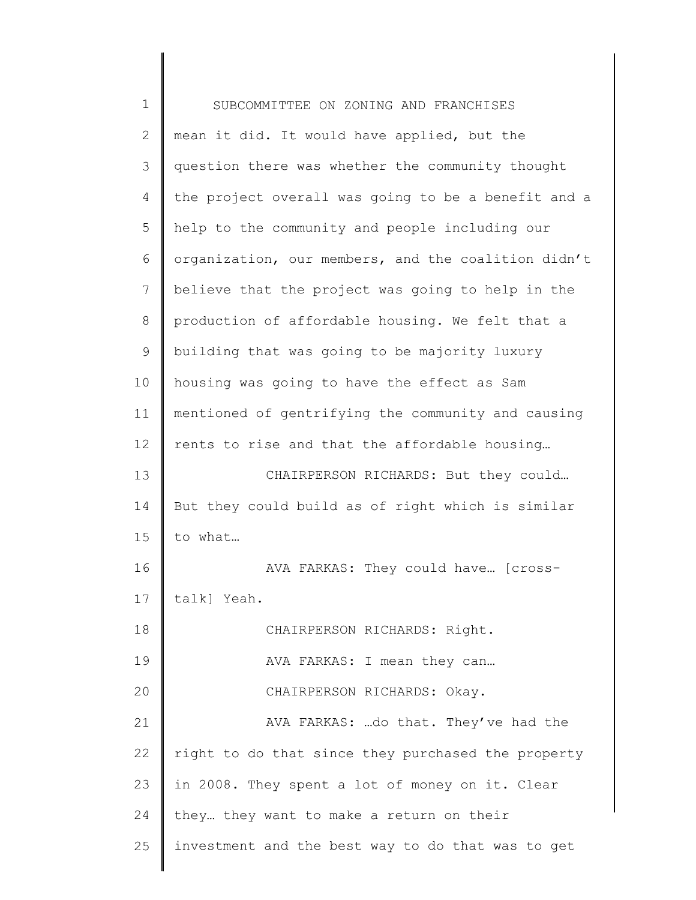1 2 3 4 5 6 7 8 9 10 11 12 13 14 15 16 17 18 19 20 21 22 23 24 25 SUBCOMMITTEE ON ZONING AND FRANCHISES mean it did. It would have applied, but the question there was whether the community thought the project overall was going to be a benefit and a help to the community and people including our organization, our members, and the coalition didn't believe that the project was going to help in the production of affordable housing. We felt that a building that was going to be majority luxury housing was going to have the effect as Sam mentioned of gentrifying the community and causing rents to rise and that the affordable housing… CHAIRPERSON RICHARDS: But they could… But they could build as of right which is similar to what… AVA FARKAS: They could have… [crosstalk] Yeah. CHAIRPERSON RICHARDS: Right. AVA FARKAS: I mean they can… CHAIRPERSON RICHARDS: Okay. AVA FARKAS: …do that. They've had the right to do that since they purchased the property in 2008. They spent a lot of money on it. Clear they… they want to make a return on their investment and the best way to do that was to get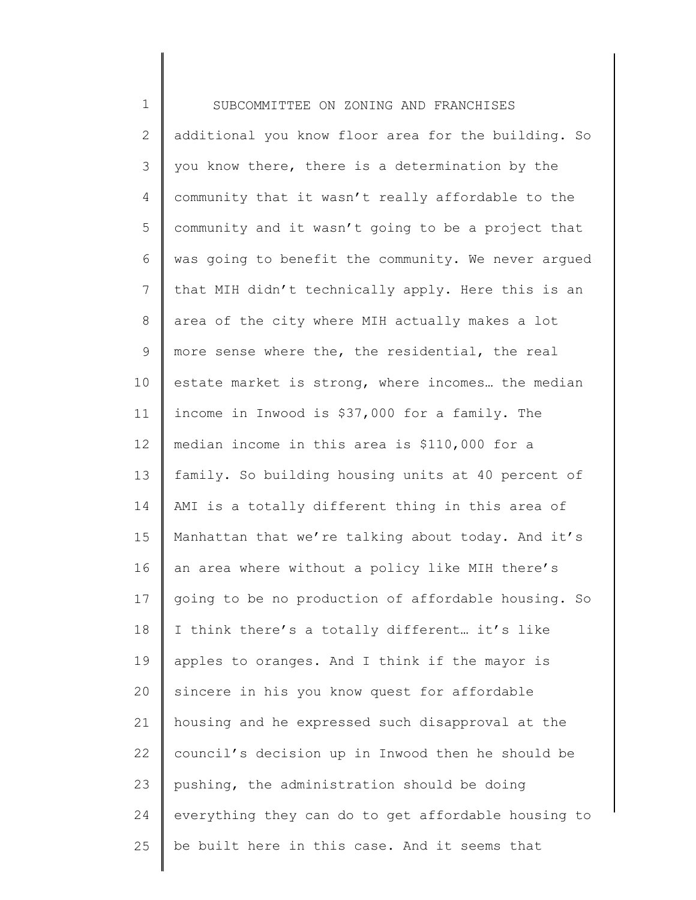1 2 3 4 5 6 7 8 9 10 11 12 13 14 15 16 17 18 19 20 21 22 23 24 25 SUBCOMMITTEE ON ZONING AND FRANCHISES additional you know floor area for the building. So you know there, there is a determination by the community that it wasn't really affordable to the community and it wasn't going to be a project that was going to benefit the community. We never argued that MIH didn't technically apply. Here this is an area of the city where MIH actually makes a lot more sense where the, the residential, the real estate market is strong, where incomes… the median income in Inwood is \$37,000 for a family. The median income in this area is \$110,000 for a family. So building housing units at 40 percent of AMI is a totally different thing in this area of Manhattan that we're talking about today. And it's an area where without a policy like MIH there's going to be no production of affordable housing. So I think there's a totally different… it's like apples to oranges. And I think if the mayor is sincere in his you know quest for affordable housing and he expressed such disapproval at the council's decision up in Inwood then he should be pushing, the administration should be doing everything they can do to get affordable housing to be built here in this case. And it seems that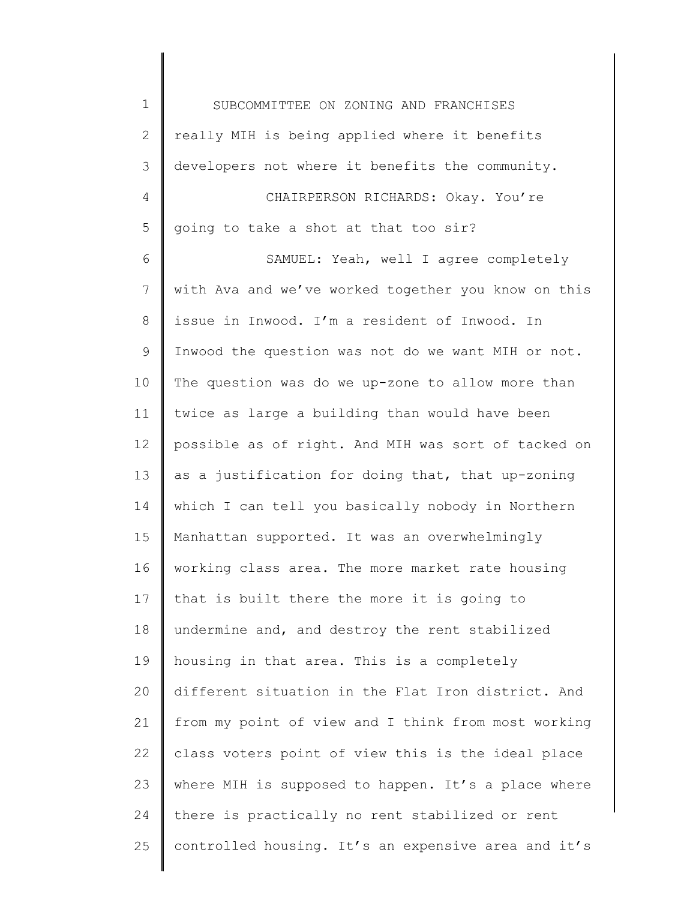1 2 3 4 5 6 7 8 9 10 11 12 13 14 15 16 17 18 19 20 21 22 23 24 25 SUBCOMMITTEE ON ZONING AND FRANCHISES really MIH is being applied where it benefits developers not where it benefits the community. CHAIRPERSON RICHARDS: Okay. You're going to take a shot at that too sir? SAMUEL: Yeah, well I agree completely with Ava and we've worked together you know on this issue in Inwood. I'm a resident of Inwood. In Inwood the question was not do we want MIH or not. The question was do we up-zone to allow more than twice as large a building than would have been possible as of right. And MIH was sort of tacked on as a justification for doing that, that up-zoning which I can tell you basically nobody in Northern Manhattan supported. It was an overwhelmingly working class area. The more market rate housing that is built there the more it is going to undermine and, and destroy the rent stabilized housing in that area. This is a completely different situation in the Flat Iron district. And from my point of view and I think from most working class voters point of view this is the ideal place where MIH is supposed to happen. It's a place where there is practically no rent stabilized or rent controlled housing. It's an expensive area and it's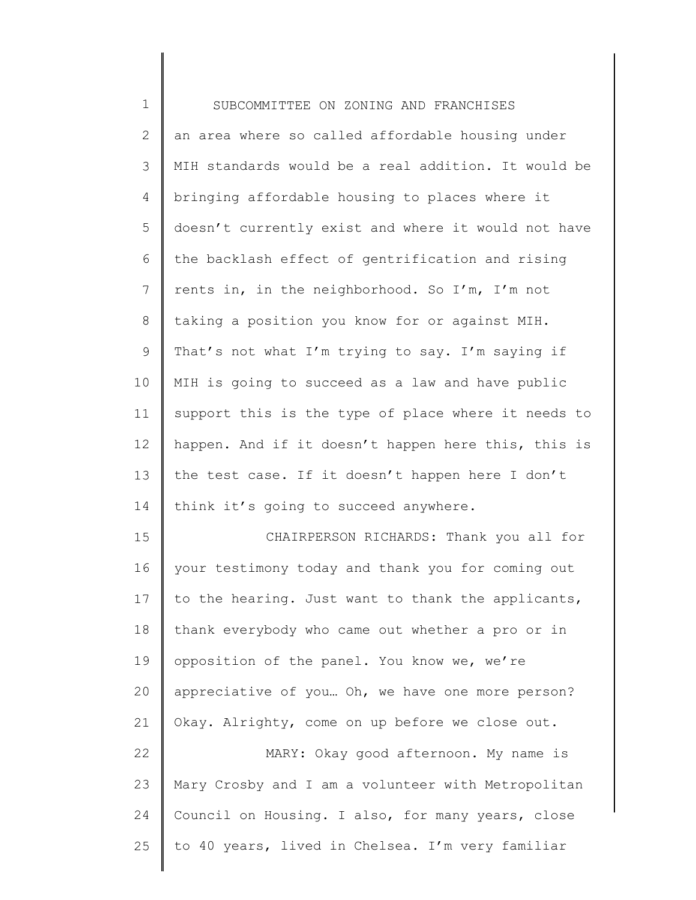| $\mathbf 1$    | SUBCOMMITTEE ON ZONING AND FRANCHISES               |
|----------------|-----------------------------------------------------|
| $\mathbf{2}$   | an area where so called affordable housing under    |
| 3              | MIH standards would be a real addition. It would be |
| 4              | bringing affordable housing to places where it      |
| 5              | doesn't currently exist and where it would not have |
| 6              | the backlash effect of gentrification and rising    |
| $\overline{7}$ | rents in, in the neighborhood. So I'm, I'm not      |
| $\,8\,$        | taking a position you know for or against MIH.      |
| $\mathsf 9$    | That's not what I'm trying to say. I'm saying if    |
| 10             | MIH is going to succeed as a law and have public    |
| 11             | support this is the type of place where it needs to |
| 12             | happen. And if it doesn't happen here this, this is |
| 13             | the test case. If it doesn't happen here I don't    |
| 14             | think it's going to succeed anywhere.               |
| 15             | CHAIRPERSON RICHARDS: Thank you all for             |
| 16             | your testimony today and thank you for coming out   |
| 17             | to the hearing. Just want to thank the applicants,  |
| 18             | thank everybody who came out whether a pro or in    |
| 19             | opposition of the panel. You know we, we're         |
| 20             | appreciative of you Oh, we have one more person?    |
| 21             | Okay. Alrighty, come on up before we close out.     |
| 22             | MARY: Okay good afternoon. My name is               |
| 23             | Mary Crosby and I am a volunteer with Metropolitan  |
| 24             | Council on Housing. I also, for many years, close   |
| 25             | to 40 years, lived in Chelsea. I'm very familiar    |
|                |                                                     |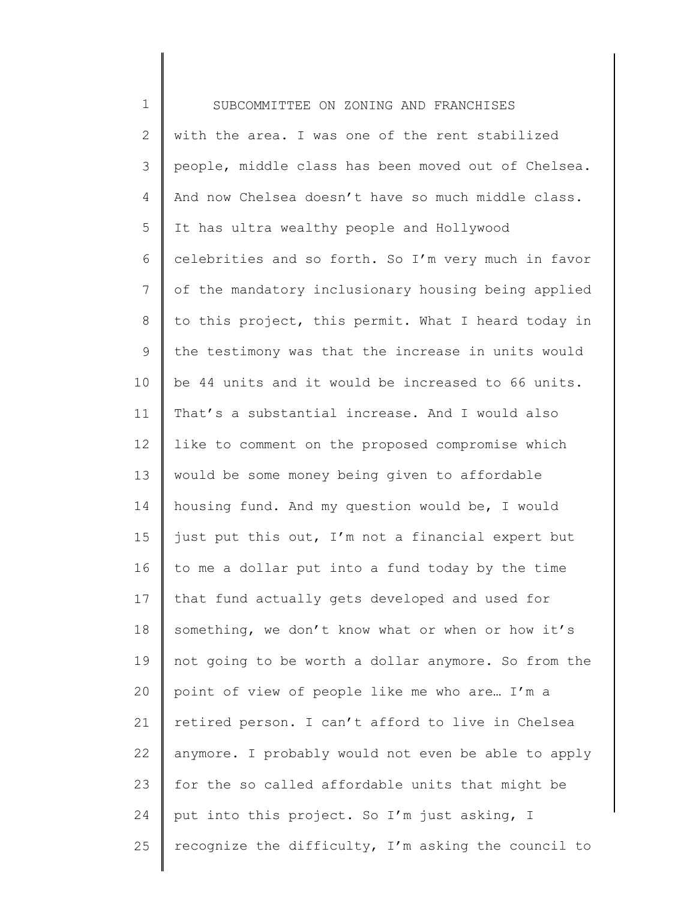1 2 3 4 5 6 7 8 9 10 11 12 13 14 15 16 17 18 19 20 21 22 23 24 25 SUBCOMMITTEE ON ZONING AND FRANCHISES with the area. I was one of the rent stabilized people, middle class has been moved out of Chelsea. And now Chelsea doesn't have so much middle class. It has ultra wealthy people and Hollywood celebrities and so forth. So I'm very much in favor of the mandatory inclusionary housing being applied to this project, this permit. What I heard today in the testimony was that the increase in units would be 44 units and it would be increased to 66 units. That's a substantial increase. And I would also like to comment on the proposed compromise which would be some money being given to affordable housing fund. And my question would be, I would just put this out, I'm not a financial expert but to me a dollar put into a fund today by the time that fund actually gets developed and used for something, we don't know what or when or how it's not going to be worth a dollar anymore. So from the point of view of people like me who are… I'm a retired person. I can't afford to live in Chelsea anymore. I probably would not even be able to apply for the so called affordable units that might be put into this project. So I'm just asking, I recognize the difficulty, I'm asking the council to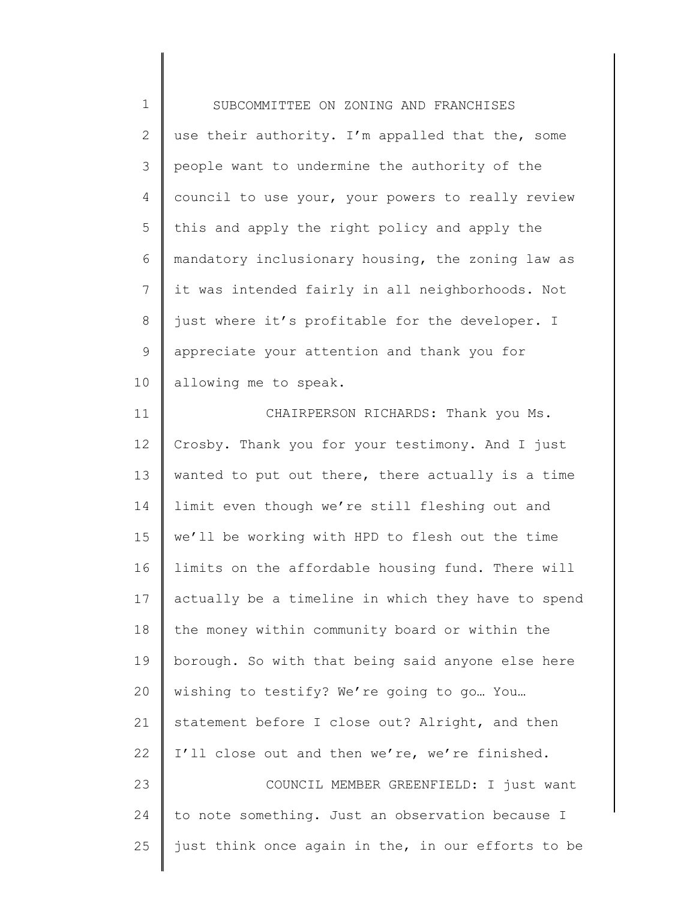1 2 3 4 5 6 7 8 9 10 SUBCOMMITTEE ON ZONING AND FRANCHISES use their authority. I'm appalled that the, some people want to undermine the authority of the council to use your, your powers to really review this and apply the right policy and apply the mandatory inclusionary housing, the zoning law as it was intended fairly in all neighborhoods. Not just where it's profitable for the developer. I appreciate your attention and thank you for allowing me to speak.

11 12 13 14 15 16 17 18 19 20 21 22 23 24 25 CHAIRPERSON RICHARDS: Thank you Ms. Crosby. Thank you for your testimony. And I just wanted to put out there, there actually is a time limit even though we're still fleshing out and we'll be working with HPD to flesh out the time limits on the affordable housing fund. There will actually be a timeline in which they have to spend the money within community board or within the borough. So with that being said anyone else here wishing to testify? We're going to go… You… statement before I close out? Alright, and then I'll close out and then we're, we're finished. COUNCIL MEMBER GREENFIELD: I just want to note something. Just an observation because I just think once again in the, in our efforts to be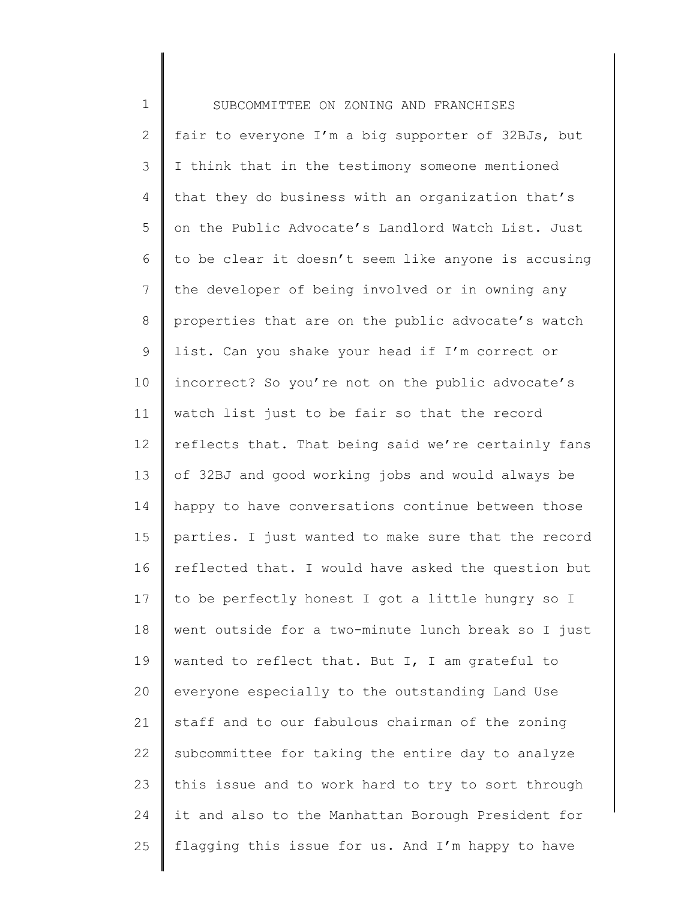1 2 3 4 5 6 7 8 9 10 11 12 13 14 15 16 17 18 19 20 21 22 23 24 25 SUBCOMMITTEE ON ZONING AND FRANCHISES fair to everyone I'm a big supporter of 32BJs, but I think that in the testimony someone mentioned that they do business with an organization that's on the Public Advocate's Landlord Watch List. Just to be clear it doesn't seem like anyone is accusing the developer of being involved or in owning any properties that are on the public advocate's watch list. Can you shake your head if I'm correct or incorrect? So you're not on the public advocate's watch list just to be fair so that the record reflects that. That being said we're certainly fans of 32BJ and good working jobs and would always be happy to have conversations continue between those parties. I just wanted to make sure that the record reflected that. I would have asked the question but to be perfectly honest I got a little hungry so I went outside for a two-minute lunch break so I just wanted to reflect that. But I, I am grateful to everyone especially to the outstanding Land Use staff and to our fabulous chairman of the zoning subcommittee for taking the entire day to analyze this issue and to work hard to try to sort through it and also to the Manhattan Borough President for flagging this issue for us. And I'm happy to have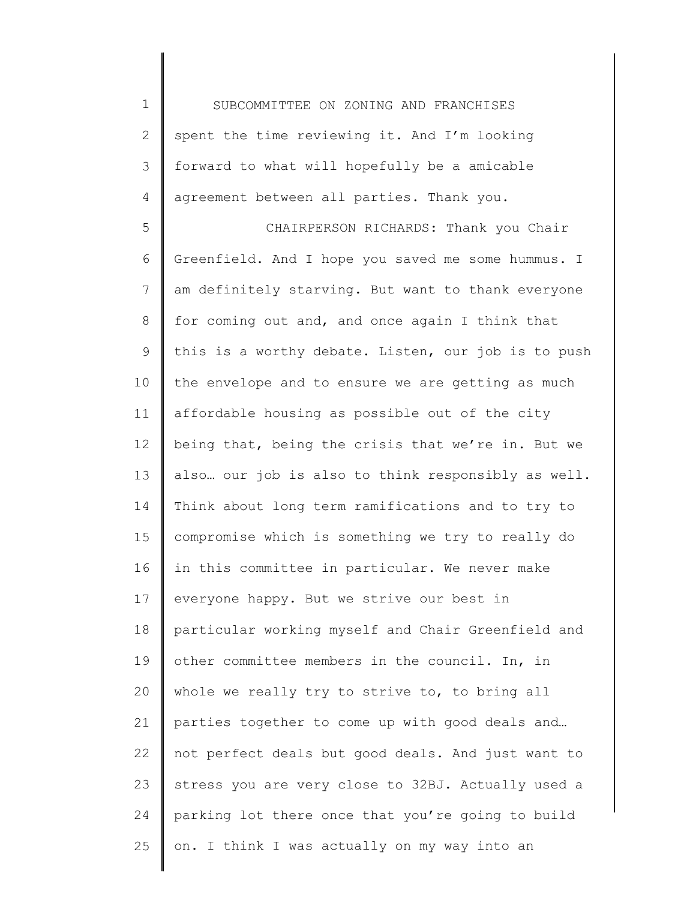1 2 3 4 SUBCOMMITTEE ON ZONING AND FRANCHISES spent the time reviewing it. And I'm looking forward to what will hopefully be a amicable agreement between all parties. Thank you.

5 6 7 8 9 10 11 12 13 14 15 16 17 18 19 20 21 22 23 24 25 CHAIRPERSON RICHARDS: Thank you Chair Greenfield. And I hope you saved me some hummus. I am definitely starving. But want to thank everyone for coming out and, and once again I think that this is a worthy debate. Listen, our job is to push the envelope and to ensure we are getting as much affordable housing as possible out of the city being that, being the crisis that we're in. But we also… our job is also to think responsibly as well. Think about long term ramifications and to try to compromise which is something we try to really do in this committee in particular. We never make everyone happy. But we strive our best in particular working myself and Chair Greenfield and other committee members in the council. In, in whole we really try to strive to, to bring all parties together to come up with good deals and… not perfect deals but good deals. And just want to stress you are very close to 32BJ. Actually used a parking lot there once that you're going to build on. I think I was actually on my way into an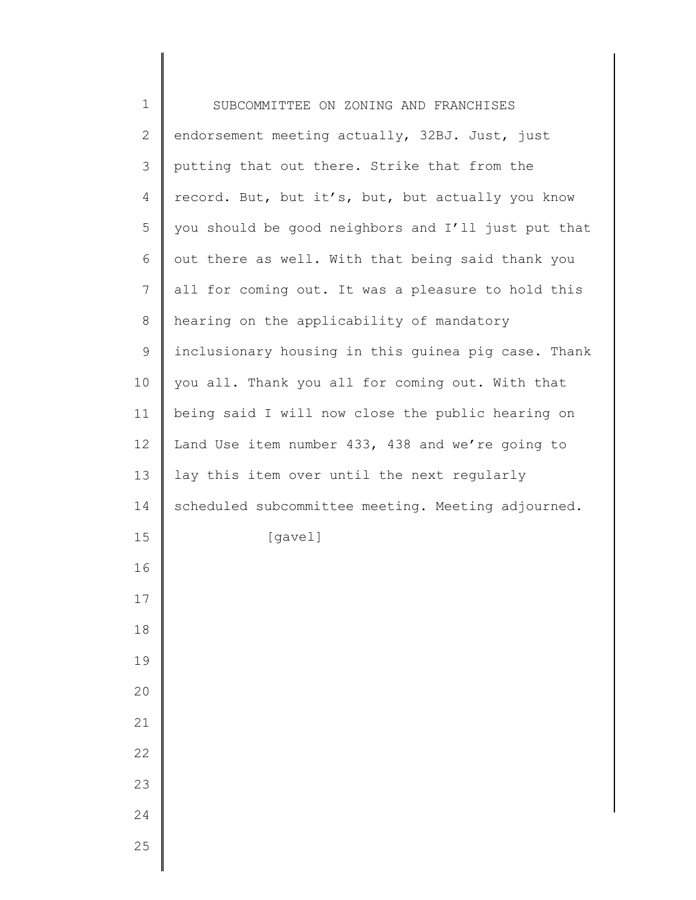| $\mathbf 1$  | SUBCOMMITTEE ON ZONING AND FRANCHISES               |
|--------------|-----------------------------------------------------|
| $\mathbf{2}$ | endorsement meeting actually, 32BJ. Just, just      |
| 3            | putting that out there. Strike that from the        |
| 4            | record. But, but it's, but, but actually you know   |
| 5            | you should be good neighbors and I'll just put that |
| 6            | out there as well. With that being said thank you   |
| 7            | all for coming out. It was a pleasure to hold this  |
| 8            | hearing on the applicability of mandatory           |
| $\mathsf 9$  | inclusionary housing in this guinea pig case. Thank |
| 10           | you all. Thank you all for coming out. With that    |
| 11           | being said I will now close the public hearing on   |
| 12           | Land Use item number 433, 438 and we're going to    |
| 13           | lay this item over until the next regularly         |
| 14           | scheduled subcommittee meeting. Meeting adjourned.  |
| 15           | [gavel]                                             |
| 16           |                                                     |
| 17           |                                                     |
| 18           |                                                     |
| 19           |                                                     |
| 20           |                                                     |
| 21           |                                                     |
| 22           |                                                     |
| 23           |                                                     |
| 24           |                                                     |
| 25           |                                                     |
|              |                                                     |